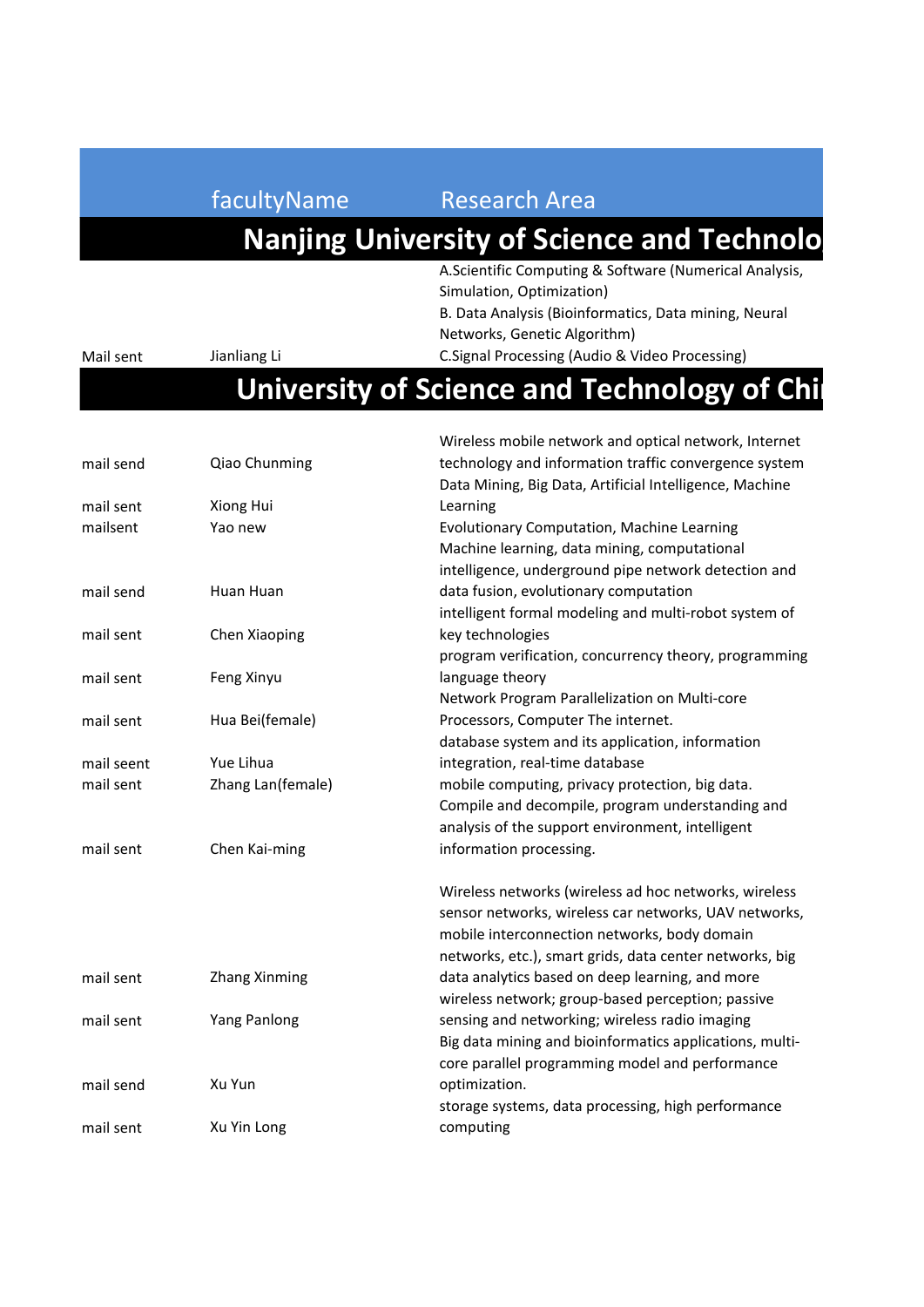#### facultyName Research Area

Mail sent Jianliang Li

#### **Nanjing University of Science and Technolo**

A.Scientific Computing & Software (Numerical Analysis, Simulation, Optimization) B. Data Analysis (Bioinformatics, Data mining, Neural

Networks, Genetic Algorithm)

C.Signal Processing (Audio & Video Processing)

#### **University of Science and Technology of Ching**

|            |                      | Wireless mobile network and optical network, Internet   |
|------------|----------------------|---------------------------------------------------------|
| mail send  | Qiao Chunming        | technology and information traffic convergence system   |
|            |                      | Data Mining, Big Data, Artificial Intelligence, Machine |
| mail sent  | Xiong Hui            | Learning                                                |
| mailsent   | Yao new              | Evolutionary Computation, Machine Learning              |
|            |                      | Machine learning, data mining, computational            |
|            |                      | intelligence, underground pipe network detection and    |
| mail send  | Huan Huan            | data fusion, evolutionary computation                   |
|            |                      | intelligent formal modeling and multi-robot system of   |
| mail sent  | Chen Xiaoping        | key technologies                                        |
|            |                      | program verification, concurrency theory, programming   |
| mail sent  | Feng Xinyu           | language theory                                         |
|            |                      | Network Program Parallelization on Multi-core           |
| mail sent  | Hua Bei(female)      | Processors, Computer The internet.                      |
|            |                      | database system and its application, information        |
| mail seent | Yue Lihua            | integration, real-time database                         |
| mail sent  | Zhang Lan(female)    | mobile computing, privacy protection, big data.         |
|            |                      | Compile and decompile, program understanding and        |
|            |                      | analysis of the support environment, intelligent        |
| mail sent  | Chen Kai-ming        | information processing.                                 |
|            |                      | Wireless networks (wireless ad hoc networks, wireless   |
|            |                      | sensor networks, wireless car networks, UAV networks,   |
|            |                      | mobile interconnection networks, body domain            |
|            |                      | networks, etc.), smart grids, data center networks, big |
| mail sent  | <b>Zhang Xinming</b> | data analytics based on deep learning, and more         |
|            |                      | wireless network; group-based perception; passive       |
| mail sent  | Yang Panlong         | sensing and networking; wireless radio imaging          |
|            |                      | Big data mining and bioinformatics applications, multi- |
|            |                      | core parallel programming model and performance         |
| mail send  | Xu Yun               | optimization.                                           |
|            |                      | storage systems, data processing, high performance      |
| mail sent  | Xu Yin Long          | computing                                               |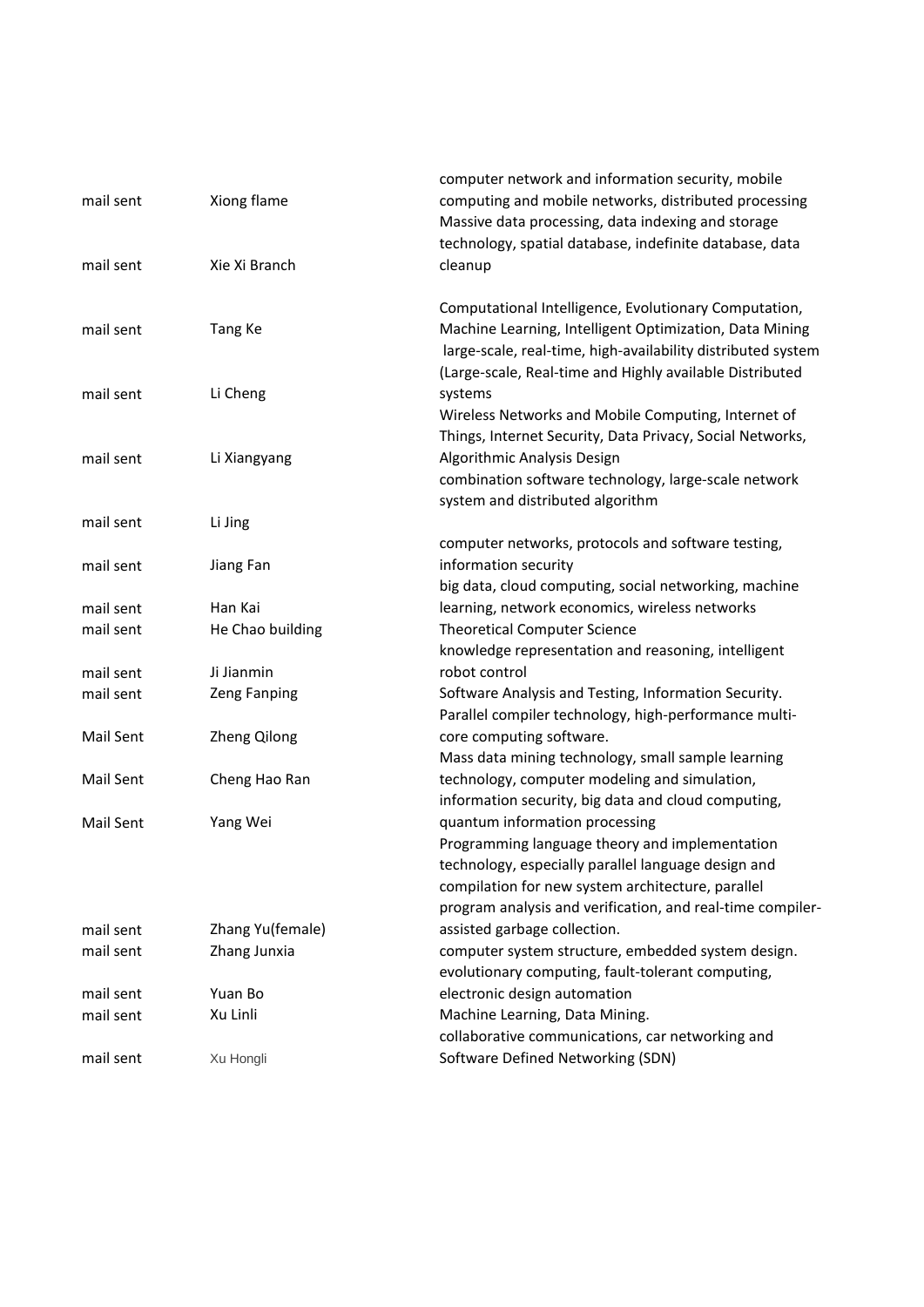| mail sent              | Xiong flame                 | computer network and information security, mobile<br>computing and mobile networks, distributed processing<br>Massive data processing, data indexing and storage                                                                                           |
|------------------------|-----------------------------|------------------------------------------------------------------------------------------------------------------------------------------------------------------------------------------------------------------------------------------------------------|
| mail sent              | Xie Xi Branch               | technology, spatial database, indefinite database, data<br>cleanup                                                                                                                                                                                         |
| mail sent              | Tang Ke                     | Computational Intelligence, Evolutionary Computation,<br>Machine Learning, Intelligent Optimization, Data Mining<br>large-scale, real-time, high-availability distributed system<br>(Large-scale, Real-time and Highly available Distributed               |
| mail sent              | Li Cheng                    | systems<br>Wireless Networks and Mobile Computing, Internet of<br>Things, Internet Security, Data Privacy, Social Networks,                                                                                                                                |
| mail sent              | Li Xiangyang                | Algorithmic Analysis Design<br>combination software technology, large-scale network<br>system and distributed algorithm                                                                                                                                    |
| mail sent              | Li Jing                     |                                                                                                                                                                                                                                                            |
| mail sent              | Jiang Fan                   | computer networks, protocols and software testing,<br>information security                                                                                                                                                                                 |
| mail sent<br>mail sent | Han Kai<br>He Chao building | big data, cloud computing, social networking, machine<br>learning, network economics, wireless networks<br><b>Theoretical Computer Science</b>                                                                                                             |
|                        |                             | knowledge representation and reasoning, intelligent                                                                                                                                                                                                        |
| mail sent              | Ji Jianmin                  | robot control                                                                                                                                                                                                                                              |
| mail sent              | Zeng Fanping                | Software Analysis and Testing, Information Security.<br>Parallel compiler technology, high-performance multi-                                                                                                                                              |
| Mail Sent              | Zheng Qilong                | core computing software.<br>Mass data mining technology, small sample learning                                                                                                                                                                             |
| Mail Sent              | Cheng Hao Ran               | technology, computer modeling and simulation,<br>information security, big data and cloud computing,                                                                                                                                                       |
| Mail Sent              | Yang Wei                    | quantum information processing<br>Programming language theory and implementation<br>technology, especially parallel language design and<br>compilation for new system architecture, parallel<br>program analysis and verification, and real-time compiler- |
| mail sent              | Zhang Yu(female)            | assisted garbage collection.                                                                                                                                                                                                                               |
| mail sent              | Zhang Junxia                | computer system structure, embedded system design.                                                                                                                                                                                                         |
|                        |                             | evolutionary computing, fault-tolerant computing,                                                                                                                                                                                                          |
| mail sent              | Yuan Bo                     | electronic design automation                                                                                                                                                                                                                               |
| mail sent              | Xu Linli                    | Machine Learning, Data Mining.<br>collaborative communications, car networking and                                                                                                                                                                         |
| mail sent              | Xu Hongli                   | Software Defined Networking (SDN)                                                                                                                                                                                                                          |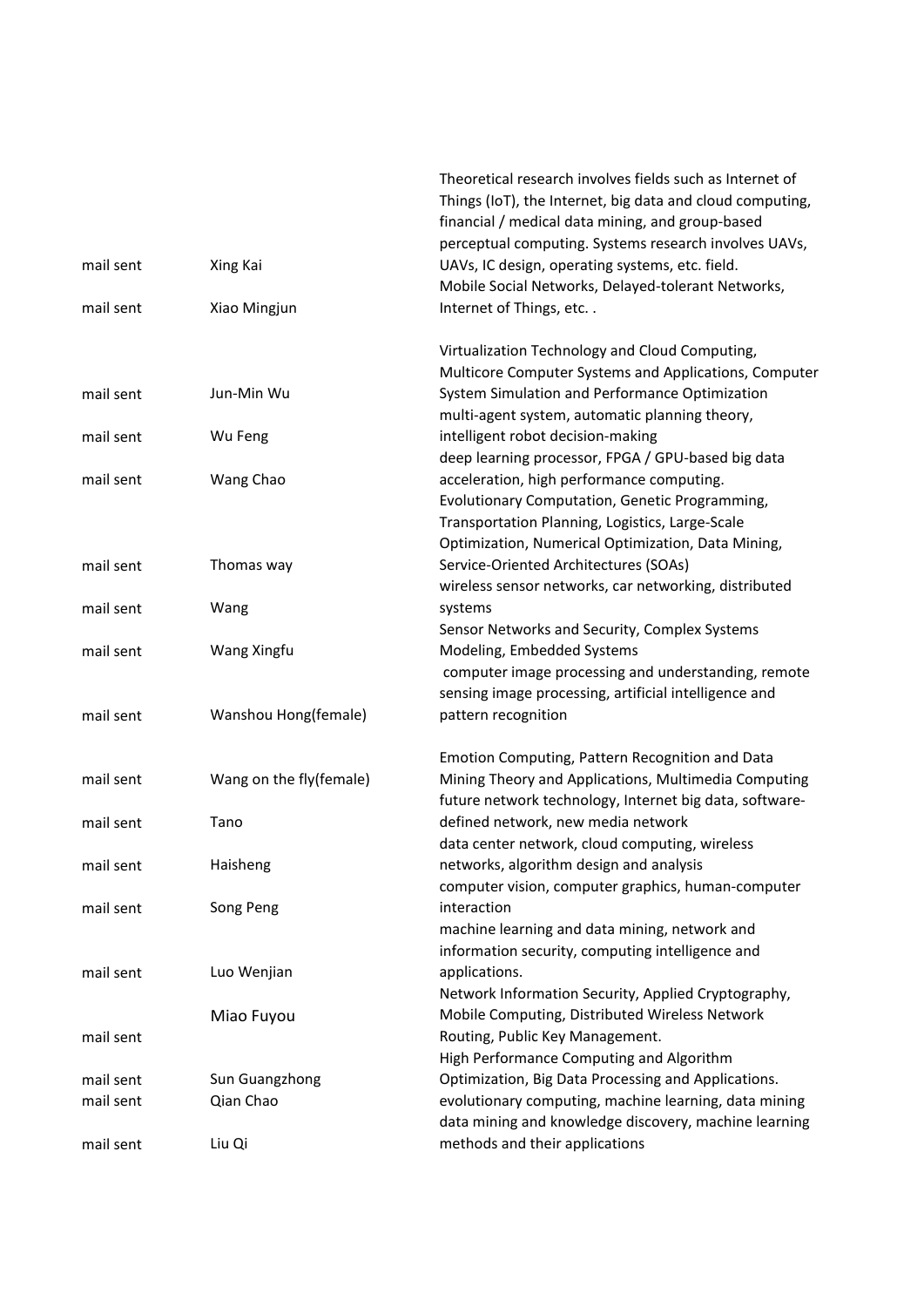|           |                         | Theoretical research involves fields such as Internet of                     |
|-----------|-------------------------|------------------------------------------------------------------------------|
|           |                         | Things (IoT), the Internet, big data and cloud computing,                    |
|           |                         | financial / medical data mining, and group-based                             |
|           |                         | perceptual computing. Systems research involves UAVs,                        |
| mail sent | Xing Kai                | UAVs, IC design, operating systems, etc. field.                              |
|           |                         | Mobile Social Networks, Delayed-tolerant Networks,                           |
| mail sent | Xiao Mingjun            | Internet of Things, etc                                                      |
|           |                         | Virtualization Technology and Cloud Computing,                               |
|           |                         | Multicore Computer Systems and Applications, Computer                        |
| mail sent | Jun-Min Wu              | System Simulation and Performance Optimization                               |
|           |                         | multi-agent system, automatic planning theory,                               |
| mail sent | Wu Feng                 | intelligent robot decision-making                                            |
|           |                         | deep learning processor, FPGA / GPU-based big data                           |
| mail sent | Wang Chao               | acceleration, high performance computing.                                    |
|           |                         | Evolutionary Computation, Genetic Programming,                               |
|           |                         | Transportation Planning, Logistics, Large-Scale                              |
|           |                         | Optimization, Numerical Optimization, Data Mining,                           |
| mail sent | Thomas way              | Service-Oriented Architectures (SOAs)                                        |
|           |                         | wireless sensor networks, car networking, distributed                        |
| mail sent | Wang                    | systems                                                                      |
|           |                         | Sensor Networks and Security, Complex Systems                                |
| mail sent | Wang Xingfu             | Modeling, Embedded Systems                                                   |
|           |                         | computer image processing and understanding, remote                          |
|           |                         | sensing image processing, artificial intelligence and<br>pattern recognition |
| mail sent | Wanshou Hong(female)    |                                                                              |
|           |                         | Emotion Computing, Pattern Recognition and Data                              |
| mail sent | Wang on the fly(female) | Mining Theory and Applications, Multimedia Computing                         |
|           |                         | future network technology, Internet big data, software-                      |
| mail sent | Tano                    | defined network, new media network                                           |
|           |                         | data center network, cloud computing, wireless                               |
| mail sent | Haisheng                | networks, algorithm design and analysis                                      |
|           |                         | computer vision, computer graphics, human-computer                           |
| mail sent | Song Peng               | interaction                                                                  |
|           |                         | machine learning and data mining, network and                                |
|           |                         | information security, computing intelligence and                             |
| mail sent | Luo Wenjian             | applications.                                                                |
|           |                         | Network Information Security, Applied Cryptography,                          |
|           | Miao Fuyou              | Mobile Computing, Distributed Wireless Network                               |
| mail sent |                         | Routing, Public Key Management.                                              |
|           |                         | High Performance Computing and Algorithm                                     |
| mail sent | Sun Guangzhong          | Optimization, Big Data Processing and Applications.                          |
| mail sent | Qian Chao               | evolutionary computing, machine learning, data mining                        |
|           |                         | data mining and knowledge discovery, machine learning                        |
| mail sent | Liu Qi                  | methods and their applications                                               |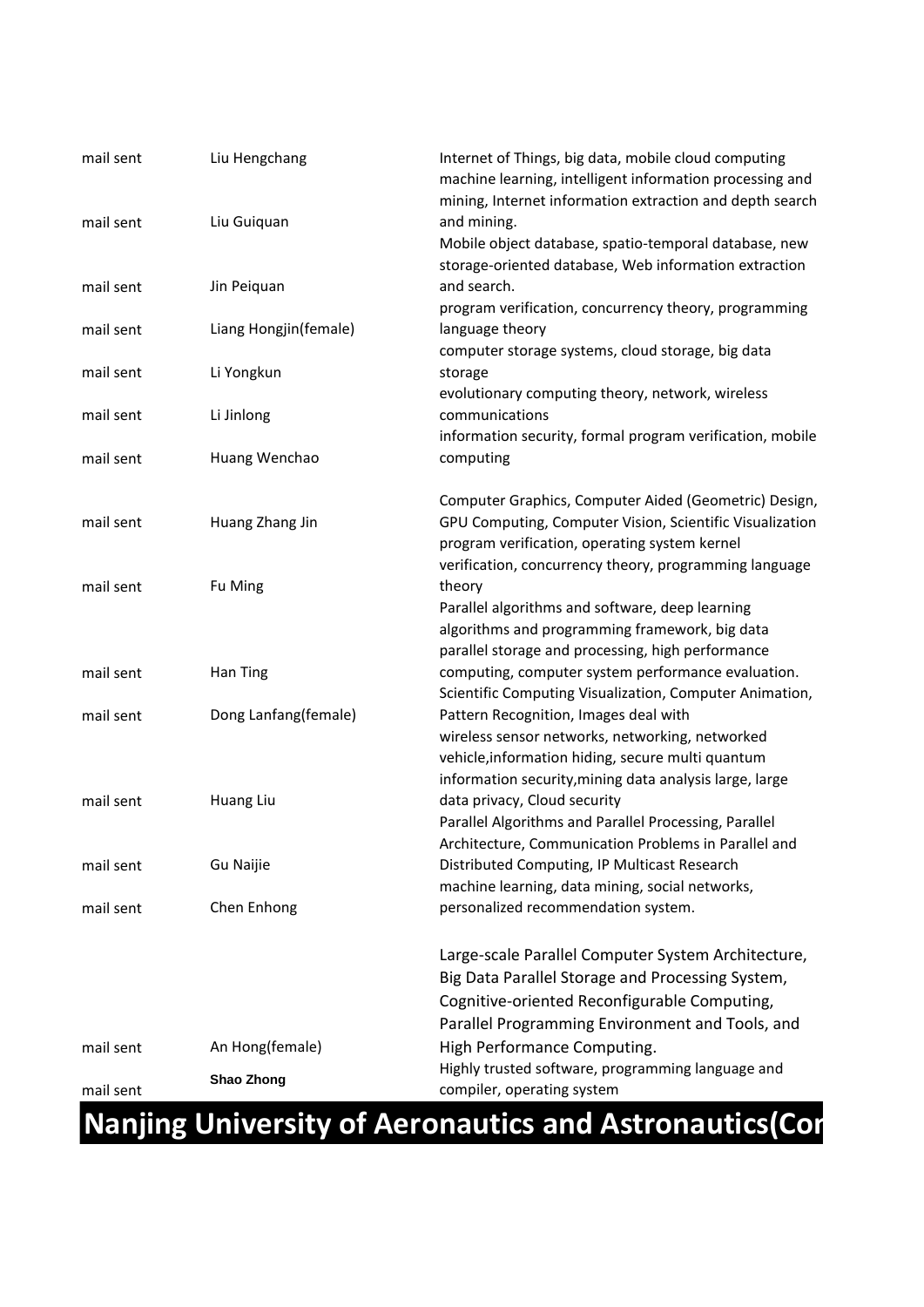| mail sent | Liu Hengchang         | Internet of Things, big data, mobile cloud computing<br>machine learning, intelligent information processing and<br>mining, Internet information extraction and depth search |
|-----------|-----------------------|------------------------------------------------------------------------------------------------------------------------------------------------------------------------------|
| mail sent | Liu Guiquan           | and mining.<br>Mobile object database, spatio-temporal database, new                                                                                                         |
|           |                       | storage-oriented database, Web information extraction                                                                                                                        |
| mail sent | Jin Peiquan           | and search.                                                                                                                                                                  |
| mail sent |                       | program verification, concurrency theory, programming<br>language theory                                                                                                     |
|           | Liang Hongjin(female) | computer storage systems, cloud storage, big data                                                                                                                            |
| mail sent | Li Yongkun            | storage                                                                                                                                                                      |
|           |                       | evolutionary computing theory, network, wireless                                                                                                                             |
| mail sent | Li Jinlong            | communications                                                                                                                                                               |
|           |                       | information security, formal program verification, mobile                                                                                                                    |
| mail sent | Huang Wenchao         | computing                                                                                                                                                                    |
|           |                       |                                                                                                                                                                              |
|           |                       | Computer Graphics, Computer Aided (Geometric) Design,                                                                                                                        |
| mail sent | Huang Zhang Jin       | GPU Computing, Computer Vision, Scientific Visualization                                                                                                                     |
|           |                       | program verification, operating system kernel                                                                                                                                |
|           |                       | verification, concurrency theory, programming language                                                                                                                       |
| mail sent | Fu Ming               | theory                                                                                                                                                                       |
|           |                       | Parallel algorithms and software, deep learning                                                                                                                              |
|           |                       | algorithms and programming framework, big data                                                                                                                               |
|           |                       | parallel storage and processing, high performance                                                                                                                            |
| mail sent | Han Ting              | computing, computer system performance evaluation.                                                                                                                           |
|           |                       | Scientific Computing Visualization, Computer Animation,                                                                                                                      |
| mail sent | Dong Lanfang(female)  | Pattern Recognition, Images deal with                                                                                                                                        |
|           |                       | wireless sensor networks, networking, networked                                                                                                                              |
|           |                       | vehicle, information hiding, secure multi quantum                                                                                                                            |
|           |                       | information security, mining data analysis large, large                                                                                                                      |
| mail sent | Huang Liu             | data privacy, Cloud security                                                                                                                                                 |
|           |                       | Parallel Algorithms and Parallel Processing, Parallel                                                                                                                        |
|           |                       | Architecture, Communication Problems in Parallel and                                                                                                                         |
| mail sent | Gu Naijie             | Distributed Computing, IP Multicast Research                                                                                                                                 |
|           |                       | machine learning, data mining, social networks,                                                                                                                              |
| mail sent | Chen Enhong           | personalized recommendation system.                                                                                                                                          |
|           |                       | Large-scale Parallel Computer System Architecture,                                                                                                                           |
|           |                       | Big Data Parallel Storage and Processing System,                                                                                                                             |
|           |                       | Cognitive-oriented Reconfigurable Computing,                                                                                                                                 |
|           |                       | Parallel Programming Environment and Tools, and                                                                                                                              |
| mail sent | An Hong(female)       | High Performance Computing.                                                                                                                                                  |
|           |                       | Highly trusted software, programming language and                                                                                                                            |
| mail sent | Shao Zhong            | compiler, operating system                                                                                                                                                   |
|           |                       |                                                                                                                                                                              |

### **Nanjing University of Aeronautics and Astronautics(Cort**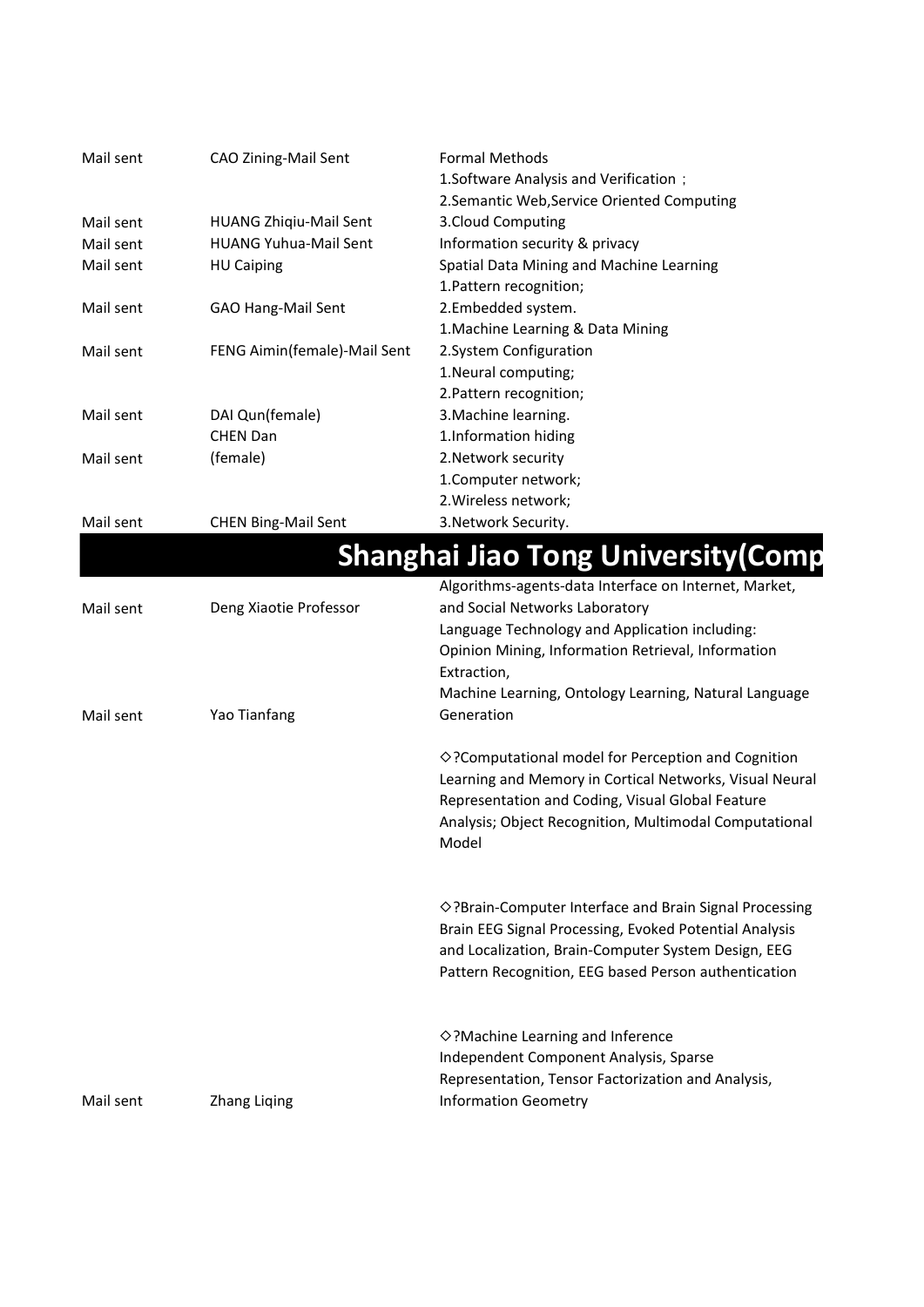| Mail sent | CAO Zining-Mail Sent          | <b>Formal Methods</b><br>1. Software Analysis and Verification ;<br>2. Semantic Web, Service Oriented Computing |
|-----------|-------------------------------|-----------------------------------------------------------------------------------------------------------------|
| Mail sent | <b>HUANG Zhiqiu-Mail Sent</b> | 3. Cloud Computing                                                                                              |
| Mail sent | <b>HUANG Yuhua-Mail Sent</b>  | Information security & privacy                                                                                  |
| Mail sent | <b>HU Caiping</b>             | Spatial Data Mining and Machine Learning                                                                        |
|           |                               | 1. Pattern recognition;                                                                                         |
| Mail sent | GAO Hang-Mail Sent            | 2.Embedded system.                                                                                              |
|           |                               | 1. Machine Learning & Data Mining                                                                               |
| Mail sent | FENG Aimin(female)-Mail Sent  | 2. System Configuration                                                                                         |
|           |                               | 1. Neural computing;                                                                                            |
|           |                               | 2. Pattern recognition;                                                                                         |
| Mail sent | DAI Qun(female)               | 3. Machine learning.                                                                                            |
|           | <b>CHEN Dan</b>               | 1. Information hiding                                                                                           |
| Mail sent | (female)                      | 2. Network security                                                                                             |
|           |                               | 1. Computer network;                                                                                            |
|           |                               | 2. Wireless network;                                                                                            |

Mail sent CHEN Bing-Mail Sent

3.Network Security.

|           |                        | <b>Shanghai Jiao Tong University (Comp</b>                       |  |
|-----------|------------------------|------------------------------------------------------------------|--|
|           |                        | Algorithms-agents-data Interface on Internet, Market,            |  |
| Mail sent | Deng Xiaotie Professor | and Social Networks Laboratory                                   |  |
|           |                        | Language Technology and Application including:                   |  |
|           |                        | Opinion Mining, Information Retrieval, Information               |  |
|           |                        | Extraction,                                                      |  |
|           |                        | Machine Learning, Ontology Learning, Natural Language            |  |
| Mail sent | Yao Tianfang           | Generation                                                       |  |
|           |                        | $\diamond$ ? Computational model for Perception and Cognition    |  |
|           |                        | Learning and Memory in Cortical Networks, Visual Neural          |  |
|           |                        | Representation and Coding, Visual Global Feature                 |  |
|           |                        | Analysis; Object Recognition, Multimodal Computational           |  |
|           |                        | Model                                                            |  |
|           |                        |                                                                  |  |
|           |                        | $\diamond$ ?Brain-Computer Interface and Brain Signal Processing |  |
|           |                        | Brain EEG Signal Processing, Evoked Potential Analysis           |  |
|           |                        | and Localization, Brain-Computer System Design, EEG              |  |
|           |                        | Pattern Recognition, EEG based Person authentication             |  |
|           |                        | ◇?Machine Learning and Inference                                 |  |
|           |                        | Independent Component Analysis, Sparse                           |  |
|           |                        | Representation, Tensor Factorization and Analysis,               |  |
| Mail sent | <b>Zhang Liqing</b>    | <b>Information Geometry</b>                                      |  |
|           |                        |                                                                  |  |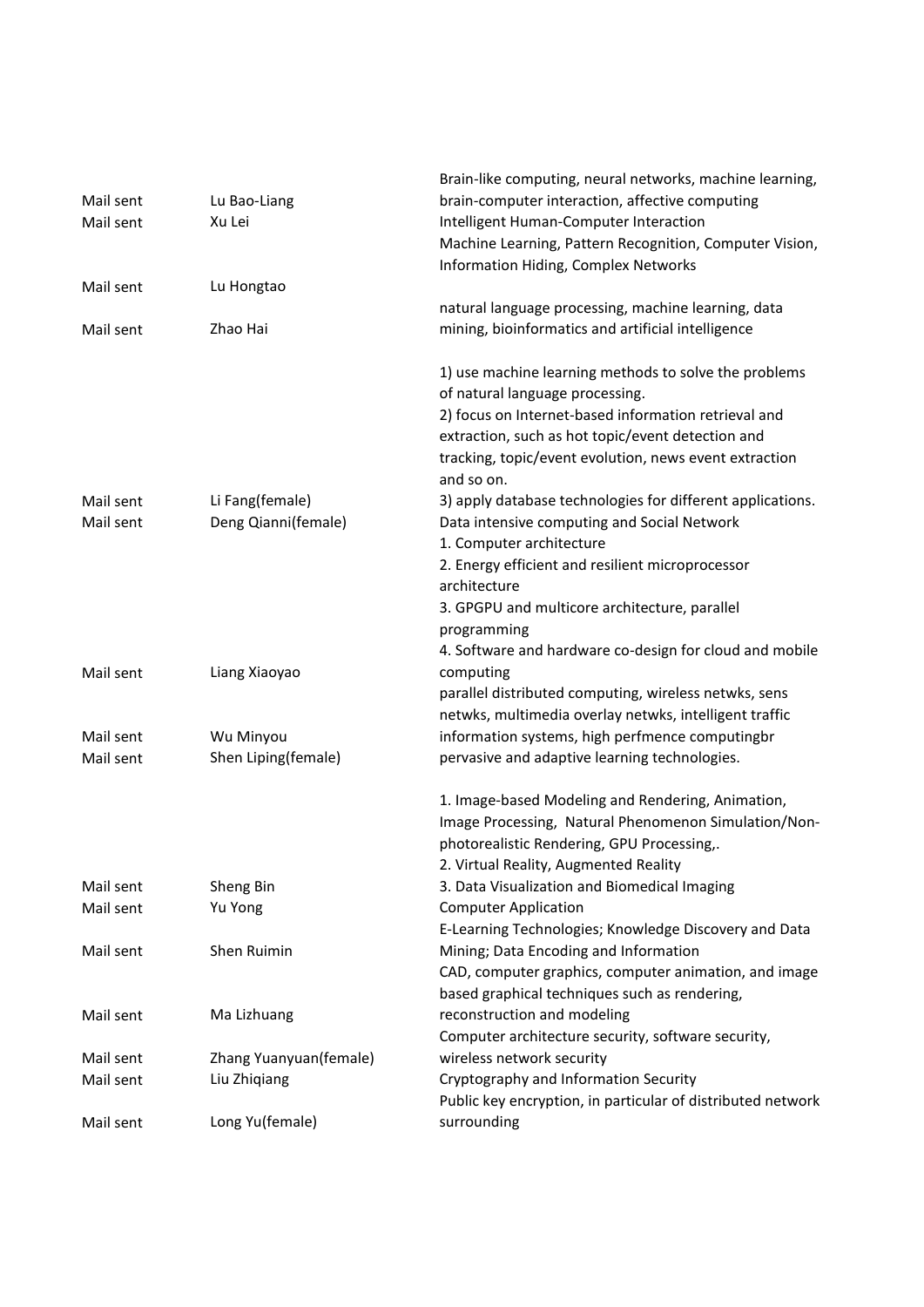| Mail sent<br>Mail sent | Lu Bao-Liang<br>Xu Lei                 | Brain-like computing, neural networks, machine learning,<br>brain-computer interaction, affective computing<br>Intelligent Human-Computer Interaction<br>Machine Learning, Pattern Recognition, Computer Vision,<br>Information Hiding, Complex Networks                                                                             |
|------------------------|----------------------------------------|--------------------------------------------------------------------------------------------------------------------------------------------------------------------------------------------------------------------------------------------------------------------------------------------------------------------------------------|
| Mail sent<br>Mail sent | Lu Hongtao<br>Zhao Hai                 | natural language processing, machine learning, data<br>mining, bioinformatics and artificial intelligence                                                                                                                                                                                                                            |
|                        |                                        | 1) use machine learning methods to solve the problems<br>of natural language processing.<br>2) focus on Internet-based information retrieval and<br>extraction, such as hot topic/event detection and<br>tracking, topic/event evolution, news event extraction<br>and so on.                                                        |
| Mail sent<br>Mail sent | Li Fang(female)<br>Deng Qianni(female) | 3) apply database technologies for different applications.<br>Data intensive computing and Social Network<br>1. Computer architecture<br>2. Energy efficient and resilient microprocessor<br>architecture<br>3. GPGPU and multicore architecture, parallel<br>programming<br>4. Software and hardware co-design for cloud and mobile |
| Mail sent              | Liang Xiaoyao                          | computing<br>parallel distributed computing, wireless netwks, sens<br>netwks, multimedia overlay netwks, intelligent traffic                                                                                                                                                                                                         |
| Mail sent              | Wu Minyou                              | information systems, high perfmence computingbr                                                                                                                                                                                                                                                                                      |
| Mail sent              | Shen Liping(female)                    | pervasive and adaptive learning technologies.                                                                                                                                                                                                                                                                                        |
|                        |                                        | 1. Image-based Modeling and Rendering, Animation,<br>Image Processing, Natural Phenomenon Simulation/Non-<br>photorealistic Rendering, GPU Processing,.<br>2. Virtual Reality, Augmented Reality                                                                                                                                     |
| Mail sent              | Sheng Bin                              | 3. Data Visualization and Biomedical Imaging                                                                                                                                                                                                                                                                                         |
| Mail sent              | Yu Yong                                | <b>Computer Application</b><br>E-Learning Technologies; Knowledge Discovery and Data                                                                                                                                                                                                                                                 |
| Mail sent              | Shen Ruimin                            | Mining; Data Encoding and Information<br>CAD, computer graphics, computer animation, and image<br>based graphical techniques such as rendering,                                                                                                                                                                                      |
| Mail sent              | Ma Lizhuang                            | reconstruction and modeling<br>Computer architecture security, software security,                                                                                                                                                                                                                                                    |
| Mail sent              | Zhang Yuanyuan(female)                 | wireless network security                                                                                                                                                                                                                                                                                                            |
| Mail sent              | Liu Zhiqiang                           | Cryptography and Information Security<br>Public key encryption, in particular of distributed network                                                                                                                                                                                                                                 |
| Mail sent              | Long Yu(female)                        | surrounding                                                                                                                                                                                                                                                                                                                          |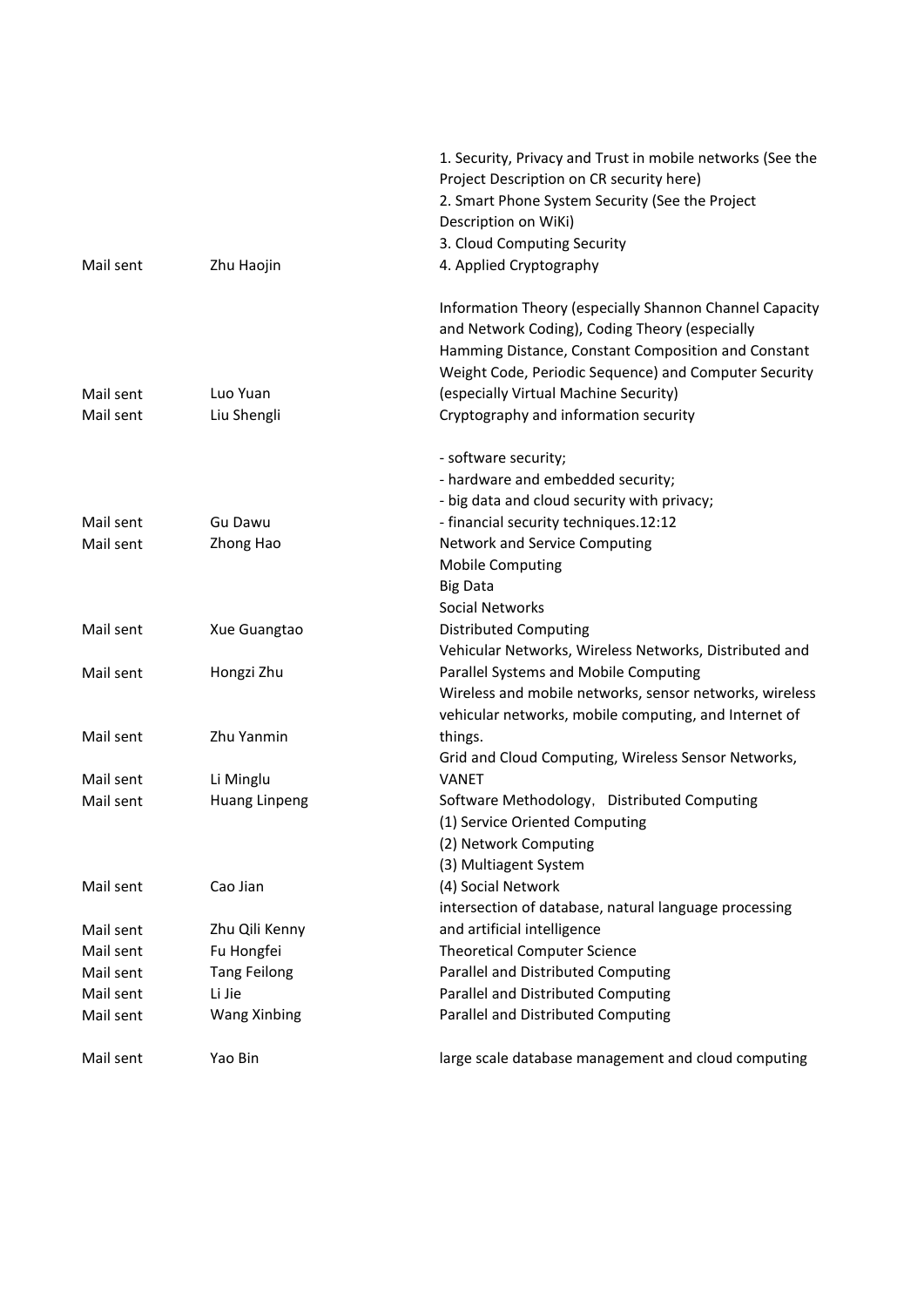|           |                     | 1. Security, Privacy and Trust in mobile networks (See the |
|-----------|---------------------|------------------------------------------------------------|
|           |                     | Project Description on CR security here)                   |
|           |                     | 2. Smart Phone System Security (See the Project            |
|           |                     | Description on WiKi)                                       |
|           |                     | 3. Cloud Computing Security                                |
| Mail sent | Zhu Haojin          | 4. Applied Cryptography                                    |
|           |                     | Information Theory (especially Shannon Channel Capacity    |
|           |                     | and Network Coding), Coding Theory (especially             |
|           |                     | Hamming Distance, Constant Composition and Constant        |
|           |                     | Weight Code, Periodic Sequence) and Computer Security      |
| Mail sent | Luo Yuan            | (especially Virtual Machine Security)                      |
| Mail sent | Liu Shengli         | Cryptography and information security                      |
|           |                     | - software security;                                       |
|           |                     | - hardware and embedded security;                          |
|           |                     | - big data and cloud security with privacy;                |
| Mail sent | Gu Dawu             | - financial security techniques.12:12                      |
| Mail sent | Zhong Hao           | Network and Service Computing                              |
|           |                     | <b>Mobile Computing</b>                                    |
|           |                     | <b>Big Data</b>                                            |
|           |                     | Social Networks                                            |
| Mail sent | Xue Guangtao        | <b>Distributed Computing</b>                               |
|           |                     | Vehicular Networks, Wireless Networks, Distributed and     |
| Mail sent | Hongzi Zhu          | Parallel Systems and Mobile Computing                      |
|           |                     | Wireless and mobile networks, sensor networks, wireless    |
|           |                     | vehicular networks, mobile computing, and Internet of      |
| Mail sent | Zhu Yanmin          | things.                                                    |
|           |                     | Grid and Cloud Computing, Wireless Sensor Networks,        |
| Mail sent | Li Minglu           | <b>VANET</b>                                               |
| Mail sent | Huang Linpeng       | Software Methodology, Distributed Computing                |
|           |                     | (1) Service Oriented Computing                             |
|           |                     | (2) Network Computing                                      |
|           |                     | (3) Multiagent System                                      |
| Mail sent | Cao Jian            | (4) Social Network                                         |
|           |                     | intersection of database, natural language processing      |
| Mail sent | Zhu Qili Kenny      | and artificial intelligence                                |
| Mail sent | Fu Hongfei          | <b>Theoretical Computer Science</b>                        |
| Mail sent | <b>Tang Feilong</b> | Parallel and Distributed Computing                         |
| Mail sent | Li Jie              | Parallel and Distributed Computing                         |
| Mail sent | <b>Wang Xinbing</b> | Parallel and Distributed Computing                         |
| Mail sent | Yao Bin             | large scale database management and cloud computing        |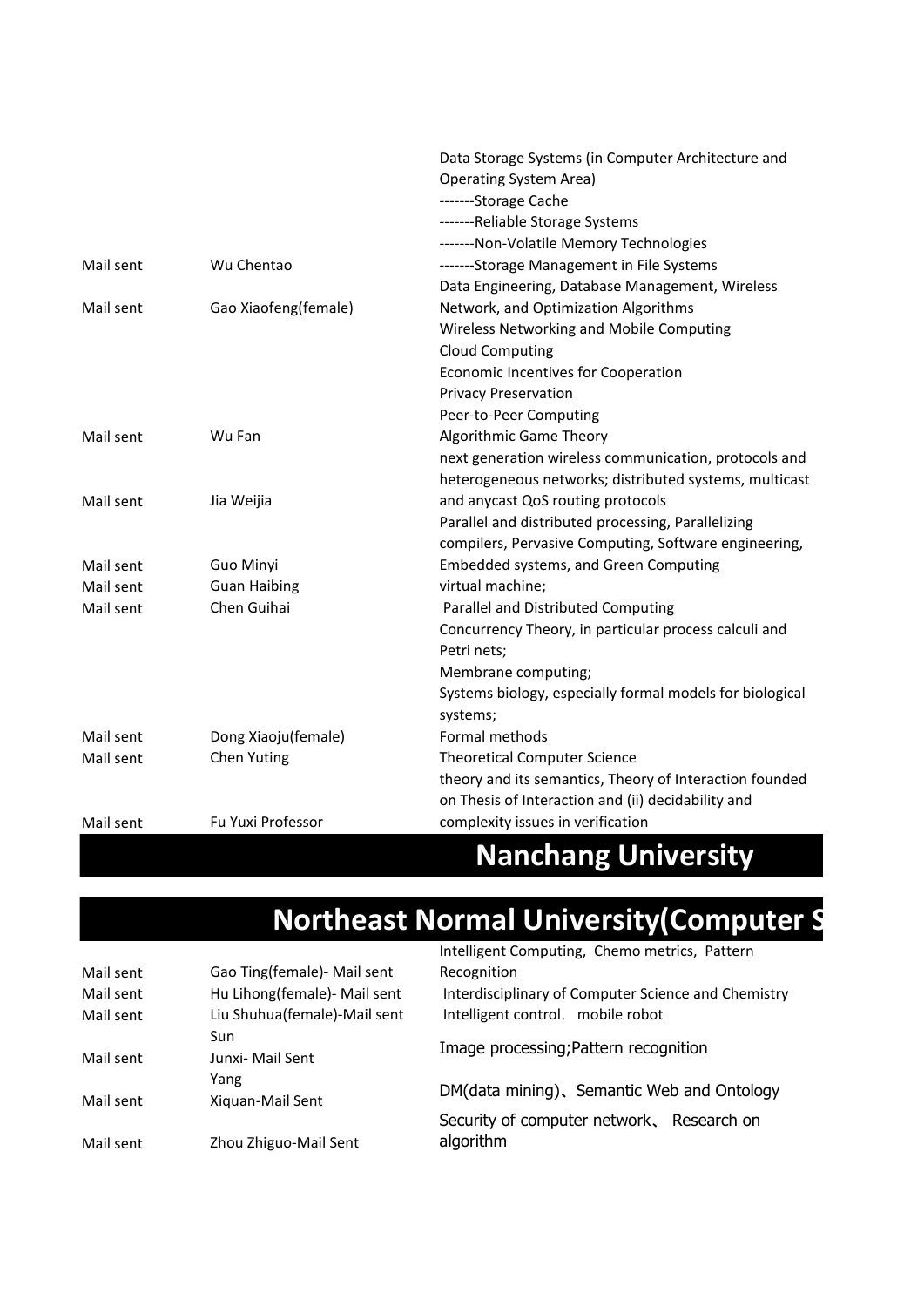|           |                      | Data Storage Systems (in Computer Architecture and       |
|-----------|----------------------|----------------------------------------------------------|
|           |                      | <b>Operating System Area)</b>                            |
|           |                      | -------Storage Cache                                     |
|           |                      | -------Reliable Storage Systems                          |
|           |                      | -------Non-Volatile Memory Technologies                  |
| Mail sent | Wu Chentao           | -------Storage Management in File Systems                |
|           |                      | Data Engineering, Database Management, Wireless          |
| Mail sent | Gao Xiaofeng(female) | Network, and Optimization Algorithms                     |
|           |                      | Wireless Networking and Mobile Computing                 |
|           |                      | <b>Cloud Computing</b>                                   |
|           |                      | Economic Incentives for Cooperation                      |
|           |                      | <b>Privacy Preservation</b>                              |
|           |                      | Peer-to-Peer Computing                                   |
| Mail sent | Wu Fan               | Algorithmic Game Theory                                  |
|           |                      | next generation wireless communication, protocols and    |
|           |                      | heterogeneous networks; distributed systems, multicast   |
| Mail sent | Jia Weijia           | and anycast QoS routing protocols                        |
|           |                      | Parallel and distributed processing, Parallelizing       |
|           |                      | compilers, Pervasive Computing, Software engineering,    |
| Mail sent | Guo Minyi            | <b>Embedded systems, and Green Computing</b>             |
| Mail sent | <b>Guan Haibing</b>  | virtual machine;                                         |
| Mail sent | Chen Guihai          | Parallel and Distributed Computing                       |
|           |                      | Concurrency Theory, in particular process calculi and    |
|           |                      | Petri nets;                                              |
|           |                      | Membrane computing;                                      |
|           |                      | Systems biology, especially formal models for biological |
|           |                      | systems;                                                 |
| Mail sent | Dong Xiaoju(female)  | Formal methods                                           |
| Mail sent | Chen Yuting          | <b>Theoretical Computer Science</b>                      |
|           |                      | theory and its semantics, Theory of Interaction founded  |
|           |                      | on Thesis of Interaction and (ii) decidability and       |
| Mail sent | Fu Yuxi Professor    | complexity issues in verification                        |
|           |                      |                                                          |

# **Nanchang University**

# **Northeast Normal University(Computer S**

|           |                              | Intelligent Computing, Chemo metrics, Pattern          |
|-----------|------------------------------|--------------------------------------------------------|
| Mail sent | Gao Ting(female) - Mail sent | Recognition                                            |
| Mail sent | Hu Lihong(female)- Mail sent | Interdisciplinary of Computer Science and Chemistry    |
| Mail sent | Liu Shuhua(female)-Mail sent | Intelligent control, mobile robot                      |
|           | Sun                          | Image processing; Pattern recognition                  |
| Mail sent | Junxi- Mail Sent             |                                                        |
|           | Yang                         | DM(data mining), Semantic Web and Ontology             |
| Mail sent | Xiguan-Mail Sent             |                                                        |
| Mail sent | Zhou Zhiguo-Mail Sent        | Security of computer network, Research on<br>algorithm |
|           |                              |                                                        |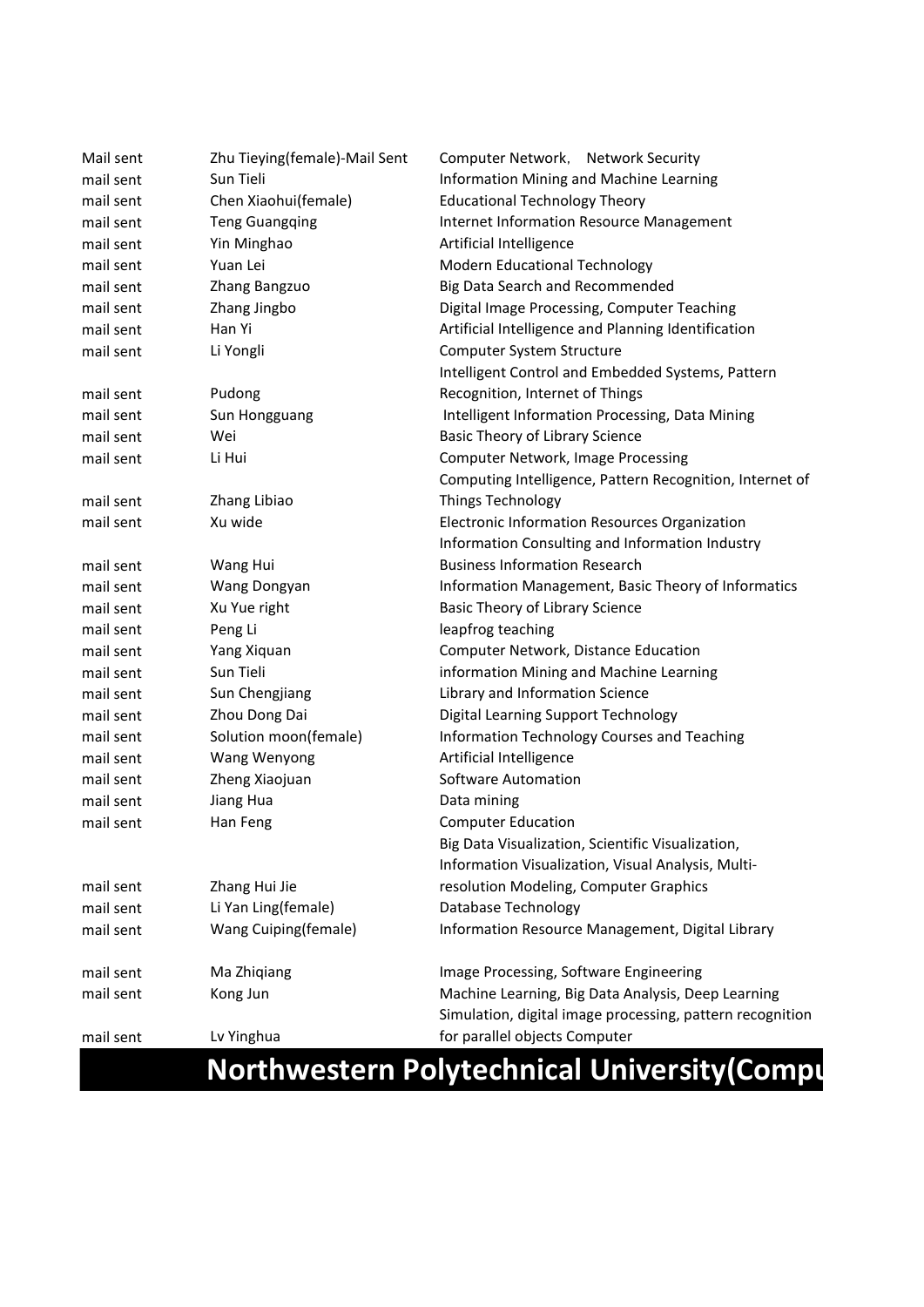| Mail sent | Zhu Tieying(female)-Mail Sent | Computer Network, Network Security                                                                              |  |
|-----------|-------------------------------|-----------------------------------------------------------------------------------------------------------------|--|
| mail sent | Sun Tieli                     | Information Mining and Machine Learning                                                                         |  |
| mail sent | Chen Xiaohui(female)          | <b>Educational Technology Theory</b>                                                                            |  |
| mail sent | <b>Teng Guangqing</b>         | Internet Information Resource Management                                                                        |  |
| mail sent | Yin Minghao                   | Artificial Intelligence                                                                                         |  |
| mail sent | Yuan Lei                      | Modern Educational Technology                                                                                   |  |
| mail sent | Zhang Bangzuo                 | Big Data Search and Recommended                                                                                 |  |
| mail sent | Zhang Jingbo                  | Digital Image Processing, Computer Teaching                                                                     |  |
| mail sent | Han Yi                        | Artificial Intelligence and Planning Identification                                                             |  |
| mail sent | Li Yongli                     | Computer System Structure                                                                                       |  |
|           |                               | Intelligent Control and Embedded Systems, Pattern                                                               |  |
| mail sent | Pudong                        | Recognition, Internet of Things                                                                                 |  |
| mail sent | Sun Hongguang                 | Intelligent Information Processing, Data Mining                                                                 |  |
| mail sent | Wei                           | Basic Theory of Library Science                                                                                 |  |
| mail sent | Li Hui                        | Computer Network, Image Processing                                                                              |  |
|           |                               | Computing Intelligence, Pattern Recognition, Internet of                                                        |  |
| mail sent | Zhang Libiao                  | <b>Things Technology</b>                                                                                        |  |
| mail sent | Xu wide                       | Electronic Information Resources Organization                                                                   |  |
|           |                               | Information Consulting and Information Industry                                                                 |  |
| mail sent | Wang Hui                      | <b>Business Information Research</b>                                                                            |  |
| mail sent | Wang Dongyan                  | Information Management, Basic Theory of Informatics                                                             |  |
| mail sent | Xu Yue right                  | Basic Theory of Library Science                                                                                 |  |
| mail sent | Peng Li                       | leapfrog teaching                                                                                               |  |
| mail sent | Yang Xiquan                   | Computer Network, Distance Education                                                                            |  |
| mail sent | Sun Tieli                     | information Mining and Machine Learning                                                                         |  |
| mail sent | Sun Chengjiang                | Library and Information Science                                                                                 |  |
| mail sent | Zhou Dong Dai                 | Digital Learning Support Technology                                                                             |  |
| mail sent | Solution moon(female)         | Information Technology Courses and Teaching                                                                     |  |
| mail sent | Wang Wenyong                  | Artificial Intelligence                                                                                         |  |
| mail sent | Zheng Xiaojuan                | Software Automation                                                                                             |  |
| mail sent | Jiang Hua                     | Data mining                                                                                                     |  |
| mail sent | Han Feng                      | <b>Computer Education</b>                                                                                       |  |
|           |                               | Big Data Visualization, Scientific Visualization,                                                               |  |
|           |                               | Information Visualization, Visual Analysis, Multi-                                                              |  |
| mail sent | Zhang Hui Jie                 | resolution Modeling, Computer Graphics                                                                          |  |
| mail sent | Li Yan Ling(female)           | Database Technology                                                                                             |  |
| mail sent | Wang Cuiping(female)          | Information Resource Management, Digital Library                                                                |  |
| mail sent | Ma Zhiqiang                   | Image Processing, Software Engineering                                                                          |  |
| mail sent | Kong Jun                      | Machine Learning, Big Data Analysis, Deep Learning<br>Simulation, digital image processing, pattern recognition |  |
| mail sent | Lv Yinghua                    | for parallel objects Computer                                                                                   |  |

#### **Northwestern Polytechnical University(Computer 3)**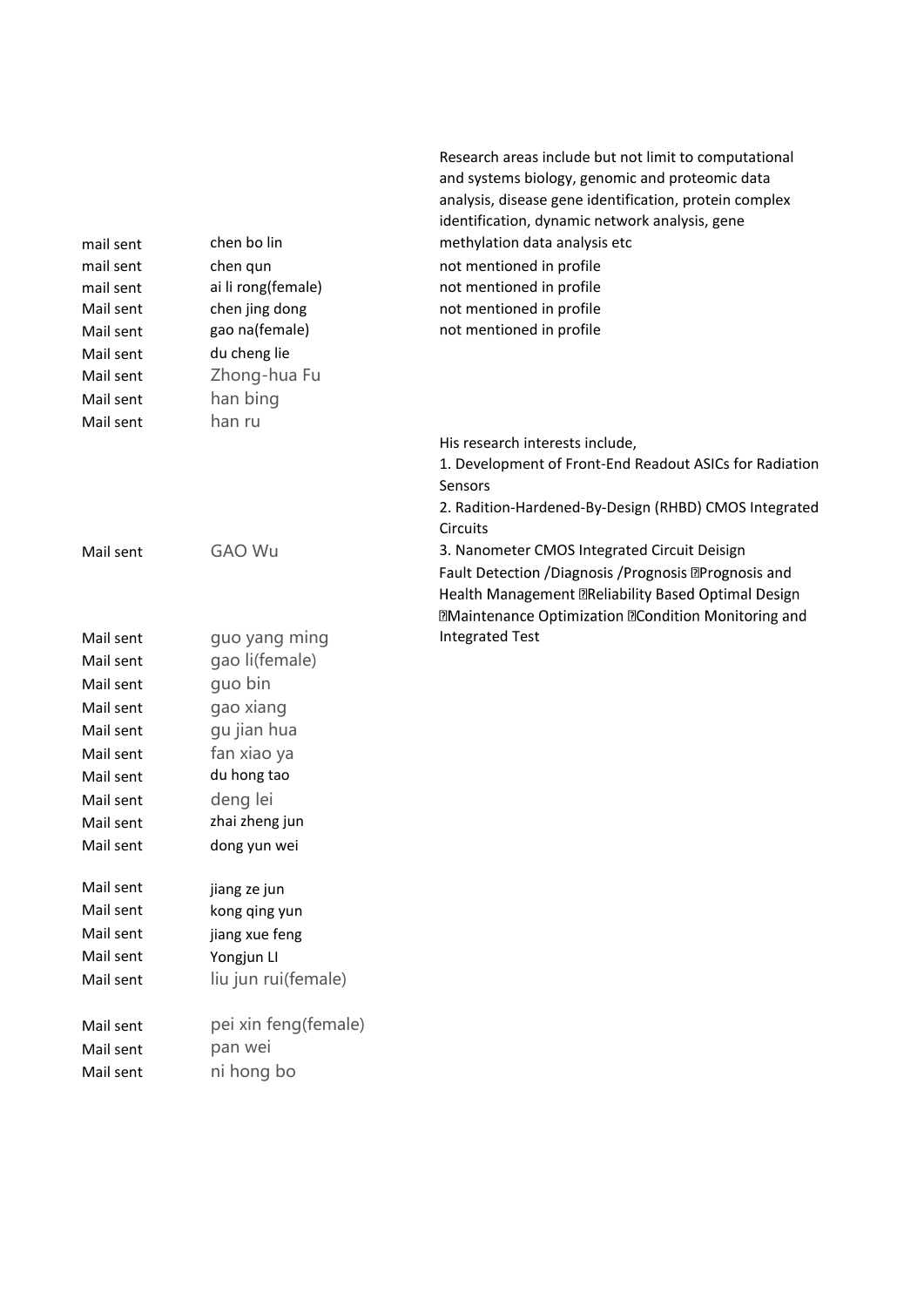|           |                      | Research areas include but not limit to computational              |
|-----------|----------------------|--------------------------------------------------------------------|
|           |                      | and systems biology, genomic and proteomic data                    |
|           |                      | analysis, disease gene identification, protein complex             |
|           |                      | identification, dynamic network analysis, gene                     |
| mail sent | chen bo lin          | methylation data analysis etc                                      |
| mail sent | chen qun             | not mentioned in profile                                           |
| mail sent | ai li rong(female)   | not mentioned in profile                                           |
| Mail sent | chen jing dong       | not mentioned in profile                                           |
| Mail sent | gao na(female)       | not mentioned in profile                                           |
| Mail sent | du cheng lie         |                                                                    |
| Mail sent | Zhong-hua Fu         |                                                                    |
| Mail sent | han bing             |                                                                    |
| Mail sent | han ru               |                                                                    |
|           |                      | His research interests include,                                    |
|           |                      | 1. Development of Front-End Readout ASICs for Radiation<br>Sensors |
|           |                      | 2. Radition-Hardened-By-Design (RHBD) CMOS Integrated              |
|           |                      | Circuits                                                           |
| Mail sent | <b>GAO Wu</b>        | 3. Nanometer CMOS Integrated Circuit Deisign                       |
|           |                      | Fault Detection / Diagnosis / Prognosis <b>Derognosis</b> and      |
|           |                      | Health Management <b>TReliability Based Optimal Design</b>         |
|           |                      | <b>Maintenance Optimization Mondition Monitoring and</b>           |
| Mail sent | guo yang ming        | <b>Integrated Test</b>                                             |
| Mail sent | gao li(female)       |                                                                    |
| Mail sent | quo bin              |                                                                    |
| Mail sent | gao xiang            |                                                                    |
| Mail sent | gu jian hua          |                                                                    |
| Mail sent | fan xiao ya          |                                                                    |
| Mail sent | du hong tao          |                                                                    |
| Mail sent | deng lei             |                                                                    |
| Mail sent | zhai zheng jun       |                                                                    |
| Mail sent | dong yun wei         |                                                                    |
| Mail sent | jiang ze jun         |                                                                    |
| Mail sent | kong qing yun        |                                                                    |
| Mail sent | jiang xue feng       |                                                                    |
| Mail sent | Yongjun LI           |                                                                    |
| Mail sent | liu jun rui(female)  |                                                                    |
| Mail sent | pei xin feng(female) |                                                                    |
| Mail sent | pan wei              |                                                                    |
| Mail sent | ni hong bo           |                                                                    |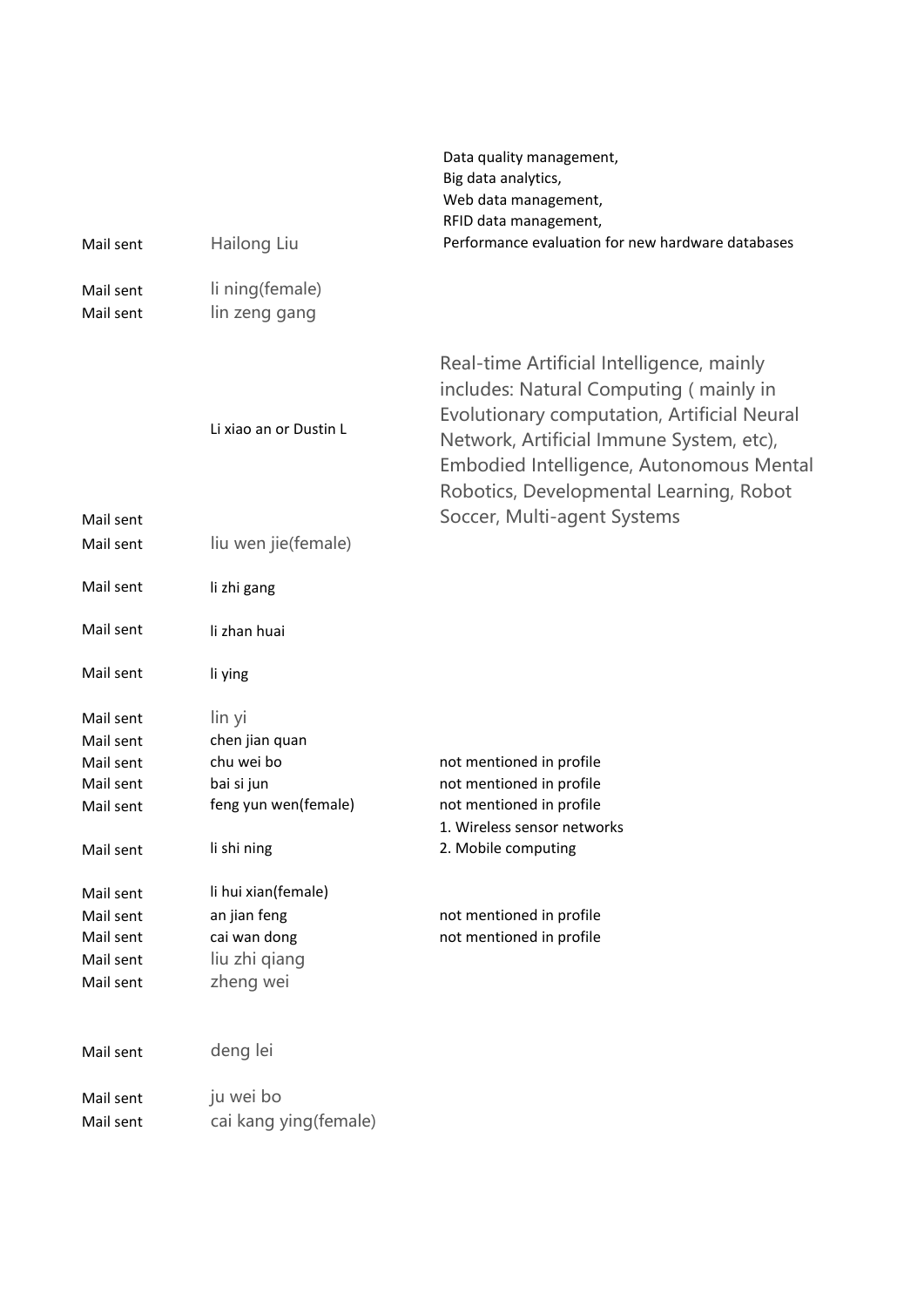|           |                        | Data quality management,<br>Big data analytics,                                                                                                                                                                                                                                                      |
|-----------|------------------------|------------------------------------------------------------------------------------------------------------------------------------------------------------------------------------------------------------------------------------------------------------------------------------------------------|
|           |                        | Web data management,<br>RFID data management,                                                                                                                                                                                                                                                        |
| Mail sent | Hailong Liu            | Performance evaluation for new hardware databases                                                                                                                                                                                                                                                    |
|           |                        |                                                                                                                                                                                                                                                                                                      |
| Mail sent | li ning(female)        |                                                                                                                                                                                                                                                                                                      |
| Mail sent | lin zeng gang          |                                                                                                                                                                                                                                                                                                      |
| Mail sent | Li xiao an or Dustin L | Real-time Artificial Intelligence, mainly<br>includes: Natural Computing (mainly in<br>Evolutionary computation, Artificial Neural<br>Network, Artificial Immune System, etc),<br>Embodied Intelligence, Autonomous Mental<br>Robotics, Developmental Learning, Robot<br>Soccer, Multi-agent Systems |
| Mail sent | liu wen jie(female)    |                                                                                                                                                                                                                                                                                                      |
| Mail sent | li zhi gang            |                                                                                                                                                                                                                                                                                                      |
| Mail sent | li zhan huai           |                                                                                                                                                                                                                                                                                                      |
| Mail sent | li ying                |                                                                                                                                                                                                                                                                                                      |
| Mail sent | lin yi                 |                                                                                                                                                                                                                                                                                                      |
| Mail sent | chen jian quan         |                                                                                                                                                                                                                                                                                                      |
| Mail sent | chu wei bo             | not mentioned in profile                                                                                                                                                                                                                                                                             |
| Mail sent | bai si jun             | not mentioned in profile                                                                                                                                                                                                                                                                             |
| Mail sent | feng yun wen(female)   | not mentioned in profile                                                                                                                                                                                                                                                                             |
|           |                        | 1. Wireless sensor networks                                                                                                                                                                                                                                                                          |
| Mail sent | li shi ning            | 2. Mobile computing                                                                                                                                                                                                                                                                                  |
| Mail sent | li hui xian(female)    |                                                                                                                                                                                                                                                                                                      |
| Mail sent | an jian feng           | not mentioned in profile                                                                                                                                                                                                                                                                             |
| Mail sent | cai wan dong           | not mentioned in profile                                                                                                                                                                                                                                                                             |
| Mail sent | liu zhi qiang          |                                                                                                                                                                                                                                                                                                      |
| Mail sent | zheng wei              |                                                                                                                                                                                                                                                                                                      |
| Mail sent | deng lei               |                                                                                                                                                                                                                                                                                                      |
| Mail sent | ju wei bo              |                                                                                                                                                                                                                                                                                                      |
| Mail sent | cai kang ying (female) |                                                                                                                                                                                                                                                                                                      |
|           |                        |                                                                                                                                                                                                                                                                                                      |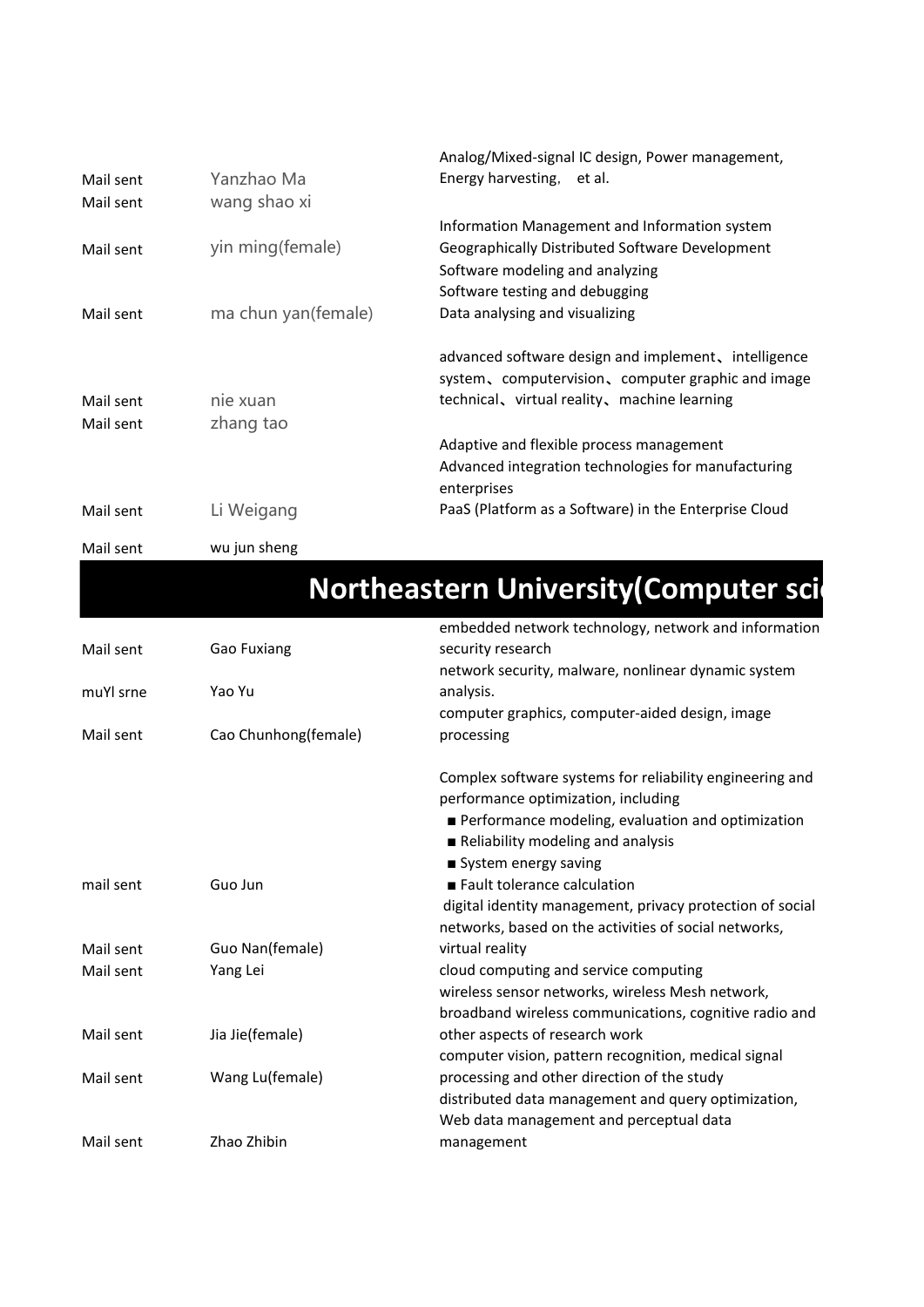|           |                     | Analog/Mixed-signal IC design, Power management,      |
|-----------|---------------------|-------------------------------------------------------|
| Mail sent | Yanzhao Ma          | Energy harvesting, et al.                             |
| Mail sent | wang shao xi        |                                                       |
|           |                     | Information Management and Information system         |
| Mail sent | yin ming(female)    | Geographically Distributed Software Development       |
|           |                     | Software modeling and analyzing                       |
|           |                     | Software testing and debugging                        |
| Mail sent | ma chun yan(female) | Data analysing and visualizing                        |
|           |                     | advanced software design and implement, intelligence  |
|           |                     | system, computervision, computer graphic and image    |
| Mail sent | nie xuan            | technical, virtual reality, machine learning          |
| Mail sent | zhang tao           |                                                       |
|           |                     | Adaptive and flexible process management              |
|           |                     | Advanced integration technologies for manufacturing   |
|           |                     | enterprises                                           |
| Mail sent | Li Weigang          | PaaS (Platform as a Software) in the Enterprise Cloud |
| Mail sent | wu jun sheng        |                                                       |

# **Northeastern University(Computer sci-**

|           |                      | embedded network technology, network and information      |
|-----------|----------------------|-----------------------------------------------------------|
| Mail sent | Gao Fuxiang          | security research                                         |
|           |                      | network security, malware, nonlinear dynamic system       |
| muYl srne | Yao Yu               | analysis.                                                 |
|           |                      | computer graphics, computer-aided design, image           |
| Mail sent | Cao Chunhong(female) | processing                                                |
|           |                      | Complex software systems for reliability engineering and  |
|           |                      | performance optimization, including                       |
|           |                      | Performance modeling, evaluation and optimization         |
|           |                      | Reliability modeling and analysis                         |
|           |                      | System energy saving                                      |
| mail sent | Guo Jun              | Fault tolerance calculation                               |
|           |                      | digital identity management, privacy protection of social |
|           |                      | networks, based on the activities of social networks,     |
| Mail sent | Guo Nan(female)      | virtual reality                                           |
| Mail sent | Yang Lei             | cloud computing and service computing                     |
|           |                      | wireless sensor networks, wireless Mesh network,          |
|           |                      | broadband wireless communications, cognitive radio and    |
| Mail sent | Jia Jie(female)      | other aspects of research work                            |
|           |                      | computer vision, pattern recognition, medical signal      |
| Mail sent | Wang Lu(female)      | processing and other direction of the study               |
|           |                      | distributed data management and query optimization,       |
|           |                      | Web data management and perceptual data                   |
| Mail sent | Zhao Zhibin          | management                                                |
|           |                      |                                                           |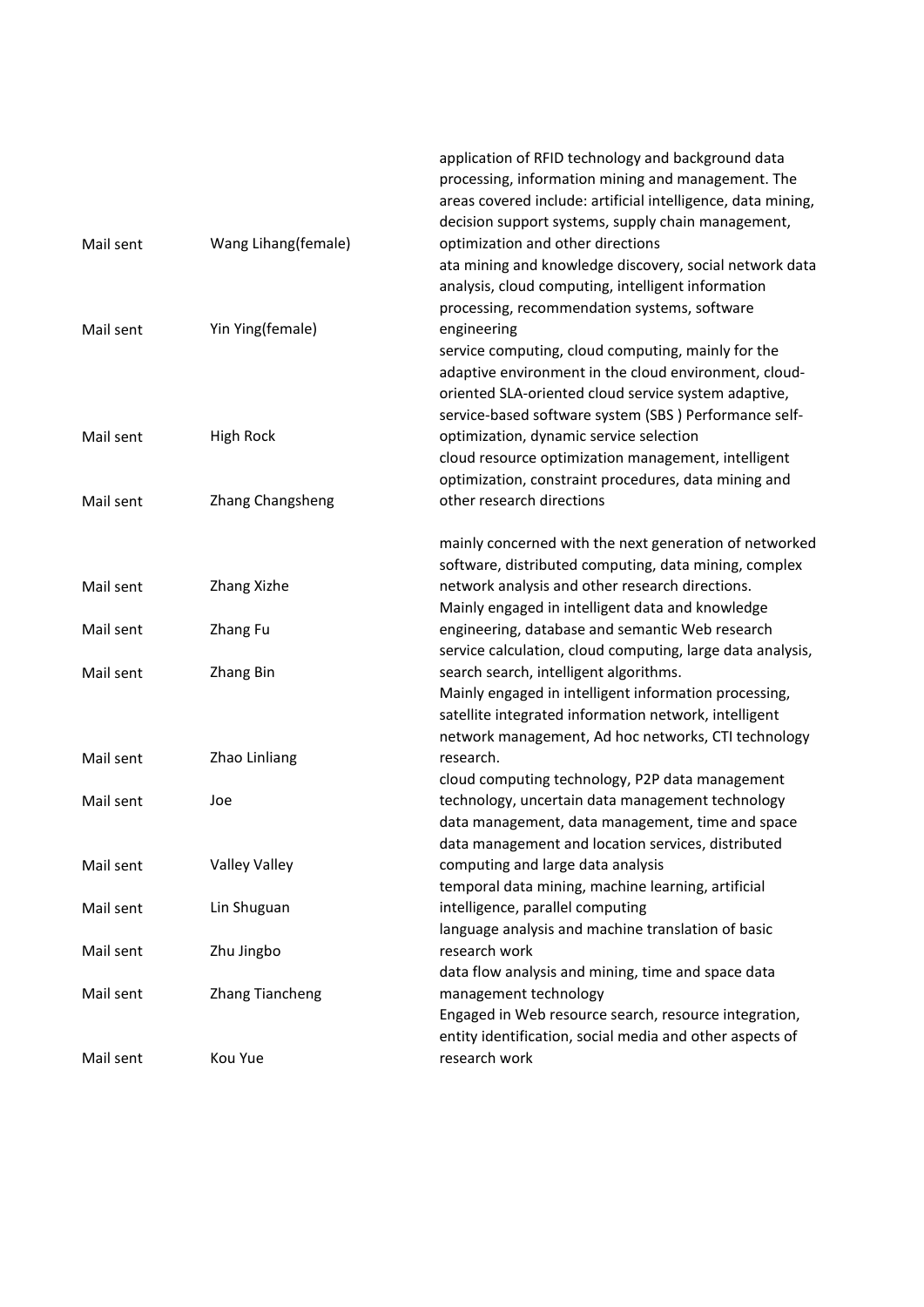|           |                        | application of RFID technology and background data<br>processing, information mining and management. The<br>areas covered include: artificial intelligence, data mining,<br>decision support systems, supply chain management, |
|-----------|------------------------|--------------------------------------------------------------------------------------------------------------------------------------------------------------------------------------------------------------------------------|
| Mail sent | Wang Lihang(female)    | optimization and other directions                                                                                                                                                                                              |
|           |                        | ata mining and knowledge discovery, social network data<br>analysis, cloud computing, intelligent information<br>processing, recommendation systems, software                                                                  |
| Mail sent | Yin Ying(female)       | engineering                                                                                                                                                                                                                    |
|           |                        | service computing, cloud computing, mainly for the<br>adaptive environment in the cloud environment, cloud-                                                                                                                    |
|           |                        | oriented SLA-oriented cloud service system adaptive,                                                                                                                                                                           |
| Mail sent | <b>High Rock</b>       | service-based software system (SBS) Performance self-<br>optimization, dynamic service selection                                                                                                                               |
|           |                        | cloud resource optimization management, intelligent                                                                                                                                                                            |
|           |                        | optimization, constraint procedures, data mining and                                                                                                                                                                           |
| Mail sent | Zhang Changsheng       | other research directions                                                                                                                                                                                                      |
|           |                        | mainly concerned with the next generation of networked<br>software, distributed computing, data mining, complex                                                                                                                |
| Mail sent | Zhang Xizhe            | network analysis and other research directions.                                                                                                                                                                                |
|           |                        | Mainly engaged in intelligent data and knowledge                                                                                                                                                                               |
| Mail sent | Zhang Fu               | engineering, database and semantic Web research                                                                                                                                                                                |
|           |                        | service calculation, cloud computing, large data analysis,                                                                                                                                                                     |
| Mail sent | Zhang Bin              | search search, intelligent algorithms.<br>Mainly engaged in intelligent information processing,                                                                                                                                |
|           |                        | satellite integrated information network, intelligent                                                                                                                                                                          |
|           |                        | network management, Ad hoc networks, CTI technology                                                                                                                                                                            |
| Mail sent | Zhao Linliang          | research.                                                                                                                                                                                                                      |
|           |                        | cloud computing technology, P2P data management                                                                                                                                                                                |
| Mail sent | Joe                    | technology, uncertain data management technology                                                                                                                                                                               |
|           |                        | data management, data management, time and space                                                                                                                                                                               |
|           |                        | data management and location services, distributed                                                                                                                                                                             |
| Mail sent | <b>Valley Valley</b>   | computing and large data analysis                                                                                                                                                                                              |
|           |                        | temporal data mining, machine learning, artificial                                                                                                                                                                             |
| Mail sent | Lin Shuguan            | intelligence, parallel computing                                                                                                                                                                                               |
| Mail sent | Zhu Jingbo             | language analysis and machine translation of basic<br>research work                                                                                                                                                            |
|           |                        | data flow analysis and mining, time and space data                                                                                                                                                                             |
| Mail sent | <b>Zhang Tiancheng</b> | management technology                                                                                                                                                                                                          |
|           |                        | Engaged in Web resource search, resource integration,                                                                                                                                                                          |
|           |                        | entity identification, social media and other aspects of                                                                                                                                                                       |
| Mail sent | Kou Yue                | research work                                                                                                                                                                                                                  |
|           |                        |                                                                                                                                                                                                                                |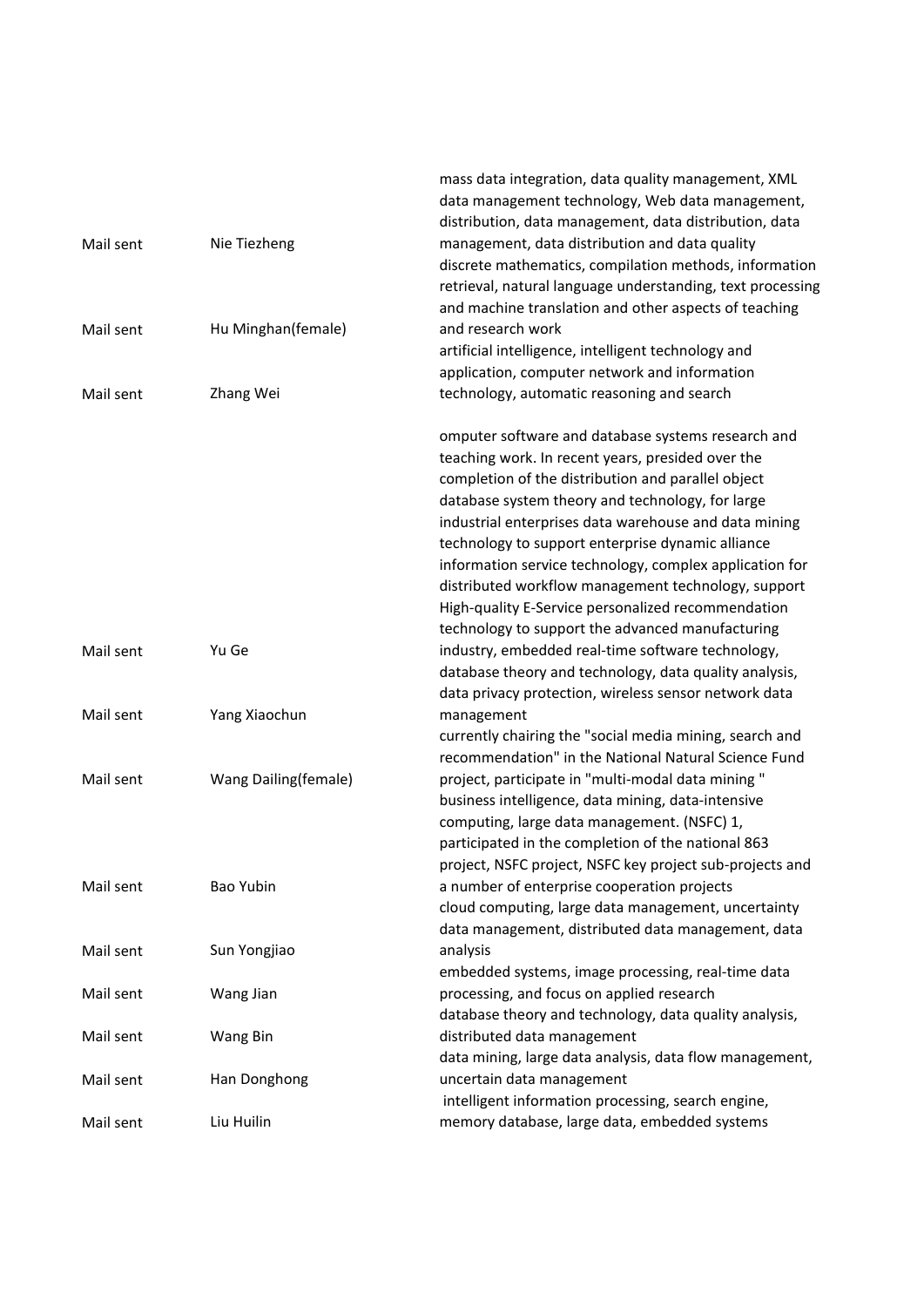|           |                      | mass data integration, data quality management, XML        |
|-----------|----------------------|------------------------------------------------------------|
|           |                      | data management technology, Web data management,           |
|           |                      | distribution, data management, data distribution, data     |
| Mail sent | Nie Tiezheng         | management, data distribution and data quality             |
|           |                      | discrete mathematics, compilation methods, information     |
|           |                      | retrieval, natural language understanding, text processing |
|           |                      | and machine translation and other aspects of teaching      |
| Mail sent | Hu Minghan(female)   | and research work                                          |
|           |                      | artificial intelligence, intelligent technology and        |
|           |                      | application, computer network and information              |
| Mail sent | Zhang Wei            | technology, automatic reasoning and search                 |
|           |                      |                                                            |
|           |                      | omputer software and database systems research and         |
|           |                      | teaching work. In recent years, presided over the          |
|           |                      | completion of the distribution and parallel object         |
|           |                      | database system theory and technology, for large           |
|           |                      | industrial enterprises data warehouse and data mining      |
|           |                      | technology to support enterprise dynamic alliance          |
|           |                      | information service technology, complex application for    |
|           |                      | distributed workflow management technology, support        |
|           |                      | High-quality E-Service personalized recommendation         |
|           |                      | technology to support the advanced manufacturing           |
|           | Yu Ge                |                                                            |
| Mail sent |                      | industry, embedded real-time software technology,          |
|           |                      | database theory and technology, data quality analysis,     |
|           |                      | data privacy protection, wireless sensor network data      |
| Mail sent | Yang Xiaochun        | management                                                 |
|           |                      | currently chairing the "social media mining, search and    |
|           |                      | recommendation" in the National Natural Science Fund       |
| Mail sent | Wang Dailing(female) | project, participate in "multi-modal data mining"          |
|           |                      | business intelligence, data mining, data-intensive         |
|           |                      | computing, large data management. (NSFC) 1,                |
|           |                      | participated in the completion of the national 863         |
|           |                      | project, NSFC project, NSFC key project sub-projects and   |
| Mail sent | Bao Yubin            | a number of enterprise cooperation projects                |
|           |                      | cloud computing, large data management, uncertainty        |
|           |                      | data management, distributed data management, data         |
| Mail sent | Sun Yongjiao         | analysis                                                   |
|           |                      | embedded systems, image processing, real-time data         |
| Mail sent | Wang Jian            | processing, and focus on applied research                  |
|           |                      | database theory and technology, data quality analysis,     |
| Mail sent | Wang Bin             | distributed data management                                |
|           |                      | data mining, large data analysis, data flow management,    |
| Mail sent | Han Donghong         | uncertain data management                                  |
|           |                      | intelligent information processing, search engine,         |
| Mail sent | Liu Huilin           | memory database, large data, embedded systems              |
|           |                      |                                                            |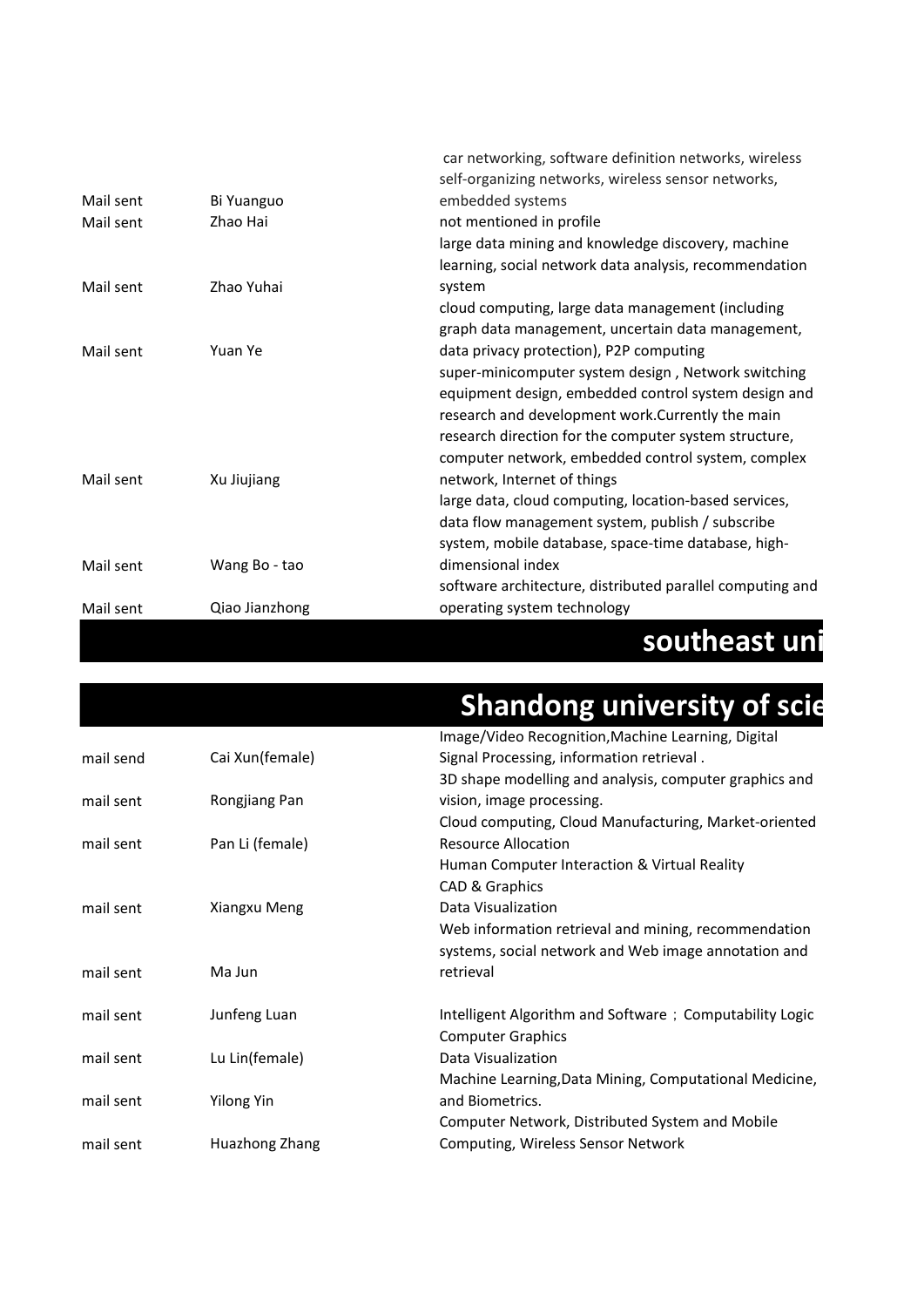|                        |                        | southeast uni                                                                                                                                                                                                                                                                                                    |
|------------------------|------------------------|------------------------------------------------------------------------------------------------------------------------------------------------------------------------------------------------------------------------------------------------------------------------------------------------------------------|
| Mail sent              | Qiao Jianzhong         | operating system technology                                                                                                                                                                                                                                                                                      |
| Mail sent              | Wang Bo - tao          | dimensional index<br>software architecture, distributed parallel computing and                                                                                                                                                                                                                                   |
|                        |                        | data flow management system, publish / subscribe<br>system, mobile database, space-time database, high-                                                                                                                                                                                                          |
| Mail sent              | Xu Jiujiang            | equipment design, embedded control system design and<br>research and development work. Currently the main<br>research direction for the computer system structure,<br>computer network, embedded control system, complex<br>network, Internet of things<br>large data, cloud computing, location-based services, |
| Mail sent              | Yuan Ye                | cloud computing, large data management (including<br>graph data management, uncertain data management,<br>data privacy protection), P2P computing<br>super-minicomputer system design, Network switching                                                                                                         |
| Mail sent              | Zhao Yuhai             | large data mining and knowledge discovery, machine<br>learning, social network data analysis, recommendation<br>system                                                                                                                                                                                           |
| Mail sent<br>Mail sent | Bi Yuanguo<br>Zhao Hai | car networking, software definition networks, wireless<br>self-organizing networks, wireless sensor networks,<br>embedded systems<br>not mentioned in profile                                                                                                                                                    |

|                   | <b>Shandong university of scie</b>                      |
|-------------------|---------------------------------------------------------|
|                   | Image/Video Recognition, Machine Learning, Digital      |
| Cai Xun(female)   | Signal Processing, information retrieval.               |
|                   | 3D shape modelling and analysis, computer graphics and  |
| Rongjiang Pan     | vision, image processing.                               |
|                   | Cloud computing, Cloud Manufacturing, Market-oriented   |
| Pan Li (female)   | <b>Resource Allocation</b>                              |
|                   | Human Computer Interaction & Virtual Reality            |
|                   | CAD & Graphics                                          |
| Xiangxu Meng      | Data Visualization                                      |
|                   | Web information retrieval and mining, recommendation    |
|                   | systems, social network and Web image annotation and    |
| Ma Jun            | retrieval                                               |
| Junfeng Luan      | Intelligent Algorithm and Software; Computability Logic |
|                   | <b>Computer Graphics</b>                                |
| Lu Lin(female)    | Data Visualization                                      |
|                   | Machine Learning, Data Mining, Computational Medicine,  |
| <b>Yilong Yin</b> | and Biometrics.                                         |
|                   | Computer Network, Distributed System and Mobile         |
| Huazhong Zhang    | Computing, Wireless Sensor Network                      |
|                   |                                                         |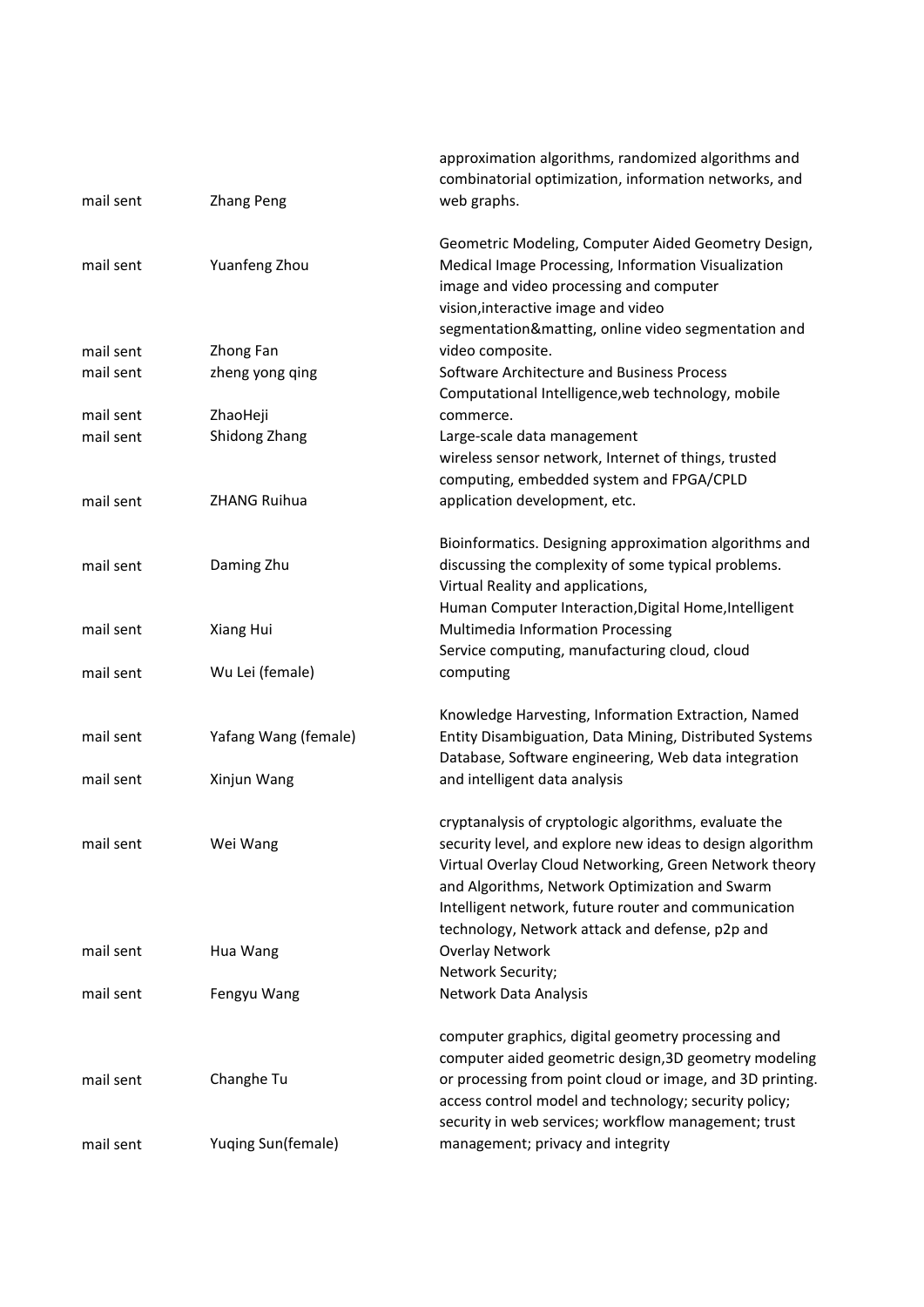| mail sent              | <b>Zhang Peng</b>                   | approximation algorithms, randomized algorithms and<br>combinatorial optimization, information networks, and<br>web graphs.                                                                                                                                                                                                               |
|------------------------|-------------------------------------|-------------------------------------------------------------------------------------------------------------------------------------------------------------------------------------------------------------------------------------------------------------------------------------------------------------------------------------------|
| mail sent              | Yuanfeng Zhou                       | Geometric Modeling, Computer Aided Geometry Design,<br>Medical Image Processing, Information Visualization<br>image and video processing and computer<br>vision, interactive image and video                                                                                                                                              |
| mail sent              | Zhong Fan                           | segmentation&matting, online video segmentation and<br>video composite.                                                                                                                                                                                                                                                                   |
| mail sent              | zheng yong qing                     | Software Architecture and Business Process<br>Computational Intelligence, web technology, mobile                                                                                                                                                                                                                                          |
| mail sent              | ZhaoHeji                            | commerce.                                                                                                                                                                                                                                                                                                                                 |
| mail sent              | Shidong Zhang                       | Large-scale data management<br>wireless sensor network, Internet of things, trusted<br>computing, embedded system and FPGA/CPLD                                                                                                                                                                                                           |
| mail sent              | <b>ZHANG Ruihua</b>                 | application development, etc.                                                                                                                                                                                                                                                                                                             |
| mail sent              | Daming Zhu                          | Bioinformatics. Designing approximation algorithms and<br>discussing the complexity of some typical problems.<br>Virtual Reality and applications,                                                                                                                                                                                        |
| mail sent              | Xiang Hui                           | Human Computer Interaction, Digital Home, Intelligent<br>Multimedia Information Processing                                                                                                                                                                                                                                                |
| mail sent              | Wu Lei (female)                     | Service computing, manufacturing cloud, cloud<br>computing                                                                                                                                                                                                                                                                                |
| mail sent<br>mail sent | Yafang Wang (female)<br>Xinjun Wang | Knowledge Harvesting, Information Extraction, Named<br>Entity Disambiguation, Data Mining, Distributed Systems<br>Database, Software engineering, Web data integration<br>and intelligent data analysis                                                                                                                                   |
| mail sent              | Wei Wang                            | cryptanalysis of cryptologic algorithms, evaluate the<br>security level, and explore new ideas to design algorithm<br>Virtual Overlay Cloud Networking, Green Network theory<br>and Algorithms, Network Optimization and Swarm<br>Intelligent network, future router and communication<br>technology, Network attack and defense, p2p and |
| mail sent              | Hua Wang                            | Overlay Network<br>Network Security;                                                                                                                                                                                                                                                                                                      |
| mail sent              | Fengyu Wang                         | Network Data Analysis                                                                                                                                                                                                                                                                                                                     |
| mail sent              | Changhe Tu                          | computer graphics, digital geometry processing and<br>computer aided geometric design, 3D geometry modeling<br>or processing from point cloud or image, and 3D printing.<br>access control model and technology; security policy;                                                                                                         |
| mail sent              | Yuqing Sun(female)                  | security in web services; workflow management; trust<br>management; privacy and integrity                                                                                                                                                                                                                                                 |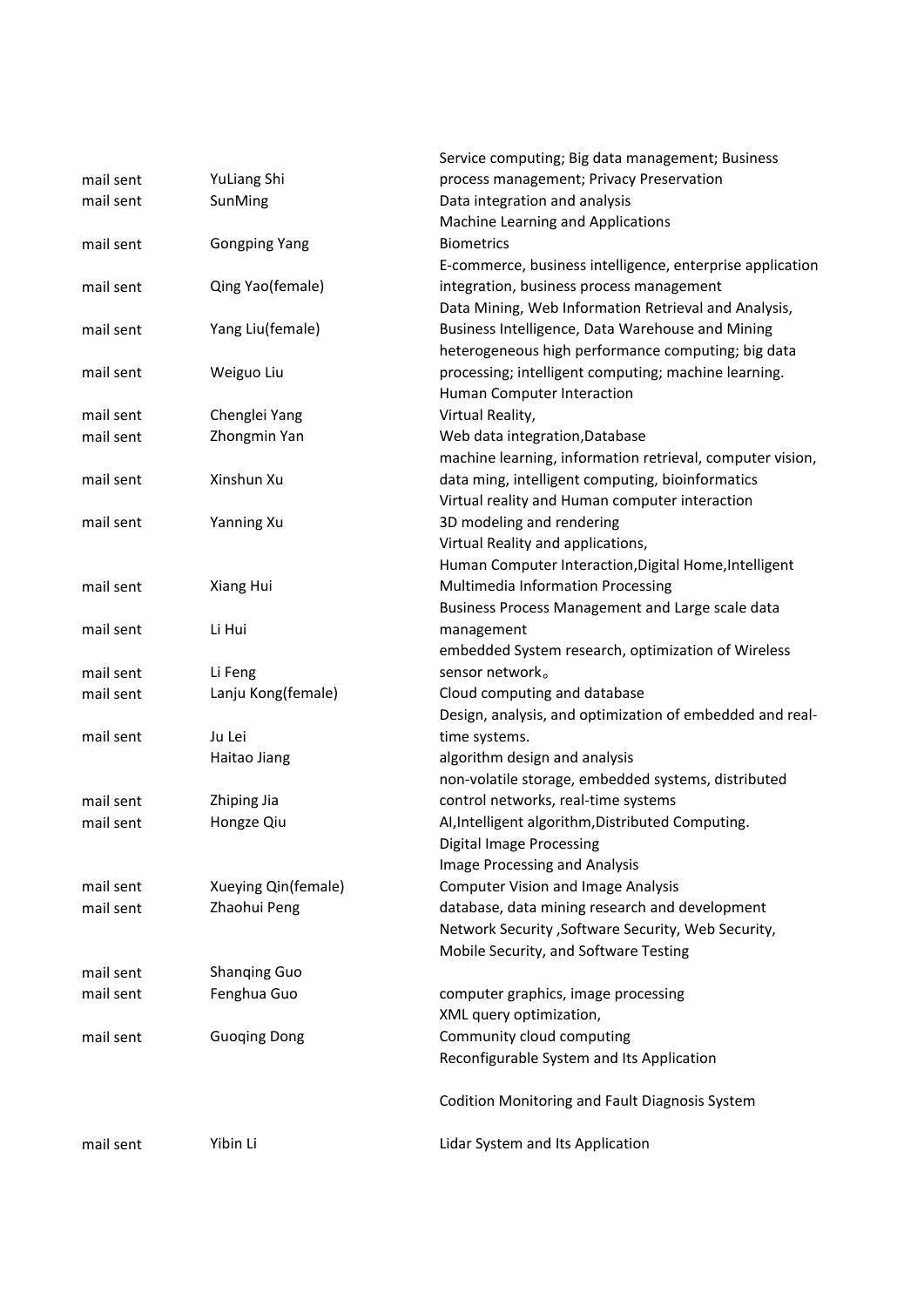|           |                      | Service computing; Big data management; Business          |  |  |
|-----------|----------------------|-----------------------------------------------------------|--|--|
| mail sent | YuLiang Shi          | process management; Privacy Preservation                  |  |  |
| mail sent | SunMing              | Data integration and analysis                             |  |  |
|           |                      | Machine Learning and Applications                         |  |  |
| mail sent | <b>Gongping Yang</b> | <b>Biometrics</b>                                         |  |  |
|           |                      | E-commerce, business intelligence, enterprise application |  |  |
| mail sent | Qing Yao(female)     | integration, business process management                  |  |  |
|           |                      | Data Mining, Web Information Retrieval and Analysis,      |  |  |
| mail sent | Yang Liu(female)     | Business Intelligence, Data Warehouse and Mining          |  |  |
|           |                      | heterogeneous high performance computing; big data        |  |  |
| mail sent | Weiguo Liu           | processing; intelligent computing; machine learning.      |  |  |
|           |                      | Human Computer Interaction                                |  |  |
| mail sent | Chenglei Yang        | Virtual Reality,                                          |  |  |
| mail sent | Zhongmin Yan         | Web data integration, Database                            |  |  |
|           |                      | machine learning, information retrieval, computer vision, |  |  |
| mail sent | Xinshun Xu           | data ming, intelligent computing, bioinformatics          |  |  |
|           |                      | Virtual reality and Human computer interaction            |  |  |
| mail sent | Yanning Xu           | 3D modeling and rendering                                 |  |  |
|           |                      | Virtual Reality and applications,                         |  |  |
|           |                      | Human Computer Interaction, Digital Home, Intelligent     |  |  |
| mail sent | Xiang Hui            | Multimedia Information Processing                         |  |  |
|           |                      | Business Process Management and Large scale data          |  |  |
| mail sent | Li Hui               | management                                                |  |  |
|           |                      | embedded System research, optimization of Wireless        |  |  |
| mail sent | Li Feng              | sensor network.                                           |  |  |
| mail sent | Lanju Kong(female)   | Cloud computing and database                              |  |  |
|           |                      | Design, analysis, and optimization of embedded and real-  |  |  |
| mail sent | Ju Lei               | time systems.                                             |  |  |
|           | Haitao Jiang         | algorithm design and analysis                             |  |  |
|           |                      | non-volatile storage, embedded systems, distributed       |  |  |
| mail sent | Zhiping Jia          | control networks, real-time systems                       |  |  |
| mail sent | Hongze Qiu           | AI, Intelligent algorithm, Distributed Computing.         |  |  |
|           |                      | Digital Image Processing                                  |  |  |
|           |                      | Image Processing and Analysis                             |  |  |
| mail sent | Xueying Qin(female)  | <b>Computer Vision and Image Analysis</b>                 |  |  |
| mail sent | Zhaohui Peng         | database, data mining research and development            |  |  |
|           |                      | Network Security, Software Security, Web Security,        |  |  |
|           |                      | Mobile Security, and Software Testing                     |  |  |
| mail sent | <b>Shanging Guo</b>  |                                                           |  |  |
| mail sent | Fenghua Guo          | computer graphics, image processing                       |  |  |
|           |                      | XML query optimization,                                   |  |  |
| mail sent | <b>Guoging Dong</b>  | Community cloud computing                                 |  |  |
|           |                      | Reconfigurable System and Its Application                 |  |  |
|           |                      | Codition Monitoring and Fault Diagnosis System            |  |  |
| mail sent | Yibin Li             | Lidar System and Its Application                          |  |  |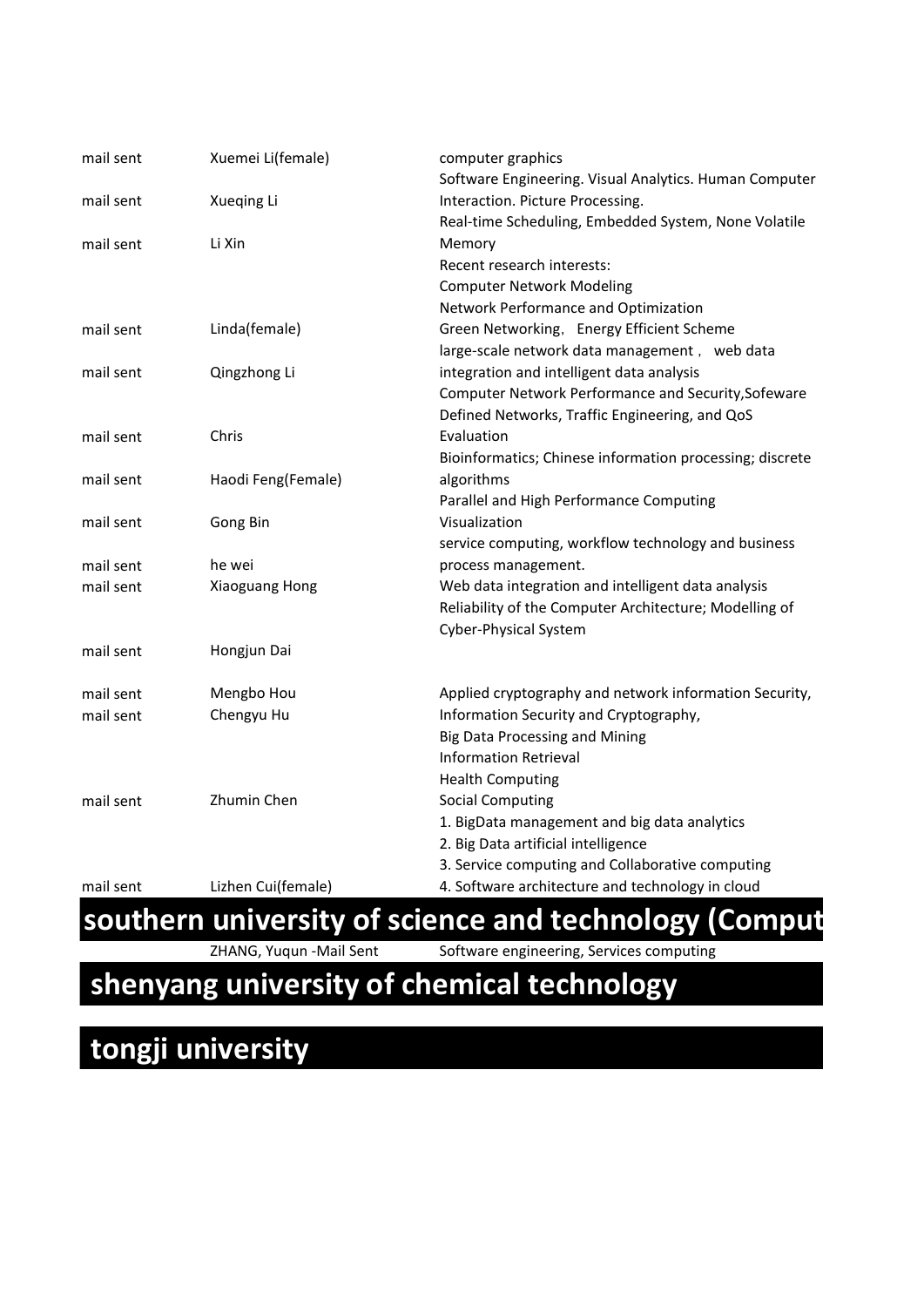| mail sent | Xuemei Li(female)  | computer graphics                                        |  |
|-----------|--------------------|----------------------------------------------------------|--|
|           |                    | Software Engineering. Visual Analytics. Human Computer   |  |
| mail sent | Xueqing Li         | Interaction. Picture Processing.                         |  |
|           |                    | Real-time Scheduling, Embedded System, None Volatile     |  |
| mail sent | Li Xin             | Memory                                                   |  |
|           |                    | Recent research interests:                               |  |
|           |                    | <b>Computer Network Modeling</b>                         |  |
|           |                    | Network Performance and Optimization                     |  |
| mail sent | Linda(female)      | Green Networking, Energy Efficient Scheme                |  |
|           |                    | large-scale network data management, web data            |  |
| mail sent | Qingzhong Li       | integration and intelligent data analysis                |  |
|           |                    | Computer Network Performance and Security, Sofeware      |  |
|           |                    | Defined Networks, Traffic Engineering, and QoS           |  |
| mail sent | Chris              | Evaluation                                               |  |
|           |                    | Bioinformatics; Chinese information processing; discrete |  |
| mail sent | Haodi Feng(Female) | algorithms                                               |  |
|           |                    | Parallel and High Performance Computing                  |  |
| mail sent | Gong Bin           | Visualization                                            |  |
|           |                    | service computing, workflow technology and business      |  |
| mail sent | he wei             | process management.                                      |  |
| mail sent | Xiaoguang Hong     | Web data integration and intelligent data analysis       |  |
|           |                    | Reliability of the Computer Architecture; Modelling of   |  |
|           |                    | Cyber-Physical System                                    |  |
| mail sent | Hongjun Dai        |                                                          |  |
|           |                    |                                                          |  |
| mail sent | Mengbo Hou         | Applied cryptography and network information Security,   |  |
| mail sent | Chengyu Hu         | Information Security and Cryptography,                   |  |
|           |                    | Big Data Processing and Mining                           |  |
|           |                    | <b>Information Retrieval</b>                             |  |
|           |                    | <b>Health Computing</b>                                  |  |
| mail sent | Zhumin Chen        | <b>Social Computing</b>                                  |  |
|           |                    | 1. BigData management and big data analytics             |  |
|           |                    | 2. Big Data artificial intelligence                      |  |
|           |                    | 3. Service computing and Collaborative computing         |  |
| mail sent | Lizhen Cui(female) | 4. Software architecture and technology in cloud         |  |

ZHANG, Yuqun -Mail Sent Software engineering, Services computing

#### **shenyang university of chemical technology**

### **tongji university**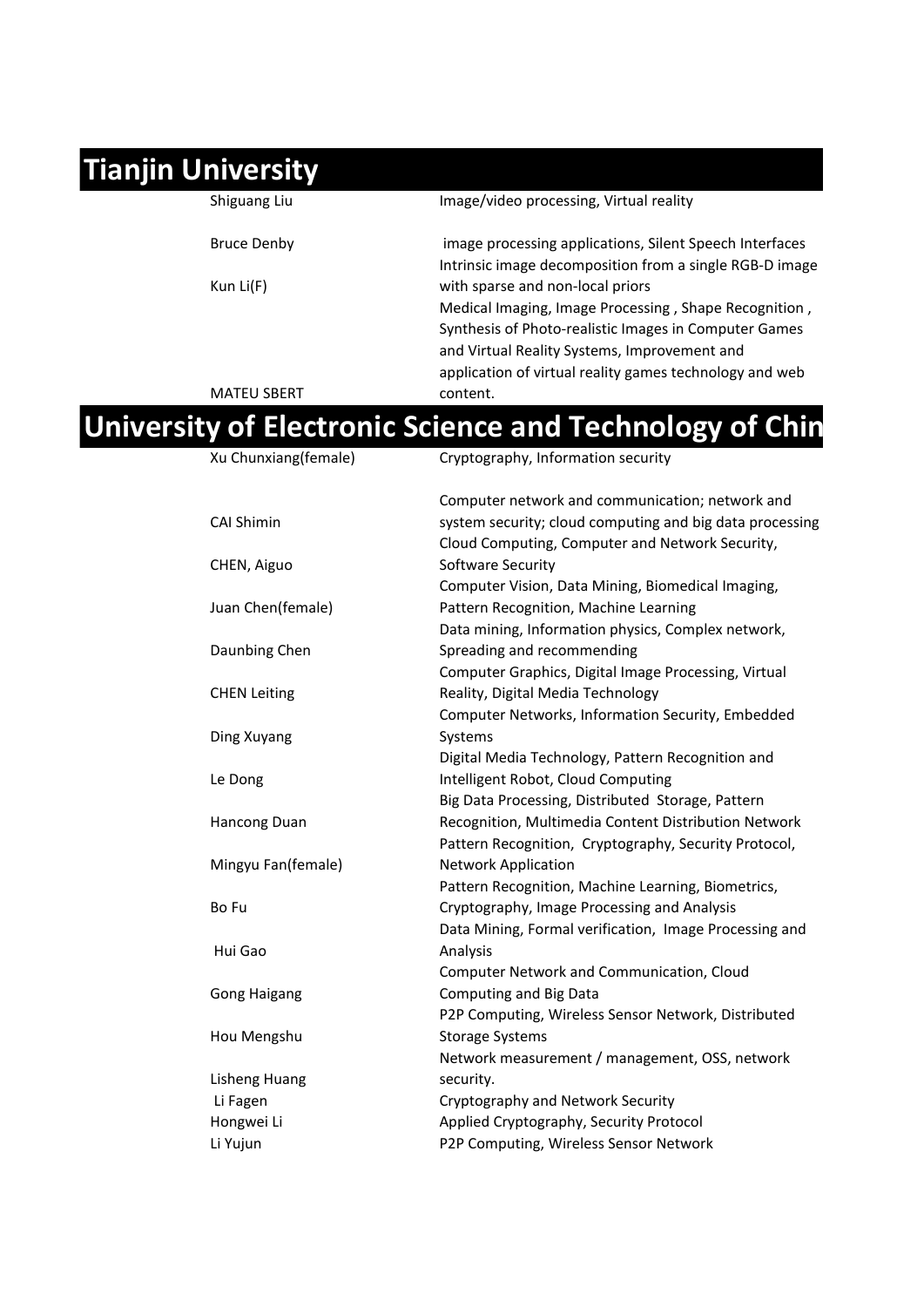### **Tianjin University**

| Shiguang Liu       | Image/video processing, Virtual reality                 |
|--------------------|---------------------------------------------------------|
| <b>Bruce Denby</b> | image processing applications, Silent Speech Interfaces |
|                    | Intrinsic image decomposition from a single RGB-D image |
| Kun Li $(F)$       | with sparse and non-local priors                        |
|                    | Medical Imaging, Image Processing, Shape Recognition,   |
|                    | Synthesis of Photo-realistic Images in Computer Games   |
|                    | and Virtual Reality Systems, Improvement and            |
|                    | application of virtual reality games technology and web |
| <b>MATEU SBERT</b> | content.                                                |

#### Xu Chunxiang(female) Cryptography, Information security **University of Electronic Science and Technology of Chin**

| AU CHUIMUIRILLIIUICI | ci yptograpny, miormation scearity                       |
|----------------------|----------------------------------------------------------|
|                      | Computer network and communication; network and          |
| <b>CAI Shimin</b>    | system security; cloud computing and big data processing |
|                      | Cloud Computing, Computer and Network Security,          |
| CHEN, Aiguo          | Software Security                                        |
|                      | Computer Vision, Data Mining, Biomedical Imaging,        |
| Juan Chen(female)    | Pattern Recognition, Machine Learning                    |
|                      | Data mining, Information physics, Complex network,       |
| Daunbing Chen        | Spreading and recommending                               |
|                      | Computer Graphics, Digital Image Processing, Virtual     |
| <b>CHEN Leiting</b>  | Reality, Digital Media Technology                        |
|                      | Computer Networks, Information Security, Embedded        |
| Ding Xuyang          | Systems                                                  |
|                      | Digital Media Technology, Pattern Recognition and        |
| Le Dong              | Intelligent Robot, Cloud Computing                       |
|                      | Big Data Processing, Distributed Storage, Pattern        |
| Hancong Duan         | Recognition, Multimedia Content Distribution Network     |
|                      | Pattern Recognition, Cryptography, Security Protocol,    |
| Mingyu Fan(female)   | <b>Network Application</b>                               |
|                      | Pattern Recognition, Machine Learning, Biometrics,       |
| Bo Fu                | Cryptography, Image Processing and Analysis              |
|                      | Data Mining, Formal verification, Image Processing and   |
| Hui Gao              | Analysis                                                 |
|                      | Computer Network and Communication, Cloud                |
| <b>Gong Haigang</b>  | Computing and Big Data                                   |
|                      | P2P Computing, Wireless Sensor Network, Distributed      |
| Hou Mengshu          | <b>Storage Systems</b>                                   |
|                      | Network measurement / management, OSS, network           |
| <b>Lisheng Huang</b> | security.                                                |
| Li Fagen             | Cryptography and Network Security                        |
| Hongwei Li           | Applied Cryptography, Security Protocol                  |
| Li Yujun             | P2P Computing, Wireless Sensor Network                   |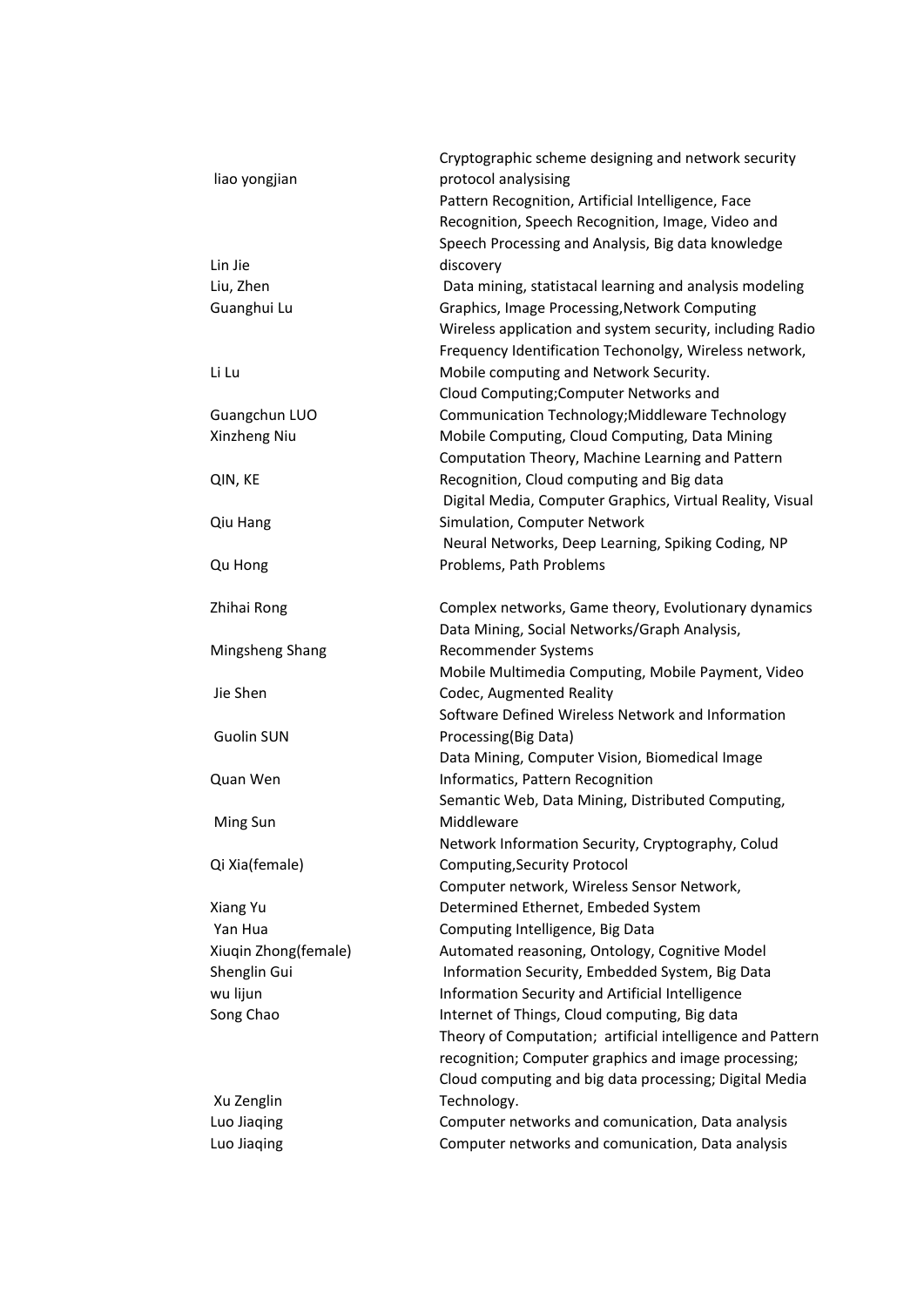|                      | Cryptographic scheme designing and network security        |
|----------------------|------------------------------------------------------------|
| liao yongjian        | protocol analysising                                       |
|                      | Pattern Recognition, Artificial Intelligence, Face         |
|                      | Recognition, Speech Recognition, Image, Video and          |
|                      | Speech Processing and Analysis, Big data knowledge         |
| Lin Jie              | discovery                                                  |
| Liu, Zhen            | Data mining, statistacal learning and analysis modeling    |
| Guanghui Lu          | Graphics, Image Processing, Network Computing              |
|                      | Wireless application and system security, including Radio  |
|                      | Frequency Identification Techonolgy, Wireless network,     |
| Li Lu                | Mobile computing and Network Security.                     |
|                      | Cloud Computing; Computer Networks and                     |
| Guangchun LUO        | Communication Technology; Middleware Technology            |
| Xinzheng Niu         | Mobile Computing, Cloud Computing, Data Mining             |
|                      | Computation Theory, Machine Learning and Pattern           |
| QIN, KE              | Recognition, Cloud computing and Big data                  |
|                      | Digital Media, Computer Graphics, Virtual Reality, Visual  |
| Qiu Hang             | Simulation, Computer Network                               |
|                      | Neural Networks, Deep Learning, Spiking Coding, NP         |
| Qu Hong              | Problems, Path Problems                                    |
|                      |                                                            |
| Zhihai Rong          | Complex networks, Game theory, Evolutionary dynamics       |
|                      | Data Mining, Social Networks/Graph Analysis,               |
| Mingsheng Shang      | Recommender Systems                                        |
|                      | Mobile Multimedia Computing, Mobile Payment, Video         |
| Jie Shen             | Codec, Augmented Reality                                   |
|                      | Software Defined Wireless Network and Information          |
| <b>Guolin SUN</b>    | Processing(Big Data)                                       |
|                      | Data Mining, Computer Vision, Biomedical Image             |
| Quan Wen             | Informatics, Pattern Recognition                           |
|                      | Semantic Web, Data Mining, Distributed Computing,          |
| Ming Sun             | Middleware                                                 |
|                      | Network Information Security, Cryptography, Colud          |
| Qi Xia(female)       | Computing, Security Protocol                               |
|                      | Computer network, Wireless Sensor Network,                 |
| Xiang Yu             | Determined Ethernet, Embeded System                        |
| Yan Hua              | Computing Intelligence, Big Data                           |
| Xiuqin Zhong(female) | Automated reasoning, Ontology, Cognitive Model             |
| Shenglin Gui         | Information Security, Embedded System, Big Data            |
| wu lijun             | Information Security and Artificial Intelligence           |
| Song Chao            | Internet of Things, Cloud computing, Big data              |
|                      | Theory of Computation; artificial intelligence and Pattern |
|                      | recognition; Computer graphics and image processing;       |
|                      | Cloud computing and big data processing; Digital Media     |
| Xu Zenglin           | Technology.                                                |
| Luo Jiaqing          | Computer networks and comunication, Data analysis          |
| Luo Jiaqing          | Computer networks and comunication, Data analysis          |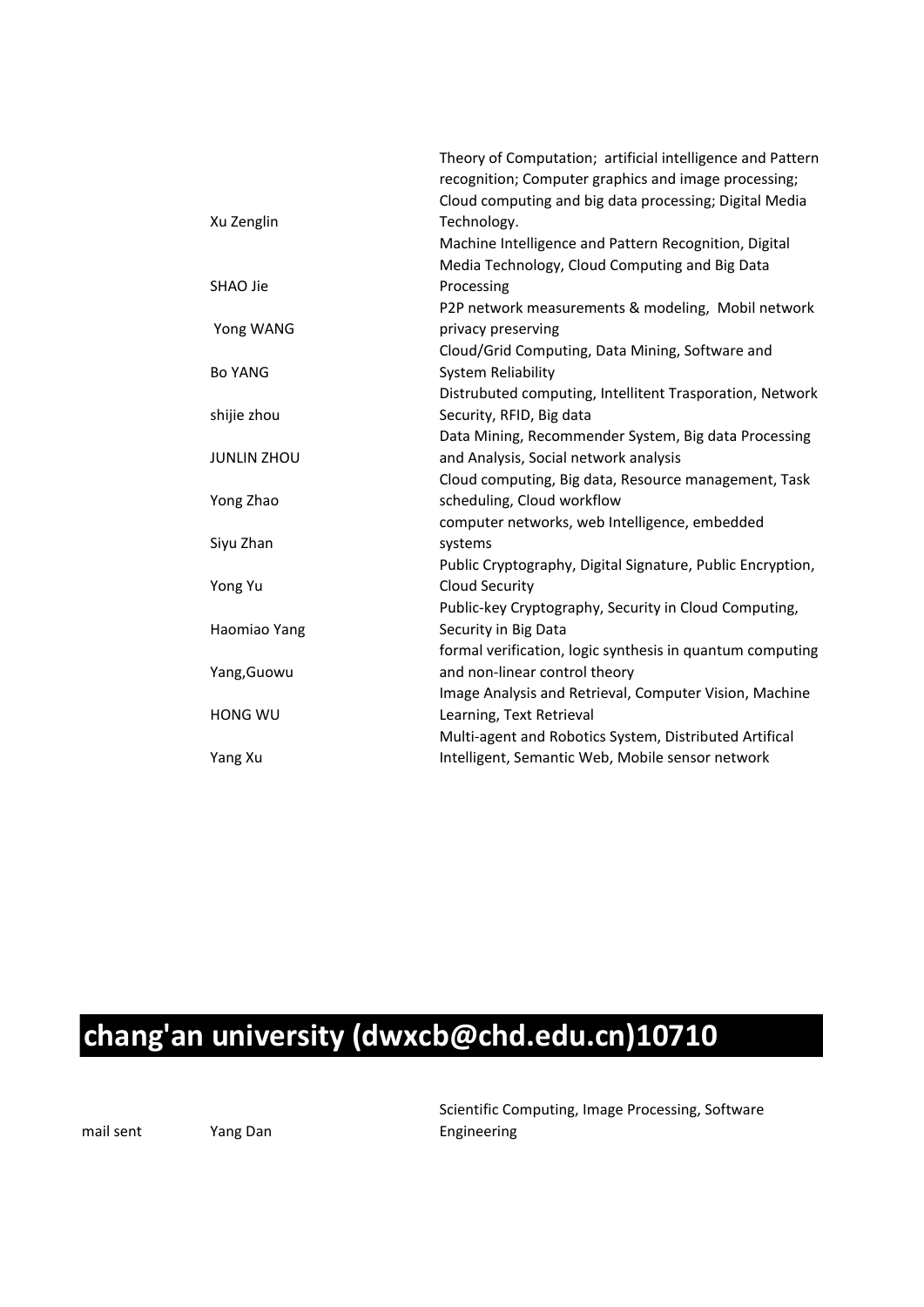| Xu Zenglin         | Theory of Computation; artificial intelligence and Pattern<br>recognition; Computer graphics and image processing;<br>Cloud computing and big data processing; Digital Media<br>Technology.<br>Machine Intelligence and Pattern Recognition, Digital |
|--------------------|------------------------------------------------------------------------------------------------------------------------------------------------------------------------------------------------------------------------------------------------------|
|                    | Media Technology, Cloud Computing and Big Data                                                                                                                                                                                                       |
| SHAO Jie           | Processing                                                                                                                                                                                                                                           |
| Yong WANG          | P2P network measurements & modeling, Mobil network<br>privacy preserving                                                                                                                                                                             |
|                    | Cloud/Grid Computing, Data Mining, Software and                                                                                                                                                                                                      |
| <b>Bo YANG</b>     | System Reliability                                                                                                                                                                                                                                   |
|                    | Distrubuted computing, Intellitent Trasporation, Network                                                                                                                                                                                             |
| shijie zhou        | Security, RFID, Big data                                                                                                                                                                                                                             |
|                    | Data Mining, Recommender System, Big data Processing                                                                                                                                                                                                 |
| <b>JUNLIN ZHOU</b> | and Analysis, Social network analysis                                                                                                                                                                                                                |
|                    | Cloud computing, Big data, Resource management, Task                                                                                                                                                                                                 |
| Yong Zhao          | scheduling, Cloud workflow                                                                                                                                                                                                                           |
|                    | computer networks, web Intelligence, embedded                                                                                                                                                                                                        |
| Siyu Zhan          | systems                                                                                                                                                                                                                                              |
|                    | Public Cryptography, Digital Signature, Public Encryption,                                                                                                                                                                                           |
| Yong Yu            | <b>Cloud Security</b>                                                                                                                                                                                                                                |
|                    | Public-key Cryptography, Security in Cloud Computing,                                                                                                                                                                                                |
| Haomiao Yang       | Security in Big Data                                                                                                                                                                                                                                 |
|                    | formal verification, logic synthesis in quantum computing                                                                                                                                                                                            |
| Yang, Guowu        | and non-linear control theory                                                                                                                                                                                                                        |
|                    | Image Analysis and Retrieval, Computer Vision, Machine                                                                                                                                                                                               |
| HONG WU            | Learning, Text Retrieval                                                                                                                                                                                                                             |
|                    | Multi-agent and Robotics System, Distributed Artifical                                                                                                                                                                                               |
| Yang Xu            | Intelligent, Semantic Web, Mobile sensor network                                                                                                                                                                                                     |

### **chang'an university (dwxcb@chd.edu.cn)10710**

mail sent Yang Dan

Scientific Computing, Image Processing, Software Engineering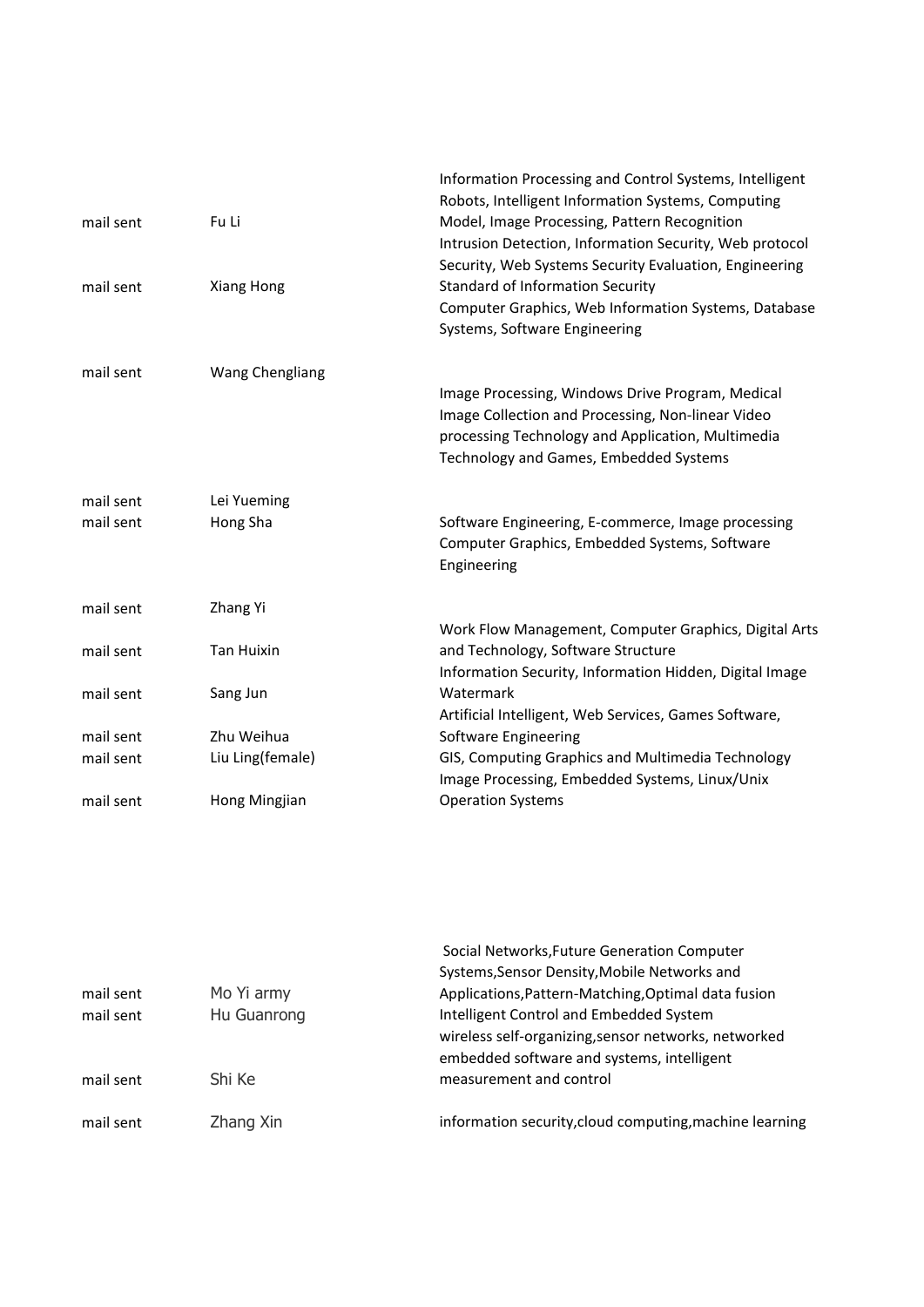| mail sent              | Fu Li                   | Information Processing and Control Systems, Intelligent<br>Robots, Intelligent Information Systems, Computing<br>Model, Image Processing, Pattern Recognition<br>Intrusion Detection, Information Security, Web protocol |
|------------------------|-------------------------|--------------------------------------------------------------------------------------------------------------------------------------------------------------------------------------------------------------------------|
| mail sent              | Xiang Hong              | Security, Web Systems Security Evaluation, Engineering<br><b>Standard of Information Security</b><br>Computer Graphics, Web Information Systems, Database<br>Systems, Software Engineering                               |
| mail sent              | Wang Chengliang         | Image Processing, Windows Drive Program, Medical<br>Image Collection and Processing, Non-linear Video<br>processing Technology and Application, Multimedia<br>Technology and Games, Embedded Systems                     |
| mail sent<br>mail sent | Lei Yueming<br>Hong Sha | Software Engineering, E-commerce, Image processing<br>Computer Graphics, Embedded Systems, Software<br>Engineering                                                                                                       |
| mail sent              | Zhang Yi                |                                                                                                                                                                                                                          |
| mail sent              | <b>Tan Huixin</b>       | Work Flow Management, Computer Graphics, Digital Arts<br>and Technology, Software Structure<br>Information Security, Information Hidden, Digital Image                                                                   |
| mail sent              | Sang Jun                | Watermark<br>Artificial Intelligent, Web Services, Games Software,                                                                                                                                                       |
| mail sent              | Zhu Weihua              | Software Engineering                                                                                                                                                                                                     |
| mail sent              | Liu Ling(female)        | GIS, Computing Graphics and Multimedia Technology<br>Image Processing, Embedded Systems, Linux/Unix                                                                                                                      |
| mail sent              | Hong Mingjian           | <b>Operation Systems</b>                                                                                                                                                                                                 |

|           |             | Social Networks, Future Generation Computer             |
|-----------|-------------|---------------------------------------------------------|
|           |             | Systems, Sensor Density, Mobile Networks and            |
| mail sent | Mo Yi army  | Applications, Pattern-Matching, Optimal data fusion     |
| mail sent | Hu Guanrong | Intelligent Control and Embedded System                 |
|           |             | wireless self-organizing, sensor networks, networked    |
|           |             | embedded software and systems, intelligent              |
| mail sent | Shi Ke      | measurement and control                                 |
| mail sent | Zhang Xin   | information security, cloud computing, machine learning |
|           |             |                                                         |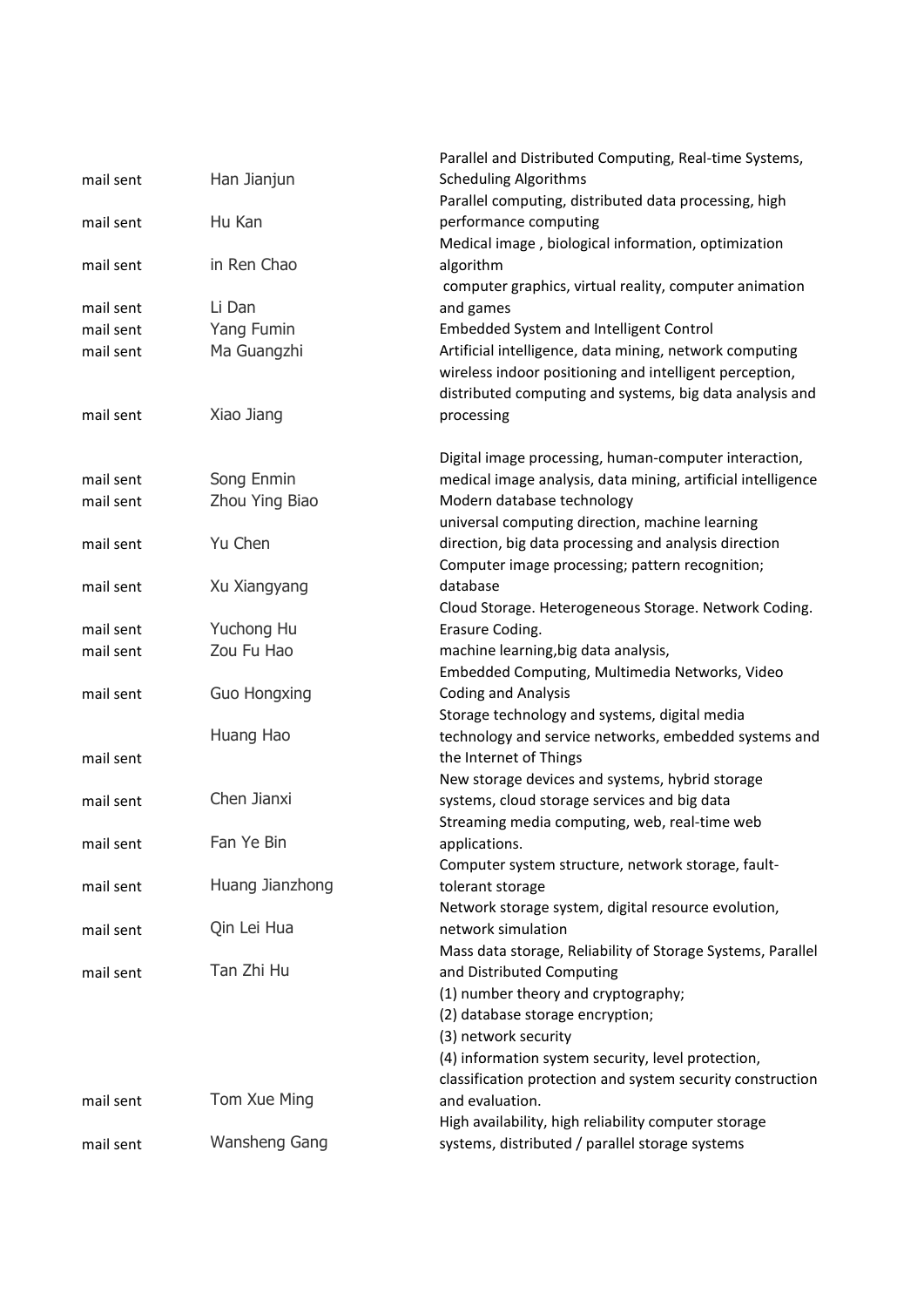|                        |                      | Parallel and Distributed Computing, Real-time Systems,                                                   |
|------------------------|----------------------|----------------------------------------------------------------------------------------------------------|
| mail sent              | Han Jianjun          | <b>Scheduling Algorithms</b>                                                                             |
|                        |                      | Parallel computing, distributed data processing, high                                                    |
| mail sent              | Hu Kan               | performance computing                                                                                    |
|                        |                      | Medical image, biological information, optimization                                                      |
| mail sent              | in Ren Chao          | algorithm                                                                                                |
|                        |                      | computer graphics, virtual reality, computer animation                                                   |
| mail sent<br>mail sent | Li Dan<br>Yang Fumin | and games<br>Embedded System and Intelligent Control                                                     |
| mail sent              | Ma Guangzhi          | Artificial intelligence, data mining, network computing                                                  |
|                        |                      | wireless indoor positioning and intelligent perception,                                                  |
|                        |                      | distributed computing and systems, big data analysis and                                                 |
| mail sent              | Xiao Jiang           | processing                                                                                               |
|                        |                      | Digital image processing, human-computer interaction,                                                    |
| mail sent              | Song Enmin           | medical image analysis, data mining, artificial intelligence                                             |
| mail sent              | Zhou Ying Biao       | Modern database technology                                                                               |
| mail sent              | Yu Chen              | universal computing direction, machine learning<br>direction, big data processing and analysis direction |
|                        |                      | Computer image processing; pattern recognition;                                                          |
| mail sent              | Xu Xiangyang         | database                                                                                                 |
|                        |                      | Cloud Storage. Heterogeneous Storage. Network Coding.                                                    |
| mail sent              | Yuchong Hu           | Erasure Coding.                                                                                          |
| mail sent              | Zou Fu Hao           | machine learning, big data analysis,                                                                     |
|                        |                      | Embedded Computing, Multimedia Networks, Video                                                           |
| mail sent              | <b>Guo Hongxing</b>  | <b>Coding and Analysis</b>                                                                               |
|                        |                      | Storage technology and systems, digital media                                                            |
|                        | Huang Hao            | technology and service networks, embedded systems and<br>the Internet of Things                          |
| mail sent              |                      | New storage devices and systems, hybrid storage                                                          |
| mail sent              | Chen Jianxi          | systems, cloud storage services and big data                                                             |
|                        |                      | Streaming media computing, web, real-time web                                                            |
| mail sent              | Fan Ye Bin           | applications.                                                                                            |
|                        |                      | Computer system structure, network storage, fault-                                                       |
| mail sent              | Huang Jianzhong      | tolerant storage                                                                                         |
|                        |                      | Network storage system, digital resource evolution,                                                      |
| mail sent              | Qin Lei Hua          | network simulation                                                                                       |
|                        | Tan Zhi Hu           | Mass data storage, Reliability of Storage Systems, Parallel                                              |
| mail sent              |                      | and Distributed Computing                                                                                |
|                        |                      | (1) number theory and cryptography;<br>(2) database storage encryption;                                  |
|                        |                      | (3) network security                                                                                     |
|                        |                      | (4) information system security, level protection,                                                       |
|                        |                      | classification protection and system security construction                                               |
| mail sent              | Tom Xue Ming         | and evaluation.                                                                                          |
|                        |                      | High availability, high reliability computer storage                                                     |
| mail sent              | Wansheng Gang        | systems, distributed / parallel storage systems                                                          |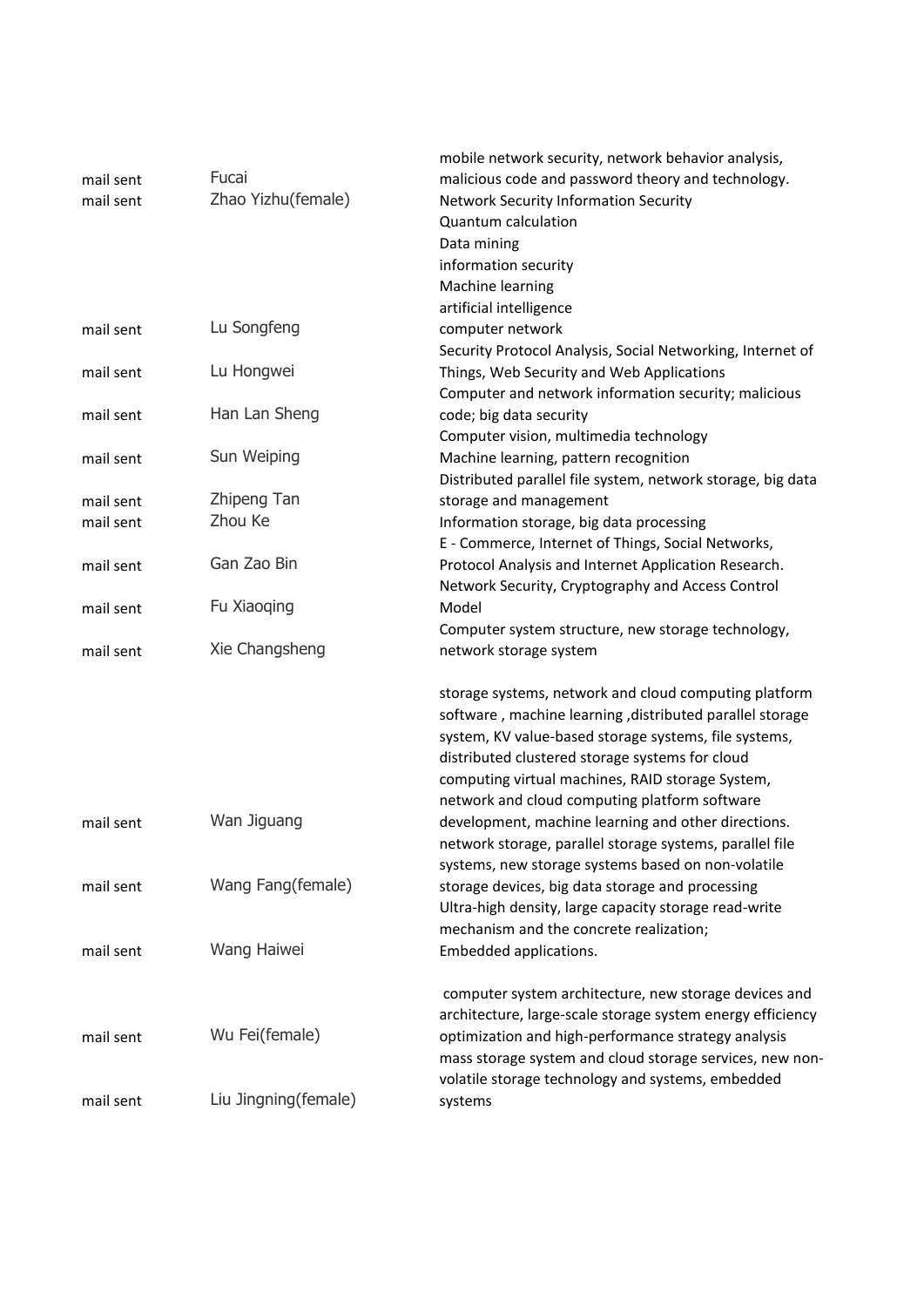|           |                      | mobile network security, network behavior analysis,         |
|-----------|----------------------|-------------------------------------------------------------|
| mail sent | Fucai                | malicious code and password theory and technology.          |
| mail sent | Zhao Yizhu(female)   | <b>Network Security Information Security</b>                |
|           |                      | Quantum calculation                                         |
|           |                      | Data mining                                                 |
|           |                      | information security                                        |
|           |                      | Machine learning                                            |
|           |                      | artificial intelligence                                     |
| mail sent | Lu Songfeng          | computer network                                            |
|           |                      | Security Protocol Analysis, Social Networking, Internet of  |
| mail sent | Lu Hongwei           | Things, Web Security and Web Applications                   |
|           |                      | Computer and network information security; malicious        |
|           | Han Lan Sheng        |                                                             |
| mail sent |                      | code; big data security                                     |
|           |                      | Computer vision, multimedia technology                      |
| mail sent | Sun Weiping          | Machine learning, pattern recognition                       |
|           |                      | Distributed parallel file system, network storage, big data |
| mail sent | Zhipeng Tan          | storage and management                                      |
| mail sent | Zhou Ke              | Information storage, big data processing                    |
|           |                      | E - Commerce, Internet of Things, Social Networks,          |
| mail sent | Gan Zao Bin          | Protocol Analysis and Internet Application Research.        |
|           |                      | Network Security, Cryptography and Access Control           |
| mail sent | Fu Xiaoqing          | Model                                                       |
|           |                      | Computer system structure, new storage technology,          |
| mail sent | Xie Changsheng       | network storage system                                      |
|           |                      | storage systems, network and cloud computing platform       |
|           |                      | software, machine learning, distributed parallel storage    |
|           |                      | system, KV value-based storage systems, file systems,       |
|           |                      | distributed clustered storage systems for cloud             |
|           |                      | computing virtual machines, RAID storage System,            |
|           |                      | network and cloud computing platform software               |
| mail sent | Wan Jiguang          | development, machine learning and other directions.         |
|           |                      | network storage, parallel storage systems, parallel file    |
|           |                      | systems, new storage systems based on non-volatile          |
| mail sent | Wang Fang(female)    | storage devices, big data storage and processing            |
|           |                      | Ultra-high density, large capacity storage read-write       |
|           |                      | mechanism and the concrete realization;                     |
| mail sent | Wang Haiwei          | Embedded applications.                                      |
|           |                      |                                                             |
|           |                      | computer system architecture, new storage devices and       |
|           |                      | architecture, large-scale storage system energy efficiency  |
| mail sent | Wu Fei(female)       | optimization and high-performance strategy analysis         |
|           |                      | mass storage system and cloud storage services, new non-    |
|           |                      | volatile storage technology and systems, embedded           |
| mail sent | Liu Jingning(female) | systems                                                     |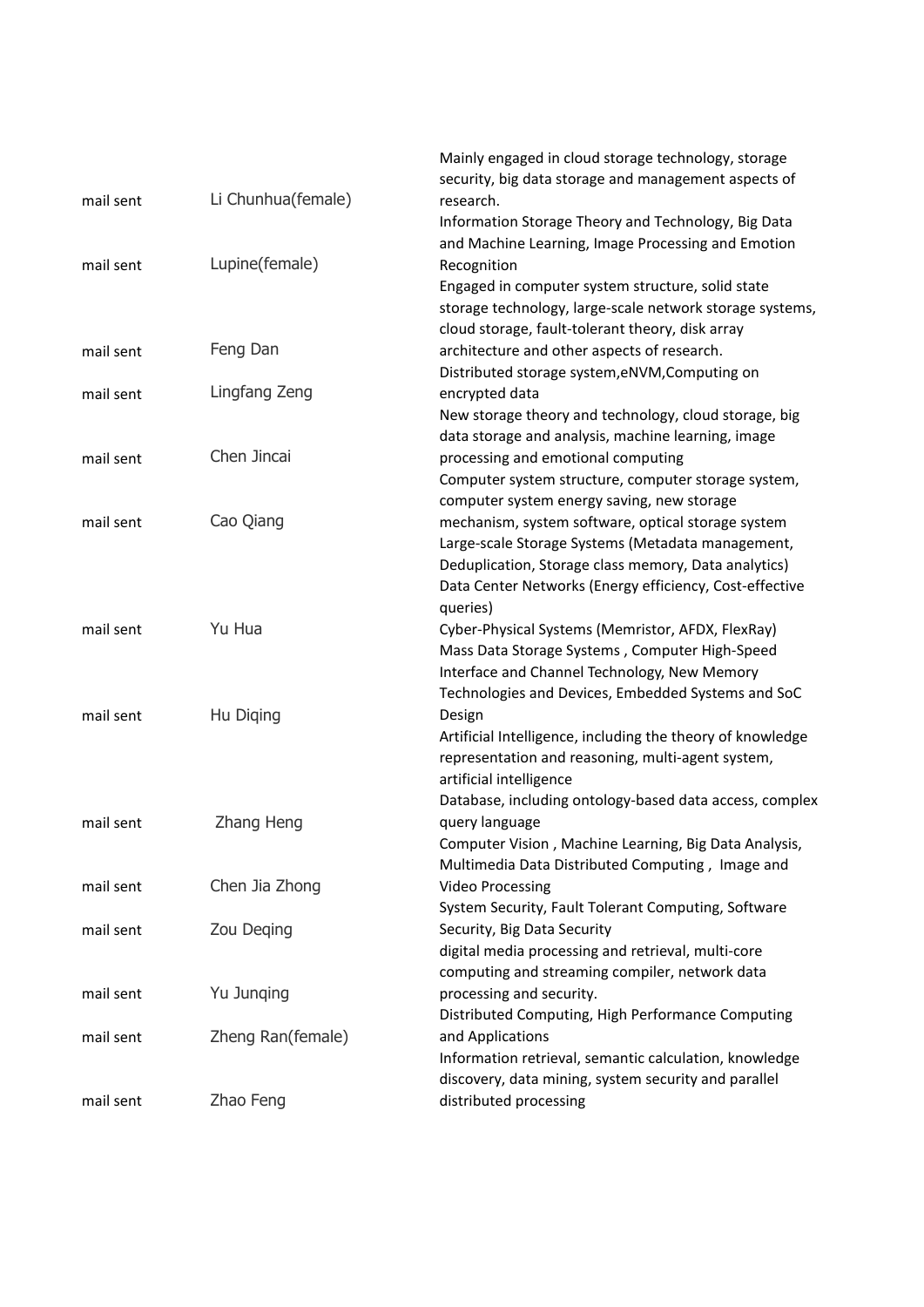|           |                    | Mainly engaged in cloud storage technology, storage                                                 |
|-----------|--------------------|-----------------------------------------------------------------------------------------------------|
|           |                    | security, big data storage and management aspects of                                                |
| mail sent | Li Chunhua(female) | research.                                                                                           |
|           |                    | Information Storage Theory and Technology, Big Data                                                 |
|           | Lupine(female)     | and Machine Learning, Image Processing and Emotion                                                  |
| mail sent |                    | Recognition<br>Engaged in computer system structure, solid state                                    |
|           |                    | storage technology, large-scale network storage systems,                                            |
|           |                    | cloud storage, fault-tolerant theory, disk array                                                    |
| mail sent | Feng Dan           | architecture and other aspects of research.                                                         |
|           |                    | Distributed storage system, eNVM, Computing on                                                      |
| mail sent | Lingfang Zeng      | encrypted data                                                                                      |
|           |                    | New storage theory and technology, cloud storage, big                                               |
| mail sent | Chen Jincai        | data storage and analysis, machine learning, image<br>processing and emotional computing            |
|           |                    | Computer system structure, computer storage system,                                                 |
|           |                    | computer system energy saving, new storage                                                          |
| mail sent | Cao Qiang          | mechanism, system software, optical storage system                                                  |
|           |                    | Large-scale Storage Systems (Metadata management,                                                   |
|           |                    | Deduplication, Storage class memory, Data analytics)                                                |
|           |                    | Data Center Networks (Energy efficiency, Cost-effective                                             |
|           |                    | queries)                                                                                            |
| mail sent | Yu Hua             | Cyber-Physical Systems (Memristor, AFDX, FlexRay)<br>Mass Data Storage Systems, Computer High-Speed |
|           |                    | Interface and Channel Technology, New Memory                                                        |
|           |                    | Technologies and Devices, Embedded Systems and SoC                                                  |
| mail sent | Hu Diging          | Design                                                                                              |
|           |                    | Artificial Intelligence, including the theory of knowledge                                          |
|           |                    | representation and reasoning, multi-agent system,                                                   |
|           |                    | artificial intelligence                                                                             |
|           |                    | Database, including ontology-based data access, complex                                             |
| mail sent | Zhang Heng         | query language<br>Computer Vision, Machine Learning, Big Data Analysis,                             |
|           |                    | Multimedia Data Distributed Computing, Image and                                                    |
| mail sent | Chen Jia Zhong     | <b>Video Processing</b>                                                                             |
|           |                    | System Security, Fault Tolerant Computing, Software                                                 |
| mail sent | Zou Deging         | Security, Big Data Security                                                                         |
|           |                    | digital media processing and retrieval, multi-core                                                  |
|           |                    | computing and streaming compiler, network data                                                      |
| mail sent | Yu Junqing         | processing and security.                                                                            |
| mail sent | Zheng Ran(female)  | Distributed Computing, High Performance Computing<br>and Applications                               |
|           |                    | Information retrieval, semantic calculation, knowledge                                              |
|           |                    | discovery, data mining, system security and parallel                                                |
| mail sent | Zhao Feng          | distributed processing                                                                              |
|           |                    |                                                                                                     |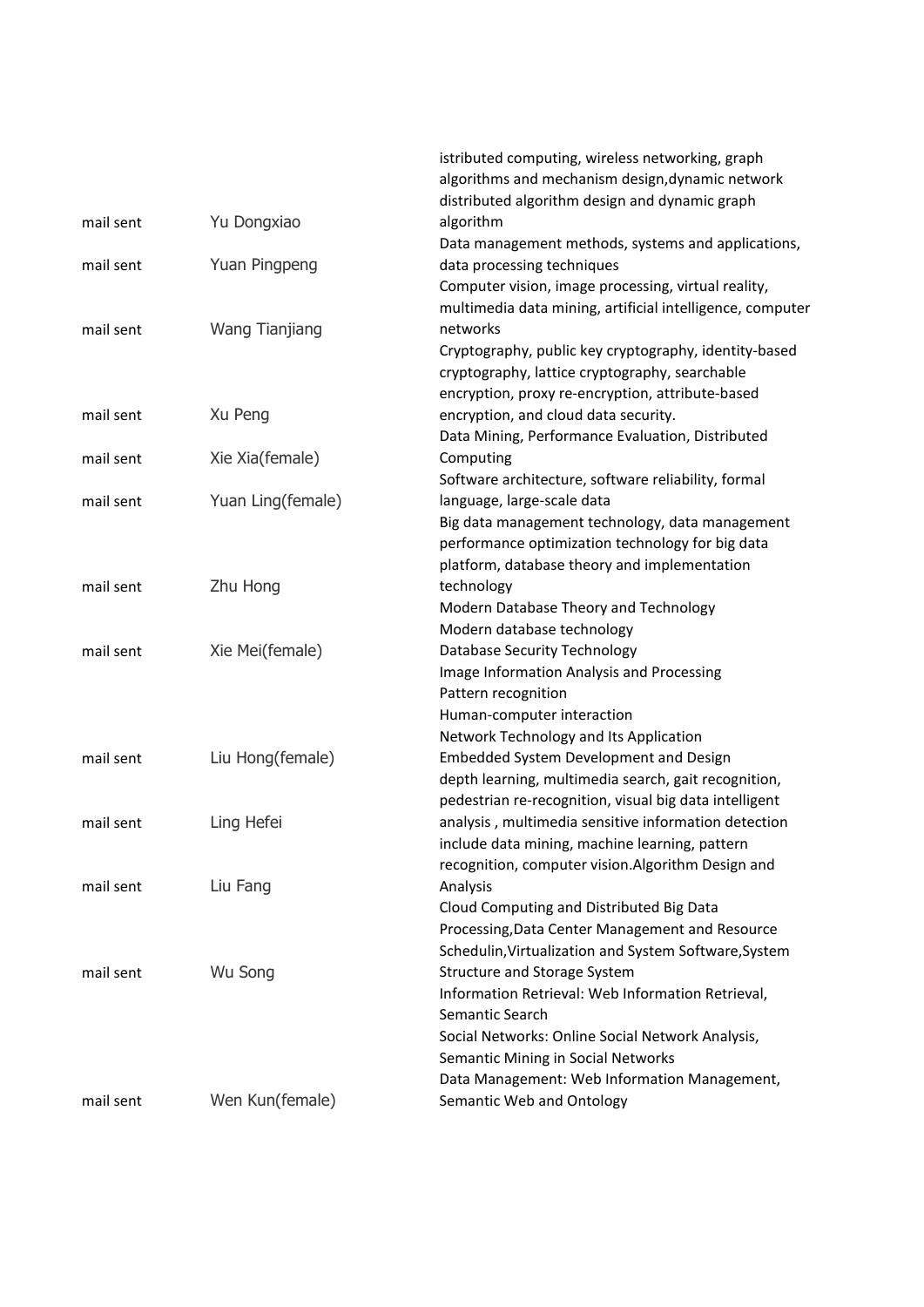|           |                       | istributed computing, wireless networking, graph                          |
|-----------|-----------------------|---------------------------------------------------------------------------|
|           |                       | algorithms and mechanism design, dynamic network                          |
|           |                       | distributed algorithm design and dynamic graph                            |
| mail sent | Yu Dongxiao           | algorithm                                                                 |
|           |                       | Data management methods, systems and applications,                        |
| mail sent | Yuan Pingpeng         | data processing techniques                                                |
|           |                       | Computer vision, image processing, virtual reality,                       |
|           |                       | multimedia data mining, artificial intelligence, computer                 |
| mail sent | <b>Wang Tianjiang</b> | networks                                                                  |
|           |                       | Cryptography, public key cryptography, identity-based                     |
|           |                       | cryptography, lattice cryptography, searchable                            |
|           |                       | encryption, proxy re-encryption, attribute-based                          |
| mail sent | Xu Peng               | encryption, and cloud data security.                                      |
|           |                       | Data Mining, Performance Evaluation, Distributed                          |
| mail sent | Xie Xia(female)       | Computing                                                                 |
|           |                       | Software architecture, software reliability, formal                       |
| mail sent | Yuan Ling(female)     | language, large-scale data                                                |
|           |                       | Big data management technology, data management                           |
|           |                       | performance optimization technology for big data                          |
|           |                       | platform, database theory and implementation                              |
| mail sent | Zhu Hong              | technology                                                                |
|           |                       | Modern Database Theory and Technology                                     |
|           |                       | Modern database technology                                                |
| mail sent | Xie Mei(female)       | Database Security Technology                                              |
|           |                       | Image Information Analysis and Processing                                 |
|           |                       | Pattern recognition                                                       |
|           |                       | Human-computer interaction                                                |
|           |                       | Network Technology and Its Application                                    |
| mail sent | Liu Hong(female)      | Embedded System Development and Design                                    |
|           |                       | depth learning, multimedia search, gait recognition,                      |
|           |                       | pedestrian re-recognition, visual big data intelligent                    |
| mail sent | Ling Hefei            | analysis, multimedia sensitive information detection                      |
|           |                       | include data mining, machine learning, pattern                            |
|           |                       | recognition, computer vision.Algorithm Design and                         |
| mail sent | Liu Fang              | Analysis                                                                  |
|           |                       | Cloud Computing and Distributed Big Data                                  |
|           |                       | Processing, Data Center Management and Resource                           |
|           |                       | Schedulin, Virtualization and System Software, System                     |
| mail sent | Wu Song               | Structure and Storage System                                              |
|           |                       | Information Retrieval: Web Information Retrieval,                         |
|           |                       | Semantic Search                                                           |
|           |                       | Social Networks: Online Social Network Analysis,                          |
|           |                       | Semantic Mining in Social Networks                                        |
|           |                       | Data Management: Web Information Management,<br>Semantic Web and Ontology |
| mail sent | Wen Kun(female)       |                                                                           |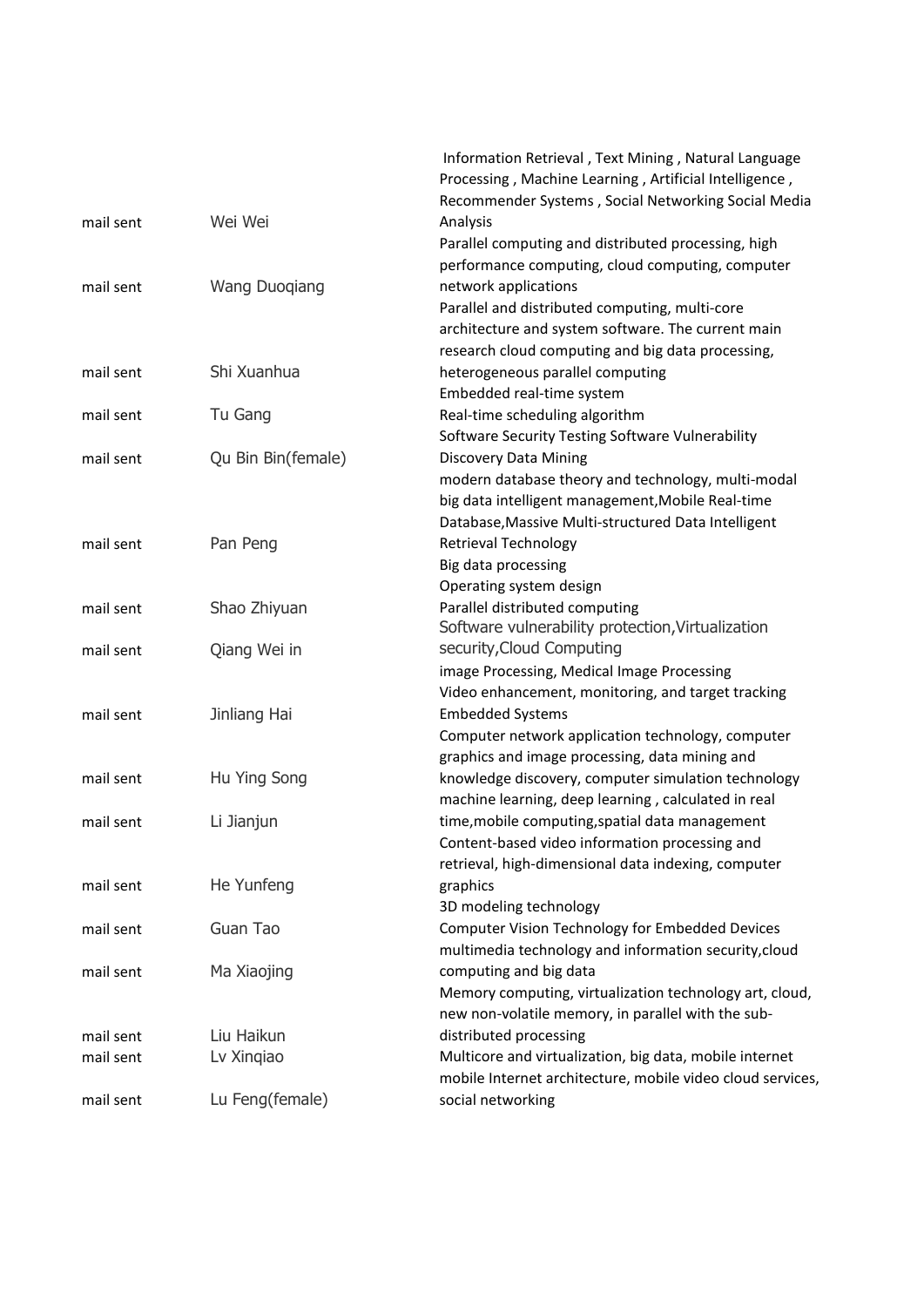|           |                      | Information Retrieval, Text Mining, Natural Language       |
|-----------|----------------------|------------------------------------------------------------|
|           |                      | Processing, Machine Learning, Artificial Intelligence,     |
|           |                      | Recommender Systems, Social Networking Social Media        |
| mail sent | Wei Wei              | Analysis                                                   |
|           |                      | Parallel computing and distributed processing, high        |
|           |                      | performance computing, cloud computing, computer           |
| mail sent | <b>Wang Duoqiang</b> | network applications                                       |
|           |                      | Parallel and distributed computing, multi-core             |
|           |                      | architecture and system software. The current main         |
|           |                      | research cloud computing and big data processing,          |
| mail sent | Shi Xuanhua          | heterogeneous parallel computing                           |
|           |                      | Embedded real-time system                                  |
| mail sent | Tu Gang              | Real-time scheduling algorithm                             |
|           |                      | Software Security Testing Software Vulnerability           |
| mail sent | Qu Bin Bin(female)   | <b>Discovery Data Mining</b>                               |
|           |                      | modern database theory and technology, multi-modal         |
|           |                      | big data intelligent management, Mobile Real-time          |
|           |                      | Database, Massive Multi-structured Data Intelligent        |
| mail sent | Pan Peng             | <b>Retrieval Technology</b>                                |
|           |                      | Big data processing                                        |
|           |                      | Operating system design                                    |
| mail sent | Shao Zhiyuan         | Parallel distributed computing                             |
|           |                      | Software vulnerability protection, Virtualization          |
| mail sent | Qiang Wei in         | security, Cloud Computing                                  |
|           |                      | image Processing, Medical Image Processing                 |
|           |                      | Video enhancement, monitoring, and target tracking         |
| mail sent | Jinliang Hai         | <b>Embedded Systems</b>                                    |
|           |                      | Computer network application technology, computer          |
|           |                      | graphics and image processing, data mining and             |
| mail sent | Hu Ying Song         | knowledge discovery, computer simulation technology        |
|           |                      | machine learning, deep learning, calculated in real        |
| mail sent | Li Jianjun           | time, mobile computing, spatial data management            |
|           |                      | Content-based video information processing and             |
|           |                      | retrieval, high-dimensional data indexing, computer        |
| mail sent | He Yunfeng           | graphics                                                   |
|           |                      | 3D modeling technology                                     |
| mail sent | Guan Tao             | Computer Vision Technology for Embedded Devices            |
|           |                      | multimedia technology and information security, cloud      |
| mail sent | Ma Xiaojing          | computing and big data                                     |
|           |                      | Memory computing, virtualization technology art, cloud,    |
|           |                      | new non-volatile memory, in parallel with the sub-         |
| mail sent | Liu Haikun           | distributed processing                                     |
| mail sent | Lv Xingiao           | Multicore and virtualization, big data, mobile internet    |
|           |                      | mobile Internet architecture, mobile video cloud services, |
| mail sent | Lu Feng(female)      | social networking                                          |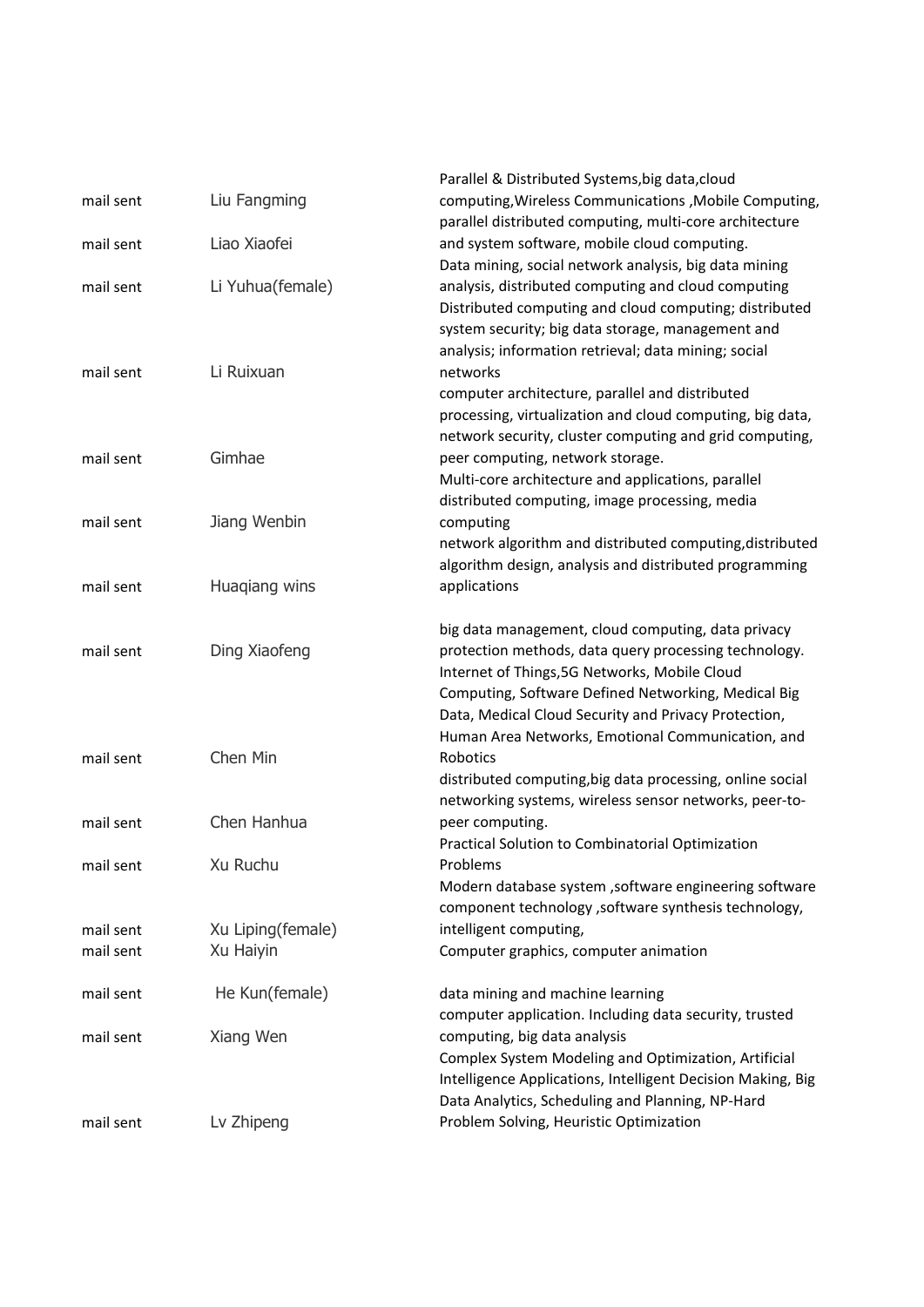| mail sent | Liu Fangming      | Parallel & Distributed Systems, big data, cloud<br>computing, Wireless Communications, Mobile Computing,                                                                                                                                                                                                                         |
|-----------|-------------------|----------------------------------------------------------------------------------------------------------------------------------------------------------------------------------------------------------------------------------------------------------------------------------------------------------------------------------|
| mail sent | Liao Xiaofei      | parallel distributed computing, multi-core architecture<br>and system software, mobile cloud computing.                                                                                                                                                                                                                          |
| mail sent | Li Yuhua(female)  | Data mining, social network analysis, big data mining<br>analysis, distributed computing and cloud computing<br>Distributed computing and cloud computing; distributed<br>system security; big data storage, management and<br>analysis; information retrieval; data mining; social                                              |
| mail sent | Li Ruixuan        | networks<br>computer architecture, parallel and distributed<br>processing, virtualization and cloud computing, big data,<br>network security, cluster computing and grid computing,                                                                                                                                              |
| mail sent | Gimhae            | peer computing, network storage.<br>Multi-core architecture and applications, parallel<br>distributed computing, image processing, media                                                                                                                                                                                         |
| mail sent | Jiang Wenbin      | computing<br>network algorithm and distributed computing, distributed<br>algorithm design, analysis and distributed programming                                                                                                                                                                                                  |
| mail sent | Huagiang wins     | applications                                                                                                                                                                                                                                                                                                                     |
| mail sent | Ding Xiaofeng     | big data management, cloud computing, data privacy<br>protection methods, data query processing technology.<br>Internet of Things, 5G Networks, Mobile Cloud<br>Computing, Software Defined Networking, Medical Big<br>Data, Medical Cloud Security and Privacy Protection,<br>Human Area Networks, Emotional Communication, and |
| mail sent | Chen Min          | <b>Robotics</b><br>distributed computing, big data processing, online social<br>networking systems, wireless sensor networks, peer-to-                                                                                                                                                                                           |
| mail sent | Chen Hanhua       | peer computing.<br>Practical Solution to Combinatorial Optimization                                                                                                                                                                                                                                                              |
| mail sent | Xu Ruchu          | Problems<br>Modern database system , software engineering software<br>component technology , software synthesis technology,                                                                                                                                                                                                      |
| mail sent | Xu Liping(female) | intelligent computing,                                                                                                                                                                                                                                                                                                           |
| mail sent | Xu Haiyin         | Computer graphics, computer animation                                                                                                                                                                                                                                                                                            |
| mail sent | He Kun(female)    | data mining and machine learning<br>computer application. Including data security, trusted                                                                                                                                                                                                                                       |
| mail sent | Xiang Wen         | computing, big data analysis<br>Complex System Modeling and Optimization, Artificial<br>Intelligence Applications, Intelligent Decision Making, Big<br>Data Analytics, Scheduling and Planning, NP-Hard                                                                                                                          |
| mail sent | Lv Zhipeng        | Problem Solving, Heuristic Optimization                                                                                                                                                                                                                                                                                          |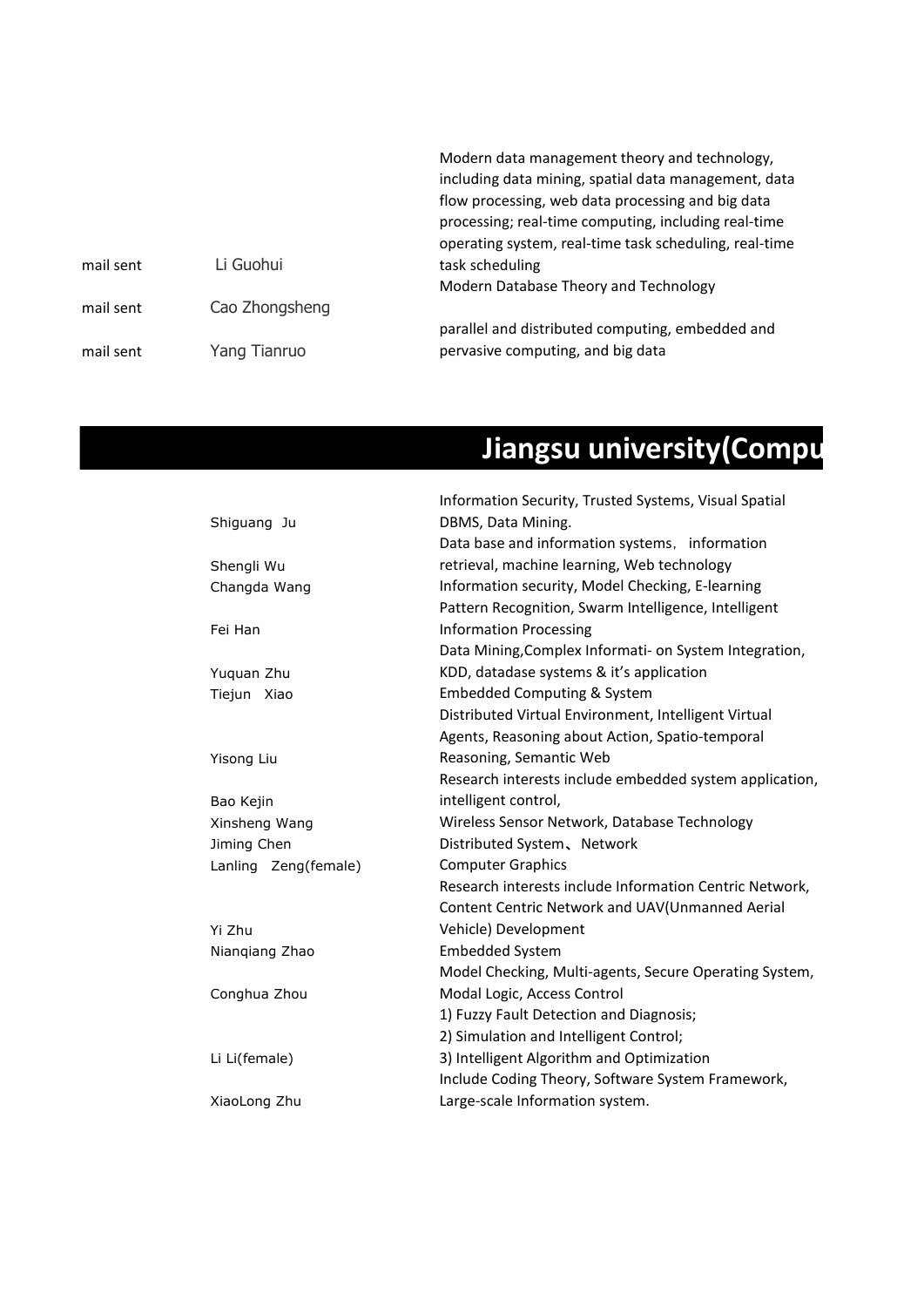|           |                | Modern data management theory and technology,<br>including data mining, spatial data management, data                                                               |
|-----------|----------------|---------------------------------------------------------------------------------------------------------------------------------------------------------------------|
|           |                | flow processing, web data processing and big data<br>processing; real-time computing, including real-time<br>operating system, real-time task scheduling, real-time |
| mail sent | Li Guohui      | task scheduling                                                                                                                                                     |
|           |                | Modern Database Theory and Technology                                                                                                                               |
| mail sent | Cao Zhongsheng |                                                                                                                                                                     |
| mail sent | Yang Tianruo   | parallel and distributed computing, embedded and<br>pervasive computing, and big data                                                                               |

## **Jiangsu university(Computer**

|                      | Information Security, Trusted Systems, Visual Spatial   |
|----------------------|---------------------------------------------------------|
| Shiguang Ju          | DBMS, Data Mining.                                      |
|                      | Data base and information systems, information          |
| Shengli Wu           | retrieval, machine learning, Web technology             |
| Changda Wang         | Information security, Model Checking, E-learning        |
|                      | Pattern Recognition, Swarm Intelligence, Intelligent    |
| Fei Han              | <b>Information Processing</b>                           |
|                      | Data Mining, Complex Informati- on System Integration,  |
| Yuquan Zhu           | KDD, datadase systems & it's application                |
| Tiejun Xiao          | <b>Embedded Computing &amp; System</b>                  |
|                      | Distributed Virtual Environment, Intelligent Virtual    |
|                      | Agents, Reasoning about Action, Spatio-temporal         |
| Yisong Liu           | Reasoning, Semantic Web                                 |
|                      | Research interests include embedded system application, |
| Bao Kejin            | intelligent control,                                    |
| Xinsheng Wang        | Wireless Sensor Network, Database Technology            |
| Jiming Chen          | Distributed System, Network                             |
| Lanling Zeng(female) | <b>Computer Graphics</b>                                |
|                      | Research interests include Information Centric Network, |
|                      | Content Centric Network and UAV(Unmanned Aerial         |
| Yi Zhu               | Vehicle) Development                                    |
| Niangiang Zhao       | <b>Embedded System</b>                                  |
|                      | Model Checking, Multi-agents, Secure Operating System,  |
| Conghua Zhou         | Modal Logic, Access Control                             |
|                      | 1) Fuzzy Fault Detection and Diagnosis;                 |
|                      | 2) Simulation and Intelligent Control;                  |
| Li Li(female)        | 3) Intelligent Algorithm and Optimization               |
|                      | Include Coding Theory, Software System Framework,       |
| XiaoLong Zhu         | Large-scale Information system.                         |
|                      |                                                         |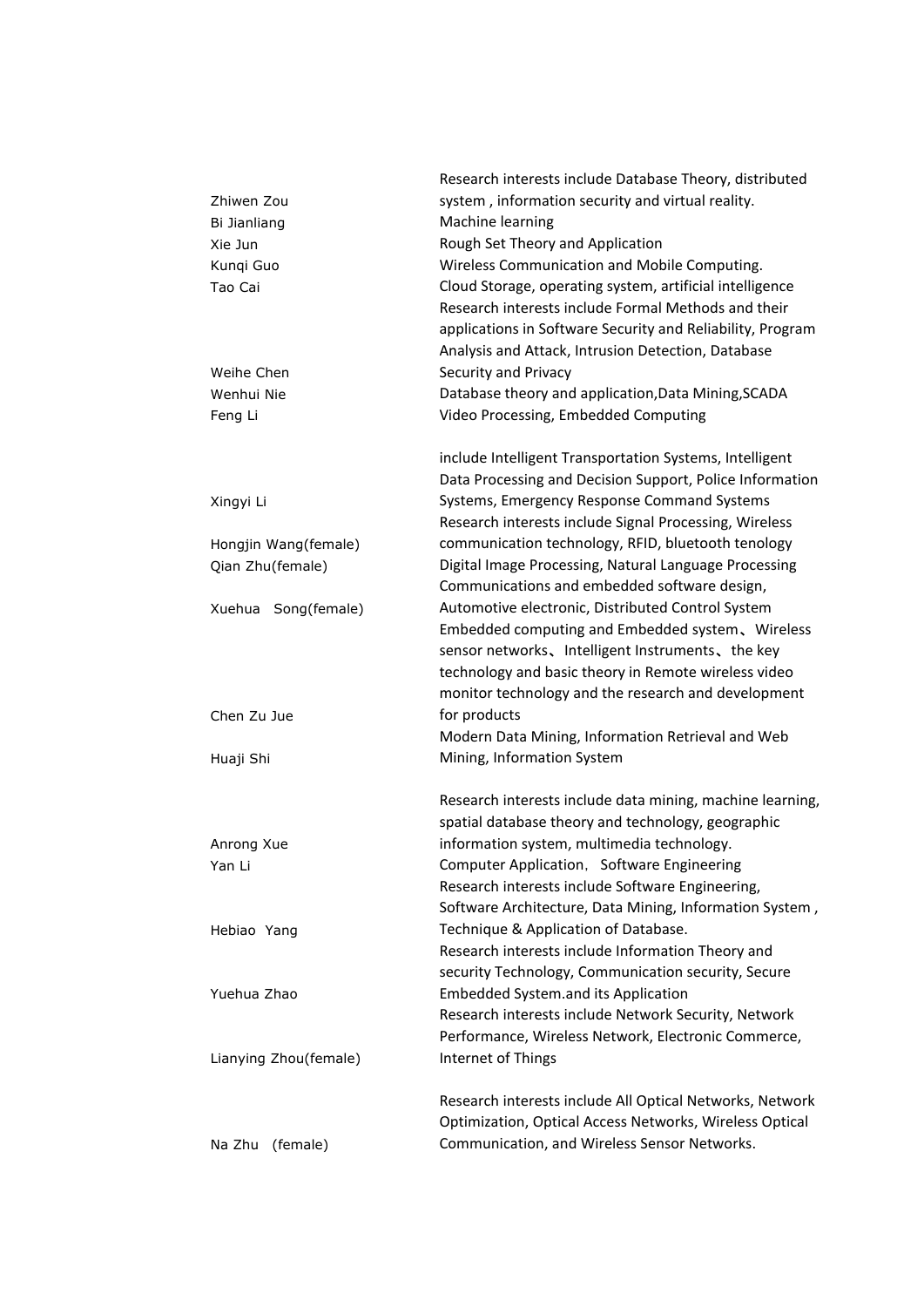| system, information security and virtual reality.<br>Zhiwen Zou<br>Machine learning<br>Bi Jianliang<br>Rough Set Theory and Application<br>Xie Jun<br>Wireless Communication and Mobile Computing.<br>Kunqi Guo<br>Cloud Storage, operating system, artificial intelligence<br>Tao Cai<br>Research interests include Formal Methods and their<br>applications in Software Security and Reliability, Program<br>Analysis and Attack, Intrusion Detection, Database<br>Security and Privacy<br>Weihe Chen<br>Database theory and application, Data Mining, SCADA<br>Wenhui Nie<br>Video Processing, Embedded Computing<br>Feng Li<br>include Intelligent Transportation Systems, Intelligent<br>Data Processing and Decision Support, Police Information<br>Systems, Emergency Response Command Systems<br>Xingyi Li<br>Research interests include Signal Processing, Wireless<br>communication technology, RFID, bluetooth tenology<br>Hongjin Wang(female)<br>Digital Image Processing, Natural Language Processing<br>Qian Zhu(female)<br>Communications and embedded software design,<br>Automotive electronic, Distributed Control System<br>Xuehua Song(female)<br>Embedded computing and Embedded system, Wireless<br>sensor networks, Intelligent Instruments, the key<br>technology and basic theory in Remote wireless video<br>monitor technology and the research and development<br>for products<br>Chen Zu Jue<br>Modern Data Mining, Information Retrieval and Web<br>Mining, Information System<br>Huaji Shi<br>Research interests include data mining, machine learning,<br>spatial database theory and technology, geographic<br>information system, multimedia technology.<br>Anrong Xue<br>Computer Application, Software Engineering<br>Yan Li<br>Research interests include Software Engineering,<br>Software Architecture, Data Mining, Information System,<br>Technique & Application of Database.<br>Hebiao Yang<br>Research interests include Information Theory and |  |
|----------------------------------------------------------------------------------------------------------------------------------------------------------------------------------------------------------------------------------------------------------------------------------------------------------------------------------------------------------------------------------------------------------------------------------------------------------------------------------------------------------------------------------------------------------------------------------------------------------------------------------------------------------------------------------------------------------------------------------------------------------------------------------------------------------------------------------------------------------------------------------------------------------------------------------------------------------------------------------------------------------------------------------------------------------------------------------------------------------------------------------------------------------------------------------------------------------------------------------------------------------------------------------------------------------------------------------------------------------------------------------------------------------------------------------------------------------------------------------------------------------------------------------------------------------------------------------------------------------------------------------------------------------------------------------------------------------------------------------------------------------------------------------------------------------------------------------------------------------------------------------------------------------------------------------------------------------------------------------------------|--|
|                                                                                                                                                                                                                                                                                                                                                                                                                                                                                                                                                                                                                                                                                                                                                                                                                                                                                                                                                                                                                                                                                                                                                                                                                                                                                                                                                                                                                                                                                                                                                                                                                                                                                                                                                                                                                                                                                                                                                                                              |  |
|                                                                                                                                                                                                                                                                                                                                                                                                                                                                                                                                                                                                                                                                                                                                                                                                                                                                                                                                                                                                                                                                                                                                                                                                                                                                                                                                                                                                                                                                                                                                                                                                                                                                                                                                                                                                                                                                                                                                                                                              |  |
|                                                                                                                                                                                                                                                                                                                                                                                                                                                                                                                                                                                                                                                                                                                                                                                                                                                                                                                                                                                                                                                                                                                                                                                                                                                                                                                                                                                                                                                                                                                                                                                                                                                                                                                                                                                                                                                                                                                                                                                              |  |
|                                                                                                                                                                                                                                                                                                                                                                                                                                                                                                                                                                                                                                                                                                                                                                                                                                                                                                                                                                                                                                                                                                                                                                                                                                                                                                                                                                                                                                                                                                                                                                                                                                                                                                                                                                                                                                                                                                                                                                                              |  |
|                                                                                                                                                                                                                                                                                                                                                                                                                                                                                                                                                                                                                                                                                                                                                                                                                                                                                                                                                                                                                                                                                                                                                                                                                                                                                                                                                                                                                                                                                                                                                                                                                                                                                                                                                                                                                                                                                                                                                                                              |  |
|                                                                                                                                                                                                                                                                                                                                                                                                                                                                                                                                                                                                                                                                                                                                                                                                                                                                                                                                                                                                                                                                                                                                                                                                                                                                                                                                                                                                                                                                                                                                                                                                                                                                                                                                                                                                                                                                                                                                                                                              |  |
|                                                                                                                                                                                                                                                                                                                                                                                                                                                                                                                                                                                                                                                                                                                                                                                                                                                                                                                                                                                                                                                                                                                                                                                                                                                                                                                                                                                                                                                                                                                                                                                                                                                                                                                                                                                                                                                                                                                                                                                              |  |
|                                                                                                                                                                                                                                                                                                                                                                                                                                                                                                                                                                                                                                                                                                                                                                                                                                                                                                                                                                                                                                                                                                                                                                                                                                                                                                                                                                                                                                                                                                                                                                                                                                                                                                                                                                                                                                                                                                                                                                                              |  |
|                                                                                                                                                                                                                                                                                                                                                                                                                                                                                                                                                                                                                                                                                                                                                                                                                                                                                                                                                                                                                                                                                                                                                                                                                                                                                                                                                                                                                                                                                                                                                                                                                                                                                                                                                                                                                                                                                                                                                                                              |  |
|                                                                                                                                                                                                                                                                                                                                                                                                                                                                                                                                                                                                                                                                                                                                                                                                                                                                                                                                                                                                                                                                                                                                                                                                                                                                                                                                                                                                                                                                                                                                                                                                                                                                                                                                                                                                                                                                                                                                                                                              |  |
|                                                                                                                                                                                                                                                                                                                                                                                                                                                                                                                                                                                                                                                                                                                                                                                                                                                                                                                                                                                                                                                                                                                                                                                                                                                                                                                                                                                                                                                                                                                                                                                                                                                                                                                                                                                                                                                                                                                                                                                              |  |
|                                                                                                                                                                                                                                                                                                                                                                                                                                                                                                                                                                                                                                                                                                                                                                                                                                                                                                                                                                                                                                                                                                                                                                                                                                                                                                                                                                                                                                                                                                                                                                                                                                                                                                                                                                                                                                                                                                                                                                                              |  |
|                                                                                                                                                                                                                                                                                                                                                                                                                                                                                                                                                                                                                                                                                                                                                                                                                                                                                                                                                                                                                                                                                                                                                                                                                                                                                                                                                                                                                                                                                                                                                                                                                                                                                                                                                                                                                                                                                                                                                                                              |  |
|                                                                                                                                                                                                                                                                                                                                                                                                                                                                                                                                                                                                                                                                                                                                                                                                                                                                                                                                                                                                                                                                                                                                                                                                                                                                                                                                                                                                                                                                                                                                                                                                                                                                                                                                                                                                                                                                                                                                                                                              |  |
|                                                                                                                                                                                                                                                                                                                                                                                                                                                                                                                                                                                                                                                                                                                                                                                                                                                                                                                                                                                                                                                                                                                                                                                                                                                                                                                                                                                                                                                                                                                                                                                                                                                                                                                                                                                                                                                                                                                                                                                              |  |
|                                                                                                                                                                                                                                                                                                                                                                                                                                                                                                                                                                                                                                                                                                                                                                                                                                                                                                                                                                                                                                                                                                                                                                                                                                                                                                                                                                                                                                                                                                                                                                                                                                                                                                                                                                                                                                                                                                                                                                                              |  |
|                                                                                                                                                                                                                                                                                                                                                                                                                                                                                                                                                                                                                                                                                                                                                                                                                                                                                                                                                                                                                                                                                                                                                                                                                                                                                                                                                                                                                                                                                                                                                                                                                                                                                                                                                                                                                                                                                                                                                                                              |  |
|                                                                                                                                                                                                                                                                                                                                                                                                                                                                                                                                                                                                                                                                                                                                                                                                                                                                                                                                                                                                                                                                                                                                                                                                                                                                                                                                                                                                                                                                                                                                                                                                                                                                                                                                                                                                                                                                                                                                                                                              |  |
|                                                                                                                                                                                                                                                                                                                                                                                                                                                                                                                                                                                                                                                                                                                                                                                                                                                                                                                                                                                                                                                                                                                                                                                                                                                                                                                                                                                                                                                                                                                                                                                                                                                                                                                                                                                                                                                                                                                                                                                              |  |
|                                                                                                                                                                                                                                                                                                                                                                                                                                                                                                                                                                                                                                                                                                                                                                                                                                                                                                                                                                                                                                                                                                                                                                                                                                                                                                                                                                                                                                                                                                                                                                                                                                                                                                                                                                                                                                                                                                                                                                                              |  |
|                                                                                                                                                                                                                                                                                                                                                                                                                                                                                                                                                                                                                                                                                                                                                                                                                                                                                                                                                                                                                                                                                                                                                                                                                                                                                                                                                                                                                                                                                                                                                                                                                                                                                                                                                                                                                                                                                                                                                                                              |  |
|                                                                                                                                                                                                                                                                                                                                                                                                                                                                                                                                                                                                                                                                                                                                                                                                                                                                                                                                                                                                                                                                                                                                                                                                                                                                                                                                                                                                                                                                                                                                                                                                                                                                                                                                                                                                                                                                                                                                                                                              |  |
|                                                                                                                                                                                                                                                                                                                                                                                                                                                                                                                                                                                                                                                                                                                                                                                                                                                                                                                                                                                                                                                                                                                                                                                                                                                                                                                                                                                                                                                                                                                                                                                                                                                                                                                                                                                                                                                                                                                                                                                              |  |
|                                                                                                                                                                                                                                                                                                                                                                                                                                                                                                                                                                                                                                                                                                                                                                                                                                                                                                                                                                                                                                                                                                                                                                                                                                                                                                                                                                                                                                                                                                                                                                                                                                                                                                                                                                                                                                                                                                                                                                                              |  |
|                                                                                                                                                                                                                                                                                                                                                                                                                                                                                                                                                                                                                                                                                                                                                                                                                                                                                                                                                                                                                                                                                                                                                                                                                                                                                                                                                                                                                                                                                                                                                                                                                                                                                                                                                                                                                                                                                                                                                                                              |  |
|                                                                                                                                                                                                                                                                                                                                                                                                                                                                                                                                                                                                                                                                                                                                                                                                                                                                                                                                                                                                                                                                                                                                                                                                                                                                                                                                                                                                                                                                                                                                                                                                                                                                                                                                                                                                                                                                                                                                                                                              |  |
|                                                                                                                                                                                                                                                                                                                                                                                                                                                                                                                                                                                                                                                                                                                                                                                                                                                                                                                                                                                                                                                                                                                                                                                                                                                                                                                                                                                                                                                                                                                                                                                                                                                                                                                                                                                                                                                                                                                                                                                              |  |
|                                                                                                                                                                                                                                                                                                                                                                                                                                                                                                                                                                                                                                                                                                                                                                                                                                                                                                                                                                                                                                                                                                                                                                                                                                                                                                                                                                                                                                                                                                                                                                                                                                                                                                                                                                                                                                                                                                                                                                                              |  |
|                                                                                                                                                                                                                                                                                                                                                                                                                                                                                                                                                                                                                                                                                                                                                                                                                                                                                                                                                                                                                                                                                                                                                                                                                                                                                                                                                                                                                                                                                                                                                                                                                                                                                                                                                                                                                                                                                                                                                                                              |  |
|                                                                                                                                                                                                                                                                                                                                                                                                                                                                                                                                                                                                                                                                                                                                                                                                                                                                                                                                                                                                                                                                                                                                                                                                                                                                                                                                                                                                                                                                                                                                                                                                                                                                                                                                                                                                                                                                                                                                                                                              |  |
|                                                                                                                                                                                                                                                                                                                                                                                                                                                                                                                                                                                                                                                                                                                                                                                                                                                                                                                                                                                                                                                                                                                                                                                                                                                                                                                                                                                                                                                                                                                                                                                                                                                                                                                                                                                                                                                                                                                                                                                              |  |
|                                                                                                                                                                                                                                                                                                                                                                                                                                                                                                                                                                                                                                                                                                                                                                                                                                                                                                                                                                                                                                                                                                                                                                                                                                                                                                                                                                                                                                                                                                                                                                                                                                                                                                                                                                                                                                                                                                                                                                                              |  |
|                                                                                                                                                                                                                                                                                                                                                                                                                                                                                                                                                                                                                                                                                                                                                                                                                                                                                                                                                                                                                                                                                                                                                                                                                                                                                                                                                                                                                                                                                                                                                                                                                                                                                                                                                                                                                                                                                                                                                                                              |  |
|                                                                                                                                                                                                                                                                                                                                                                                                                                                                                                                                                                                                                                                                                                                                                                                                                                                                                                                                                                                                                                                                                                                                                                                                                                                                                                                                                                                                                                                                                                                                                                                                                                                                                                                                                                                                                                                                                                                                                                                              |  |
|                                                                                                                                                                                                                                                                                                                                                                                                                                                                                                                                                                                                                                                                                                                                                                                                                                                                                                                                                                                                                                                                                                                                                                                                                                                                                                                                                                                                                                                                                                                                                                                                                                                                                                                                                                                                                                                                                                                                                                                              |  |
|                                                                                                                                                                                                                                                                                                                                                                                                                                                                                                                                                                                                                                                                                                                                                                                                                                                                                                                                                                                                                                                                                                                                                                                                                                                                                                                                                                                                                                                                                                                                                                                                                                                                                                                                                                                                                                                                                                                                                                                              |  |
| security Technology, Communication security, Secure                                                                                                                                                                                                                                                                                                                                                                                                                                                                                                                                                                                                                                                                                                                                                                                                                                                                                                                                                                                                                                                                                                                                                                                                                                                                                                                                                                                                                                                                                                                                                                                                                                                                                                                                                                                                                                                                                                                                          |  |
| <b>Embedded System.and its Application</b><br>Yuehua Zhao                                                                                                                                                                                                                                                                                                                                                                                                                                                                                                                                                                                                                                                                                                                                                                                                                                                                                                                                                                                                                                                                                                                                                                                                                                                                                                                                                                                                                                                                                                                                                                                                                                                                                                                                                                                                                                                                                                                                    |  |
| Research interests include Network Security, Network                                                                                                                                                                                                                                                                                                                                                                                                                                                                                                                                                                                                                                                                                                                                                                                                                                                                                                                                                                                                                                                                                                                                                                                                                                                                                                                                                                                                                                                                                                                                                                                                                                                                                                                                                                                                                                                                                                                                         |  |
| Performance, Wireless Network, Electronic Commerce,                                                                                                                                                                                                                                                                                                                                                                                                                                                                                                                                                                                                                                                                                                                                                                                                                                                                                                                                                                                                                                                                                                                                                                                                                                                                                                                                                                                                                                                                                                                                                                                                                                                                                                                                                                                                                                                                                                                                          |  |
| Internet of Things<br>Lianying Zhou(female)                                                                                                                                                                                                                                                                                                                                                                                                                                                                                                                                                                                                                                                                                                                                                                                                                                                                                                                                                                                                                                                                                                                                                                                                                                                                                                                                                                                                                                                                                                                                                                                                                                                                                                                                                                                                                                                                                                                                                  |  |
|                                                                                                                                                                                                                                                                                                                                                                                                                                                                                                                                                                                                                                                                                                                                                                                                                                                                                                                                                                                                                                                                                                                                                                                                                                                                                                                                                                                                                                                                                                                                                                                                                                                                                                                                                                                                                                                                                                                                                                                              |  |
| Research interests include All Optical Networks, Network                                                                                                                                                                                                                                                                                                                                                                                                                                                                                                                                                                                                                                                                                                                                                                                                                                                                                                                                                                                                                                                                                                                                                                                                                                                                                                                                                                                                                                                                                                                                                                                                                                                                                                                                                                                                                                                                                                                                     |  |
| Optimization, Optical Access Networks, Wireless Optical                                                                                                                                                                                                                                                                                                                                                                                                                                                                                                                                                                                                                                                                                                                                                                                                                                                                                                                                                                                                                                                                                                                                                                                                                                                                                                                                                                                                                                                                                                                                                                                                                                                                                                                                                                                                                                                                                                                                      |  |
| Communication, and Wireless Sensor Networks.<br>(female)<br>Na Zhu                                                                                                                                                                                                                                                                                                                                                                                                                                                                                                                                                                                                                                                                                                                                                                                                                                                                                                                                                                                                                                                                                                                                                                                                                                                                                                                                                                                                                                                                                                                                                                                                                                                                                                                                                                                                                                                                                                                           |  |
|                                                                                                                                                                                                                                                                                                                                                                                                                                                                                                                                                                                                                                                                                                                                                                                                                                                                                                                                                                                                                                                                                                                                                                                                                                                                                                                                                                                                                                                                                                                                                                                                                                                                                                                                                                                                                                                                                                                                                                                              |  |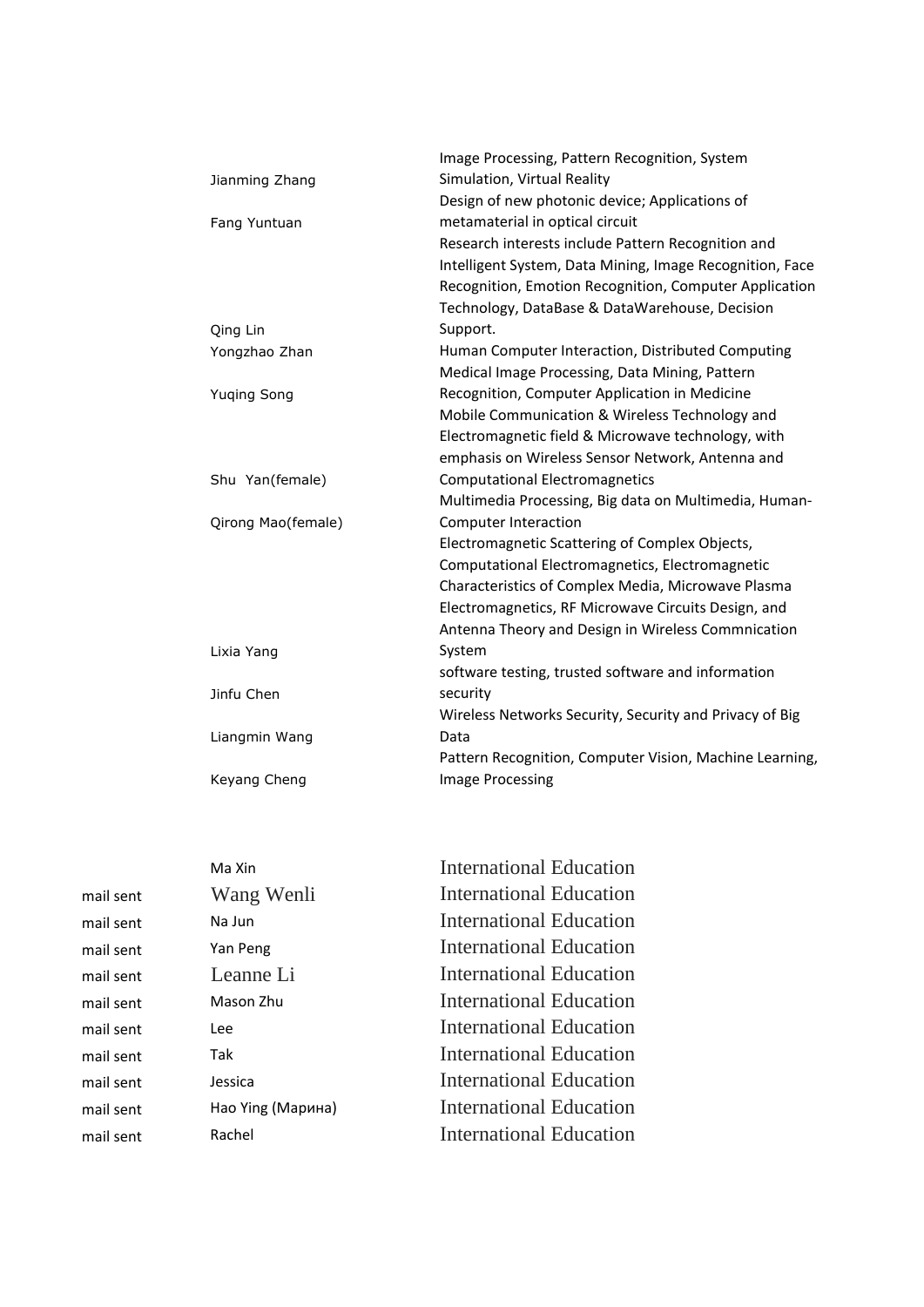|                    | Image Processing, Pattern Recognition, System            |
|--------------------|----------------------------------------------------------|
| Jianming Zhang     | Simulation, Virtual Reality                              |
|                    | Design of new photonic device; Applications of           |
| Fang Yuntuan       | metamaterial in optical circuit                          |
|                    | Research interests include Pattern Recognition and       |
|                    | Intelligent System, Data Mining, Image Recognition, Face |
|                    | Recognition, Emotion Recognition, Computer Application   |
|                    | Technology, DataBase & DataWarehouse, Decision           |
| Qing Lin           | Support.                                                 |
| Yongzhao Zhan      | Human Computer Interaction, Distributed Computing        |
|                    | Medical Image Processing, Data Mining, Pattern           |
| <b>Yuqing Song</b> | Recognition, Computer Application in Medicine            |
|                    | Mobile Communication & Wireless Technology and           |
|                    | Electromagnetic field & Microwave technology, with       |
|                    | emphasis on Wireless Sensor Network, Antenna and         |
| Shu Yan(female)    | <b>Computational Electromagnetics</b>                    |
|                    | Multimedia Processing, Big data on Multimedia, Human-    |
| Qirong Mao(female) | Computer Interaction                                     |
|                    | Electromagnetic Scattering of Complex Objects,           |
|                    | Computational Electromagnetics, Electromagnetic          |
|                    | Characteristics of Complex Media, Microwave Plasma       |
|                    | Electromagnetics, RF Microwave Circuits Design, and      |
|                    | Antenna Theory and Design in Wireless Commnication       |
| Lixia Yang         | System                                                   |
|                    | software testing, trusted software and information       |
| Jinfu Chen         | security                                                 |
|                    | Wireless Networks Security, Security and Privacy of Big  |
| Liangmin Wang      | Data                                                     |
|                    | Pattern Recognition, Computer Vision, Machine Learning,  |
| Keyang Cheng       | Image Processing                                         |
|                    |                                                          |

|           | Ma Xin            | International Education        |
|-----------|-------------------|--------------------------------|
| mail sent | Wang Wenli        | International Education        |
| mail sent | Na Jun            | International Education        |
| mail sent | Yan Peng          | International Education        |
| mail sent | Leanne Li         | International Education        |
| mail sent | Mason Zhu         | International Education        |
| mail sent | Lee               | International Education        |
| mail sent | Tak               | International Education        |
| mail sent | Jessica           | International Education        |
| mail sent | Hao Ying (Марина) | <b>International Education</b> |
| mail sent | Rachel            | <b>International Education</b> |
|           |                   |                                |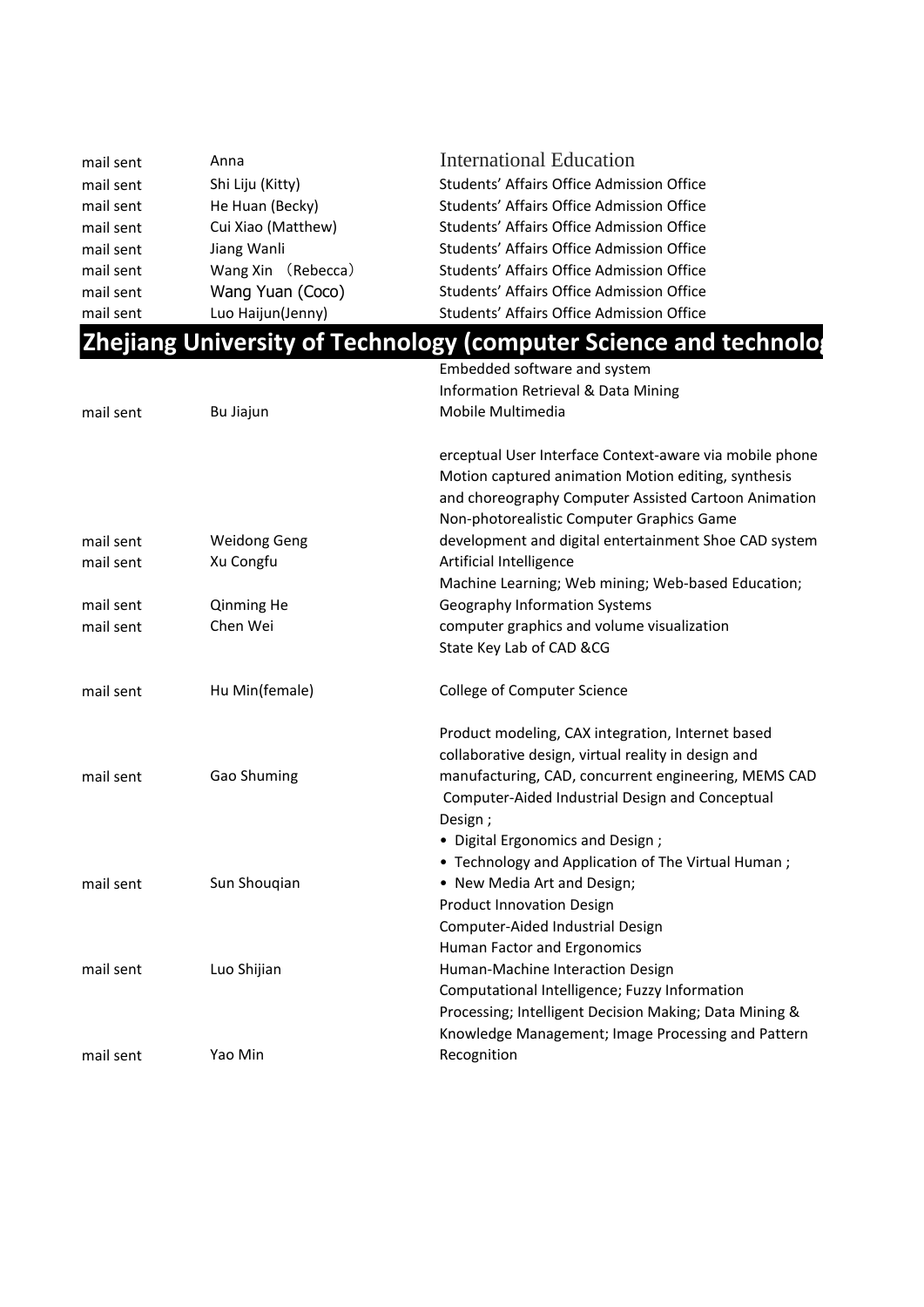| mail sent | Anna               | <b>International Education</b>            |
|-----------|--------------------|-------------------------------------------|
| mail sent | Shi Liju (Kitty)   | Students' Affairs Office Admission Office |
| mail sent | He Huan (Becky)    | Students' Affairs Office Admission Office |
| mail sent | Cui Xiao (Matthew) | Students' Affairs Office Admission Office |
| mail sent | Jiang Wanli        | Students' Affairs Office Admission Office |
| mail sent | Wang Xin (Rebecca) | Students' Affairs Office Admission Office |
| mail sent | Wang Yuan (Coco)   | Students' Affairs Office Admission Office |
| mail sent | Luo Haijun(Jenny)  | Students' Affairs Office Admission Office |

| <b>Zhejiang University of Technology (computer Science and technology</b> |  |
|---------------------------------------------------------------------------|--|
|---------------------------------------------------------------------------|--|

|           |                     | Embedded software and system                            |
|-----------|---------------------|---------------------------------------------------------|
|           |                     | Information Retrieval & Data Mining                     |
| mail sent | Bu Jiajun           | Mobile Multimedia                                       |
|           |                     | erceptual User Interface Context-aware via mobile phone |
|           |                     | Motion captured animation Motion editing, synthesis     |
|           |                     | and choreography Computer Assisted Cartoon Animation    |
|           |                     | Non-photorealistic Computer Graphics Game               |
| mail sent | <b>Weidong Geng</b> | development and digital entertainment Shoe CAD system   |
| mail sent | Xu Congfu           | Artificial Intelligence                                 |
|           |                     | Machine Learning; Web mining; Web-based Education;      |
| mail sent | Qinming He          | <b>Geography Information Systems</b>                    |
| mail sent | Chen Wei            | computer graphics and volume visualization              |
|           |                     | State Key Lab of CAD &CG                                |
| mail sent | Hu Min(female)      | College of Computer Science                             |
|           |                     | Product modeling, CAX integration, Internet based       |
|           |                     | collaborative design, virtual reality in design and     |
| mail sent | Gao Shuming         | manufacturing, CAD, concurrent engineering, MEMS CAD    |
|           |                     | Computer-Aided Industrial Design and Conceptual         |
|           |                     | Design;                                                 |
|           |                     | • Digital Ergonomics and Design;                        |
|           |                     | • Technology and Application of The Virtual Human;      |
| mail sent | Sun Shouqian        | • New Media Art and Design;                             |
|           |                     | <b>Product Innovation Design</b>                        |
|           |                     | Computer-Aided Industrial Design                        |
|           |                     | Human Factor and Ergonomics                             |
| mail sent | Luo Shijian         | Human-Machine Interaction Design                        |
|           |                     | Computational Intelligence; Fuzzy Information           |
|           |                     | Processing; Intelligent Decision Making; Data Mining &  |
|           |                     | Knowledge Management; Image Processing and Pattern      |
| mail sent | Yao Min             | Recognition                                             |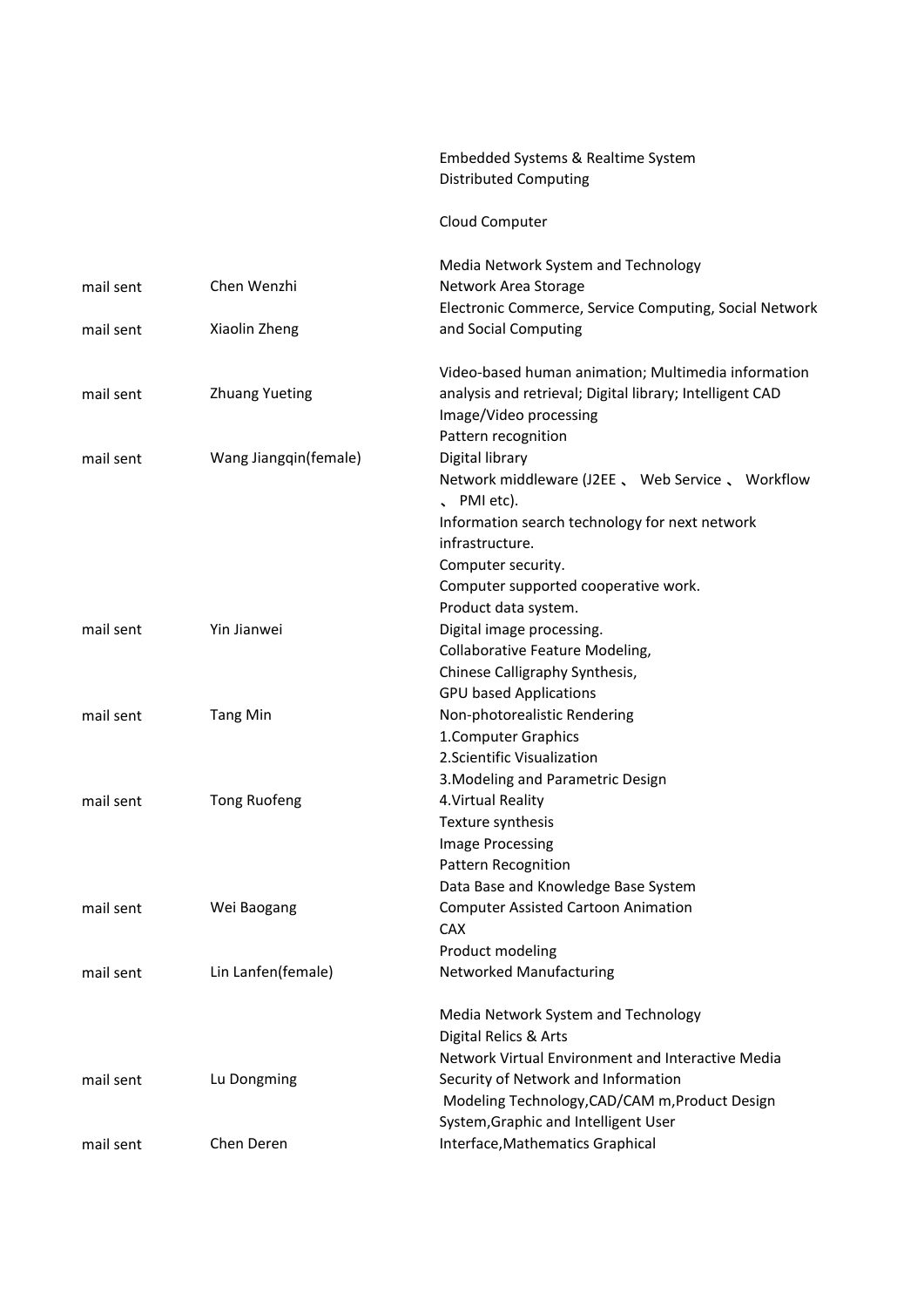#### Embedded Systems & Realtime System Distributed Computing

#### Cloud Computer

|                       | Media Network System and Technology                                     |
|-----------------------|-------------------------------------------------------------------------|
|                       | Network Area Storage                                                    |
|                       | Electronic Commerce, Service Computing, Social Network                  |
| Xiaolin Zheng         | and Social Computing                                                    |
|                       | Video-based human animation; Multimedia information                     |
| <b>Zhuang Yueting</b> | analysis and retrieval; Digital library; Intelligent CAD                |
|                       | Image/Video processing                                                  |
|                       | Pattern recognition                                                     |
| Wang Jiangqin(female) | Digital library                                                         |
|                       | Network middleware (J2EE, Web Service, Workflow<br>$\sqrt{P}$ PMI etc). |
|                       | Information search technology for next network                          |
|                       | infrastructure.                                                         |
|                       | Computer security.                                                      |
|                       | Computer supported cooperative work.                                    |
|                       | Product data system.                                                    |
|                       | Digital image processing.                                               |
|                       | Collaborative Feature Modeling,                                         |
|                       | Chinese Calligraphy Synthesis,                                          |
|                       | <b>GPU based Applications</b>                                           |
|                       | Non-photorealistic Rendering                                            |
|                       | 1. Computer Graphics                                                    |
|                       | 2. Scientific Visualization                                             |
|                       | 3. Modeling and Parametric Design                                       |
| <b>Tong Ruofeng</b>   | 4. Virtual Reality                                                      |
|                       | Texture synthesis                                                       |
|                       | Image Processing                                                        |
|                       | <b>Pattern Recognition</b>                                              |
|                       | Data Base and Knowledge Base System                                     |
| Wei Baogang           | <b>Computer Assisted Cartoon Animation</b>                              |
|                       | <b>CAX</b>                                                              |
|                       | Product modeling                                                        |
| Lin Lanfen(female)    | Networked Manufacturing                                                 |
|                       | Media Network System and Technology                                     |
|                       | Digital Relics & Arts                                                   |
|                       | Network Virtual Environment and Interactive Media                       |
| Lu Dongming           | Security of Network and Information                                     |
|                       | Modeling Technology, CAD/CAM m, Product Design                          |
|                       | System, Graphic and Intelligent User                                    |
| Chen Deren            | Interface, Mathematics Graphical                                        |
|                       | Chen Wenzhi<br>Yin Jianwei<br><b>Tang Min</b>                           |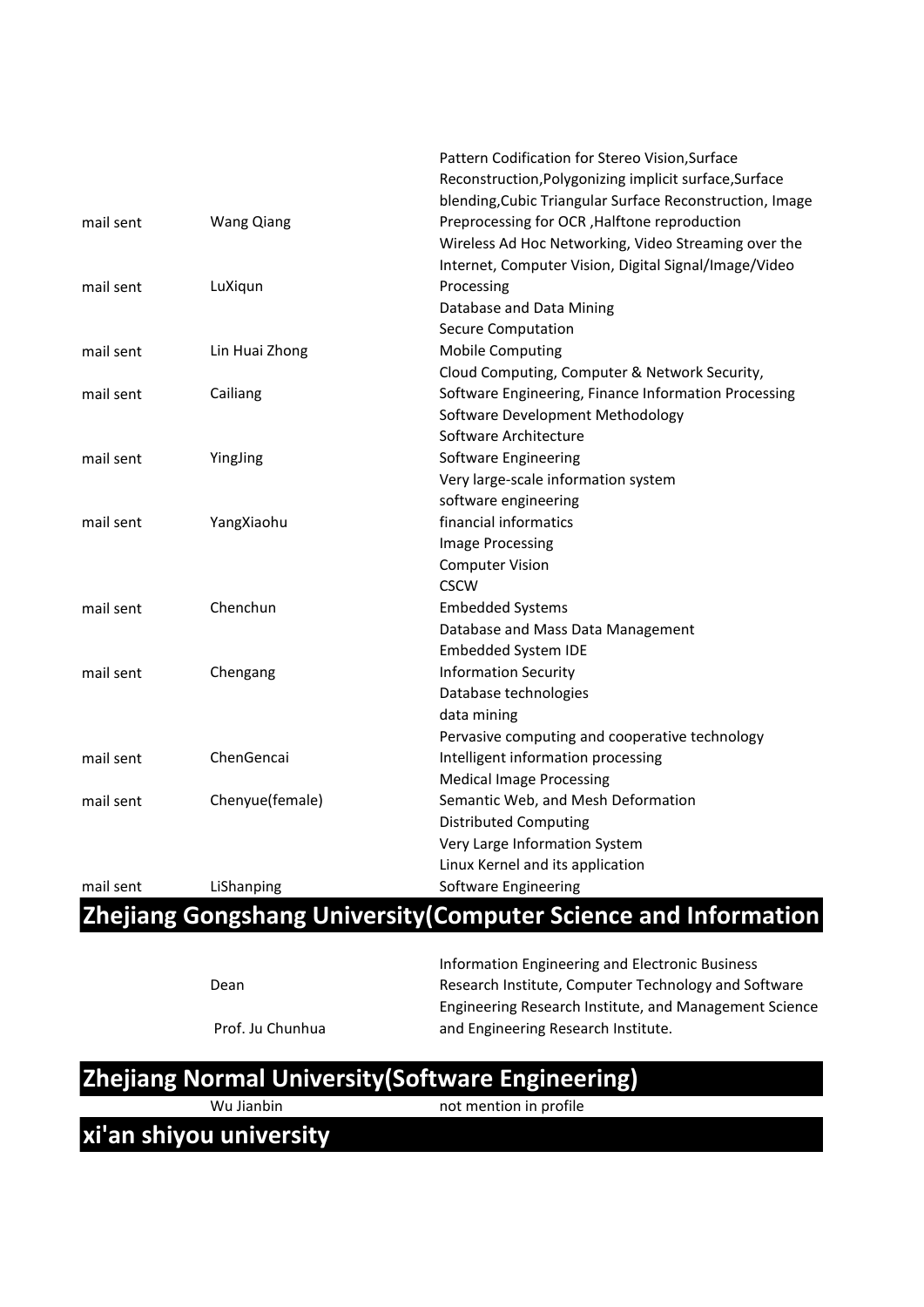|           |                   | Pattern Codification for Stereo Vision, Surface          |
|-----------|-------------------|----------------------------------------------------------|
|           |                   | Reconstruction, Polygonizing implicit surface, Surface   |
|           |                   | blending, Cubic Triangular Surface Reconstruction, Image |
| mail sent | <b>Wang Qiang</b> | Preprocessing for OCR, Halftone reproduction             |
|           |                   | Wireless Ad Hoc Networking, Video Streaming over the     |
|           |                   | Internet, Computer Vision, Digital Signal/Image/Video    |
| mail sent | LuXiqun           | Processing                                               |
|           |                   | Database and Data Mining                                 |
|           |                   | <b>Secure Computation</b>                                |
| mail sent | Lin Huai Zhong    | <b>Mobile Computing</b>                                  |
|           |                   | Cloud Computing, Computer & Network Security,            |
| mail sent | Cailiang          | Software Engineering, Finance Information Processing     |
|           |                   | Software Development Methodology                         |
|           |                   | Software Architecture                                    |
| mail sent | YingJing          | Software Engineering                                     |
|           |                   | Very large-scale information system                      |
|           |                   | software engineering                                     |
| mail sent | YangXiaohu        | financial informatics                                    |
|           |                   | Image Processing                                         |
|           |                   | <b>Computer Vision</b>                                   |
|           |                   | <b>CSCW</b>                                              |
| mail sent | Chenchun          | <b>Embedded Systems</b>                                  |
|           |                   | Database and Mass Data Management                        |
|           |                   | Embedded System IDE                                      |
| mail sent | Chengang          | <b>Information Security</b>                              |
|           |                   | Database technologies                                    |
|           |                   | data mining                                              |
|           |                   | Pervasive computing and cooperative technology           |
| mail sent | ChenGencai        | Intelligent information processing                       |
|           |                   | <b>Medical Image Processing</b>                          |
| mail sent | Chenyue(female)   | Semantic Web, and Mesh Deformation                       |
|           |                   | <b>Distributed Computing</b>                             |
|           |                   | Very Large Information System                            |
|           |                   | Linux Kernel and its application                         |
| mail sent | LiShanping        | Software Engineering                                     |
|           |                   |                                                          |

#### **Zhejiang Gongshang University(Computer Science and Information**

Dean

Information Engineering and Electronic Business Research Institute, Computer Technology and Software Engineering Research Institute, and Management Science and Engineering Research Institute.

Prof. Ju Chunhua

**Zhejiang Normal University(Software Engineering)**

Wu Jianbin not mention in profile

**xi'an shiyou university**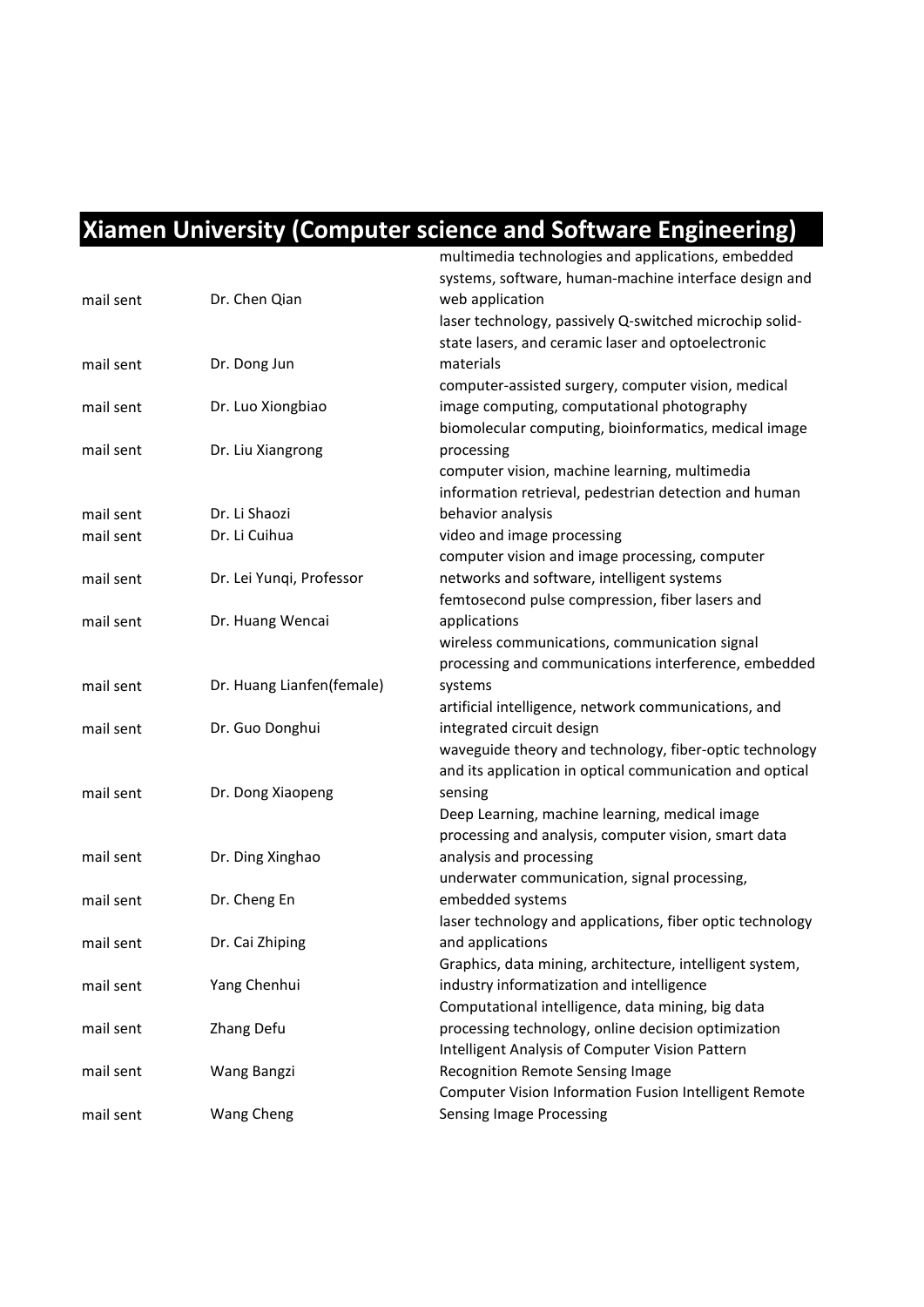#### **Xiamen University (Computer science and Software Engineering)**

|           |                           | multimedia technologies and applications, embedded        |
|-----------|---------------------------|-----------------------------------------------------------|
|           |                           | systems, software, human-machine interface design and     |
| mail sent | Dr. Chen Qian             | web application                                           |
|           |                           | laser technology, passively Q-switched microchip solid-   |
|           |                           | state lasers, and ceramic laser and optoelectronic        |
| mail sent | Dr. Dong Jun              | materials                                                 |
|           |                           | computer-assisted surgery, computer vision, medical       |
| mail sent | Dr. Luo Xiongbiao         | image computing, computational photography                |
|           |                           | biomolecular computing, bioinformatics, medical image     |
| mail sent | Dr. Liu Xiangrong         | processing                                                |
|           |                           | computer vision, machine learning, multimedia             |
|           |                           |                                                           |
|           |                           | information retrieval, pedestrian detection and human     |
| mail sent | Dr. Li Shaozi             | behavior analysis                                         |
| mail sent | Dr. Li Cuihua             | video and image processing                                |
|           |                           | computer vision and image processing, computer            |
| mail sent | Dr. Lei Yunqi, Professor  | networks and software, intelligent systems                |
|           |                           | femtosecond pulse compression, fiber lasers and           |
| mail sent | Dr. Huang Wencai          | applications                                              |
|           |                           | wireless communications, communication signal             |
|           |                           | processing and communications interference, embedded      |
| mail sent | Dr. Huang Lianfen(female) | systems                                                   |
|           |                           | artificial intelligence, network communications, and      |
| mail sent | Dr. Guo Donghui           | integrated circuit design                                 |
|           |                           | waveguide theory and technology, fiber-optic technology   |
|           |                           | and its application in optical communication and optical  |
| mail sent | Dr. Dong Xiaopeng         | sensing                                                   |
|           |                           | Deep Learning, machine learning, medical image            |
|           |                           | processing and analysis, computer vision, smart data      |
| mail sent | Dr. Ding Xinghao          | analysis and processing                                   |
|           |                           | underwater communication, signal processing,              |
| mail sent | Dr. Cheng En              | embedded systems                                          |
|           |                           | laser technology and applications, fiber optic technology |
| mail sent | Dr. Cai Zhiping           | and applications                                          |
|           |                           | Graphics, data mining, architecture, intelligent system,  |
| mail sent | Yang Chenhui              | industry informatization and intelligence                 |
|           |                           | Computational intelligence, data mining, big data         |
| mail sent | Zhang Defu                | processing technology, online decision optimization       |
|           |                           | Intelligent Analysis of Computer Vision Pattern           |
| mail sent | Wang Bangzi               | Recognition Remote Sensing Image                          |
|           |                           | Computer Vision Information Fusion Intelligent Remote     |
| mail sent | Wang Cheng                | <b>Sensing Image Processing</b>                           |
|           |                           |                                                           |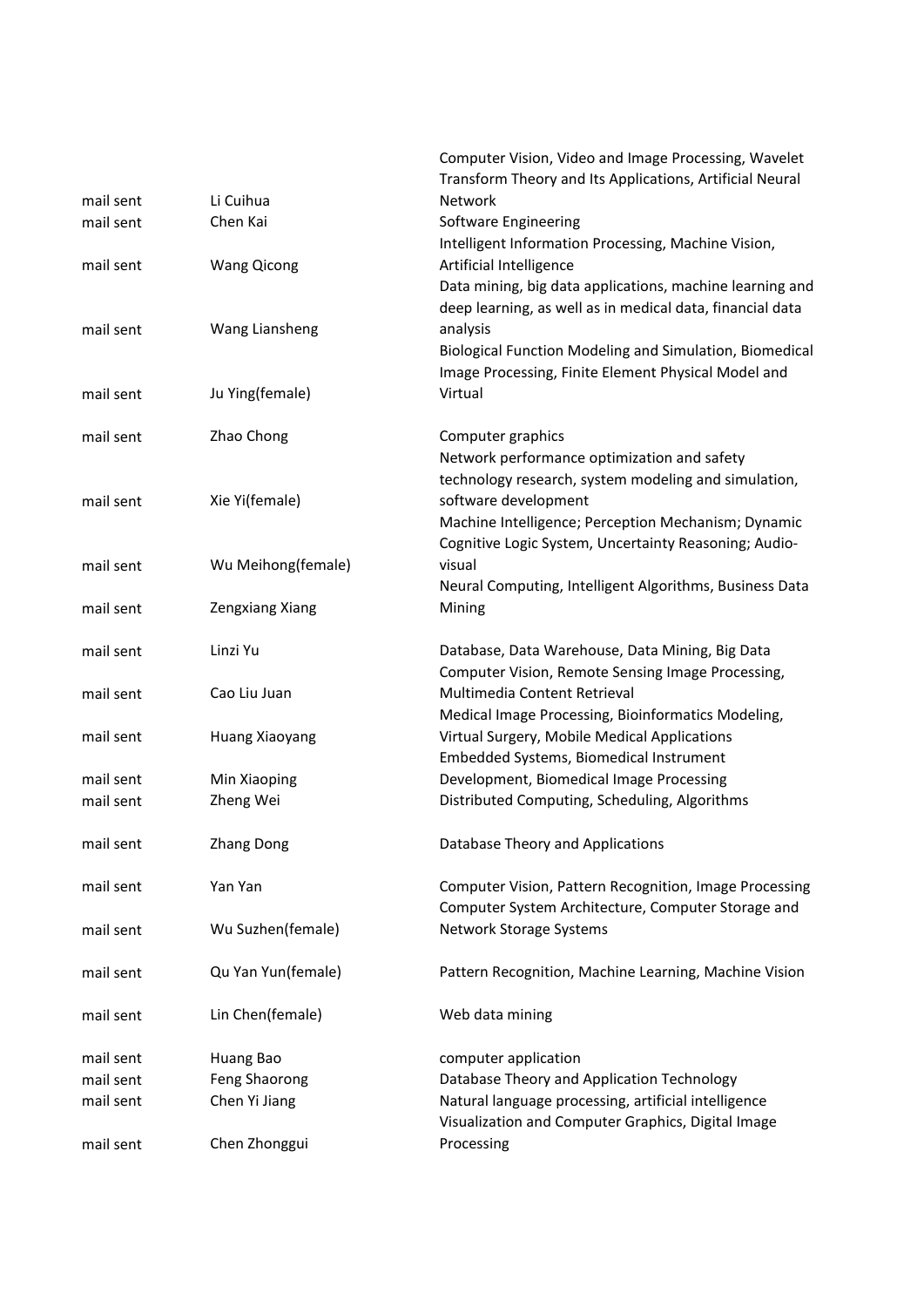|           |                    | Computer Vision, Video and Image Processing, Wavelet      |
|-----------|--------------------|-----------------------------------------------------------|
|           |                    | Transform Theory and Its Applications, Artificial Neural  |
| mail sent | Li Cuihua          | Network                                                   |
| mail sent | Chen Kai           | Software Engineering                                      |
|           |                    | Intelligent Information Processing, Machine Vision,       |
| mail sent | <b>Wang Qicong</b> | Artificial Intelligence                                   |
|           |                    | Data mining, big data applications, machine learning and  |
|           |                    | deep learning, as well as in medical data, financial data |
| mail sent | Wang Liansheng     | analysis                                                  |
|           |                    | Biological Function Modeling and Simulation, Biomedical   |
|           |                    | Image Processing, Finite Element Physical Model and       |
| mail sent | Ju Ying(female)    | Virtual                                                   |
|           |                    |                                                           |
| mail sent | Zhao Chong         | Computer graphics                                         |
|           |                    | Network performance optimization and safety               |
|           |                    | technology research, system modeling and simulation,      |
| mail sent | Xie Yi(female)     | software development                                      |
|           |                    | Machine Intelligence; Perception Mechanism; Dynamic       |
|           |                    |                                                           |
|           |                    | Cognitive Logic System, Uncertainty Reasoning; Audio-     |
| mail sent | Wu Meihong(female) | visual                                                    |
|           |                    | Neural Computing, Intelligent Algorithms, Business Data   |
| mail sent | Zengxiang Xiang    | Mining                                                    |
| mail sent | Linzi Yu           | Database, Data Warehouse, Data Mining, Big Data           |
|           |                    | Computer Vision, Remote Sensing Image Processing,         |
| mail sent | Cao Liu Juan       | Multimedia Content Retrieval                              |
|           |                    |                                                           |
|           |                    | Medical Image Processing, Bioinformatics Modeling,        |
| mail sent | Huang Xiaoyang     | Virtual Surgery, Mobile Medical Applications              |
|           |                    | Embedded Systems, Biomedical Instrument                   |
| mail sent | Min Xiaoping       | Development, Biomedical Image Processing                  |
| mail sent | Zheng Wei          | Distributed Computing, Scheduling, Algorithms             |
| mail sent | <b>Zhang Dong</b>  | Database Theory and Applications                          |
|           |                    |                                                           |
| mail sent | Yan Yan            | Computer Vision, Pattern Recognition, Image Processing    |
|           |                    | Computer System Architecture, Computer Storage and        |
| mail sent | Wu Suzhen(female)  | Network Storage Systems                                   |
|           |                    |                                                           |
| mail sent | Qu Yan Yun(female) | Pattern Recognition, Machine Learning, Machine Vision     |
|           |                    |                                                           |
| mail sent | Lin Chen(female)   | Web data mining                                           |
|           |                    |                                                           |
| mail sent | Huang Bao          | computer application                                      |
| mail sent | Feng Shaorong      | Database Theory and Application Technology                |
| mail sent | Chen Yi Jiang      | Natural language processing, artificial intelligence      |
|           |                    | Visualization and Computer Graphics, Digital Image        |
| mail sent | Chen Zhonggui      | Processing                                                |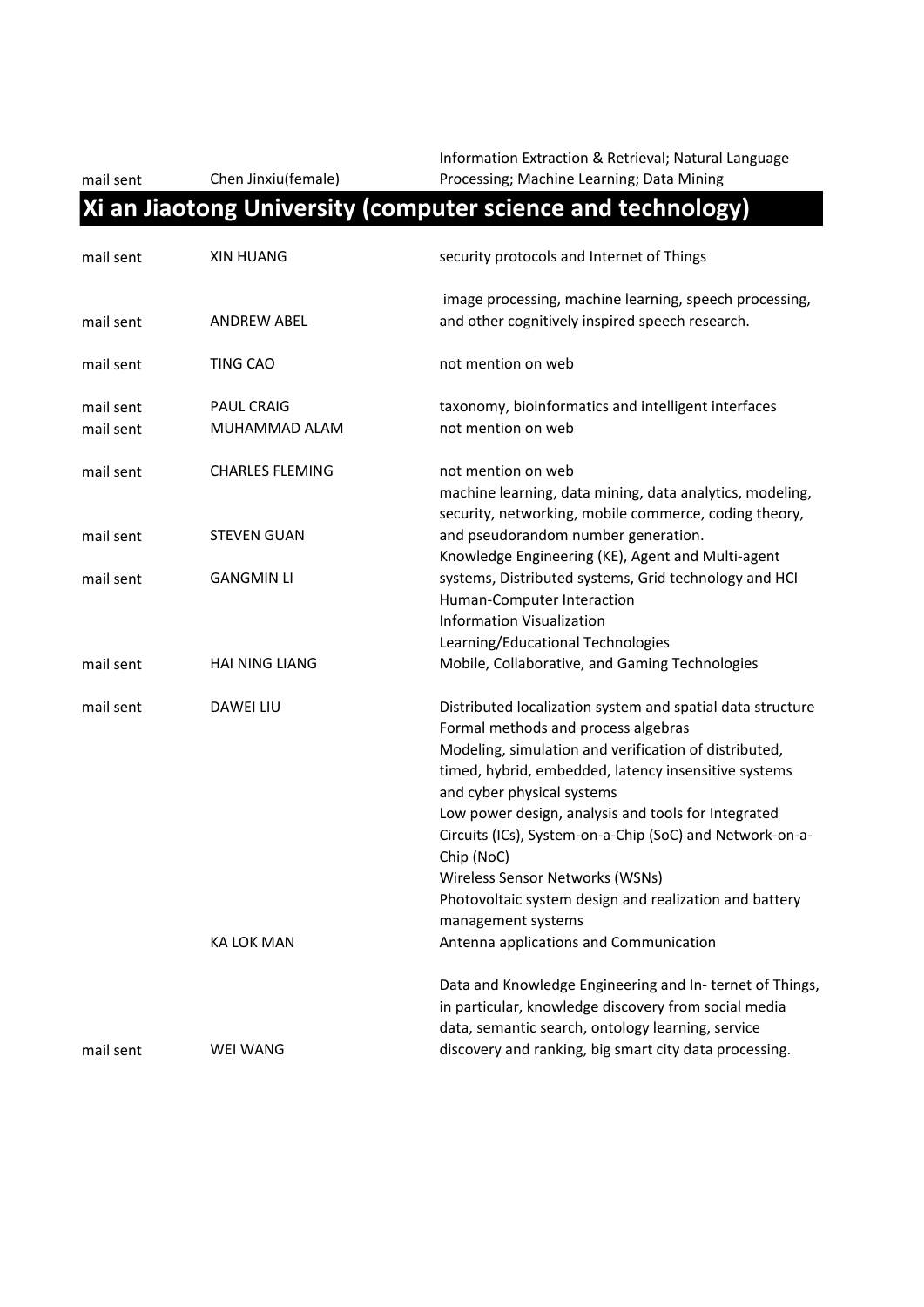mail sent Chen Jinxiu(female)

Information Extraction & Retrieval; Natural Language Processing; Machine Learning; Data Mining

#### **Xi an Jiaotong University (computer science and technology)**

| mail sent              | <b>XIN HUANG</b>                   | security protocols and Internet of Things                                                                                                                                                                                                                                                                                                                                                                                                                                                            |
|------------------------|------------------------------------|------------------------------------------------------------------------------------------------------------------------------------------------------------------------------------------------------------------------------------------------------------------------------------------------------------------------------------------------------------------------------------------------------------------------------------------------------------------------------------------------------|
| mail sent              | <b>ANDREW ABEL</b>                 | image processing, machine learning, speech processing,<br>and other cognitively inspired speech research.                                                                                                                                                                                                                                                                                                                                                                                            |
| mail sent              | TING CAO                           | not mention on web                                                                                                                                                                                                                                                                                                                                                                                                                                                                                   |
| mail sent<br>mail sent | <b>PAUL CRAIG</b><br>MUHAMMAD ALAM | taxonomy, bioinformatics and intelligent interfaces<br>not mention on web                                                                                                                                                                                                                                                                                                                                                                                                                            |
| mail sent              | <b>CHARLES FLEMING</b>             | not mention on web<br>machine learning, data mining, data analytics, modeling,<br>security, networking, mobile commerce, coding theory,                                                                                                                                                                                                                                                                                                                                                              |
| mail sent              | <b>STEVEN GUAN</b>                 | and pseudorandom number generation.<br>Knowledge Engineering (KE), Agent and Multi-agent                                                                                                                                                                                                                                                                                                                                                                                                             |
| mail sent              | <b>GANGMIN LI</b>                  | systems, Distributed systems, Grid technology and HCI<br>Human-Computer Interaction<br><b>Information Visualization</b><br>Learning/Educational Technologies                                                                                                                                                                                                                                                                                                                                         |
| mail sent              | <b>HAI NING LIANG</b>              | Mobile, Collaborative, and Gaming Technologies                                                                                                                                                                                                                                                                                                                                                                                                                                                       |
| mail sent              | <b>DAWEI LIU</b>                   | Distributed localization system and spatial data structure<br>Formal methods and process algebras<br>Modeling, simulation and verification of distributed,<br>timed, hybrid, embedded, latency insensitive systems<br>and cyber physical systems<br>Low power design, analysis and tools for Integrated<br>Circuits (ICs), System-on-a-Chip (SoC) and Network-on-a-<br>Chip (NoC)<br>Wireless Sensor Networks (WSNs)<br>Photovoltaic system design and realization and battery<br>management systems |
|                        | KA LOK MAN                         | Antenna applications and Communication                                                                                                                                                                                                                                                                                                                                                                                                                                                               |
|                        |                                    | Data and Knowledge Engineering and In-ternet of Things,<br>in particular, knowledge discovery from social media<br>data, semantic search, ontology learning, service                                                                                                                                                                                                                                                                                                                                 |
| mail sent              | <b>WEI WANG</b>                    | discovery and ranking, big smart city data processing.                                                                                                                                                                                                                                                                                                                                                                                                                                               |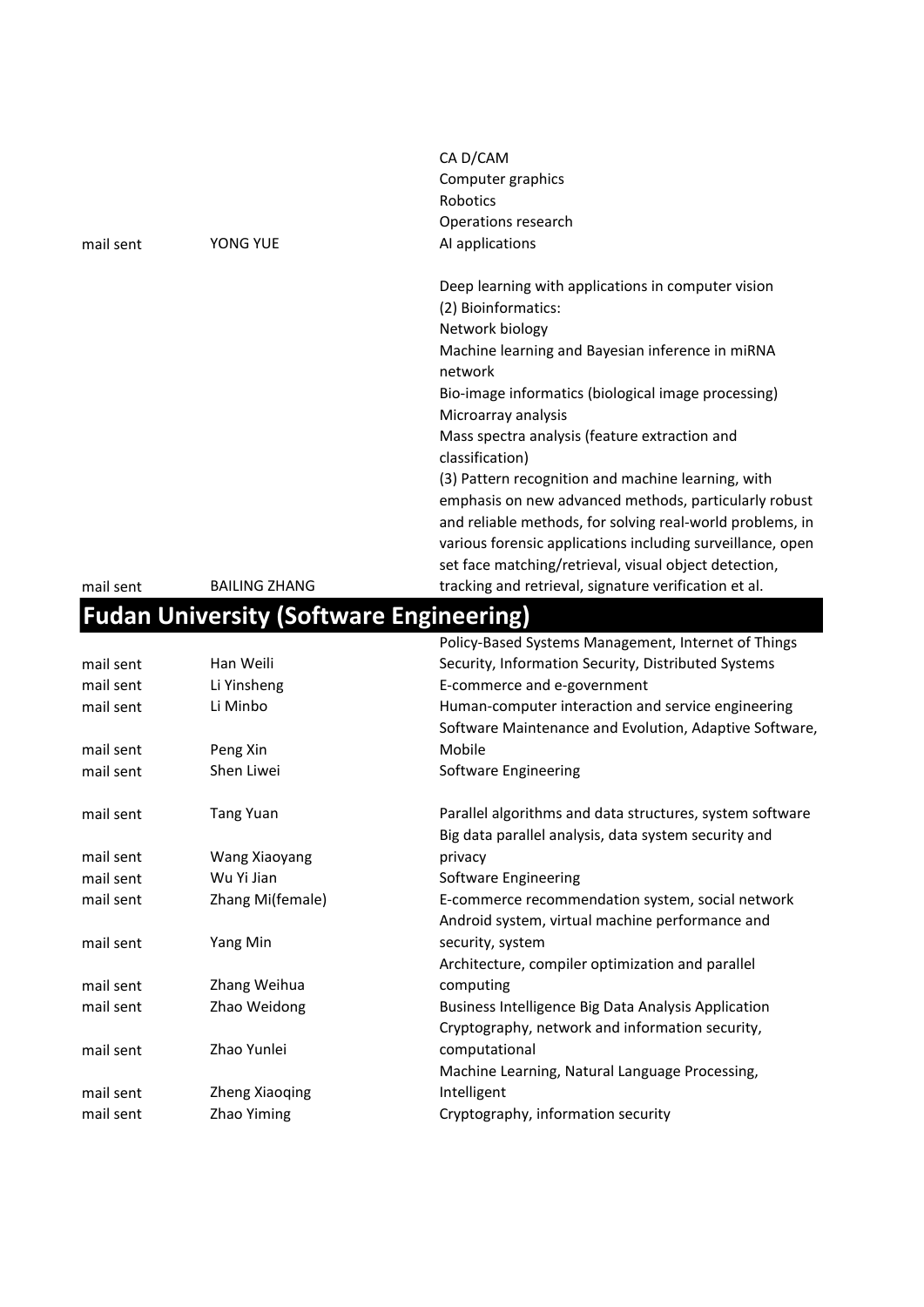|           |                      | CA D/CAM                                                                                                           |
|-----------|----------------------|--------------------------------------------------------------------------------------------------------------------|
|           |                      | Computer graphics                                                                                                  |
|           |                      | <b>Robotics</b>                                                                                                    |
|           |                      | Operations research                                                                                                |
| mail sent | YONG YUE             | AI applications                                                                                                    |
|           |                      | Deep learning with applications in computer vision                                                                 |
|           |                      | (2) Bioinformatics:                                                                                                |
|           |                      | Network biology                                                                                                    |
|           |                      | Machine learning and Bayesian inference in miRNA<br>network                                                        |
|           |                      | Bio-image informatics (biological image processing)<br>Microarray analysis                                         |
|           |                      | Mass spectra analysis (feature extraction and<br>classification)                                                   |
|           |                      | (3) Pattern recognition and machine learning, with                                                                 |
|           |                      | emphasis on new advanced methods, particularly robust<br>and reliable methods, for solving real-world problems, in |
|           |                      | various forensic applications including surveillance, open                                                         |
|           |                      | set face matching/retrieval, visual object detection,                                                              |
| mail sent | <b>BAILING ZHANG</b> | tracking and retrieval, signature verification et al.                                                              |

#### **Fudan University (Software Engineering)**

|           |                       | Policy-Based Systems Management, Internet of Things        |
|-----------|-----------------------|------------------------------------------------------------|
| mail sent | Han Weili             | Security, Information Security, Distributed Systems        |
| mail sent | Li Yinsheng           | E-commerce and e-government                                |
| mail sent | Li Minbo              | Human-computer interaction and service engineering         |
|           |                       | Software Maintenance and Evolution, Adaptive Software,     |
| mail sent | Peng Xin              | Mobile                                                     |
| mail sent | Shen Liwei            | Software Engineering                                       |
|           |                       |                                                            |
| mail sent | <b>Tang Yuan</b>      | Parallel algorithms and data structures, system software   |
|           |                       | Big data parallel analysis, data system security and       |
| mail sent | Wang Xiaoyang         | privacy                                                    |
| mail sent | Wu Yi Jian            | Software Engineering                                       |
| mail sent | Zhang Mi(female)      | E-commerce recommendation system, social network           |
|           |                       | Android system, virtual machine performance and            |
| mail sent | Yang Min              | security, system                                           |
|           |                       | Architecture, compiler optimization and parallel           |
| mail sent | Zhang Weihua          | computing                                                  |
| mail sent | Zhao Weidong          | <b>Business Intelligence Big Data Analysis Application</b> |
|           |                       | Cryptography, network and information security,            |
| mail sent | Zhao Yunlei           | computational                                              |
|           |                       | Machine Learning, Natural Language Processing,             |
| mail sent | <b>Zheng Xiaoqing</b> | Intelligent                                                |
| mail sent | Zhao Yiming           | Cryptography, information security                         |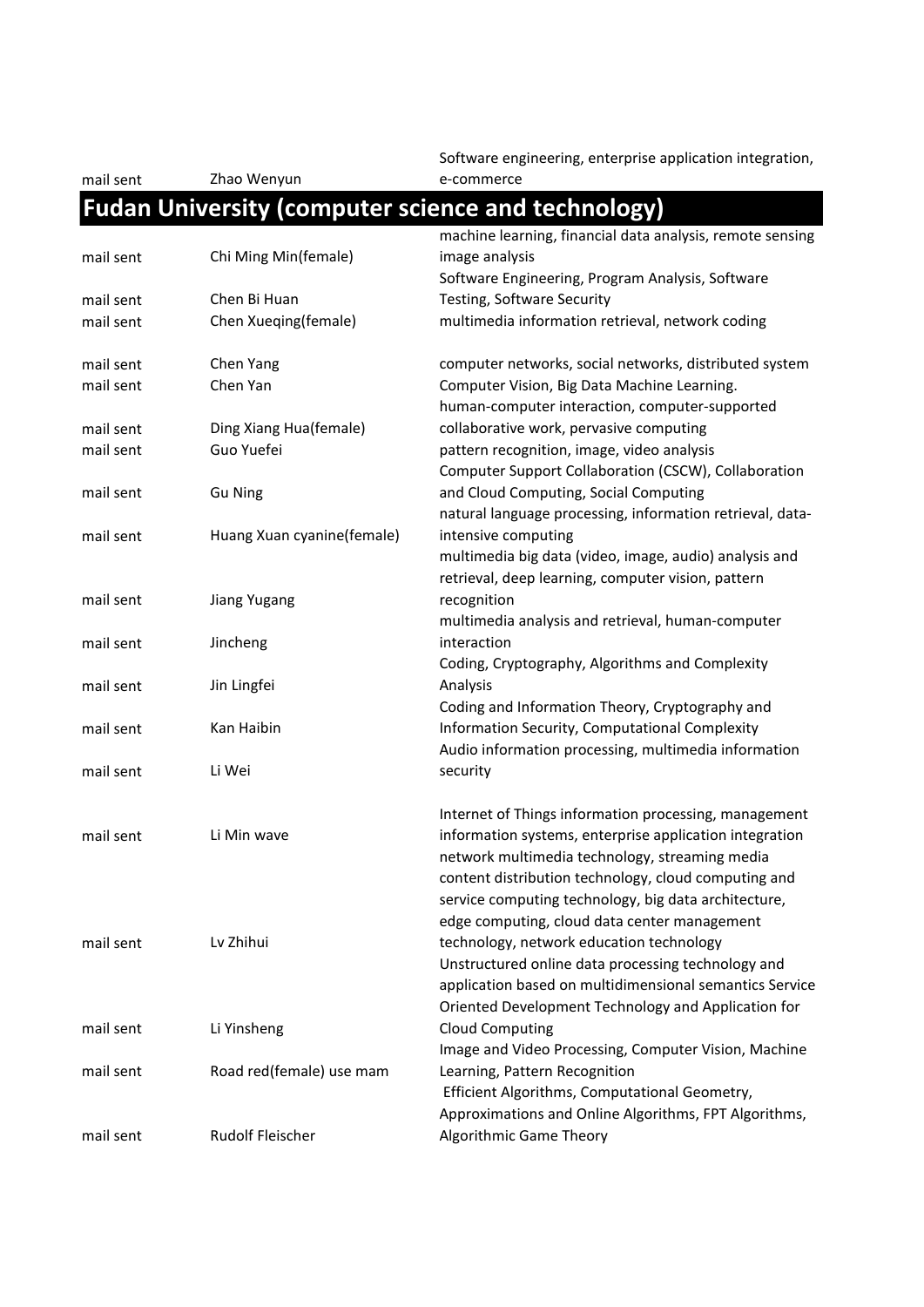mail sent Zhao Wenyun

Software engineering, enterprise application integration, e-commerce

### **Fudan University (computer science and technology)**

|           |                            | machine learning, financial data analysis, remote sensing |
|-----------|----------------------------|-----------------------------------------------------------|
| mail sent | Chi Ming Min(female)       | image analysis                                            |
|           |                            | Software Engineering, Program Analysis, Software          |
| mail sent | Chen Bi Huan               | Testing, Software Security                                |
| mail sent | Chen Xueqing(female)       | multimedia information retrieval, network coding          |
| mail sent | Chen Yang                  | computer networks, social networks, distributed system    |
| mail sent | Chen Yan                   | Computer Vision, Big Data Machine Learning.               |
|           |                            | human-computer interaction, computer-supported            |
| mail sent | Ding Xiang Hua(female)     | collaborative work, pervasive computing                   |
| mail sent | Guo Yuefei                 | pattern recognition, image, video analysis                |
|           |                            | Computer Support Collaboration (CSCW), Collaboration      |
| mail sent | <b>Gu Ning</b>             | and Cloud Computing, Social Computing                     |
|           |                            | natural language processing, information retrieval, data- |
| mail sent | Huang Xuan cyanine(female) | intensive computing                                       |
|           |                            | multimedia big data (video, image, audio) analysis and    |
|           |                            | retrieval, deep learning, computer vision, pattern        |
| mail sent | Jiang Yugang               | recognition                                               |
|           |                            | multimedia analysis and retrieval, human-computer         |
| mail sent | Jincheng                   | interaction                                               |
|           |                            | Coding, Cryptography, Algorithms and Complexity           |
| mail sent | Jin Lingfei                | Analysis                                                  |
|           |                            | Coding and Information Theory, Cryptography and           |
| mail sent | Kan Haibin                 | Information Security, Computational Complexity            |
|           |                            | Audio information processing, multimedia information      |
| mail sent | Li Wei                     | security                                                  |
|           |                            | Internet of Things information processing, management     |
| mail sent | Li Min wave                | information systems, enterprise application integration   |
|           |                            | network multimedia technology, streaming media            |
|           |                            | content distribution technology, cloud computing and      |
|           |                            | service computing technology, big data architecture,      |
|           |                            | edge computing, cloud data center management              |
| mail sent | Lv Zhihui                  | technology, network education technology                  |
|           |                            | Unstructured online data processing technology and        |
|           |                            | application based on multidimensional semantics Service   |
|           |                            | Oriented Development Technology and Application for       |
| mail sent | Li Yinsheng                | <b>Cloud Computing</b>                                    |
|           |                            | Image and Video Processing, Computer Vision, Machine      |
| mail sent | Road red(female) use mam   | Learning, Pattern Recognition                             |
|           |                            | Efficient Algorithms, Computational Geometry,             |
|           |                            | Approximations and Online Algorithms, FPT Algorithms,     |
| mail sent | Rudolf Fleischer           | <b>Algorithmic Game Theory</b>                            |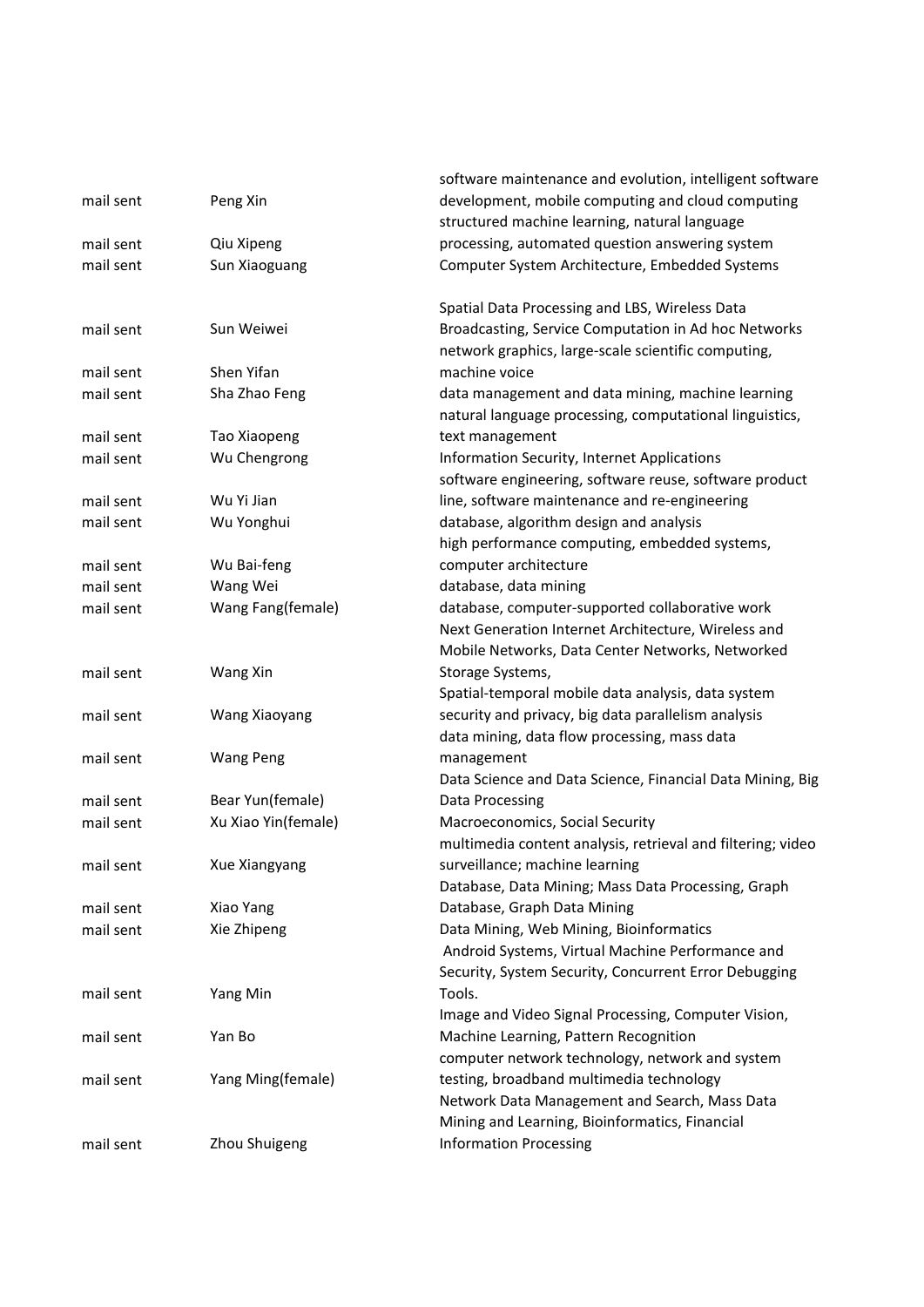|           |                     | software maintenance and evolution, intelligent software                                                     |
|-----------|---------------------|--------------------------------------------------------------------------------------------------------------|
| mail sent | Peng Xin            | development, mobile computing and cloud computing                                                            |
|           |                     | structured machine learning, natural language                                                                |
| mail sent | Qiu Xipeng          | processing, automated question answering system                                                              |
| mail sent | Sun Xiaoguang       | Computer System Architecture, Embedded Systems                                                               |
|           |                     | Spatial Data Processing and LBS, Wireless Data                                                               |
| mail sent | Sun Weiwei          | Broadcasting, Service Computation in Ad hoc Networks                                                         |
|           |                     | network graphics, large-scale scientific computing,                                                          |
| mail sent | Shen Yifan          | machine voice                                                                                                |
| mail sent | Sha Zhao Feng       | data management and data mining, machine learning<br>natural language processing, computational linguistics, |
| mail sent | Tao Xiaopeng        | text management                                                                                              |
| mail sent | Wu Chengrong        | Information Security, Internet Applications                                                                  |
|           |                     | software engineering, software reuse, software product                                                       |
| mail sent | Wu Yi Jian          | line, software maintenance and re-engineering                                                                |
| mail sent | Wu Yonghui          | database, algorithm design and analysis                                                                      |
|           |                     | high performance computing, embedded systems,                                                                |
| mail sent | Wu Bai-feng         | computer architecture                                                                                        |
| mail sent | Wang Wei            | database, data mining                                                                                        |
| mail sent | Wang Fang(female)   | database, computer-supported collaborative work                                                              |
|           |                     | Next Generation Internet Architecture, Wireless and                                                          |
|           |                     | Mobile Networks, Data Center Networks, Networked                                                             |
| mail sent | Wang Xin            | Storage Systems,                                                                                             |
|           |                     | Spatial-temporal mobile data analysis, data system                                                           |
| mail sent | Wang Xiaoyang       | security and privacy, big data parallelism analysis                                                          |
|           |                     | data mining, data flow processing, mass data                                                                 |
| mail sent | <b>Wang Peng</b>    | management                                                                                                   |
|           |                     | Data Science and Data Science, Financial Data Mining, Big                                                    |
| mail sent | Bear Yun(female)    | Data Processing                                                                                              |
| mail sent | Xu Xiao Yin(female) | Macroeconomics, Social Security                                                                              |
|           |                     | multimedia content analysis, retrieval and filtering; video                                                  |
| mail sent | Xue Xiangyang       | surveillance; machine learning                                                                               |
|           |                     | Database, Data Mining; Mass Data Processing, Graph                                                           |
| mail sent | Xiao Yang           | Database, Graph Data Mining                                                                                  |
| mail sent | Xie Zhipeng         | Data Mining, Web Mining, Bioinformatics                                                                      |
|           |                     | Android Systems, Virtual Machine Performance and                                                             |
|           |                     | Security, System Security, Concurrent Error Debugging                                                        |
| mail sent | Yang Min            | Tools.                                                                                                       |
|           |                     | Image and Video Signal Processing, Computer Vision,                                                          |
| mail sent | Yan Bo              | Machine Learning, Pattern Recognition                                                                        |
|           |                     | computer network technology, network and system                                                              |
| mail sent | Yang Ming(female)   | testing, broadband multimedia technology                                                                     |
|           |                     | Network Data Management and Search, Mass Data                                                                |
|           |                     | Mining and Learning, Bioinformatics, Financial                                                               |
| mail sent | Zhou Shuigeng       | <b>Information Processing</b>                                                                                |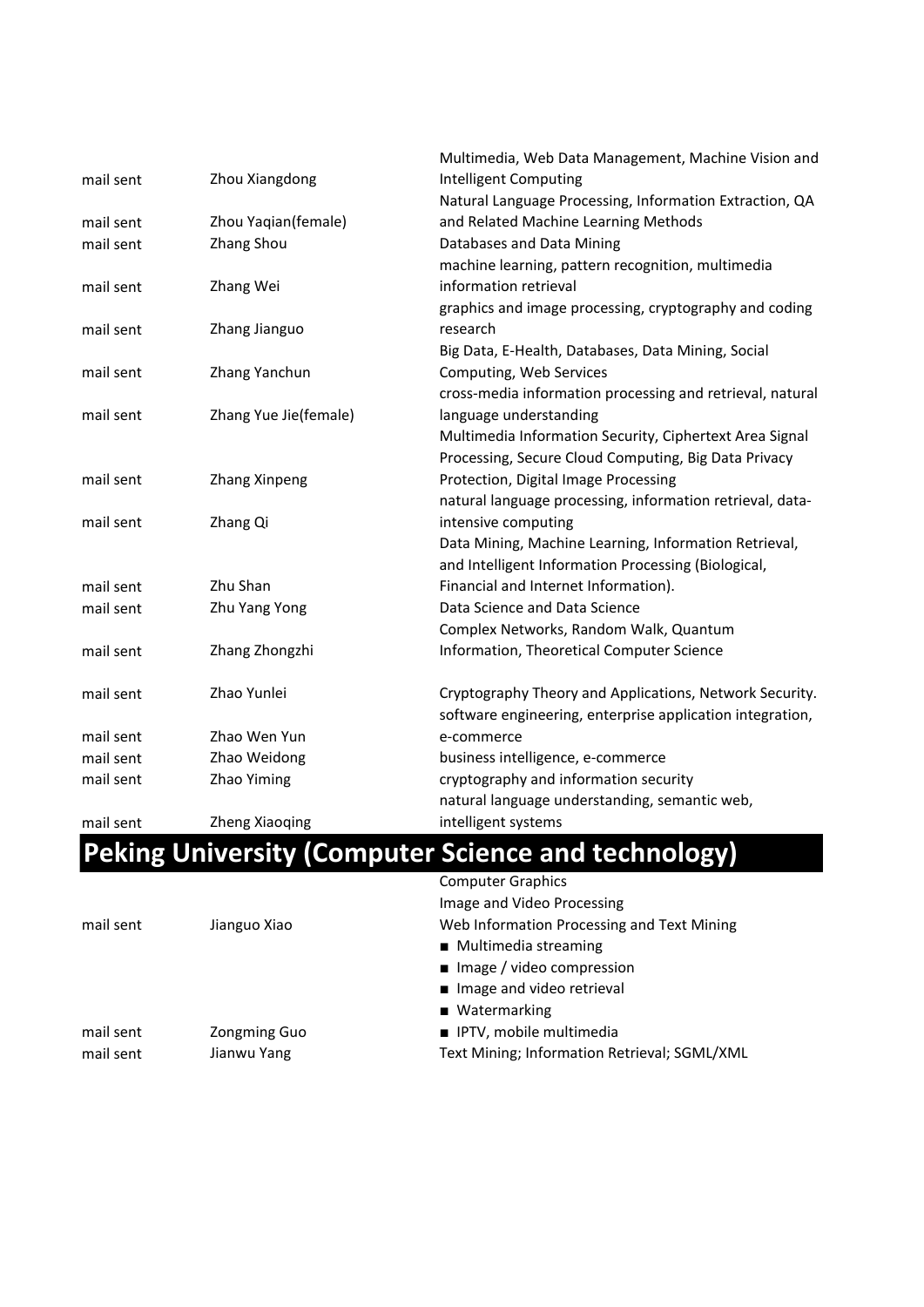|           |                       | Multimedia, Web Data Management, Machine Vision and        |
|-----------|-----------------------|------------------------------------------------------------|
| mail sent | Zhou Xiangdong        | <b>Intelligent Computing</b>                               |
|           |                       | Natural Language Processing, Information Extraction, QA    |
| mail sent | Zhou Yaqian(female)   | and Related Machine Learning Methods                       |
| mail sent | Zhang Shou            | Databases and Data Mining                                  |
|           |                       | machine learning, pattern recognition, multimedia          |
| mail sent | Zhang Wei             | information retrieval                                      |
|           |                       | graphics and image processing, cryptography and coding     |
| mail sent | Zhang Jianguo         | research                                                   |
|           |                       | Big Data, E-Health, Databases, Data Mining, Social         |
| mail sent | Zhang Yanchun         | Computing, Web Services                                    |
|           |                       | cross-media information processing and retrieval, natural  |
| mail sent | Zhang Yue Jie(female) | language understanding                                     |
|           |                       | Multimedia Information Security, Ciphertext Area Signal    |
|           |                       | Processing, Secure Cloud Computing, Big Data Privacy       |
| mail sent | Zhang Xinpeng         | Protection, Digital Image Processing                       |
|           |                       | natural language processing, information retrieval, data-  |
| mail sent | Zhang Qi              | intensive computing                                        |
|           |                       | Data Mining, Machine Learning, Information Retrieval,      |
|           |                       | and Intelligent Information Processing (Biological,        |
| mail sent | Zhu Shan              | Financial and Internet Information).                       |
| mail sent | Zhu Yang Yong         | Data Science and Data Science                              |
|           |                       | Complex Networks, Random Walk, Quantum                     |
| mail sent | Zhang Zhongzhi        | Information, Theoretical Computer Science                  |
| mail sent | Zhao Yunlei           | Cryptography Theory and Applications, Network Security.    |
|           |                       | software engineering, enterprise application integration,  |
| mail sent | Zhao Wen Yun          | e-commerce                                                 |
| mail sent | Zhao Weidong          | business intelligence, e-commerce                          |
| mail sent | Zhao Yiming           | cryptography and information security                      |
|           |                       | natural language understanding, semantic web,              |
| mail sent | <b>Zheng Xiaoqing</b> | intelligent systems                                        |
|           |                       | <b>Peking University (Computer Science and technology)</b> |
|           |                       |                                                            |

|           |                     | <b>Computer Graphics</b>                     |
|-----------|---------------------|----------------------------------------------|
|           |                     | Image and Video Processing                   |
| mail sent | Jianguo Xiao        | Web Information Processing and Text Mining   |
|           |                     | ■ Multimedia streaming                       |
|           |                     | $\blacksquare$ Image / video compression     |
|           |                     | Image and video retrieval                    |
|           |                     | $\blacksquare$ Watermarking                  |
| mail sent | <b>Zongming Guo</b> | ■ IPTV, mobile multimedia                    |
| mail sent | Jianwu Yang         | Text Mining; Information Retrieval; SGML/XML |
|           |                     |                                              |
|           |                     |                                              |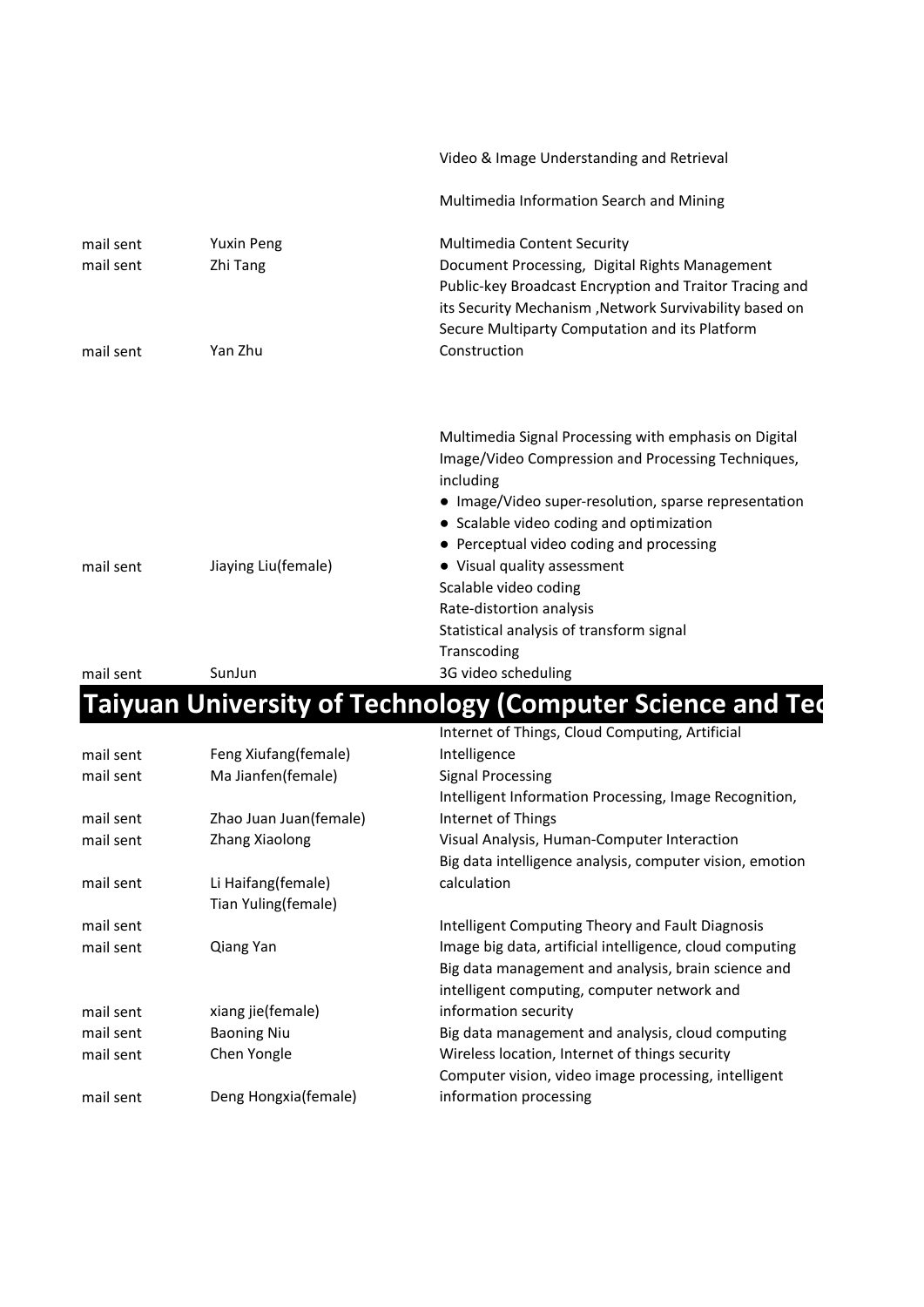|                        |                               | Video & Image Understanding and Retrieval                                                         |
|------------------------|-------------------------------|---------------------------------------------------------------------------------------------------|
|                        |                               | Multimedia Information Search and Mining                                                          |
| mail sent<br>mail sent | <b>Yuxin Peng</b><br>Zhi Tang | <b>Multimedia Content Security</b><br>Document Processing, Digital Rights Management              |
|                        |                               | Public-key Broadcast Encryption and Traitor Tracing and                                           |
|                        |                               | its Security Mechanism, Network Survivability based on                                            |
|                        |                               | Secure Multiparty Computation and its Platform                                                    |
| mail sent              | Yan Zhu                       | Construction                                                                                      |
|                        |                               |                                                                                                   |
|                        |                               | Multimedia Signal Processing with emphasis on Digital                                             |
|                        |                               | Image/Video Compression and Processing Techniques,<br>including                                   |
|                        |                               | • Image/Video super-resolution, sparse representation<br>• Scalable video coding and optimization |
|                        |                               | • Perceptual video coding and processing                                                          |
| mail sent              | Jiaying Liu(female)           | • Visual quality assessment                                                                       |
|                        |                               | Scalable video coding                                                                             |
|                        |                               | Rate-distortion analysis                                                                          |
|                        |                               | Statistical analysis of transform signal                                                          |
|                        |                               | Transcoding                                                                                       |
| mail sent              | SunJun                        | 3G video scheduling                                                                               |

# **Taiyuan University of Technology (Computer Science and Ted**

|           |                        | Internet of Things, Cloud Computing, Artificial          |
|-----------|------------------------|----------------------------------------------------------|
| mail sent | Feng Xiufang(female)   | Intelligence                                             |
| mail sent | Ma Jianfen(female)     | <b>Signal Processing</b>                                 |
|           |                        | Intelligent Information Processing, Image Recognition,   |
| mail sent | Zhao Juan Juan(female) | Internet of Things                                       |
| mail sent | Zhang Xiaolong         | Visual Analysis, Human-Computer Interaction              |
|           |                        | Big data intelligence analysis, computer vision, emotion |
| mail sent | Li Haifang(female)     | calculation                                              |
|           | Tian Yuling(female)    |                                                          |
| mail sent |                        | Intelligent Computing Theory and Fault Diagnosis         |
| mail sent | Qiang Yan              | Image big data, artificial intelligence, cloud computing |
|           |                        | Big data management and analysis, brain science and      |
|           |                        | intelligent computing, computer network and              |
| mail sent | xiang jie(female)      | information security                                     |
| mail sent | <b>Baoning Niu</b>     | Big data management and analysis, cloud computing        |
| mail sent | Chen Yongle            | Wireless location, Internet of things security           |
|           |                        | Computer vision, video image processing, intelligent     |
| mail sent | Deng Hongxia(female)   | information processing                                   |
|           |                        |                                                          |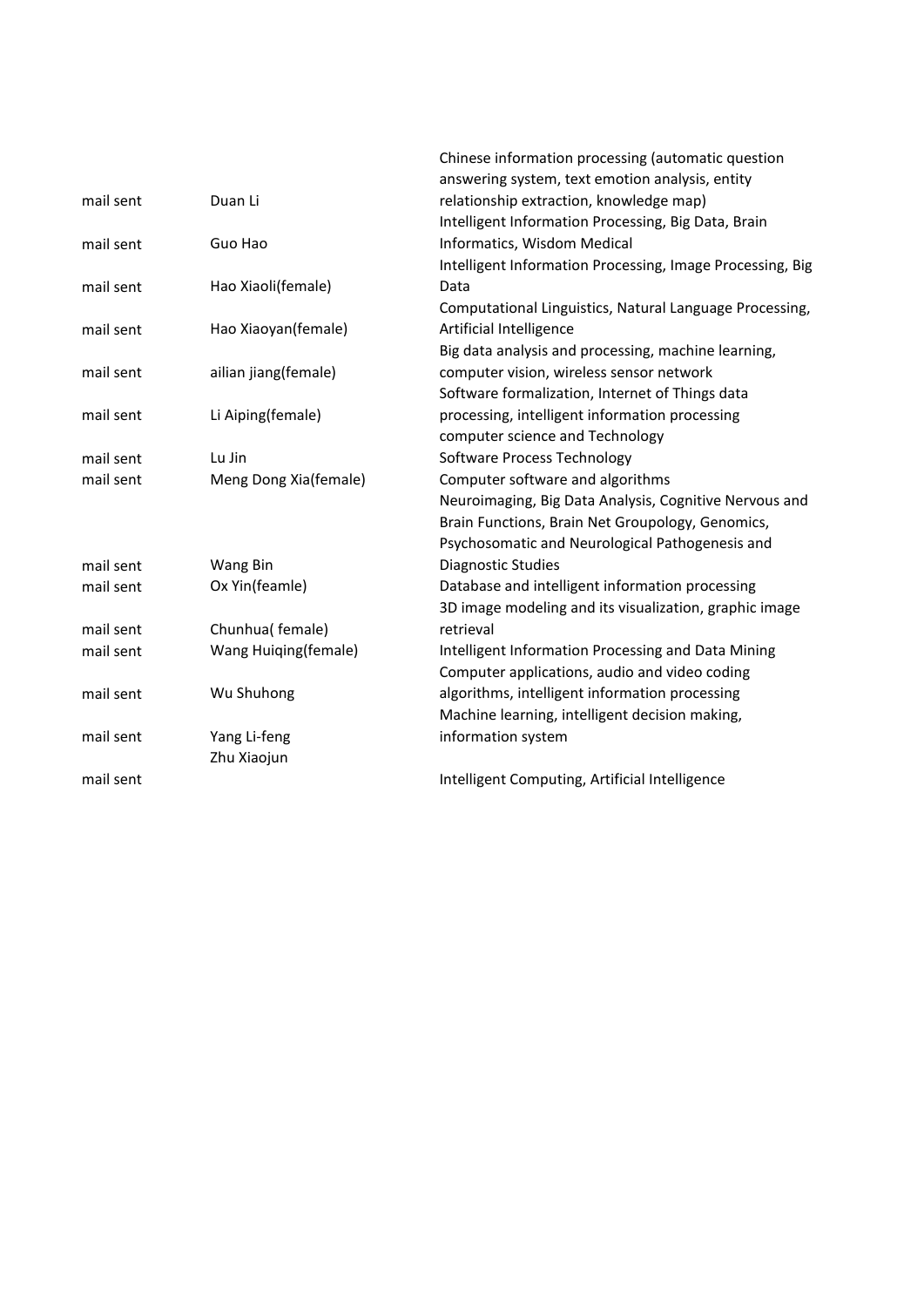|           |                       | Chinese information processing (automatic question        |
|-----------|-----------------------|-----------------------------------------------------------|
|           |                       | answering system, text emotion analysis, entity           |
| mail sent | Duan Li               | relationship extraction, knowledge map)                   |
|           |                       | Intelligent Information Processing, Big Data, Brain       |
| mail sent | Guo Hao               | Informatics, Wisdom Medical                               |
|           |                       | Intelligent Information Processing, Image Processing, Big |
| mail sent | Hao Xiaoli(female)    | Data                                                      |
|           |                       | Computational Linguistics, Natural Language Processing,   |
| mail sent | Hao Xiaoyan(female)   | Artificial Intelligence                                   |
|           |                       | Big data analysis and processing, machine learning,       |
| mail sent | ailian jiang(female)  | computer vision, wireless sensor network                  |
|           |                       | Software formalization, Internet of Things data           |
| mail sent | Li Aiping(female)     | processing, intelligent information processing            |
|           |                       | computer science and Technology                           |
| mail sent | Lu Jin                | Software Process Technology                               |
| mail sent | Meng Dong Xia(female) | Computer software and algorithms                          |
|           |                       | Neuroimaging, Big Data Analysis, Cognitive Nervous and    |
|           |                       | Brain Functions, Brain Net Groupology, Genomics,          |
|           |                       | Psychosomatic and Neurological Pathogenesis and           |
| mail sent | Wang Bin              | <b>Diagnostic Studies</b>                                 |
| mail sent | Ox Yin(feamle)        | Database and intelligent information processing           |
|           |                       | 3D image modeling and its visualization, graphic image    |
| mail sent | Chunhua(female)       | retrieval                                                 |
| mail sent | Wang Huiqing(female)  | Intelligent Information Processing and Data Mining        |
|           |                       | Computer applications, audio and video coding             |
| mail sent | Wu Shuhong            | algorithms, intelligent information processing            |
|           |                       | Machine learning, intelligent decision making,            |
| mail sent | Yang Li-feng          | information system                                        |
|           | Zhu Xiaojun           |                                                           |
| mail sent |                       | Intelligent Computing, Artificial Intelligence            |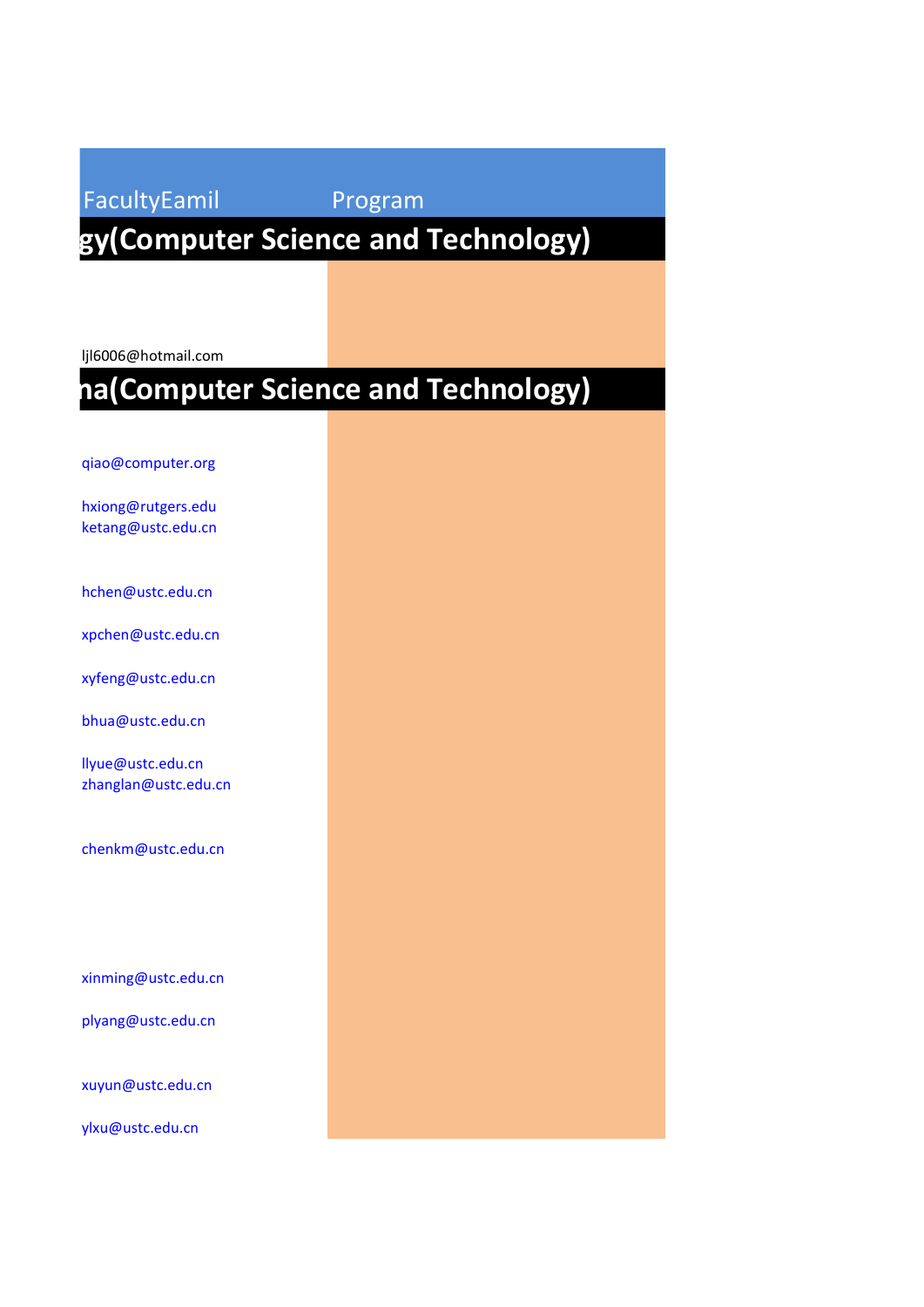### FacultyEamil Program  **Nanjing University of Science and Technology(Computer Science and Technology)**

ljl6006@hotmail.com

## **na(Computer Science and Technology)**

[qiao@computer.org](mailto:qiao@computer.org)

[hxiong@rutgers.edu](mailto:hxiong@rutgers.edu) [ketang@ustc.edu.cn](mailto:ketang@ustc.edu.cn)

[hchen@ustc.edu.cn](mailto:hchen@ustc.edu.cn)

[xpchen@ustc.edu.cn](mailto:xpchen@ustc.edu.cn)

[xyfeng@ustc.edu.cn](mailto:xyfeng@ustc.edu.cn) 

[bhua@ustc.edu.cn](mailto:bhua@ustc.edu.cn) 

[llyue@ustc.edu.cn](mailto:llyue@ustc.edu.cn) [zhanglan@ustc.edu.cn](mailto:zhanglan@ustc.edu.cn)

[chenkm@ustc.edu.cn](mailto:chenkm@ustc.edu.cn)

[xinming@ustc.edu.cn](mailto:xinming@ustc.edu.cn)

[plyang@ustc.edu.cn](mailto:plyang@ustc.edu.cn) 

[xuyun@ustc.edu.cn](mailto:xuyun@ustc.edu.cn)

[ylxu@ustc.edu.cn](mailto:ylxu@ustc.edu.cn)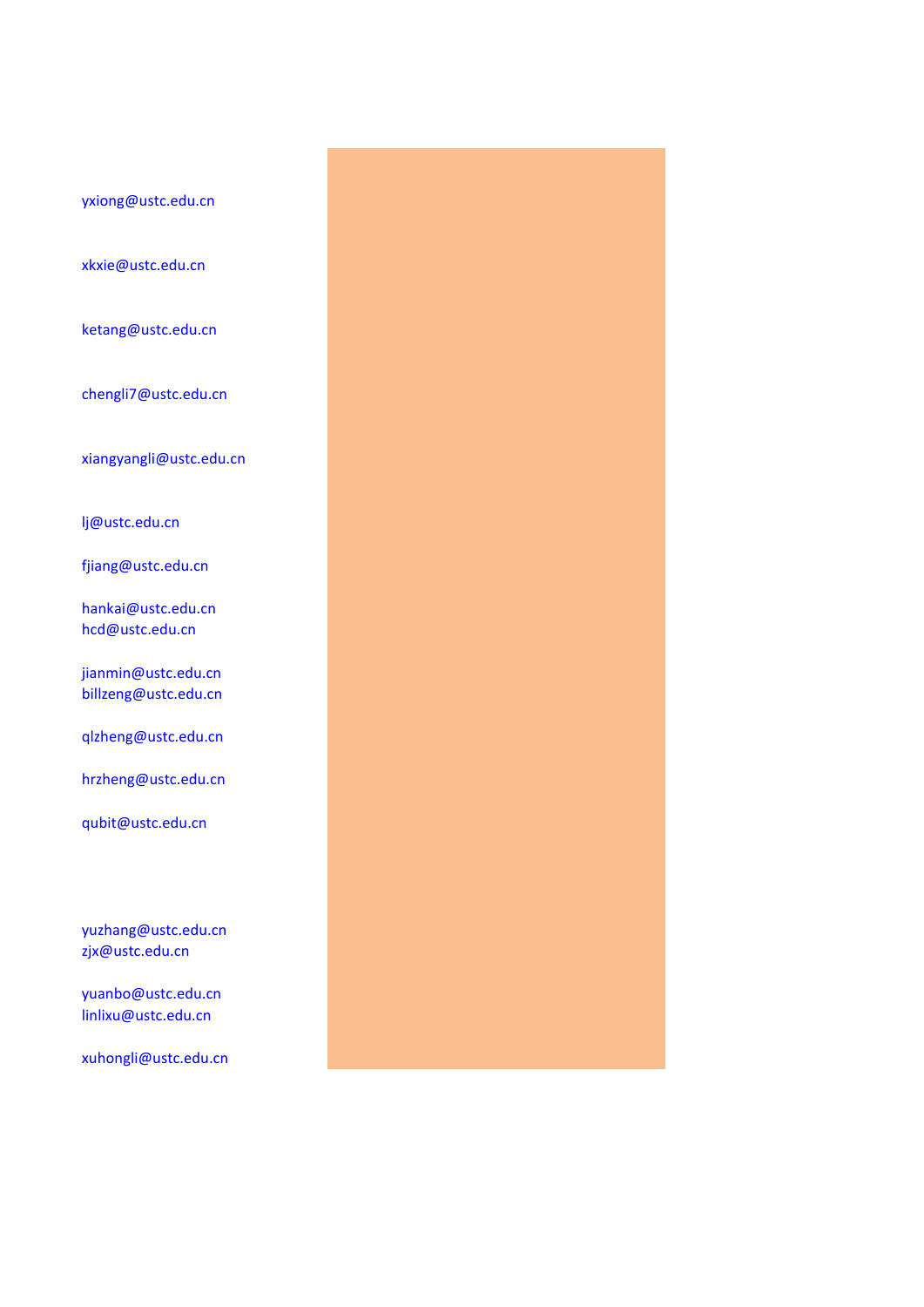[yxiong@ustc.edu.cn](mailto:yxiong@ustc.edu.cn)

[xkxie@ustc.edu.cn](mailto:xkxie@ustc.edu.cn)

[ketang@ustc.edu.cn](mailto:ketang@ustc.edu.cn)

[chengli7@ustc.edu.cn](mailto:chengli7@ustc.edu.cn)

[xiangyangli@ustc.edu.cn](mailto:xiangyangli@ustc.edu.cn)

[lj@ustc.edu.cn](mailto:lj@ustc.edu.cn)

[fjiang@ustc.edu.cn](mailto:fjiang@ustc.edu.cn)

[hankai@ustc.edu.cn](mailto:hankai@ustc.edu.cn) [hcd@ustc.edu.cn](mailto:hcd@ustc.edu.cn) 

[jianmin@ustc.edu.cn](mailto:jianmin@ustc.edu.cn) [billzeng@ustc.edu.cn](mailto:billzeng@ustc.edu.cn)

[qlzheng@ustc.edu.cn](mailto:qlzheng@ustc.edu.cn)

[hrzheng@ustc.edu.cn](mailto:hrzheng@ustc.edu.cn)

[qubit@ustc.edu.cn](mailto:qubit@ustc.edu.cn)

[yuzhang@ustc.edu.cn](mailto:yuzhang@ustc.edu.cn) [zjx@ustc.edu.cn](mailto:zjx@ustc.edu.cn　)

[yuanbo@ustc.edu.cn](mailto:yuanbo@ustc.edu.cn)  [linlixu@ustc.edu.cn](mailto:linlixu@ustc.edu.cn)

[xuhongli@ustc.edu.cn](mailto:xuhongli@ustc.edu.cn)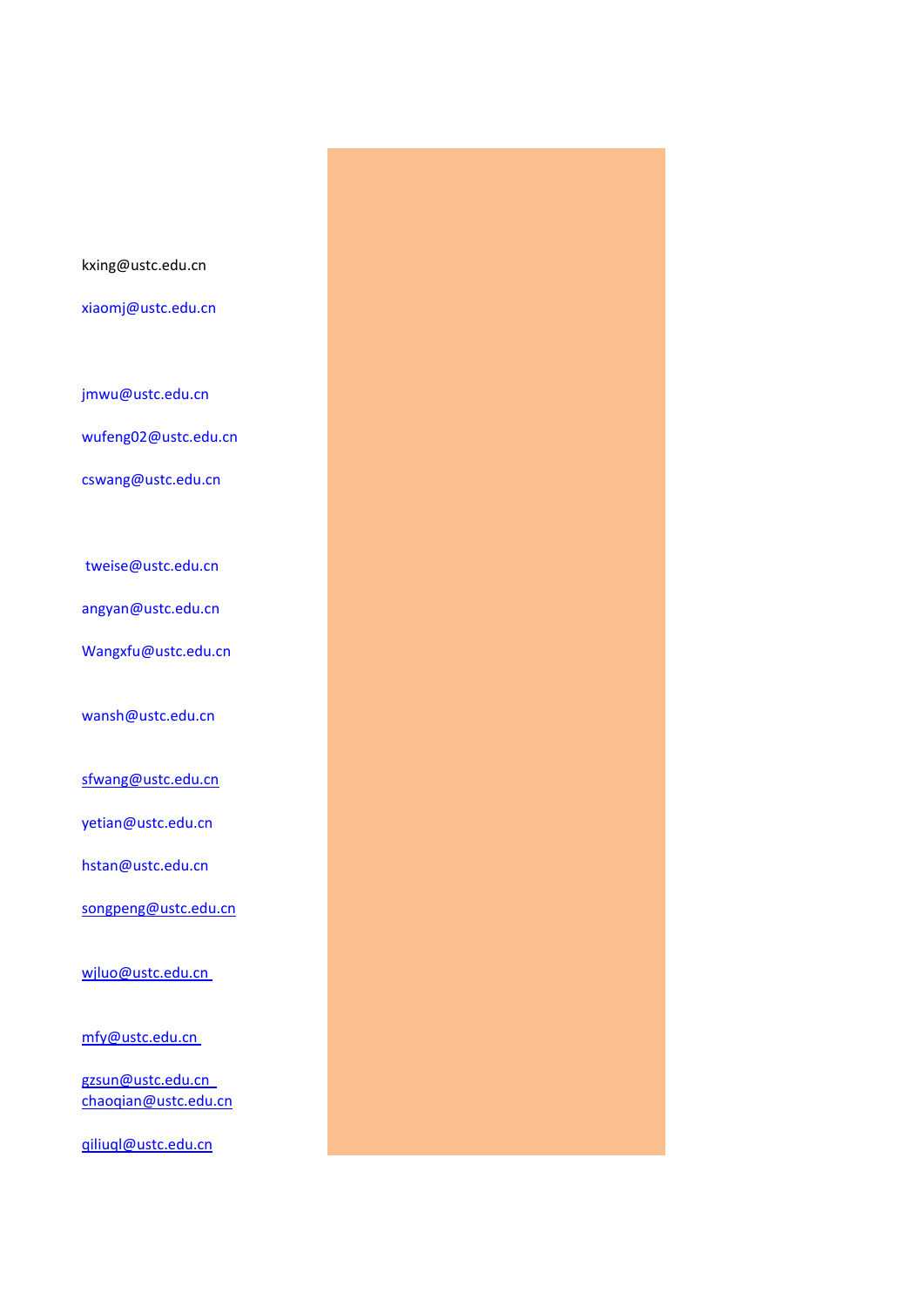tweise@ustc.edu.cn [angyan@ustc.edu.cn](mailto:angyan@ustc.edu.cn) [Wangxfu@ustc.edu.cn](mailto:Wangxfu@ustc.edu.cn) [wansh@ustc.edu.cn](mailto:wansh@ustc.edu.cn)  [sfwang@ustc.edu.cn](mailto:sfwang@ustc.edu.cn) [yetian@ustc.edu.cn](mailto:yetian@ustc.edu.cn)  [hstan@ustc.edu.cn](mailto:hstan@ustc.edu.cn) [songpeng@ustc.edu.cn](mailto:songpeng@ustc.edu.cn) [wjluo@ustc.edu.cn](mailto:wjluo@ustc.edu.cn)  [mfy@ustc.edu.cn](mailto:mfy@ustc.edu.cn)  [gzsun@ustc.edu.cn](mailto:gzsun@ustc.edu.cn)  [chaoqian@ustc.edu.cn](mailto:chaoqian@ustc.edu.cn)

kxing@ustc.edu.cn

[xiaomj@ustc.edu.cn](mailto:xiaomj@ustc.edu.cn) 

[jmwu@ustc.edu.cn](mailto:jmwu@ustc.edu.cn)

[wufeng02@ustc.edu.cn](mailto:wufeng02@ustc.edu.cn) 

[cswang@ustc.edu.cn](mailto:cswang@ustc.edu.cn) 

[qiliuql@ustc.edu.cn](mailto:qiliuql@ustc.edu.cn)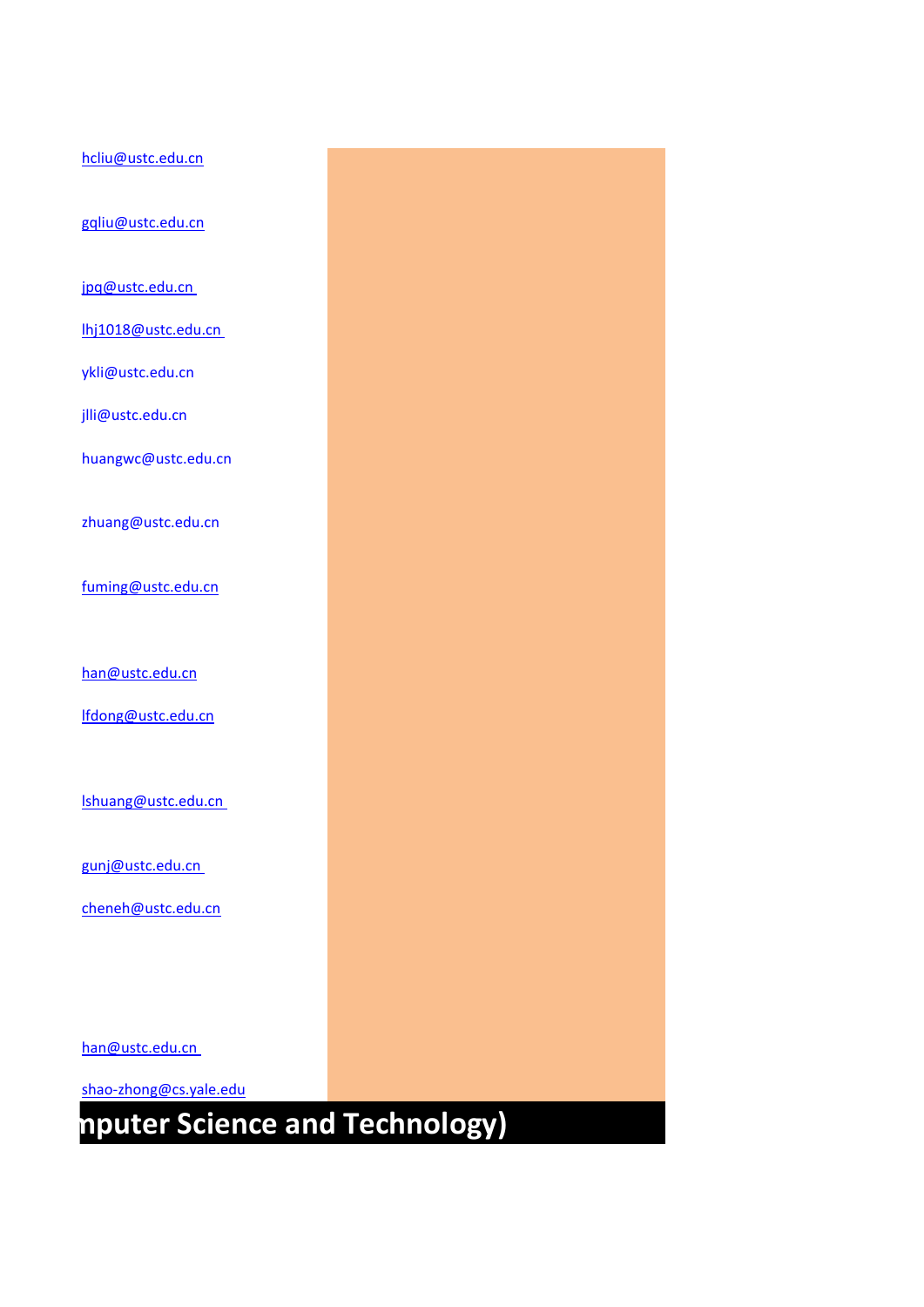# **Nanjing Indeep and Technology)**

[han@ustc.edu.cn](mailto:han@ustc.edu.cn) 

[shao-zhong@cs.yale.edu](mailto:shao-zhong@cs.yale.edu)

[gunj@ustc.edu.cn](mailto:gunj@ustc.edu.cn)  [cheneh@ustc.edu.cn](mailto:cheneh@ustc.edu.cn)

[lshuang@ustc.edu.cn](mailto:lshuang@ustc.edu.cn) 

[lfdong@ustc.edu.cn](mailto:lfdong@ustc.edu.cn)

[han@ustc.edu.cn](mailto:han@ustc.edu.cn)

[fuming@ustc.edu.cn](mailto:fuming@ustc.edu.cn)

[zhuang@ustc.edu.cn](mailto:zhuang@ustc.edu.cn) 

[huangwc@ustc.edu.cn](mailto:huangwc@ustc.edu.cn)

[jlli@ustc.edu.cn](mailto:jlli@ustc.edu.cn)

[lhj1018@ustc.edu.cn](mailto:lhj1018@ustc.edu.cn) 

[ykli@ustc.edu.cn](mailto:ykli@ustc.edu.cn)

[hcliu@ustc.edu.cn](mailto:hcliu@ustc.edu.cn)

[gqliu@ustc.edu.cn](mailto:gqliu@ustc.edu.cn)

[jpq@ustc.edu.cn](mailto:jpq@ustc.edu.cn)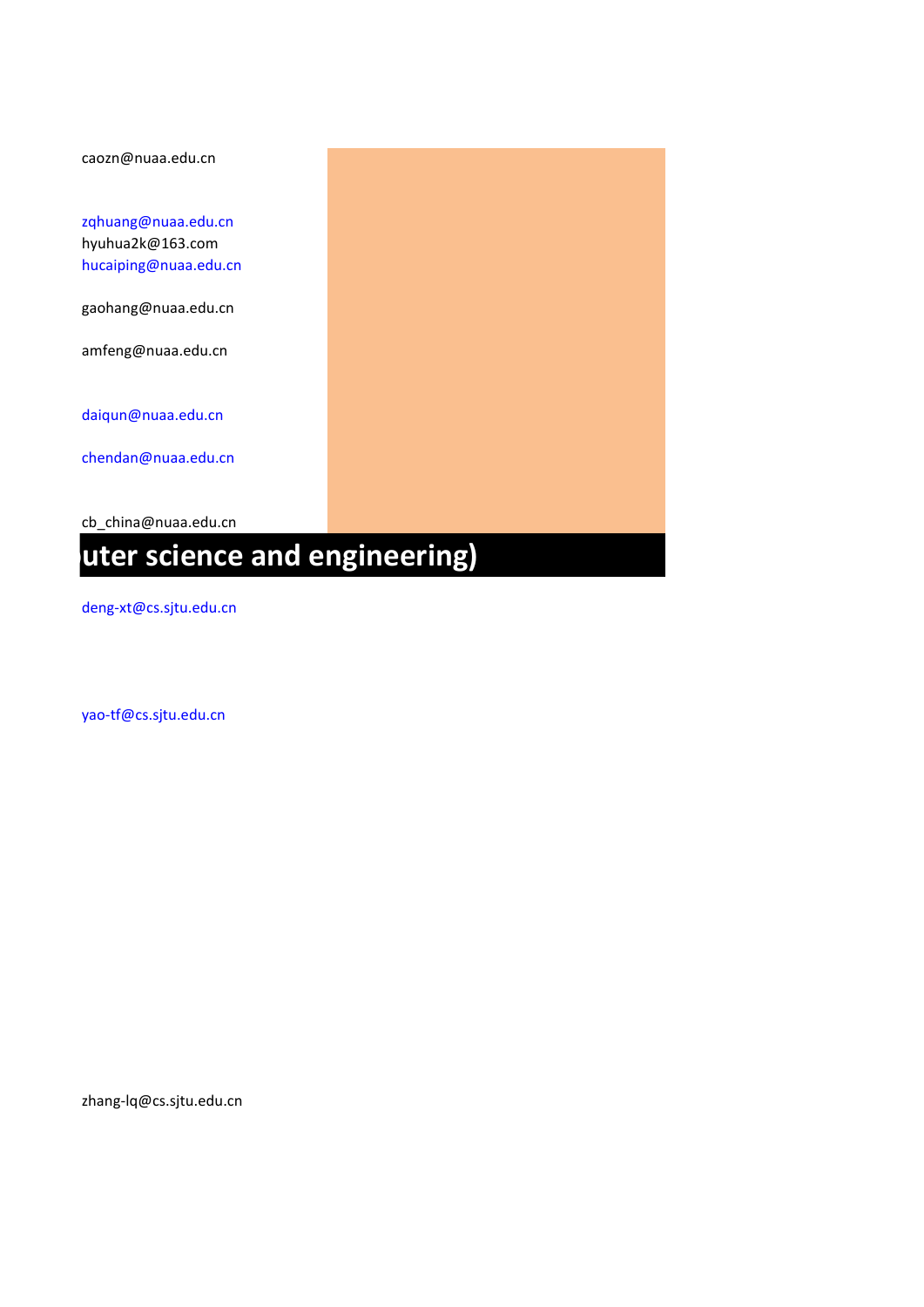caozn@nuaa.edu.cn

[zqhuang@nuaa.edu.cn](mailto:zqhuang@nuaa.edu.cn) hyuhua2k@163.com [hucaiping@nuaa.edu.cn](mailto:hucaiping@nuaa.edu.cn)

gaohang@nuaa.edu.cn

amfeng@nuaa.edu.cn

[daiqun@nuaa.edu.cn](mailto:daiqun@nuaa.edu.cn)

[chendan@nuaa.edu.cn](mailto:chendan@nuaa.edu.cn)

cb china@nuaa.edu.cn

## **uter science and engineering)**

[deng-xt@cs.sjtu.edu.cn](mailto:deng-xt@cs.sjtu.edu.cn)

[yao-tf@cs.sjtu.edu.cn](mailto:yao-tf@cs.sjtu.edu.cn)

zhang-lq@cs.sjtu.edu.cn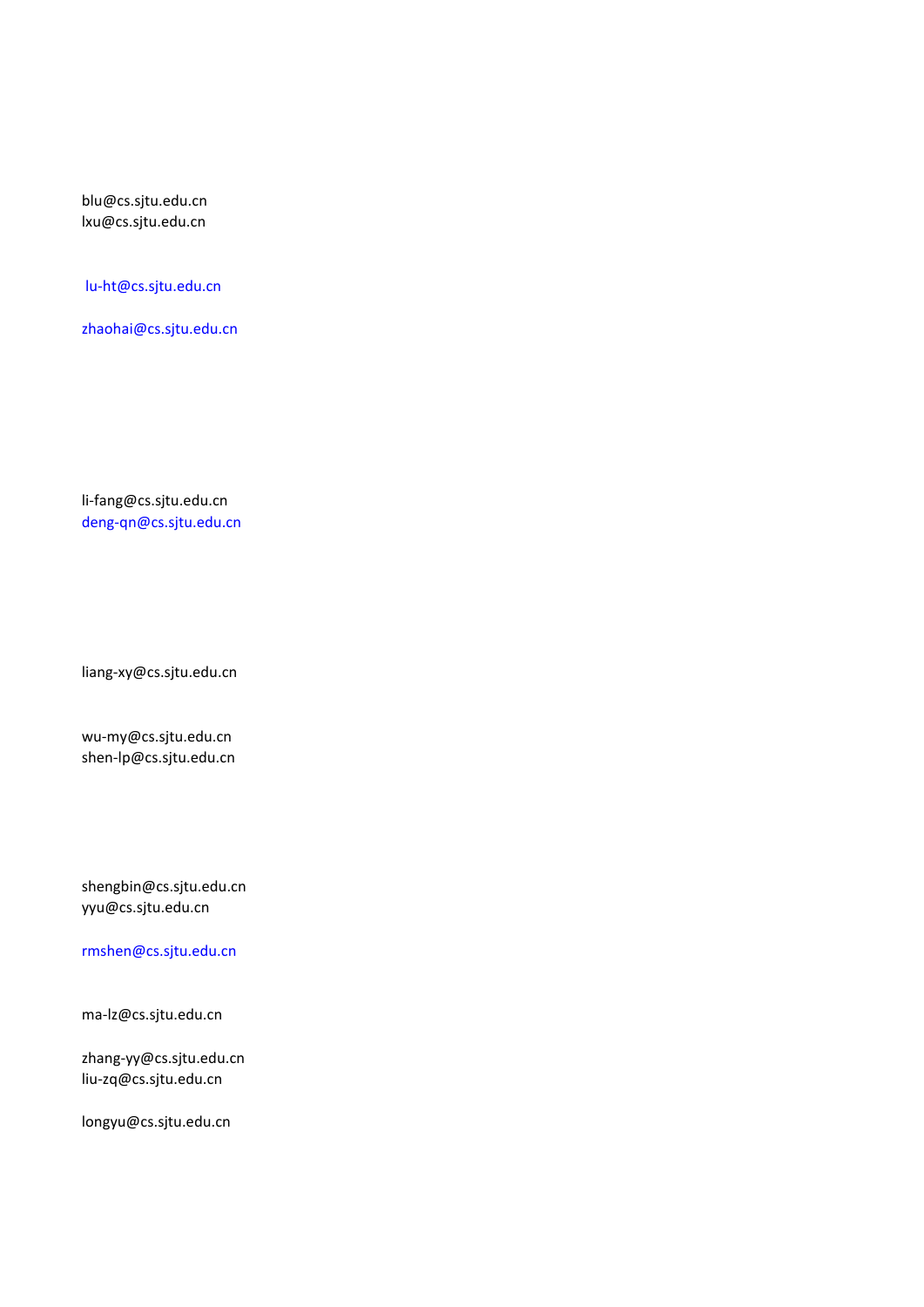blu@cs.sjtu.edu.cn lxu@cs.sjtu.edu.cn

lu-ht@cs.sjtu.edu.cn

[zhaohai@cs.sjtu.edu.cn](mailto:zhaohai@cs.sjtu.edu.cn)

li-fang@cs.sjtu.edu.cn [deng-qn@cs.sjtu.edu.cn](mailto:deng-qn@cs.sjtu.edu.cn)

liang-xy@cs.sjtu.edu.cn

wu-my@cs.sjtu.edu.cn shen-lp@cs.sjtu.edu.cn

shengbin@cs.sjtu.edu.cn yyu@cs.sjtu.edu.cn

[rmshen@cs.sjtu.edu.cn](mailto:rmshen@cs.sjtu.edu.cn)

ma-lz@cs.sjtu.edu.cn

zhang-yy@cs.sjtu.edu.cn liu-zq@cs.sjtu.edu.cn

longyu@cs.sjtu.edu.cn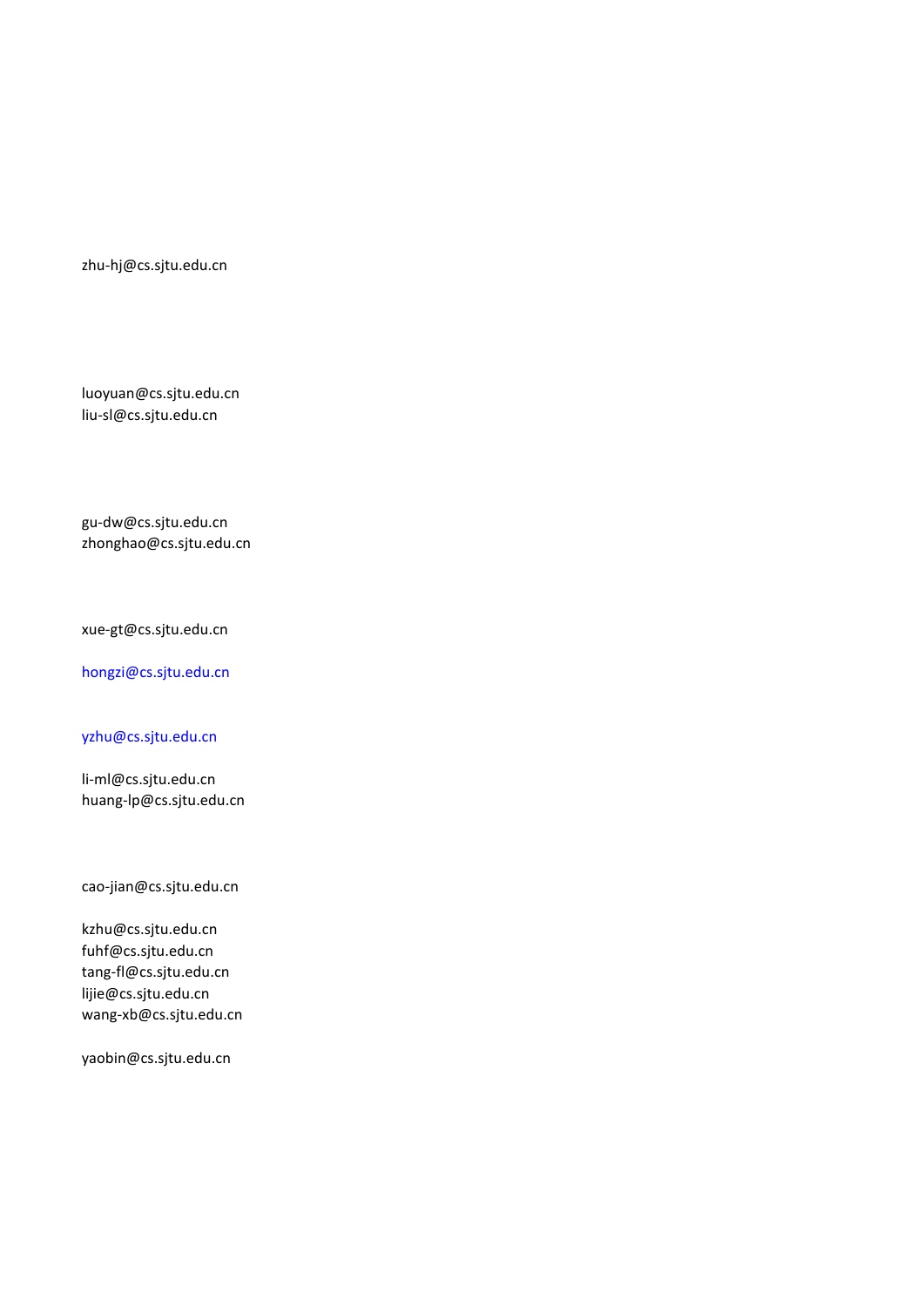zhu-hj@cs.sjtu.edu.cn

luoyuan@cs.sjtu.edu.cn liu-sl@cs.sjtu.edu.cn

gu-dw@cs.sjtu.edu.cn zhonghao@cs.sjtu.edu.cn

xue-gt@cs.sjtu.edu.cn

[hongzi@cs.sjtu.edu.cn](mailto:hongzi@cs.sjtu.edu.cn)

[yzhu@cs.sjtu.edu.cn](mailto:yzhu@cs.sjtu.edu.cn)

li-ml@cs.sjtu.edu.cn huang-lp@cs.sjtu.edu.cn

cao-jian@cs.sjtu.edu.cn

kzhu@cs.sjtu.edu.cn fuhf@cs.sjtu.edu.cn tang-fl@cs.sjtu.edu.cn lijie@cs.sjtu.edu.cn wang-xb@cs.sjtu.edu.cn

yaobin@cs.sjtu.edu.cn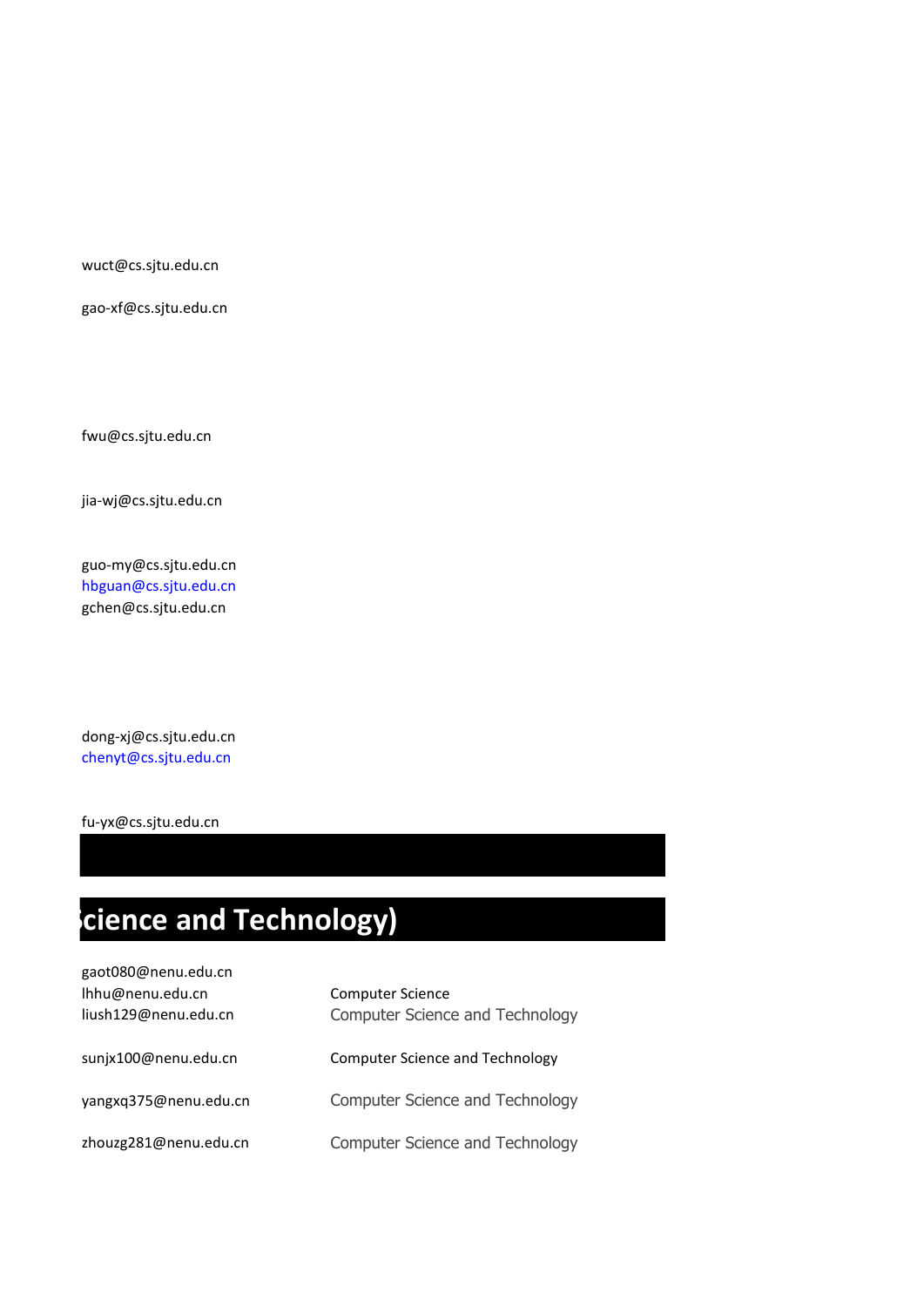wuct@cs.sjtu.edu.cn

gao-xf@cs.sjtu.edu.cn

fwu@cs.sjtu.edu.cn

jia-wj@cs.sjtu.edu.cn

guo-my@cs.sjtu.edu.cn [hbguan@cs.sjtu.edu.cn](mailto:hbguan@cs.sjtu.edu.cn) gchen@cs.sjtu.edu.cn

dong-xj@cs.sjtu.edu.cn [chenyt@cs.sjtu.edu.cn](mailto:chenyt@cs.sjtu.edu.cn)

fu-yx@cs.sjtu.edu.cn

# **Cience and Technology)**

| gaot080@nenu.edu.cn   |                                 |
|-----------------------|---------------------------------|
| Ihhu@nenu.edu.cn      | <b>Computer Science</b>         |
| liush129@nenu.edu.cn  | Computer Science and Technology |
| sunjx100@nenu.edu.cn  | Computer Science and Technology |
| yangxq375@nenu.edu.cn | Computer Science and Technology |
| zhouzg281@nenu.edu.cn | Computer Science and Technology |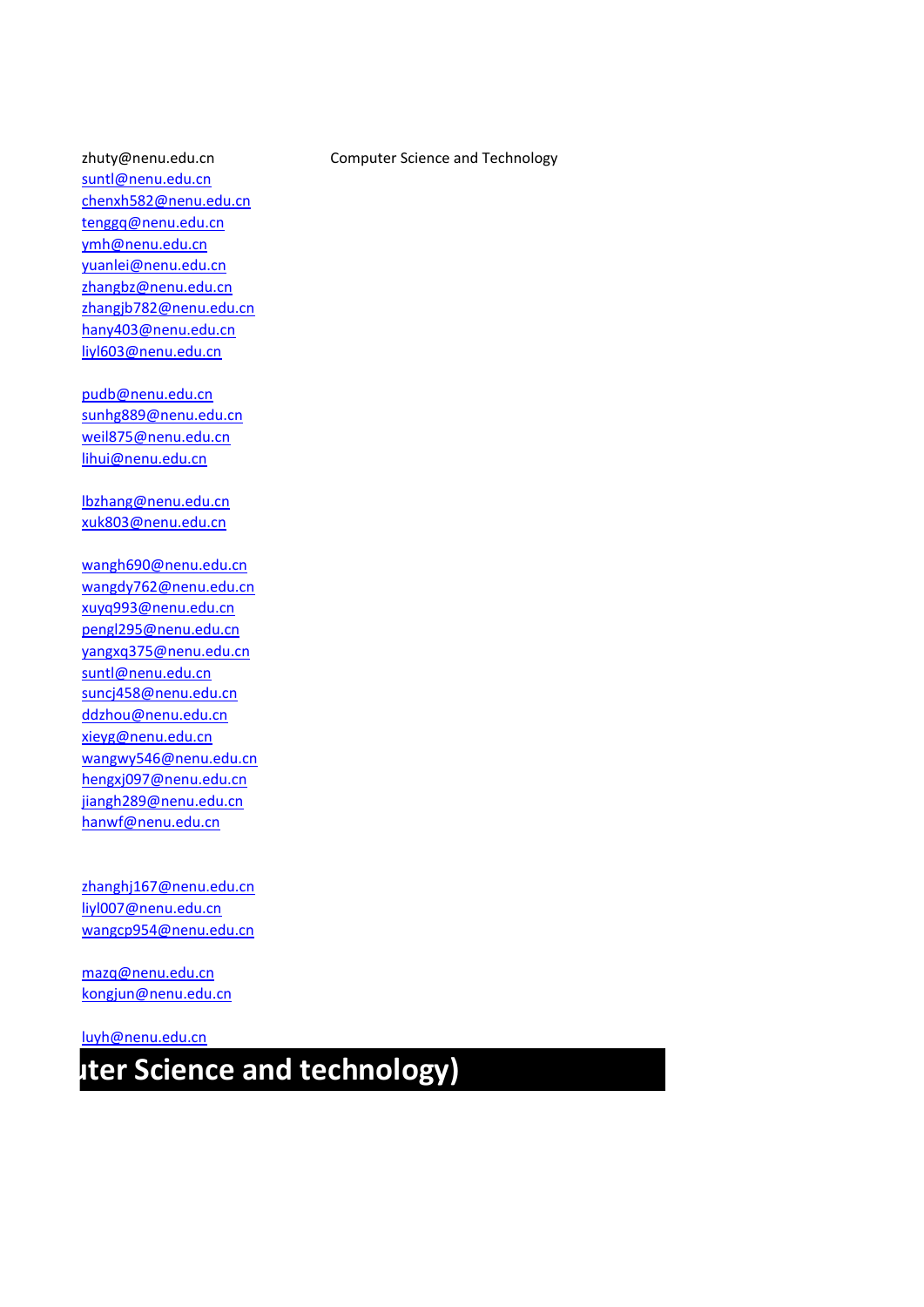[suntl@nenu.edu.cn](mailto:suntl@nenu.edu.cn) [chenxh582@nenu.edu.cn](mailto:chenxh582@nenu.edu.cn) [tenggq@nenu.edu.cn](mailto:tenggq@nenu.edu.cn) [ymh@nenu.edu.cn](mailto:ymh@nenu.edu.cn) [yuanlei@nenu.edu.cn](mailto:yuanlei@nenu.edu.cn) [zhangbz@nenu.edu.cn](mailto:zhangbz@nenu.edu.cn) [zhangjb782@nenu.edu.cn](mailto:zhangjb782@nenu.edu.cn) [hany403@nenu.edu.cn](mailto:hany403@nenu.edu.cn) [liyl603@nenu.edu.cn](mailto:liyl603@nenu.edu.cn)

[pudb@nenu.edu.cn](mailto:pudb@nenu.edu.cn) [sunhg889@nenu.edu.cn](mailto:sunhg889@nenu.edu.cn) [weil875@nenu.edu.cn](mailto:weil875@nenu.edu.cn) [lihui@nenu.edu.cn](mailto:lihui@nenu.edu.cn)

[lbzhang@nenu.edu.cn](mailto:lbzhang@nenu.edu.cn) [xuk803@nenu.edu.cn](mailto:xuk803@nenu.edu.cn)

[wangh690@nenu.edu.cn](mailto:wangh690@nenu.edu.cn) [wangdy762@nenu.edu.cn](mailto:wangdy762@nenu.edu.cn) [xuyq993@nenu.edu.cn](mailto:xuyq993@nenu.edu.cn) [pengl295@nenu.edu.cn](mailto:pengl295@nenu.edu.cn) [yangxq375@nenu.edu.cn](mailto:yangxq375@nenu.edu.cn) [suntl@nenu.edu.cn](mailto:suntl@nenu.edu.cn) [suncj458@nenu.edu.cn](mailto:suncj458@nenu.edu.cn) [ddzhou@nenu.edu.cn](mailto:ddzhou@nenu.edu.cn) [xieyg@nenu.edu.cn](mailto:xieyg@nenu.edu.cn) [wangwy546@nenu.edu.cn](mailto:wangwy546@nenu.edu.cn) [hengxj097@nenu.edu.cn](mailto:hengxj097@nenu.edu.cn) [jiangh289@nenu.edu.cn](mailto:jiangh289@nenu.edu.cn) [hanwf@nenu.edu.cn](mailto:hanwf@nenu.edu.cn)

[zhanghj167@nenu.edu.cn](mailto:zhanghj167@nenu.edu.cn) [liyl007@nenu.edu.cn](mailto:liyl007@nenu.edu.cn) [wangcp954@nenu.edu.cn](mailto:wangcp954@nenu.edu.cn)

[mazq@nenu.edu.cn](mailto:mazq@nenu.edu.cn) [kongjun@nenu.edu.cn](mailto:kongjun@nenu.edu.cn)

[luyh@nenu.edu.cn](mailto:luyh@nenu.edu.cn)

### **uter Science and technology)**

#### zhuty@nenu.edu.cn Computer Science and Technology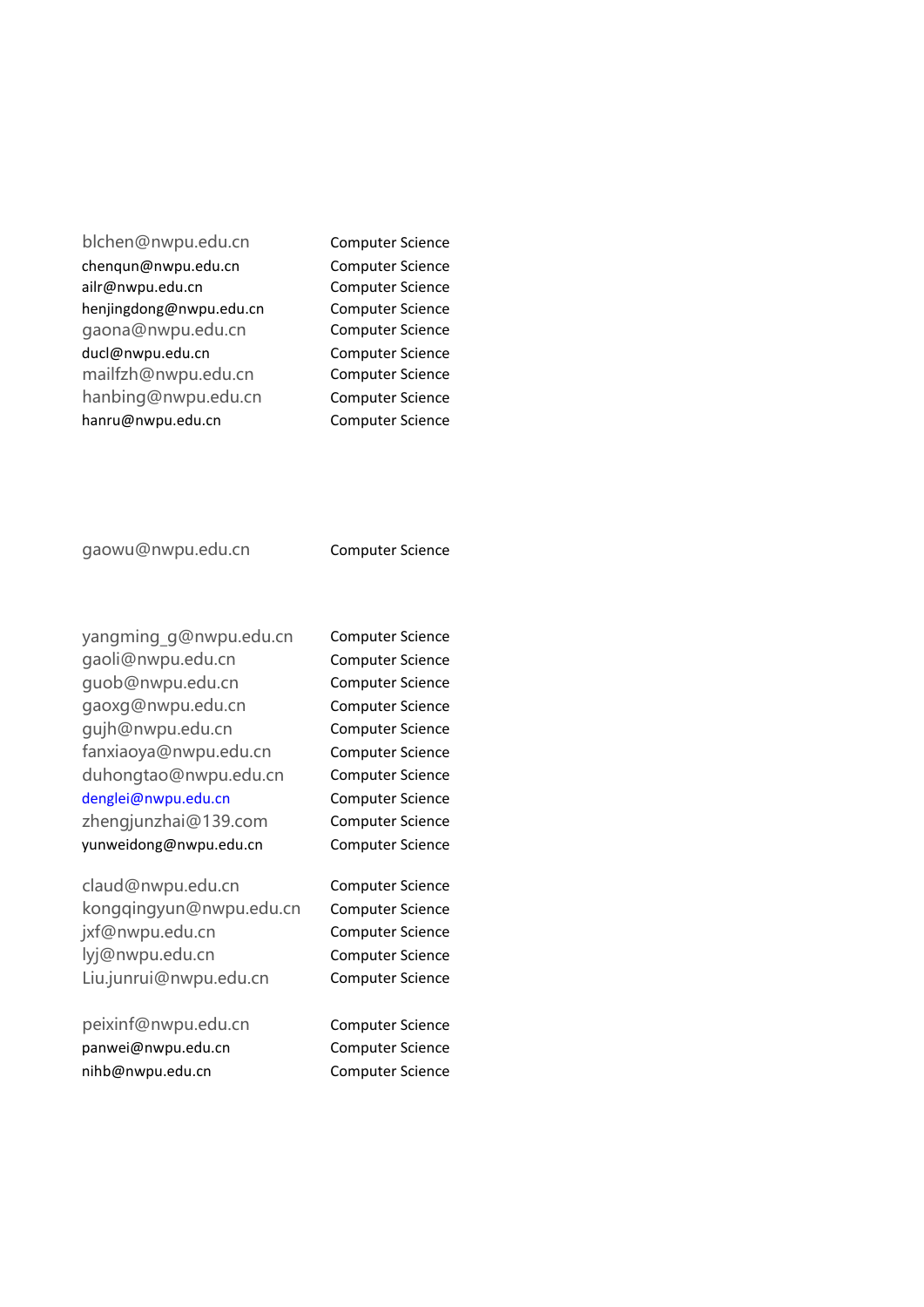blchen@nwpu.edu.cn Computer Science chenqun@nwpu.edu.cn Computer Science ailr@nwpu.edu.cn Computer Science henjingdong@nwpu.edu.cn Computer Science gaona@nwpu.edu.cn Computer Science ducl@nwpu.edu.cn Computer Science mailfzh@nwpu.edu.cn Computer Science hanbing@nwpu.edu.cn Computer Science hanru@nwpu.edu.cn Computer Science

gaowu@nwpu.edu.cn Computer Science

yangming\_g@nwpu.edu.cn Computer Science gaoli@nwpu.edu.cn Computer Science guob@nwpu.edu.cn Computer Science gaoxg@nwpu.edu.cn Computer Science gujh@nwpu.edu.cn Computer Science fanxiaoya@nwpu.edu.cn Computer Science duhongtao@nwpu.edu.cn Computer Science [denglei@nwpu.edu.cn](mailto:denglei@nwpu.edu.cn) Computer Science zhengjunzhai@139.com Computer Science yunweidong@nwpu.edu.cn Computer Science

claud@nwpu.edu.cn Computer Science kongqingyun@nwpu.edu.cn Computer Science jxf@nwpu.edu.cn Computer Science lyj@nwpu.edu.cn Computer Science Liu.junrui@nwpu.edu.cn Computer Science

peixinf@nwpu.edu.cn Computer Science panwei@nwpu.edu.cn Computer Science nihb@nwpu.edu.cn Computer Science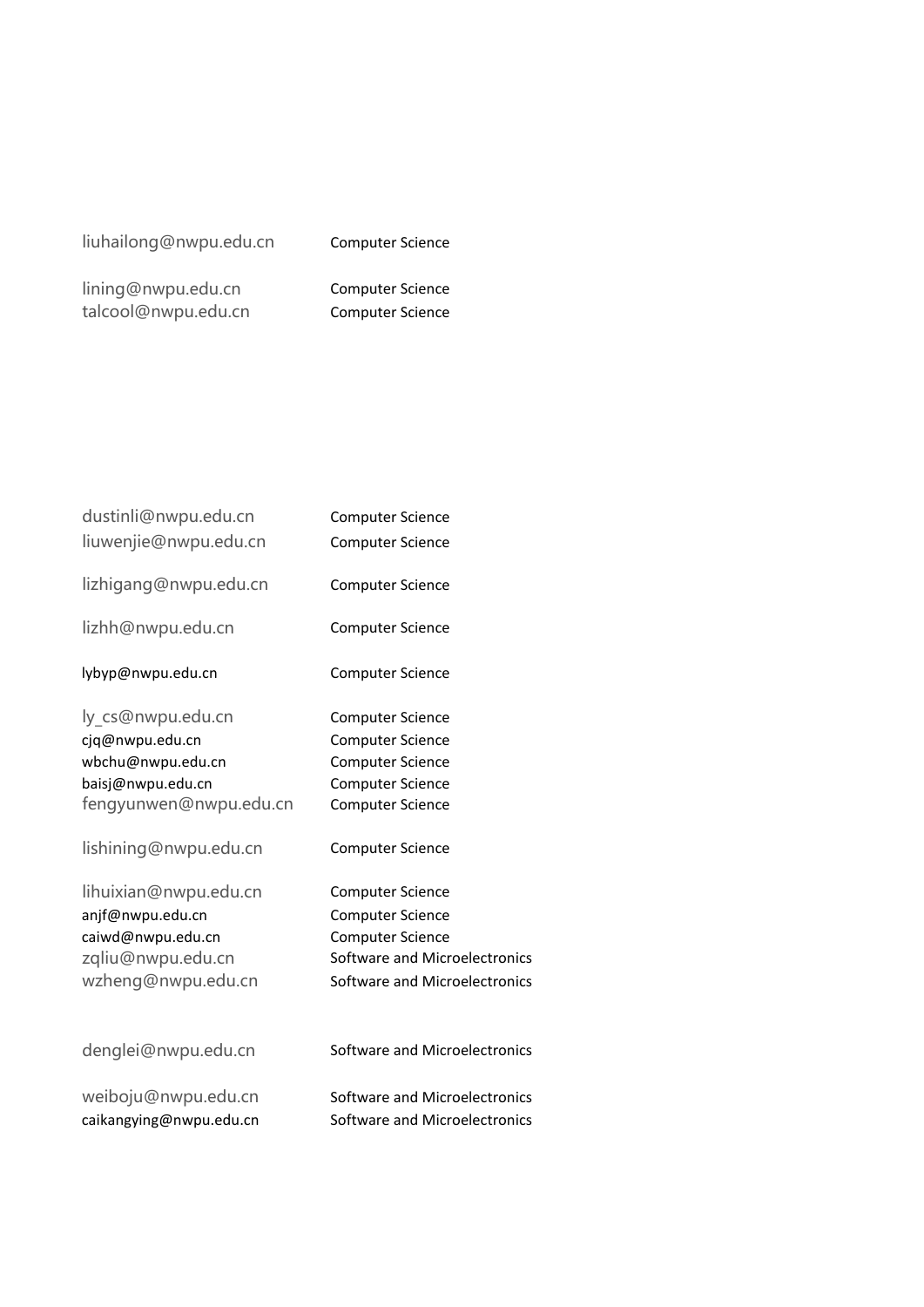#### liuhailong@nwpu.edu.cn Computer Science

lining@nwpu.edu.cn Computer Science talcool@nwpu.edu.cn Computer Science

| dustinli@nwpu.edu.cn    | <b>Computer Science</b>       |
|-------------------------|-------------------------------|
| liuwenjie@nwpu.edu.cn   | <b>Computer Science</b>       |
| lizhigang@nwpu.edu.cn   | <b>Computer Science</b>       |
| lizhh@nwpu.edu.cn       | <b>Computer Science</b>       |
| lybyp@nwpu.edu.cn       | <b>Computer Science</b>       |
| ly cs@nwpu.edu.cn       | <b>Computer Science</b>       |
| cjq@nwpu.edu.cn         | <b>Computer Science</b>       |
| wbchu@nwpu.edu.cn       | <b>Computer Science</b>       |
| baisj@nwpu.edu.cn       | <b>Computer Science</b>       |
| fengyunwen@nwpu.edu.cn  | <b>Computer Science</b>       |
| lishining@nwpu.edu.cn   | <b>Computer Science</b>       |
| lihuixian@nwpu.edu.cn   | <b>Computer Science</b>       |
| anjf@nwpu.edu.cn        | <b>Computer Science</b>       |
| caiwd@nwpu.edu.cn       | <b>Computer Science</b>       |
| zqliu@nwpu.edu.cn       | Software and Microelectronics |
| wzheng@nwpu.edu.cn      | Software and Microelectronics |
| denglei@nwpu.edu.cn     | Software and Microelectronics |
| weiboju@nwpu.edu.cn     | Software and Microelectronics |
| caikangying@nwpu.edu.cn | Software and Microelectronics |
|                         |                               |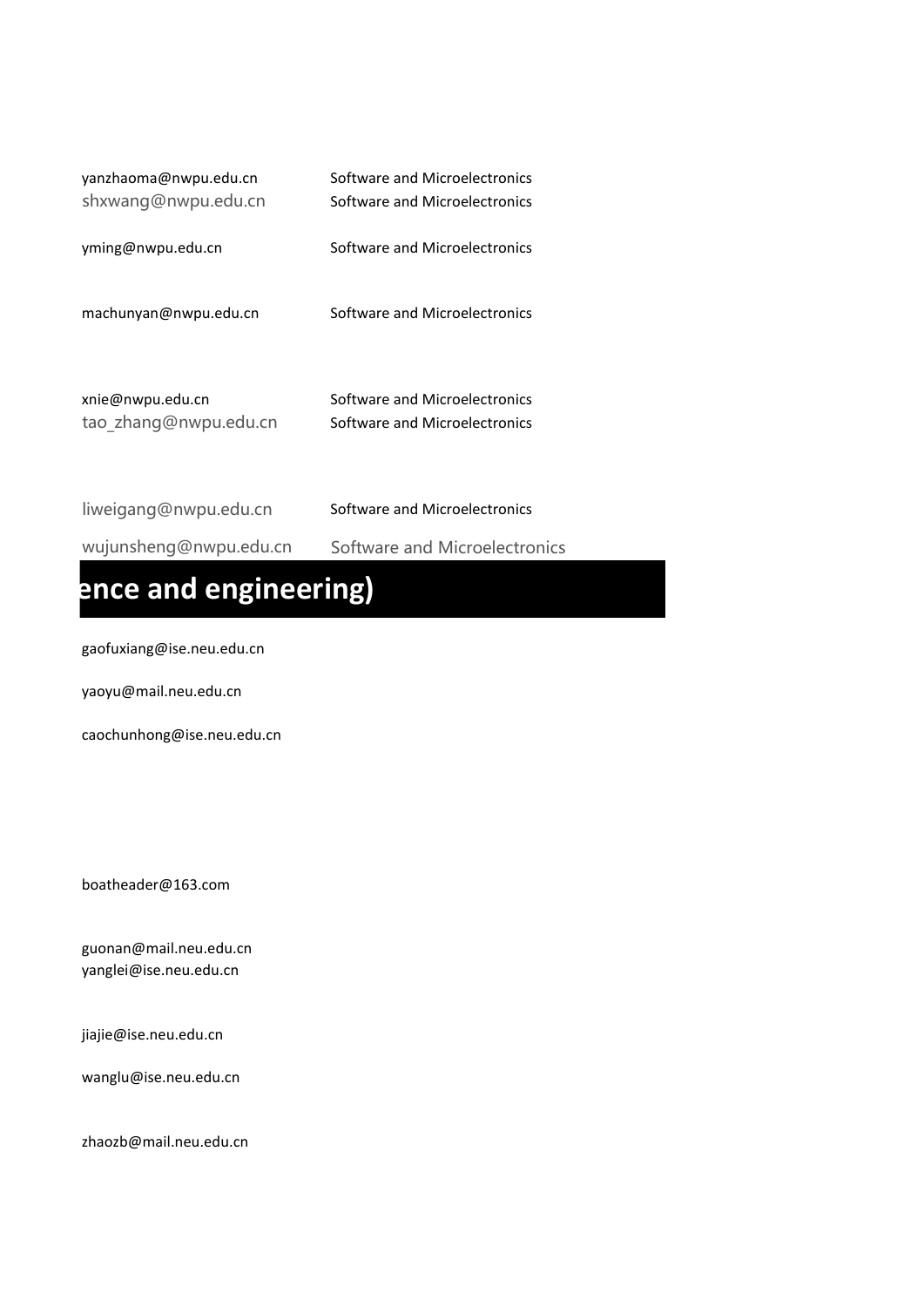| yanzhaoma@nwpu.edu.cn | Software and Microelectronics |
|-----------------------|-------------------------------|
| shxwang@nwpu.edu.cn   | Software and Microelectronics |
| yming@nwpu.edu.cn     | Software and Microelectronics |
| machunyan@nwpu.edu.cn | Software and Microelectronics |
| xnie@nwpu.edu.cn      | Software and Microelectronics |
| tao_zhang@nwpu.edu.cn | Software and Microelectronics |

| liweigang@nwpu.edu.cn  | Software and Microelectronics |
|------------------------|-------------------------------|
| wujunsheng@nwpu.edu.cn | Software and Microelectronics |
|                        |                               |

### ence and engineering)

gaofuxiang@ise.neu.edu.cn

yaoyu@mail.neu.edu.cn

caochunhong@ise.neu.edu.cn

boatheader@163.com

guonan@mail.neu.edu.cn yanglei@ise.neu.edu.cn

jiajie@ise.neu.edu.cn

wanglu@ise.neu.edu.cn

zhaozb@mail.neu.edu.cn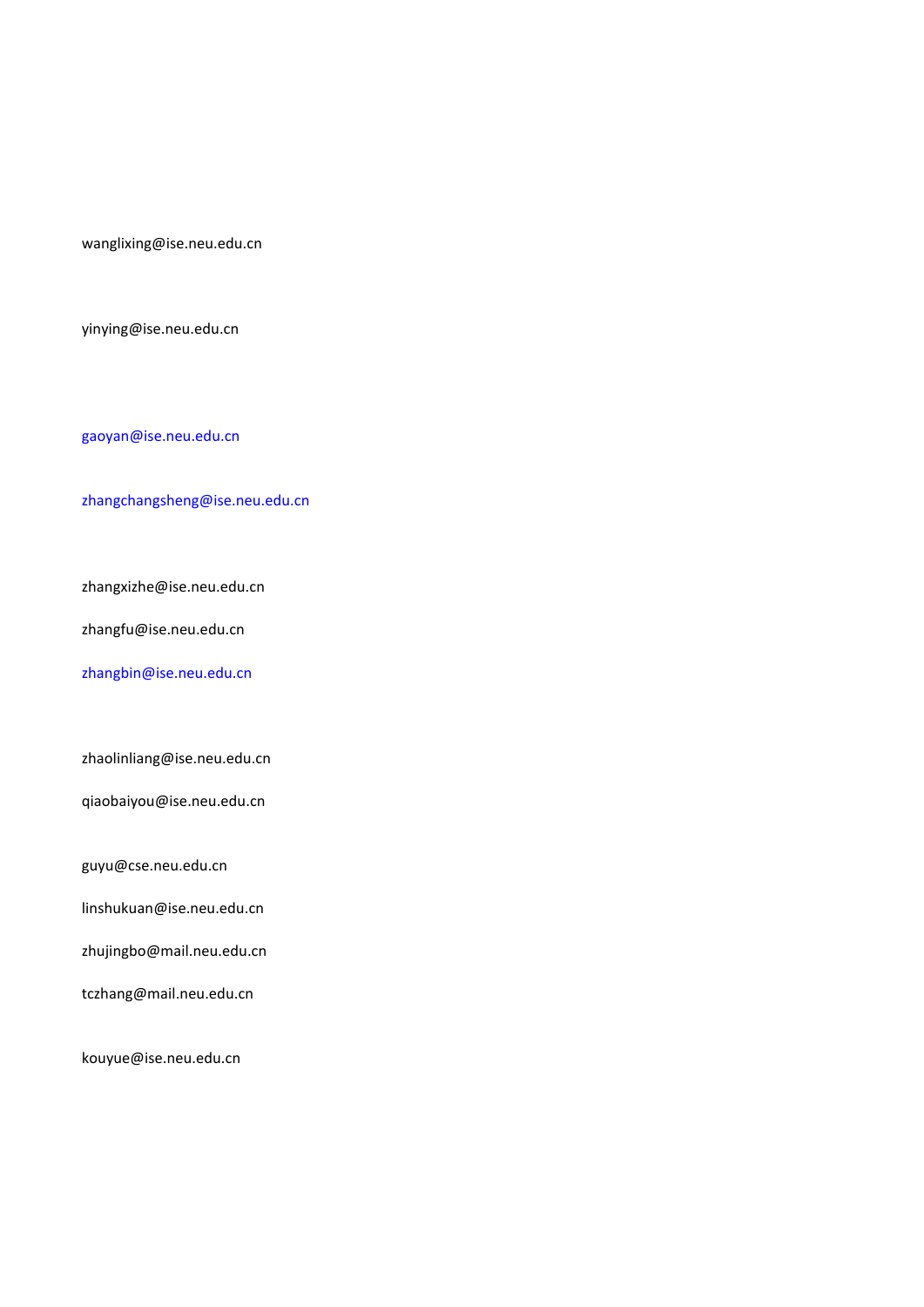wanglixing@ise.neu.edu.cn

yinying@ise.neu.edu.cn

[gaoyan@ise.neu.edu.cn](mailto:gaoyan@ise.neu.edu.cn)

[zhangchangsheng@ise.neu.edu.cn](mailto:zhangchangsheng@ise.neu.edu.cn)

zhangxizhe@ise.neu.edu.cn

zhangfu@ise.neu.edu.cn

[zhangbin@ise.neu.edu.cn](mailto:zhangbin@ise.neu.edu.cn)

zhaolinliang@ise.neu.edu.cn

qiaobaiyou@ise.neu.edu.cn

guyu@cse.neu.edu.cn

linshukuan@ise.neu.edu.cn

zhujingbo@mail.neu.edu.cn

tczhang@mail.neu.edu.cn

kouyue@ise.neu.edu.cn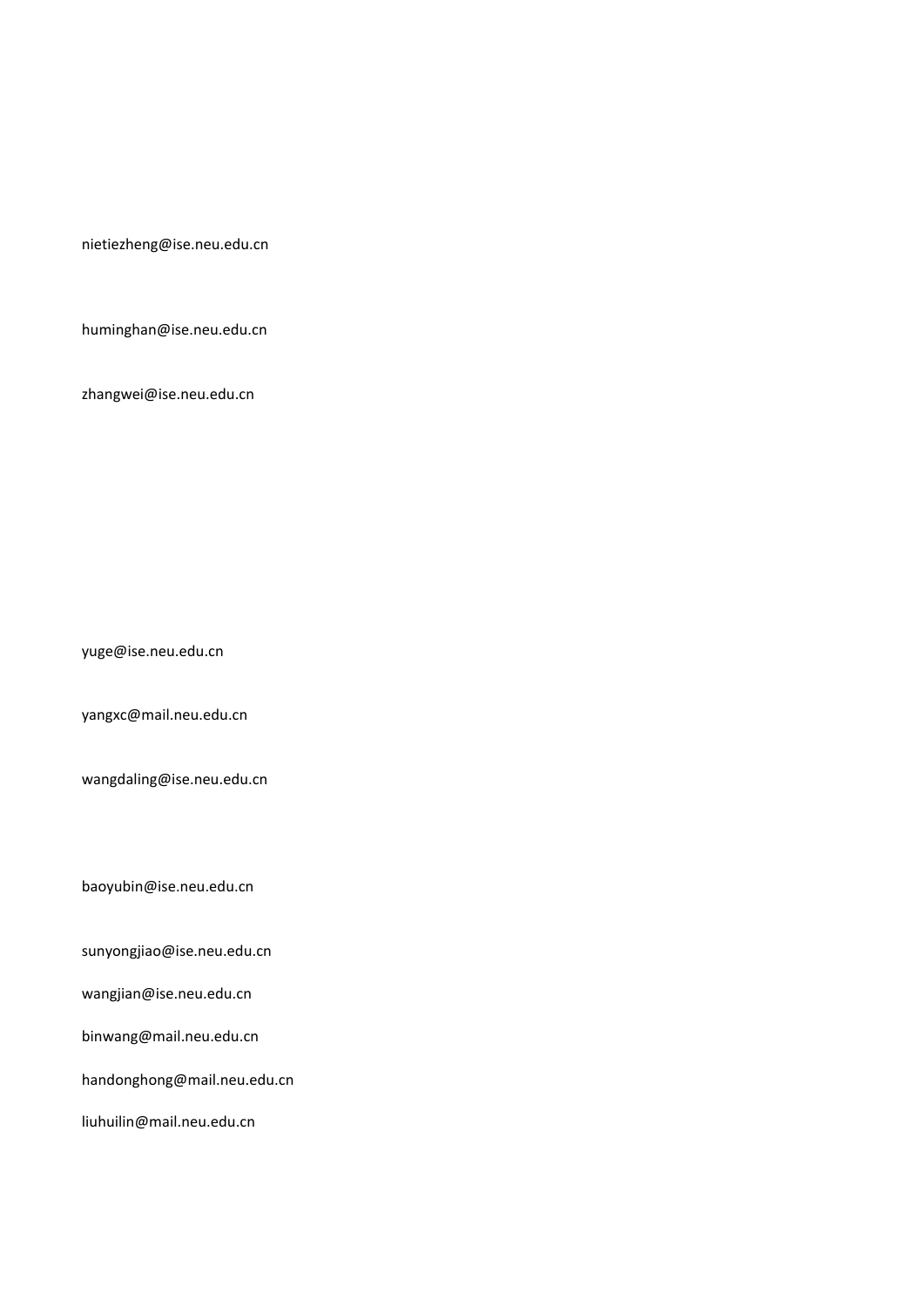nietiezheng@ise.neu.edu.cn

huminghan@ise.neu.edu.cn

zhangwei@ise.neu.edu.cn

yuge@ise.neu.edu.cn

yangxc@mail.neu.edu.cn

wangdaling@ise.neu.edu.cn

baoyubin@ise.neu.edu.cn

sunyongjiao@ise.neu.edu.cn

wangjian@ise.neu.edu.cn

binwang@mail.neu.edu.cn

handonghong@mail.neu.edu.cn

liuhuilin@mail.neu.edu.cn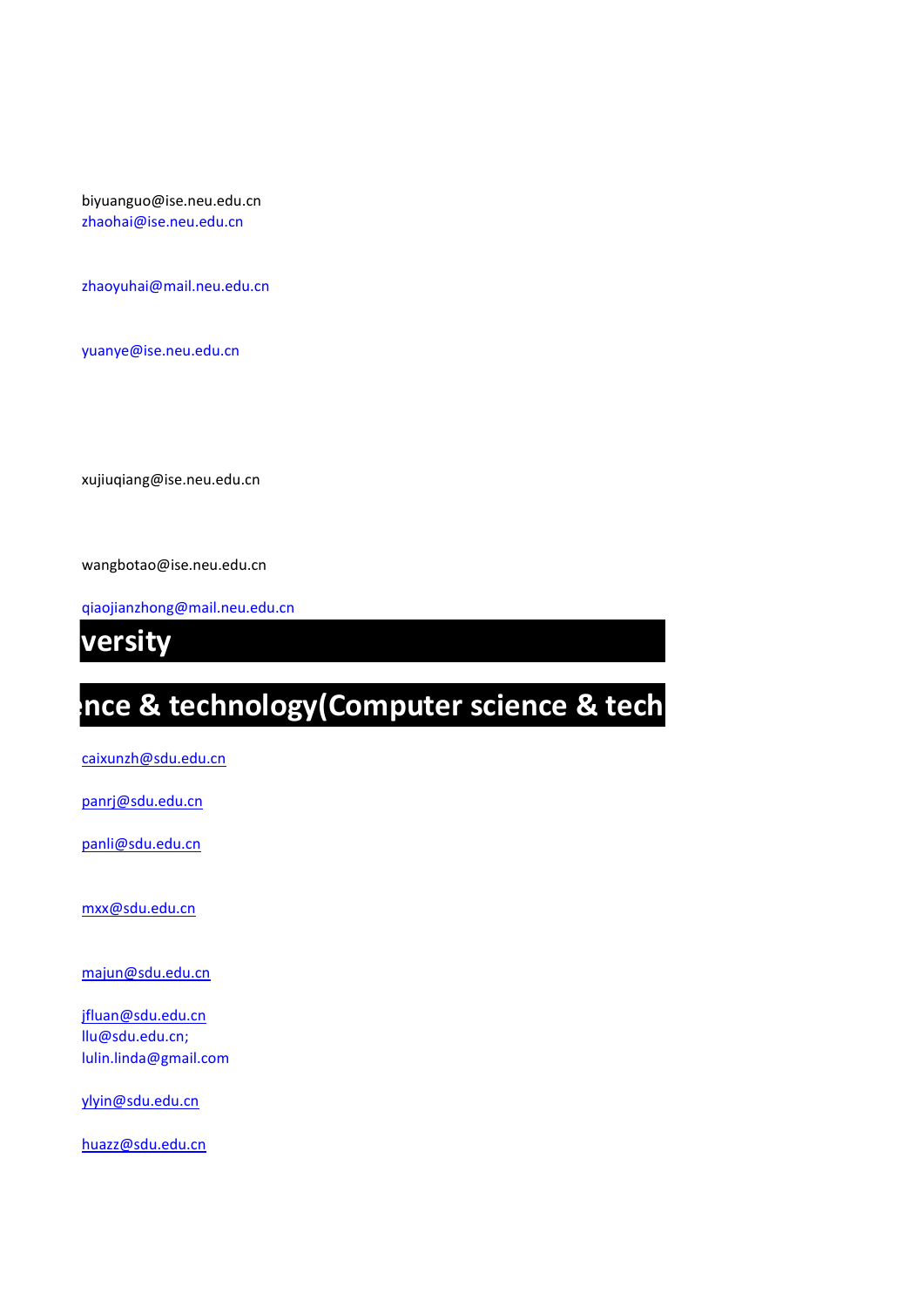biyuanguo@ise.neu.edu.cn [zhaohai@ise.neu.edu.cn](mailto:zhaohai@ise.neu.edu.cn)

[zhaoyuhai@mail.neu.edu.cn](mailto:zhaoyuhai@mail.neu.edu.cn)

[yuanye@ise.neu.edu.cn](mailto:yuanye@ise.neu.edu.cn)

xujiuqiang@ise.neu.edu.cn

wangbotao@ise.neu.edu.cn

[qiaojianzhong@mail.neu.edu.cn](mailto:qiaojianzhong@mail.neu.edu.cn)

*<u><b> southeast weighty</u>*</u>

# Ince & technology(Computer science & tech

[caixunzh@sdu.edu.cn](mailto:caixunzh@sdu.edu.cn)

[panrj@sdu.edu.cn](mailto:panrj@sdu.edu.cn)

[panli@sdu.edu.cn](mailto:panli@sdu.edu.cn)

[mxx@sdu.edu.cn](mailto:mxx@sdu.edu.cn)

[majun@sdu.edu.cn](mailto:majun@sdu.edu.cn)

[jfluan@sdu.edu.cn](mailto:jfluan@sdu.edu.cn) llu@sdu.edu.cn; lulin.linda@gmail.com

[ylyin@sdu.edu.cn](mailto:ylyin@sdu.edu.cn)

[huazz@sdu.edu.cn](mailto:huazz@sdu.edu.cn)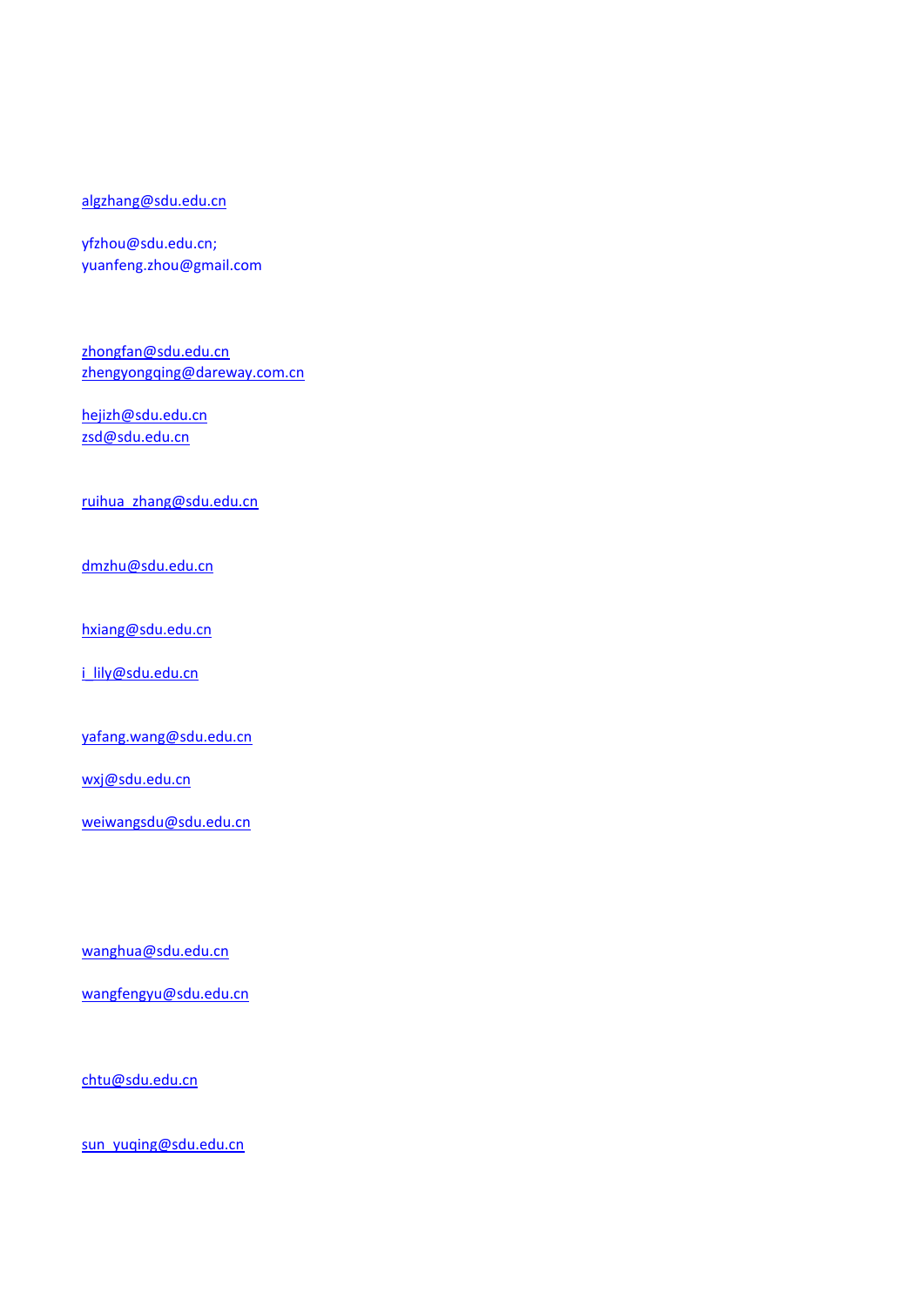#### [algzhang@sdu.edu.cn](mailto:algzhang@sdu.edu.cn)

yfzhou@sdu.edu.cn; yuanfeng.zhou@gmail.com

[zhongfan@sdu.edu.cn](mailto:zhongfan@sdu.edu.cn) [zhengyongqing@dareway.com.cn](mailto:zhengyongqing@dareway.com.cn)

[hejizh@sdu.edu.cn](mailto:hejizh@sdu.edu.cn) [zsd@sdu.edu.cn](mailto:zsd@sdu.edu.cn)

[ruihua\\_zhang@sdu.edu.cn](mailto:ruihua_zhang@sdu.edu.cn)

[dmzhu@sdu.edu.cn](mailto:dmzhu@sdu.edu.cn)

[hxiang@sdu.edu.cn](mailto:hxiang@sdu.edu.cn)

[i\\_lily@sdu.edu.cn](mailto:i_lily@sdu.edu.cn)

[yafang.wang@sdu.edu.cn](mailto:yafang.wang@sdu.edu.cn)

[wxj@sdu.edu.cn](mailto:wxj@sdu.edu.cn)

[weiwangsdu@sdu.edu.cn](mailto:weiwangsdu@sdu.edu.cn)

[wanghua@sdu.edu.cn](mailto:wanghua@sdu.edu.cn)

[wangfengyu@sdu.edu.cn](mailto:wangfengyu@sdu.edu.cn)

[chtu@sdu.edu.cn](mailto:chtu@sdu.edu.cn)

[sun\\_yuqing@sdu.edu.cn](mailto:sun_yuqing@sdu.edu.cn)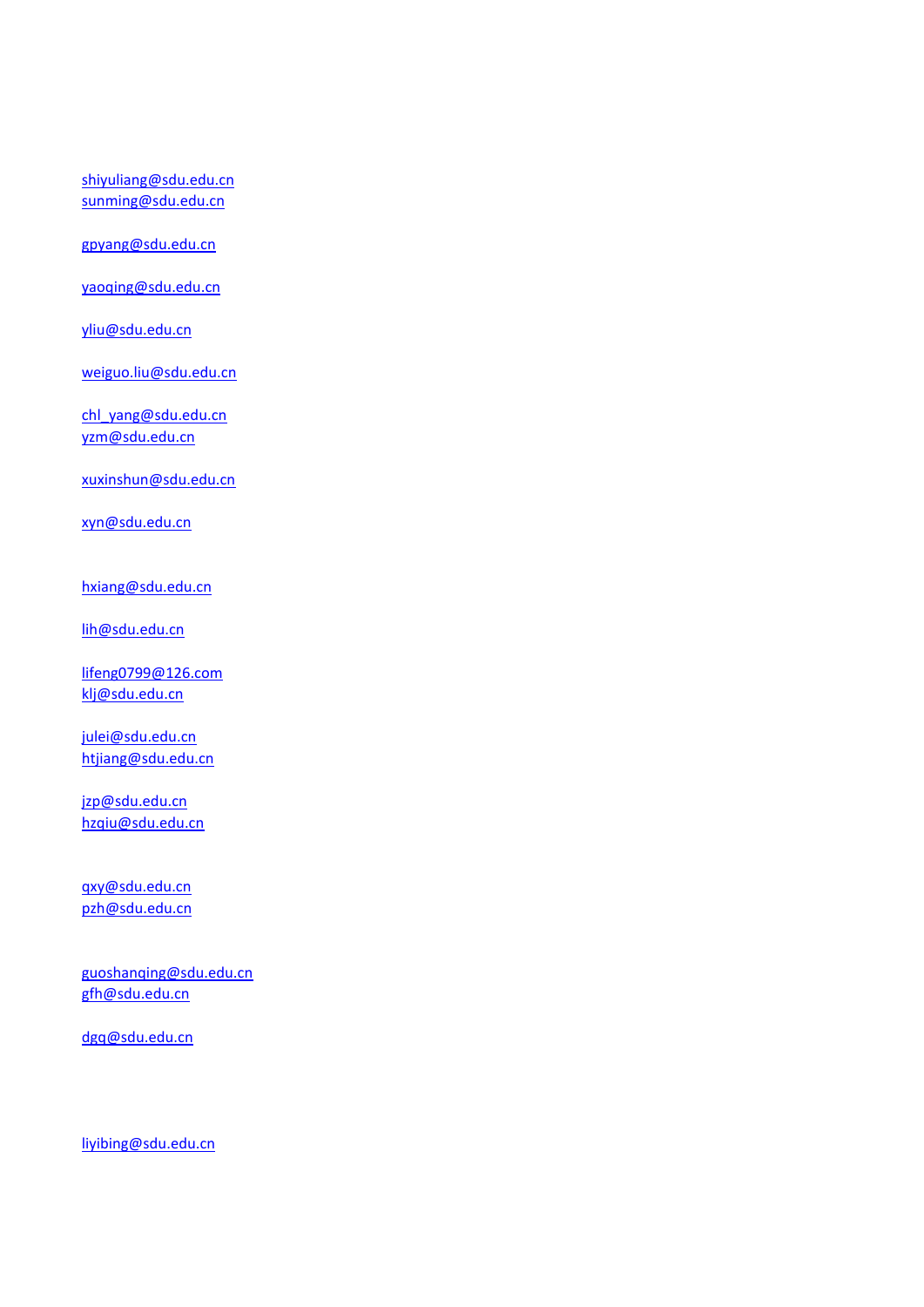[shiyuliang@sdu.edu.cn](mailto:shiyuliang@sdu.edu.cn) [sunming@sdu.edu.cn](mailto:sunming@sdu.edu.cn)

[gpyang@sdu.edu.cn](mailto:gpyang@sdu.edu.cn)

[yaoqing@sdu.edu.cn](mailto:yaoqing@sdu.edu.cn)

[yliu@sdu.edu.cn](mailto:yliu@sdu.edu.cn)

[weiguo.liu@sdu.edu.cn](mailto:weiguo.liu@sdu.edu.cn)

[chl\\_yang@sdu.edu.cn](mailto:chl_yang@sdu.edu.cn) [yzm@sdu.edu.cn](mailto:yzm@sdu.edu.cn)

[xuxinshun@sdu.edu.cn](mailto:xuxinshun@sdu.edu.cn)

[xyn@sdu.edu.cn](mailto:xyn@sdu.edu.cn)

[hxiang@sdu.edu.cn](mailto:hxiang@sdu.edu.cn)

[lih@sdu.edu.cn](mailto:lih@sdu.edu.cn)

[lifeng0799@126.com](mailto:lifeng0799@126.com) [klj@sdu.edu.cn](mailto:klj@sdu.edu.cn)

[julei@sdu.edu.cn](mailto:julei@sdu.edu.cn) [htjiang@sdu.edu.cn](mailto:htjiang@sdu.edu.cn)

[jzp@sdu.edu.cn](mailto:jzp@sdu.edu.cn) [hzqiu@sdu.edu.cn](mailto:hzqiu@sdu.edu.cn)

[qxy@sdu.edu.cn](mailto:qxy@sdu.edu.cn) [pzh@sdu.edu.cn](mailto:pzh@sdu.edu.cn)

[guoshanqing@sdu.edu.cn](mailto:guoshanqing@sdu.edu.cn) [gfh@sdu.edu.cn](mailto:gfh@sdu.edu.cn)

[dgq@sdu.edu.cn](mailto:dgq@sdu.edu.cn)

[liyibing@sdu.edu.cn](mailto:liyibing@sdu.edu.cn)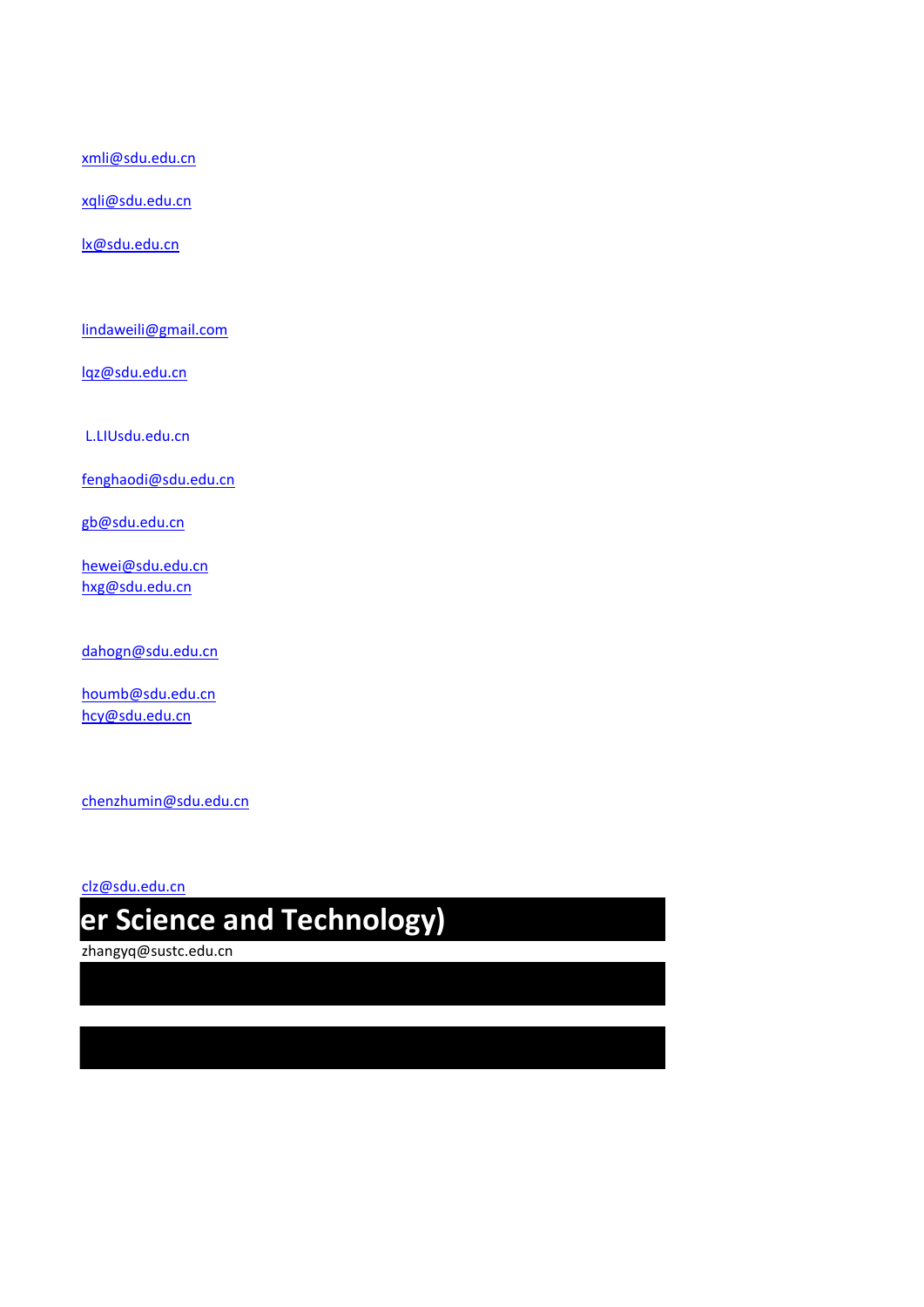[xmli@sdu.edu.cn](mailto:xmli@sdu.edu.cn)

[xqli@sdu.edu.cn](mailto:xqli@sdu.edu.cn)

[lx@sdu.edu.cn](mailto:lx@sdu.edu.cn)

[lindaweili@gmail.com](mailto:lindaweili@gmail.com)

[lqz@sdu.edu.cn](mailto:lqz@sdu.edu.cn)

L.LIUsdu.edu.cn

[fenghaodi@sdu.edu.cn](mailto:fenghaodi@sdu.edu.cn)

[gb@sdu.edu.cn](mailto:gb@sdu.edu.cn)

[hewei@sdu.edu.cn](mailto:hewei@sdu.edu.cn) [hxg@sdu.edu.cn](mailto:hxg@sdu.edu.cn)

[dahogn@sdu.edu.cn](mailto:dahogn@sdu.edu.cn)

[houmb@sdu.edu.cn](mailto:houmb@sdu.edu.cn) [hcy@sdu.edu.cn](mailto:hcy@sdu.edu.cn)

[chenzhumin@sdu.edu.cn](mailto:chenzhumin@sdu.edu.cn)

[clz@sdu.edu.cn](mailto:clz@sdu.edu.cn)

## **southern university** er Science and Technology)

zhangyq@sustc.edu.cn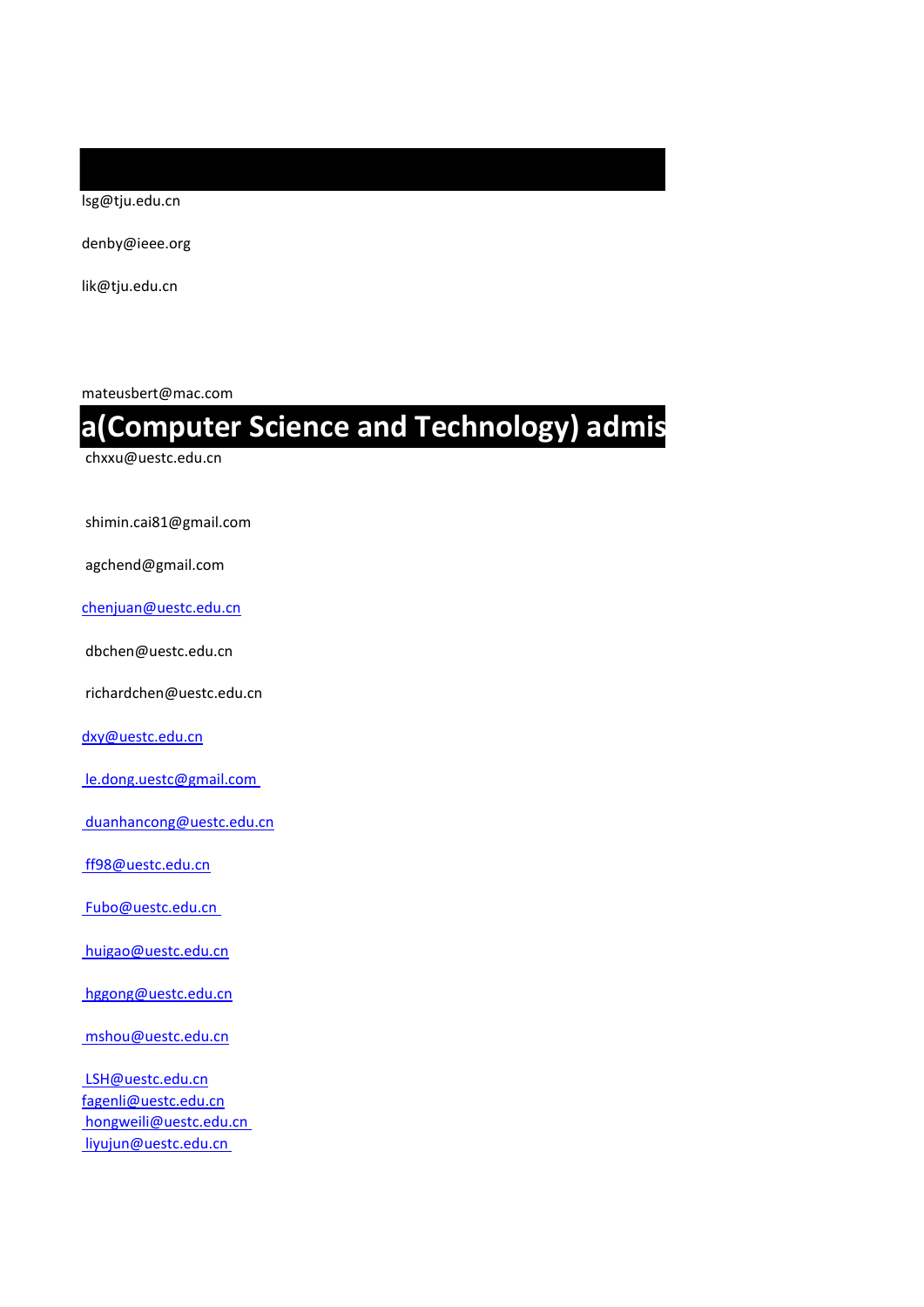lsg@tju.edu.cn

denby@ieee.org

lik@tju.edu.cn

mateusbert@mac.com

### **a(Computer Science and Technology) admis**

chxxu@uestc.edu.cn

shimin.cai81@gmail.com

agchend@gmail.com

[chenjuan@uestc.edu.cn](mailto:chenjuan@uestc.edu.cn)

dbchen@uestc.edu.cn

richardchen@uestc.edu.cn

[dxy@uestc.edu.cn](mailto:dxy@uestc.edu.cn)

le.dong.uestc@gmail.com

duanhancong@uestc.edu.cn

ff98@uestc.edu.cn

Fubo@uestc.edu.cn

huigao@uestc.edu.cn

hggong@uestc.edu.cn

mshou@uestc.edu.cn

 LSH@uestc.edu.cn [fagenli@uestc.edu.cn](mailto:fagenli@uestc.edu.cn) hongweili@uestc.edu.cn liyujun@uestc.edu.cn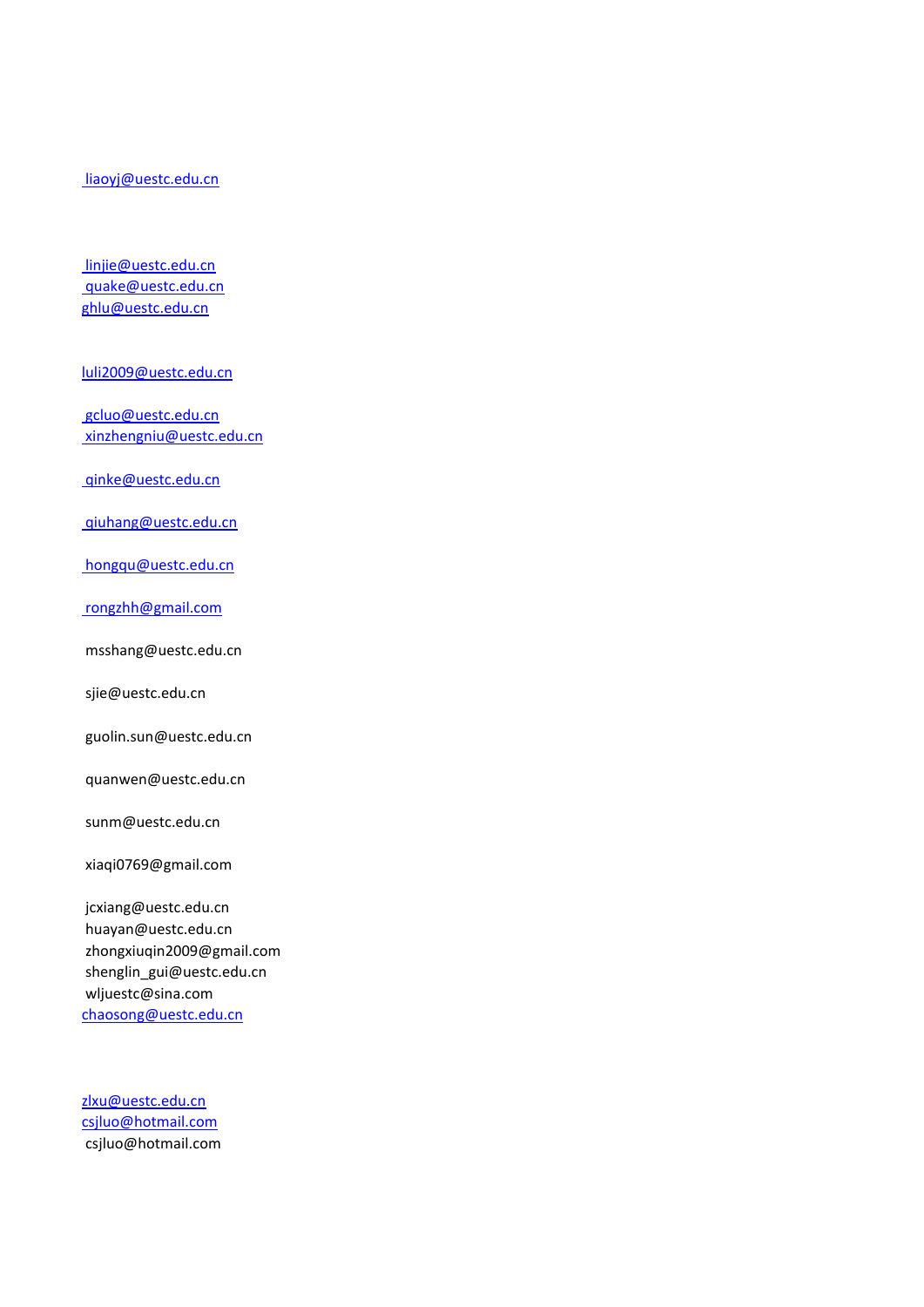#### liaoyj@uestc.edu.cn

 linjie@uestc.edu.cn quake@uestc.edu.cn [ghlu@uestc.edu.cn](mailto:ghlu@uestc.edu.cn)

[luli2009@uestc.edu.cn](mailto:luli2009@uestc.edu.cn)

 gcluo@uestc.edu.cn xinzhengniu@uestc.edu.cn

qinke@uestc.edu.cn

qiuhang@uestc.edu.cn

hongqu@uestc.edu.cn

rongzhh@gmail.com

msshang@uestc.edu.cn

sjie@uestc.edu.cn

guolin.sun@uestc.edu.cn

quanwen@uestc.edu.cn

sunm@uestc.edu.cn

xiaqi0769@gmail.com

 jcxiang@uestc.edu.cn huayan@uestc.edu.cn zhongxiuqin2009@gmail.com shenglin\_gui@uestc.edu.cn wljuestc@sina.com [chaosong@uestc.edu.cn](mailto:chaosong@uestc.edu.cn)

[zlxu@uestc.edu.cn](mailto:zlxu@uestc.edu.cn) [csjluo@hotmail.com](mailto:csjluo@hotmail.com) csjluo@hotmail.com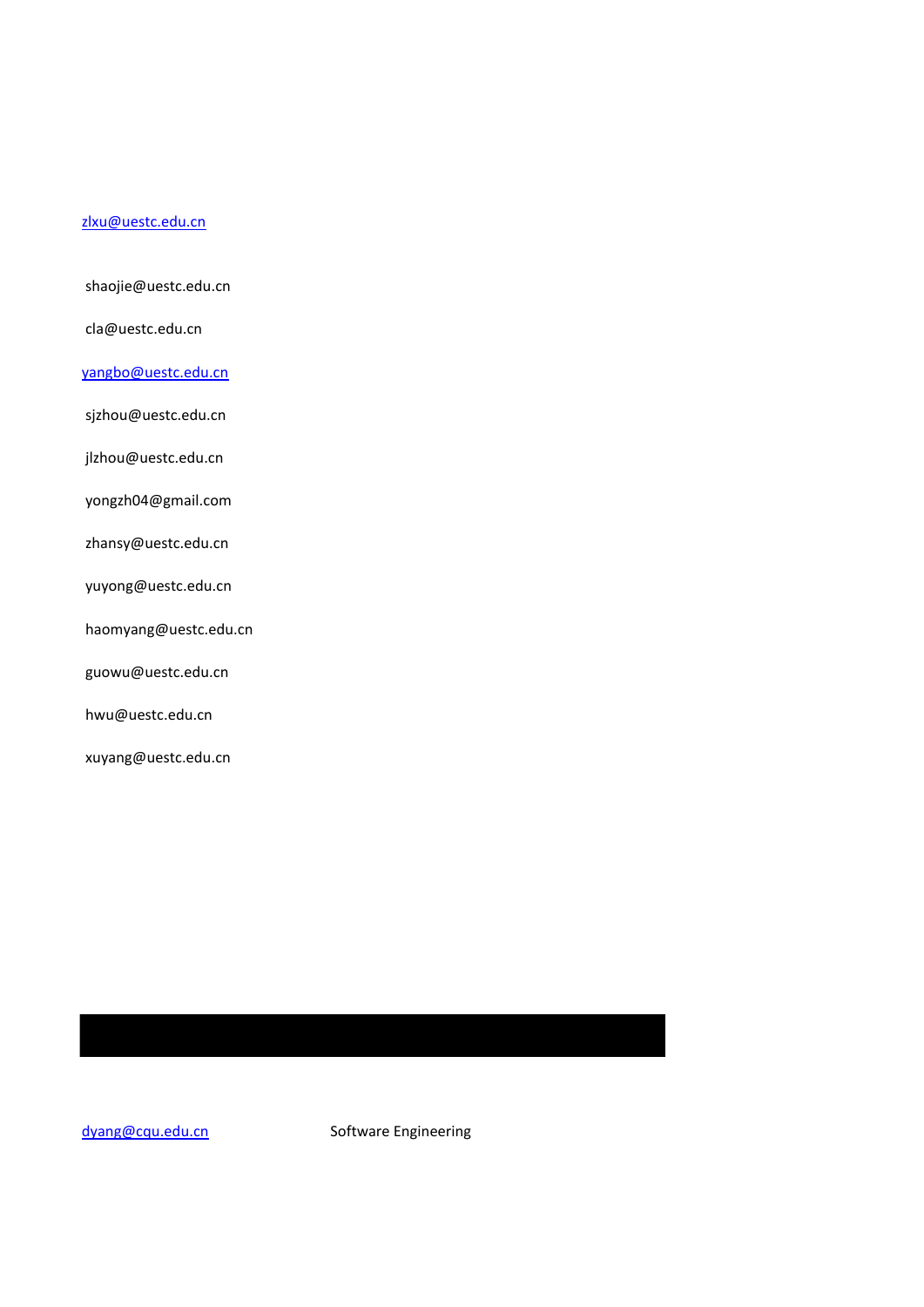#### [zlxu@uestc.edu.cn](mailto:zlxu@uestc.edu.cn)

shaojie@uestc.edu.cn

cla@uestc.edu.cn

#### [yangbo@uestc.edu.cn](mailto:yangbo@uestc.edu.cn)

sjzhou@uestc.edu.cn

jlzhou@uestc.edu.cn

yongzh04@gmail.com

zhansy@uestc.edu.cn

yuyong@uestc.edu.cn

haomyang@uestc.edu.cn

guowu@uestc.edu.cn

hwu@uestc.edu.cn

xuyang@uestc.edu.cn

[dyang@cqu.edu.cn](mailto:dyang@cqu.edu.cn) Software Engineering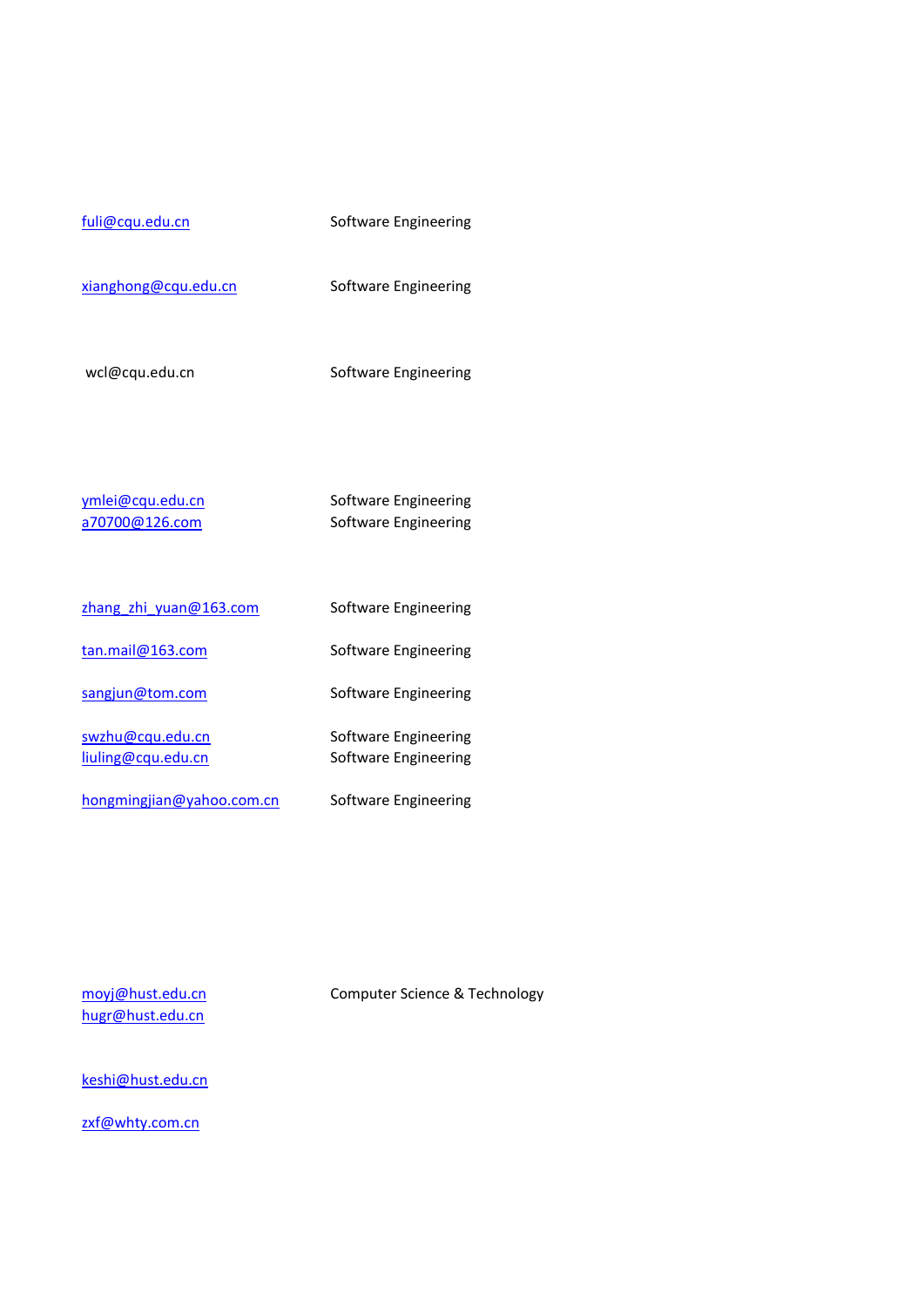| fuli@cqu.edu.cn                        | Software Engineering                         |
|----------------------------------------|----------------------------------------------|
| xianghong@cqu.edu.cn                   | Software Engineering                         |
| wcl@cqu.edu.cn                         | Software Engineering                         |
| ymlei@cqu.edu.cn<br>a70700@126.com     | Software Engineering<br>Software Engineering |
| zhang zhi yuan@163.com                 | Software Engineering                         |
| tan.mail@163.com                       | Software Engineering                         |
| sangjun@tom.com                        | Software Engineering                         |
| swzhu@cqu.edu.cn<br>liuling@cqu.edu.cn | Software Engineering<br>Software Engineering |

[hongmingjian@yahoo.com.cn](mailto:hongmingjian@yahoo.com.cn) Software Engineering

[hugr@hust.edu.cn](mailto:hugr@hust.edu.cn)

[moyj@hust.edu.cn](mailto:moyj@hust.edu.cn) Computer Science & Technology

[keshi@hust.edu.cn](mailto:keshi@hust.edu.cn)

[zxf@whty.com.cn](mailto:zxf@whty.com.cn)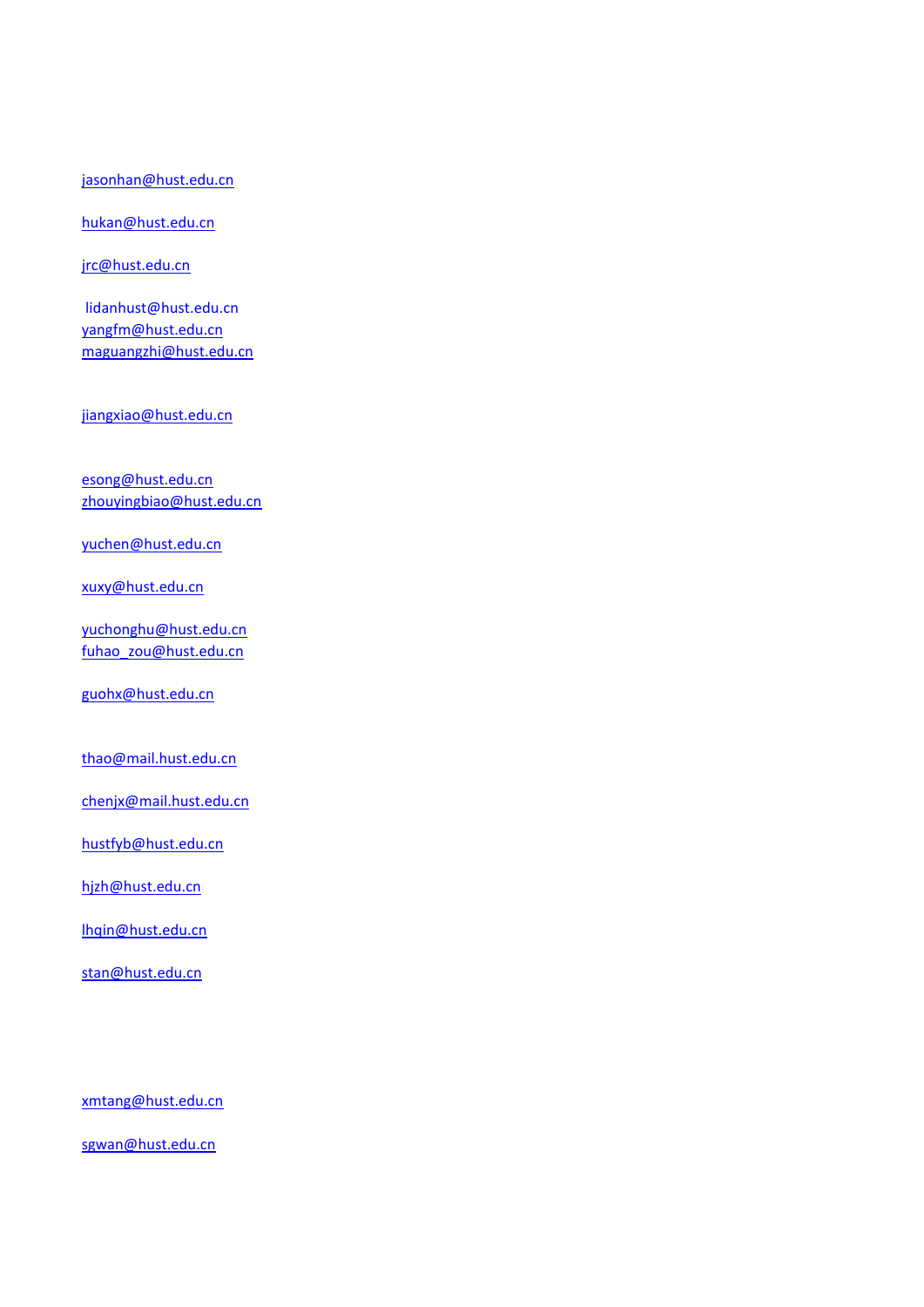#### [jasonhan@hust.edu.cn](mailto:jasonhan@hust.edu.cn)

#### [hukan@hust.edu.cn](mailto:hukan@hust.edu.cn)

[jrc@hust.edu.cn](mailto:jrc@hust.edu.cn)

 lidanhust@hust.edu.cn [yangfm@hust.edu.cn](mailto:yangfm@hust.edu.cn) [maguangzhi@hust.edu.cn](mailto:maguangzhi@hust.edu.cn)

[jiangxiao@hust.edu.cn](mailto:jiangxiao@hust.edu.cn)

[esong@hust.edu.cn](mailto:esong@hust.edu.cn) [zhouyingbiao@hust.edu.cn](mailto:zhouyingbiao@hust.edu.cn)

[yuchen@hust.edu.cn](mailto:yuchen@hust.edu.cn)

[xuxy@hust.edu.cn](mailto:xuxy@hust.edu.cn)

[yuchonghu@hust.edu.cn](mailto:yuchonghu@hust.edu.cn) [fuhao\\_zou@hust.edu.cn](mailto:fuhao_zou@hust.edu.cn)

[guohx@hust.edu.cn](mailto:guohx@hust.edu.cn)

[thao@mail.hust.edu.cn](mailto:thao@mail.hust.edu.cn)

[chenjx@mail.hust.edu.cn](mailto:chenjx@mail.hust.edu.cn)

[hustfyb@hust.edu.cn](mailto:hustfyb@hust.edu.cn)

[hjzh@hust.edu.cn](mailto:hjzh@hust.edu.cn)

[lhqin@hust.edu.cn](mailto:lhqin@hust.edu.cn)

[stan@hust.edu.cn](mailto:stan@hust.edu.cn)

[xmtang@hust.edu.cn](mailto:xmtang@hust.edu.cn)

[sgwan@hust.edu.cn](mailto:sgwan@hust.edu.cn)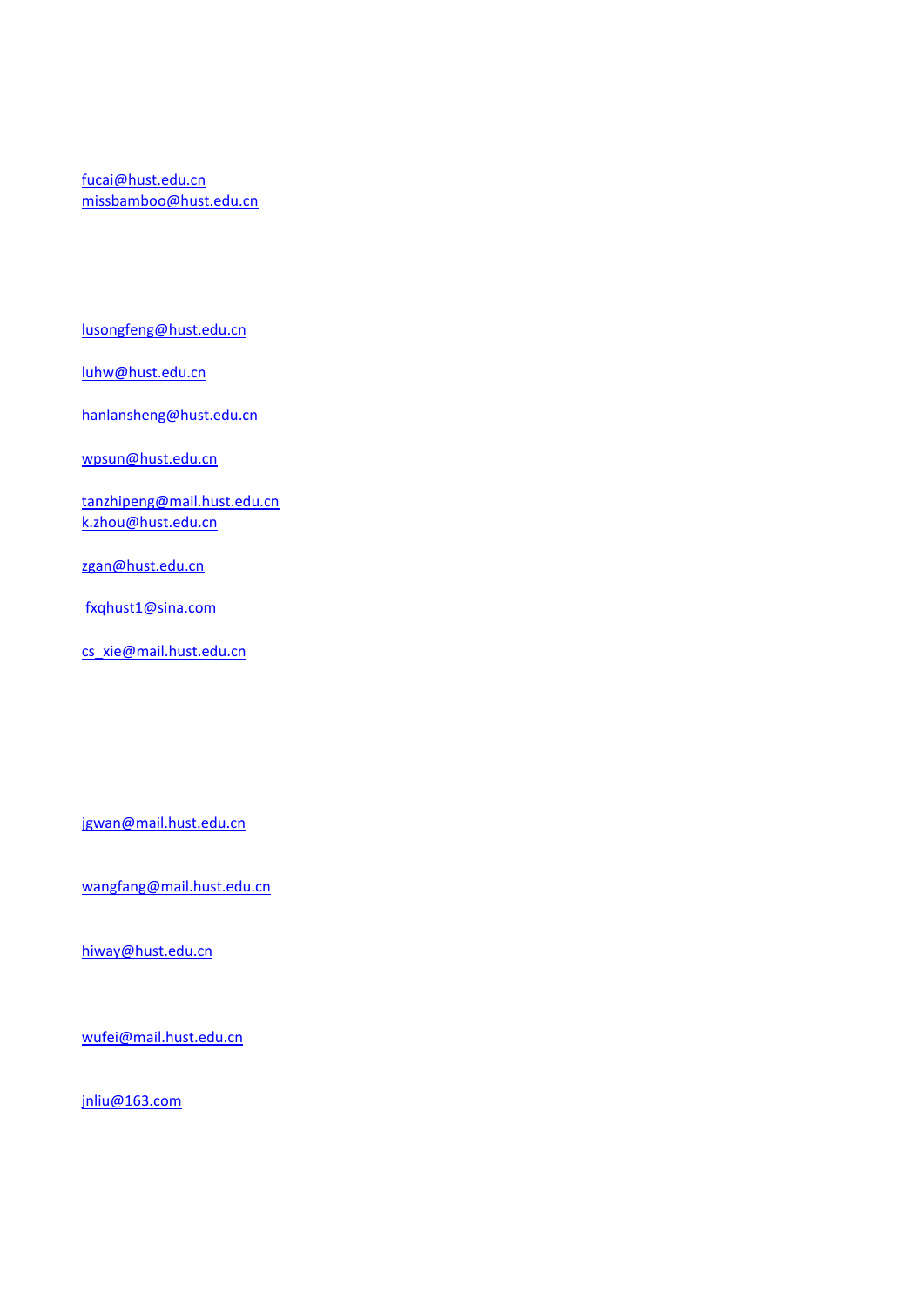[fucai@hust.edu.cn](mailto:fucai@hust.edu.cn) [missbamboo@hust.edu.cn](mailto:missbamboo@hust.edu.cn)

[lusongfeng@hust.edu.cn](mailto:lusongfeng@hust.edu.cn)

[luhw@hust.edu.cn](mailto:luhw@hust.edu.cn)

[hanlansheng@hust.edu.cn](mailto:hanlansheng@hust.edu.cn)

[wpsun@hust.edu.cn](mailto:wpsun@hust.edu.cn)

[tanzhipeng@mail.hust.edu.cn](mailto:tanzhipeng@mail.hust.edu.cn) [k.zhou@hust.edu.cn](mailto:k.zhou@hust.edu.cn)

[zgan@hust.edu.cn](mailto:zgan@hust.edu.cn)

fxqhust1@sina.com

[cs\\_xie@mail.hust.edu.cn](mailto:cs_xie@mail.hust.edu.cn)

[jgwan@mail.hust.edu.cn](mailto:jgwan@mail.hust.edu.cn)

[wangfang@mail.hust.edu.cn](mailto:wangfang@mail.hust.edu.cn)

[hiway@hust.edu.cn](mailto:hiway@hust.edu.cn)

[wufei@mail.hust.edu.cn](mailto:wufei@mail.hust.edu.cn)

[jnliu@163.com](mailto:jnliu@163.com)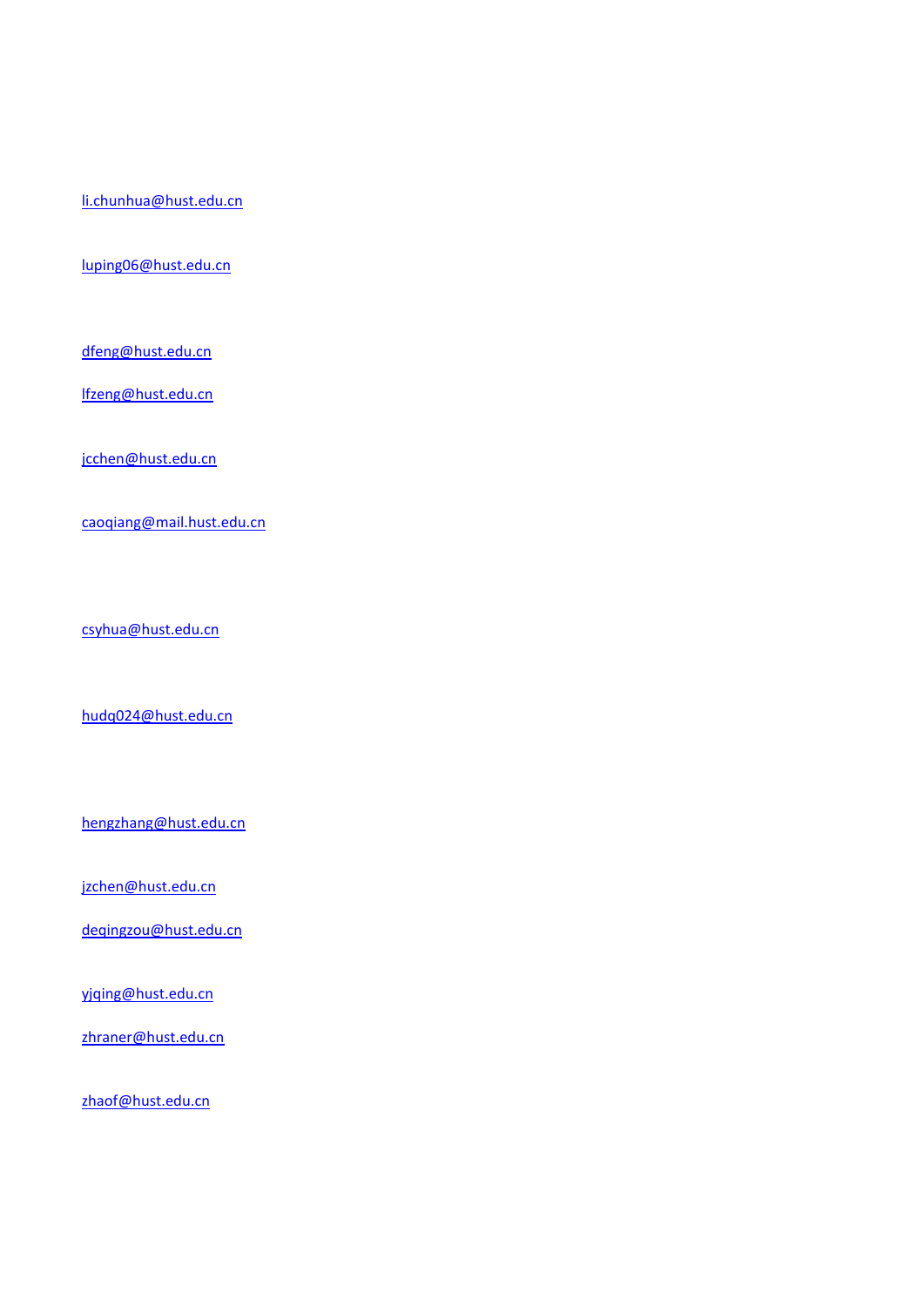[li.chunhua@hust.edu.cn](mailto:li.chunhua@hust.edu.cn)

[luping06@hust.edu.cn](mailto:luping06@hust.edu.cn)

[dfeng@hust.edu.cn](mailto:dfeng@hust.edu.cn)

[lfzeng@hust.edu.cn](mailto:lfzeng@hust.edu.cn)

[jcchen@hust.edu.cn](mailto:jcchen@hust.edu.cn)

[caoqiang@mail.hust.edu.cn](mailto:caoqiang@mail.hust.edu.cn)

[csyhua@hust.edu.cn](mailto:csyhua@hust.edu.cn)

[hudq024@hust.edu.cn](mailto:hudq024@hust.edu.cn)

[hengzhang@hust.edu.cn](mailto:hengzhang@hust.edu.cn)

[jzchen@hust.edu.cn](mailto:jzchen@hust.edu.cn)

[deqingzou@hust.edu.cn](mailto:deqingzou@hust.edu.cn)

[yjqing@hust.edu.cn](mailto:yjqing@hust.edu.cn)

[zhraner@hust.edu.cn](mailto:zhraner@hust.edu.cn)

[zhaof@hust.edu.cn](mailto:zhaof@hust.edu.cn)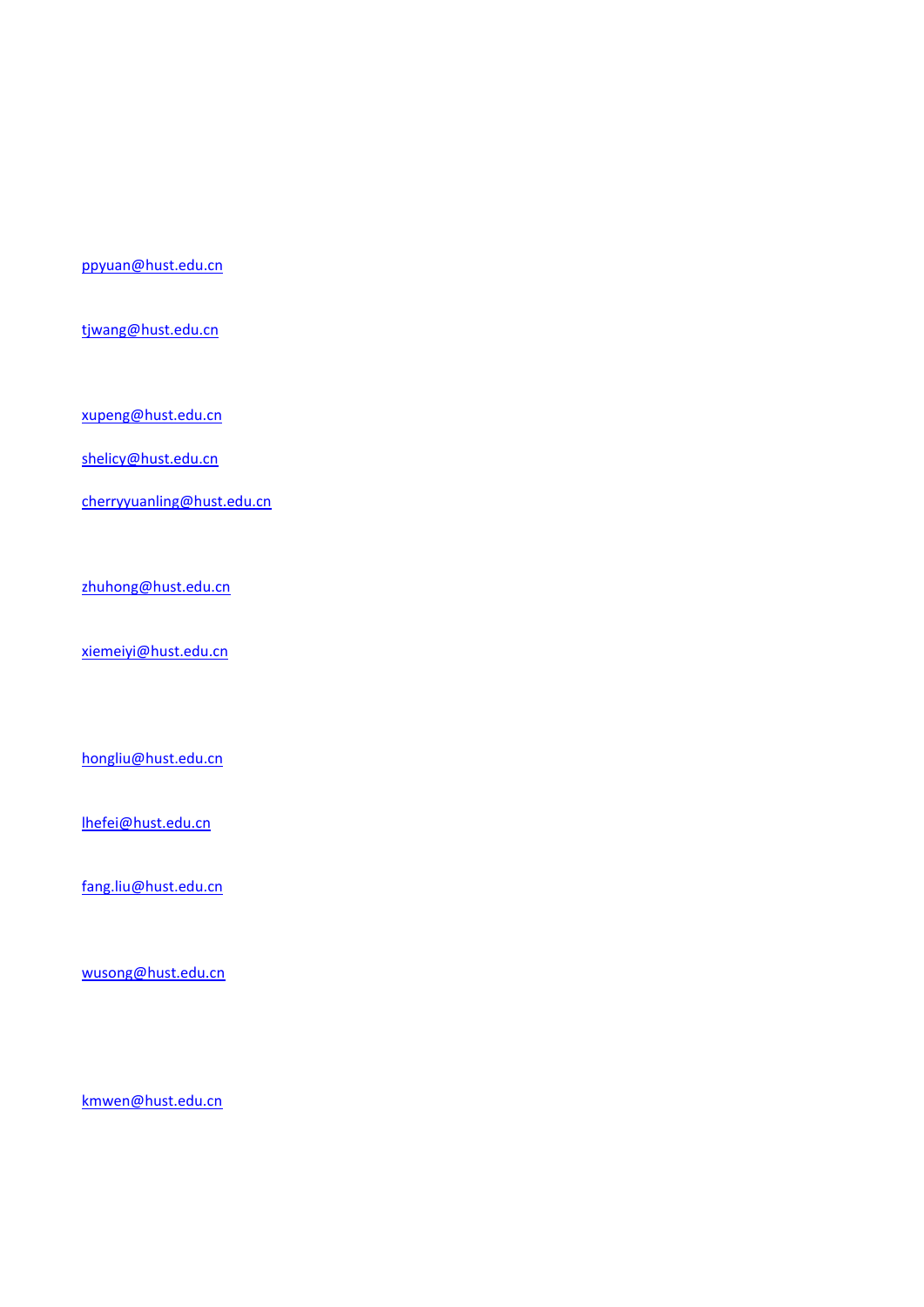[ppyuan@hust.edu.cn](mailto:ppyuan@hust.edu.cn)

[tjwang@hust.edu.cn](mailto:tjwang@hust.edu.cn)

[xupeng@hust.edu.cn](mailto:xupeng@hust.edu.cn)

[shelicy@hust.edu.cn](mailto:shelicy@hust.edu.cn)

[cherryyuanling@hust.edu.cn](mailto:cherryyuanling@hust.edu.cn)

[zhuhong@hust.edu.cn](mailto:zhuhong@hust.edu.cn)

[xiemeiyi@hust.edu.cn](mailto:xiemeiyi@hust.edu.cn)

[hongliu@hust.edu.cn](mailto:hongliu@hust.edu.cn)

[lhefei@hust.edu.cn](mailto:lhefei@hust.edu.cn)

[fang.liu@hust.edu.cn](mailto:fang.liu@hust.edu.cn)

[wusong@hust.edu.cn](mailto:wusong@hust.edu.cn)

[kmwen@hust.edu.cn](mailto:kmwen@hust.edu.cn)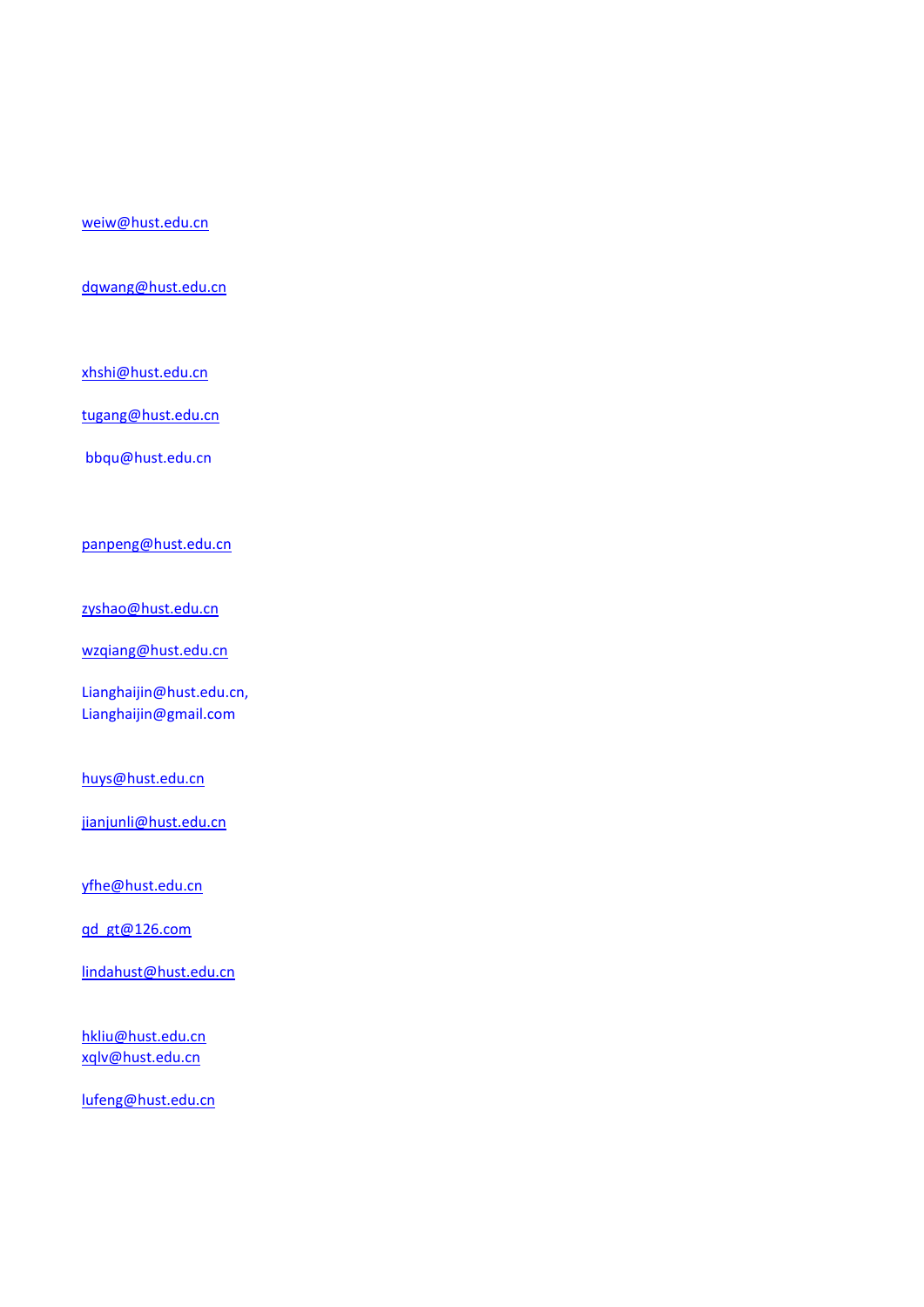#### [weiw@hust.edu.cn](mailto:weiw@hust.edu.cn)

[dqwang@hust.edu.cn](mailto:dqwang@hust.edu.cn)

[xhshi@hust.edu.cn](mailto:xhshi@hust.edu.cn)

[tugang@hust.edu.cn](mailto:tugang@hust.edu.cn)

bbqu@hust.edu.cn

[panpeng@hust.edu.cn](mailto:panpeng@hust.edu.cn)

[zyshao@hust.edu.cn](mailto:zyshao@hust.edu.cn)

[wzqiang@hust.edu.cn](mailto:wzqiang@hust.edu.cn)

Lianghaijin@hust.edu.cn, Lianghaijin@gmail.com

[huys@hust.edu.cn](mailto:huys@hust.edu.cn)

[jianjunli@hust.edu.cn](mailto:jianjunli@hust.edu.cn)

[yfhe@hust.edu.cn](mailto:yfhe@hust.edu.cn)

[qd\\_gt@126.com](mailto:qd_gt@126.com)

[lindahust@hust.edu.cn](mailto:lindahust@hust.edu.cn)

[hkliu@hust.edu.cn](mailto:hkliu@hust.edu.cn) [xqlv@hust.edu.cn](mailto:xqlv@hust.edu.cn)

[lufeng@hust.edu.cn](mailto:lufeng@hust.edu.cn)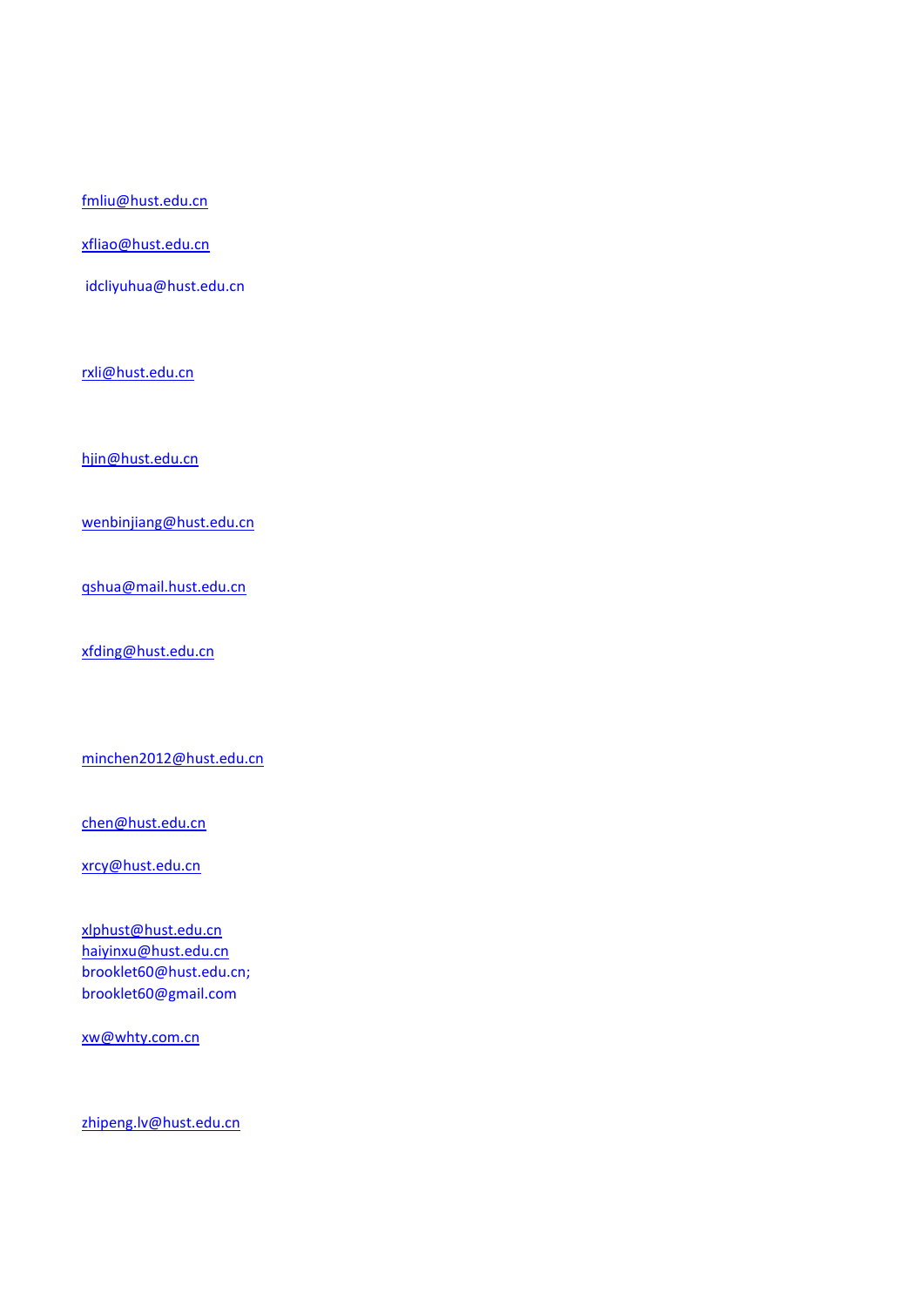[fmliu@hust.edu.cn](mailto:fmliu@hust.edu.cn)

[xfliao@hust.edu.cn](mailto:xfliao@hust.edu.cn)

idcliyuhua@hust.edu.cn

[rxli@hust.edu.cn](mailto:rxli@hust.edu.cn)

[hjin@hust.edu.cn](mailto:hjin@hust.edu.cn)

[wenbinjiang@hust.edu.cn](mailto:wenbinjiang@hust.edu.cn)

[qshua@mail.hust.edu.cn](mailto:qshua@mail.hust.edu.cn)

[xfding@hust.edu.cn](mailto:xfding@hust.edu.cn)

[minchen2012@hust.edu.cn](mailto:minchen2012@hust.edu.cn)

[chen@hust.edu.cn](mailto:chen@hust.edu.cn)

[xrcy@hust.edu.cn](mailto:xrcy@hust.edu.cn)

[xlphust@hust.edu.cn](mailto:xlphust@hust.edu.cn) [haiyinxu@hust.edu.cn](mailto:haiyinxu@hust.edu.cn) brooklet60@hust.edu.cn; brooklet60@gmail.com

[xw@whty.com.cn](mailto:xw@whty.com.cn)

[zhipeng.lv@hust.edu.cn](mailto:zhipeng.lv@hust.edu.cn)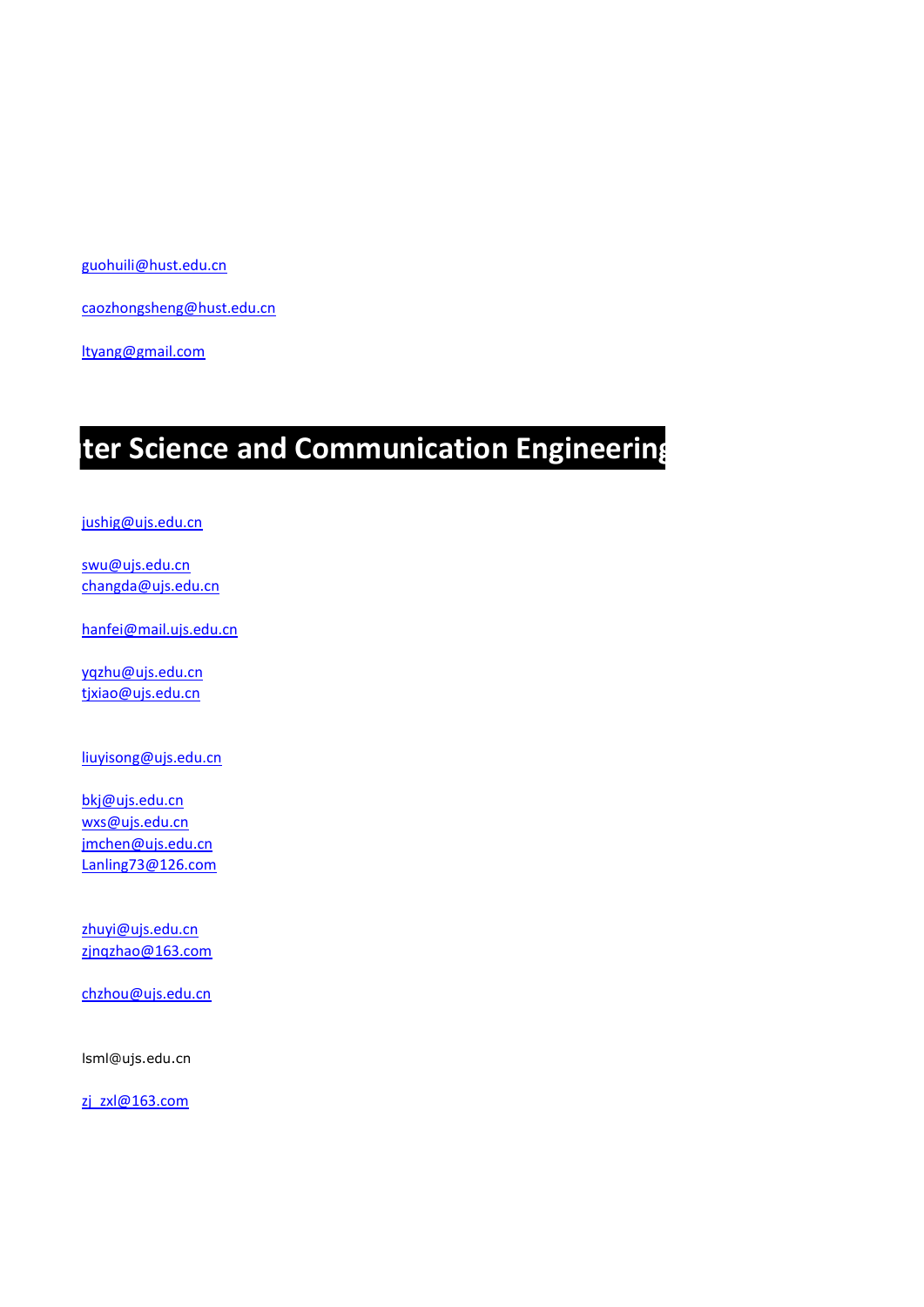[guohuili@hust.edu.cn](mailto:guohuili@hust.edu.cn)

[caozhongsheng@hust.edu.cn](mailto:caozhongsheng@hust.edu.cn)

[ltyang@gmail.com](mailto:ltyang@gmail.com)

### **ter Science and Communication Engineering**

[jushig@ujs.edu.cn](mailto:jushig@ujs.edu.cn)

[swu@ujs.edu.cn](mailto:swu@ujs.edu.cn) [changda@ujs.edu.cn](mailto:changda@ujs.edu.cn　)

[hanfei@mail.ujs.edu.cn](mailto:hanfei@mail.ujs.edu.cn)

[yqzhu@ujs.edu.cn](mailto:yqzhu@ujs.edu.cn) [tjxiao@ujs.edu.cn](mailto:tjxiao@ujs.edu.cn)

[liuyisong@ujs.edu.cn](mailto:liuyisong@ujs.edu.cn)

[bkj@ujs.edu.cn](mailto:bkj@ujs.edu.cn) [wxs@ujs.edu.cn](mailto:wxs@ujs.edu.cn) [jmchen@ujs.edu.cn](mailto:jmchen@ujs.edu.cn) [Lanling73@126.com](mailto:Lanling73@126.com)

[zhuyi@ujs.edu.cn](mailto:zhuyi@ujs.edu.cn) [zjnqzhao@163.com](mailto:zjnqzhao@163.com)

[chzhou@ujs.edu.cn](mailto:chzhou@ujs.edu.cn)

lsml@ujs.edu.cn

[zj\\_zxl@163.com](mailto:zj_zxl@163.com)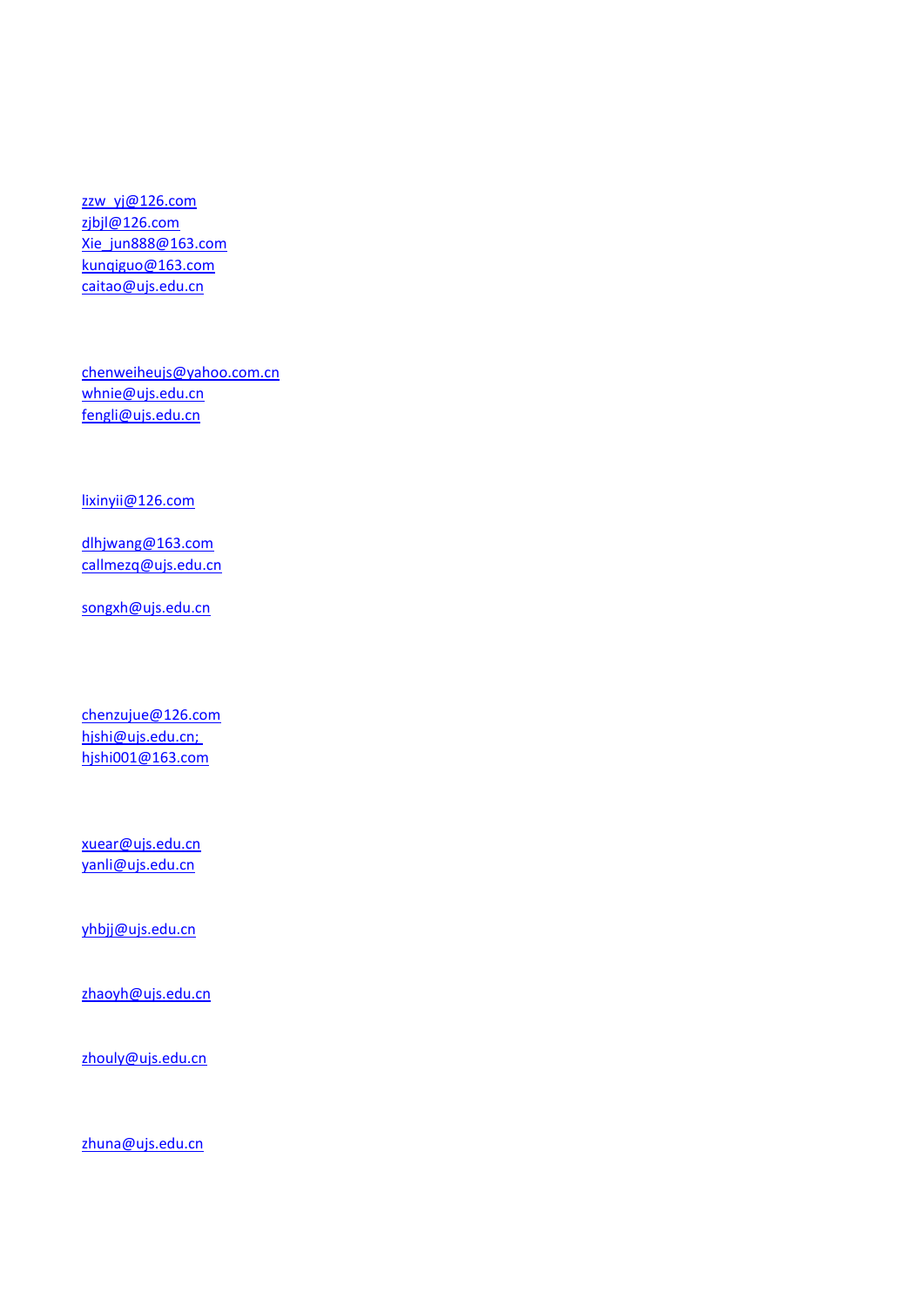[zzw\\_yj@126.com](mailto:zzw_yj@126.com) [zjbjl@126.com](mailto:zjbjl@126.com) [Xie\\_jun888@163.com](mailto:Xie_jun888@163.com) [kunqiguo@163.com](mailto:kunqiguo@163.com) [caitao@ujs.edu.cn](mailto:caitao@ujs.edu.cn)

[chenweiheujs@yahoo.com.cn](mailto:chenweiheujs@yahoo.com.cn) [whnie@ujs.edu.cn](mailto:whnie@ujs.edu.cn) [fengli@ujs.edu.cn](mailto:fengli@ujs.edu.cn)

[lixinyii@126.com](mailto:lixinyii@126.com)

[dlhjwang@163.com](mailto:dlhjwang@163.com　) [callmezq@ujs.edu.cn](mailto:callmezq@ujs.edu.cn)

[songxh@ujs.edu.cn](mailto:songxh@ujs.edu.cn)

[chenzujue@126.com](mailto:chenzujue@126.com) hjshi@ujs.edu.cn; hjshi001@163.com

[xuear@ujs.edu.cn](mailto:xuear@ujs.edu.cn) [yanli@ujs.edu.cn](mailto:yanli@ujs.edu.cn)

[yhbjj@ujs.edu.cn](mailto:yhbjj@ujs.edu.cn)

[zhaoyh@ujs.edu.cn](mailto:zhaoyh@ujs.edu.cn)

[zhouly@ujs.edu.cn](mailto:zhouly@ujs.edu.cn)

[zhuna@ujs.edu.cn](mailto:zhuna@ujs.edu.cn)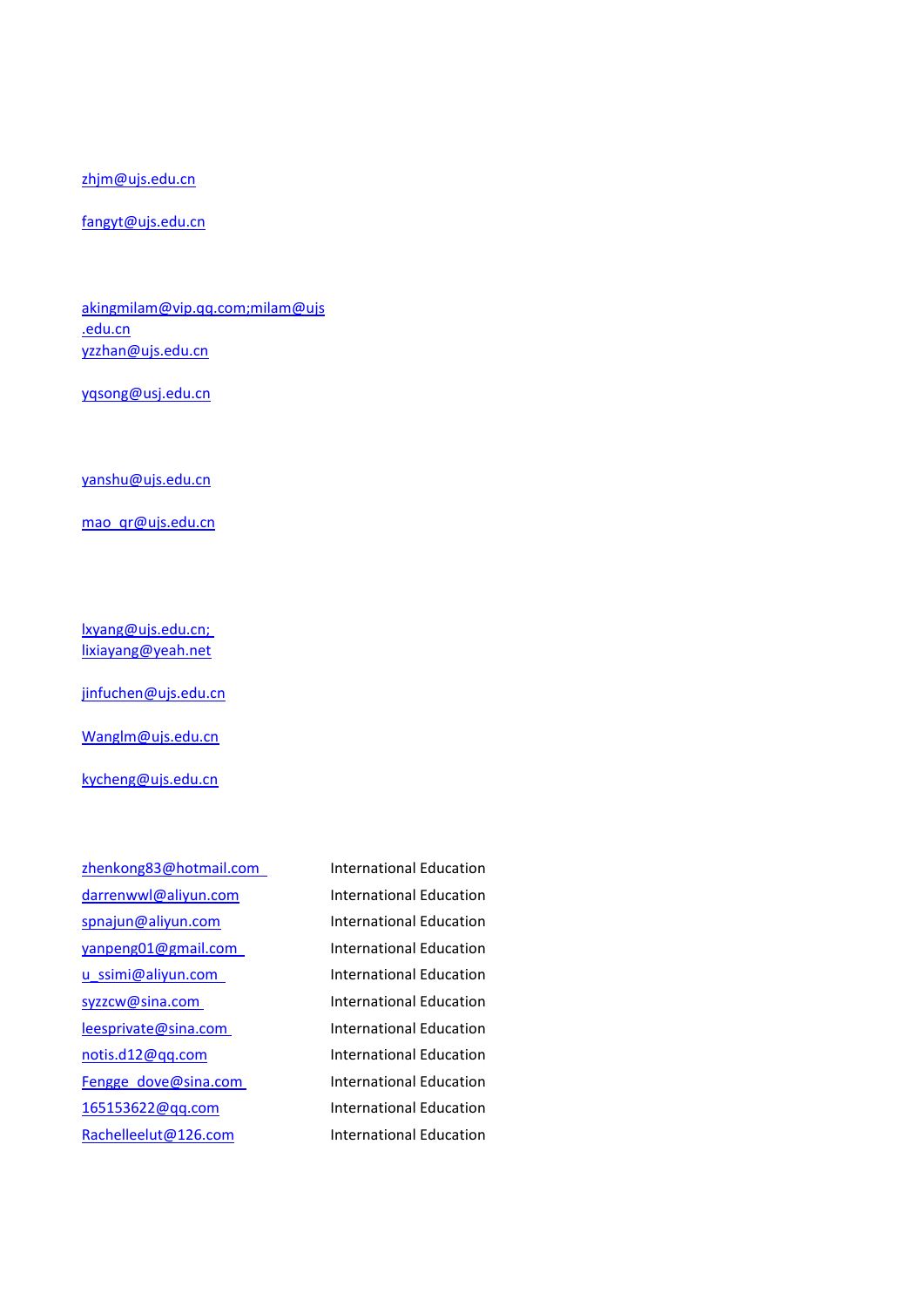[zhjm@ujs.edu.cn](mailto:zhjm@ujs.edu.cn)

[fangyt@ujs.edu.cn](mailto:fangyt@ujs.edu.cn)

[akingmilam@vip.qq.com;milam@ujs](mailto:akingmilam@vip.qq.com;milam@ujs.edu.cn) [.edu.cn](mailto:akingmilam@vip.qq.com;milam@ujs.edu.cn) [yzzhan@ujs.edu.cn](mailto:yzzhan@ujs.edu.cn)

[yqsong@usj.edu.cn](mailto:yqsong@usj.edu.cn)

[yanshu@ujs.edu.cn](mailto:yanshu@ujs.edu.cn)

mao qr@ujs.edu.cn

[lxyang@ujs.edu.cn;](mailto:lxyang@ujs.edu.cn)  [lixiayang@yeah.net](mailto:lxyang@ujs.edu.cn)

[jinfuchen@ujs.edu.cn](mailto:jinfuchen@ujs.edu.cn)

[Wanglm@ujs.edu.cn](mailto:Wanglm@ujs.edu.cn)

[kycheng@ujs.edu.cn](mailto:kycheng@ujs.edu.cn)

[zhenkong83@hotmail.com](mailto:zhenkong83@hotmail.com) International Education [darrenwwl@aliyun.com](mailto:darrenwwl@aliyun.com) International Education [spnajun@aliyun.com](mailto:spnajun@aliyun.com) International Education [yanpeng01@gmail.com](mailto:yanpeng01@gmail.com  ) International Education [u\\_ssimi@aliyun.com](mailto:u_ssimi@aliyun.com  ) International Education [syzzcw@sina.com](mailto:syzzcw@sina.com ) International Education [leesprivate@sina.com](mailto:leesprivate@sina.com ) International Education [notis.d12@qq.com](mailto:notis.d12@qq.com) International Education [Fengge\\_dove@sina.com](mailto:Fengge_dove@sina.com ) International Education [165153622@qq.com](mailto:165153622@qq.com) International Education [Rachelleelut@126.com](mailto:Rachelleelut@126.com) International Education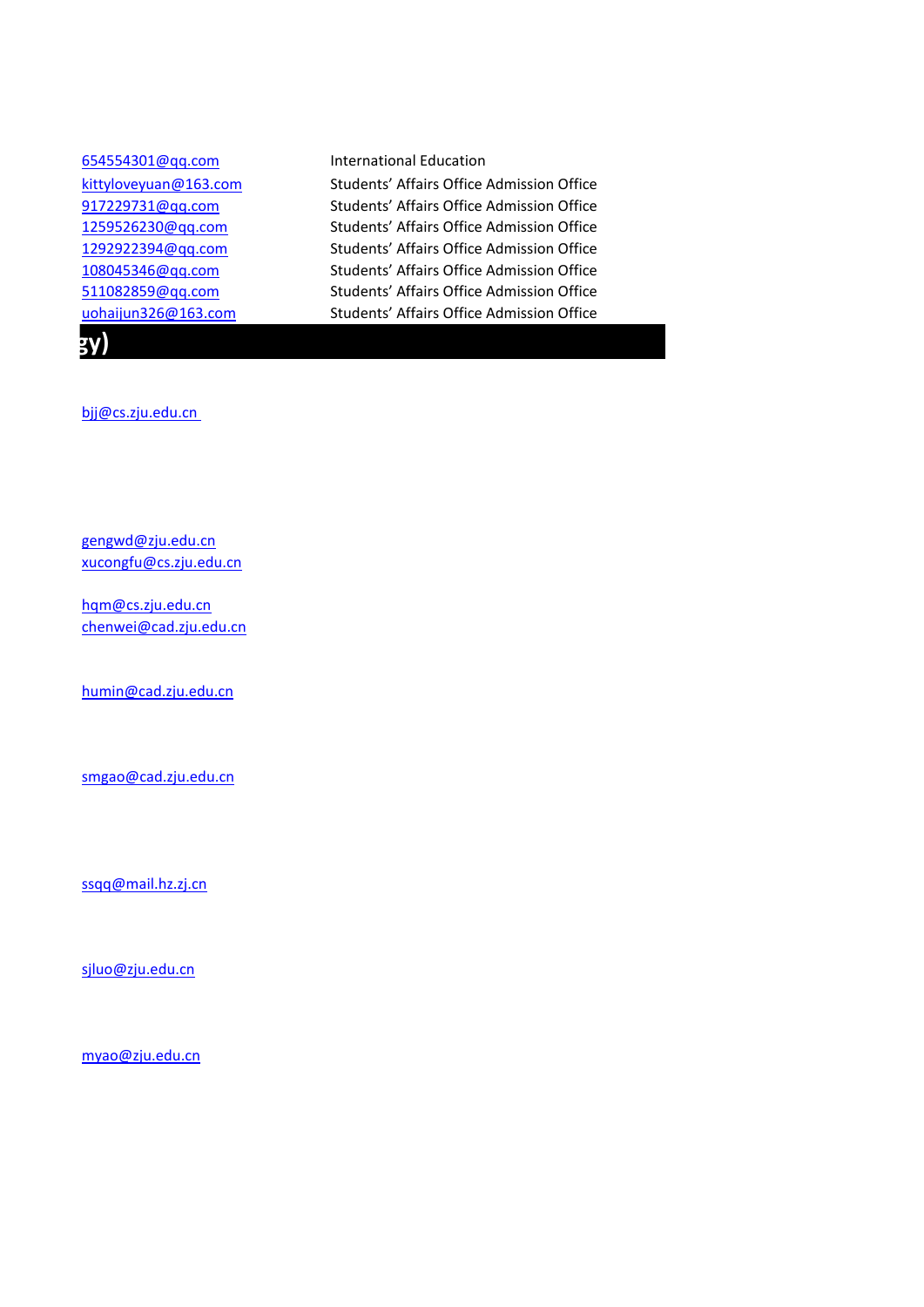| 654554301@qq.com      | International Education                   |
|-----------------------|-------------------------------------------|
| kittyloveyuan@163.com | Students' Affairs Office Admission Office |
| 917229731@qq.com      | Students' Affairs Office Admission Office |
| 1259526230@qq.com     | Students' Affairs Office Admission Office |
| 1292922394@qq.com     | Students' Affairs Office Admission Office |
| 108045346@qq.com      | Students' Affairs Office Admission Office |
| 511082859@qq.com      | Students' Affairs Office Admission Office |
| uohaijun326@163.com   | Students' Affairs Office Admission Office |
| IV)                   |                                           |

[bjj@cs.zju.edu.cn](mailto:bjj@cs.zju.edu.cn) 

[gengwd@zju.edu.cn](mailto:gengwd@zju.edu.cn) [xucongfu@cs.zju.edu.cn](mailto:xucongfu@cs.zju.edu.cn)

[hqm@cs.zju.edu.cn](mailto:hqm@cs.zju.edu.cn) [chenwei@cad.zju.edu.cn](mailto:chenwei@cad.zju.edu.cn)

[humin@cad.zju.edu.cn](mailto:humin@cad.zju.edu.cn)

[smgao@cad.zju.edu.cn](mailto:smgao@cad.zju.edu.cn)

[ssqq@mail.hz.zj.cn](mailto:ssqq@mail.hz.zj.cn)

[sjluo@zju.edu.cn](mailto:sjluo@zju.edu.cn)

[myao@zju.edu.cn](mailto:myao@zju.edu.cn)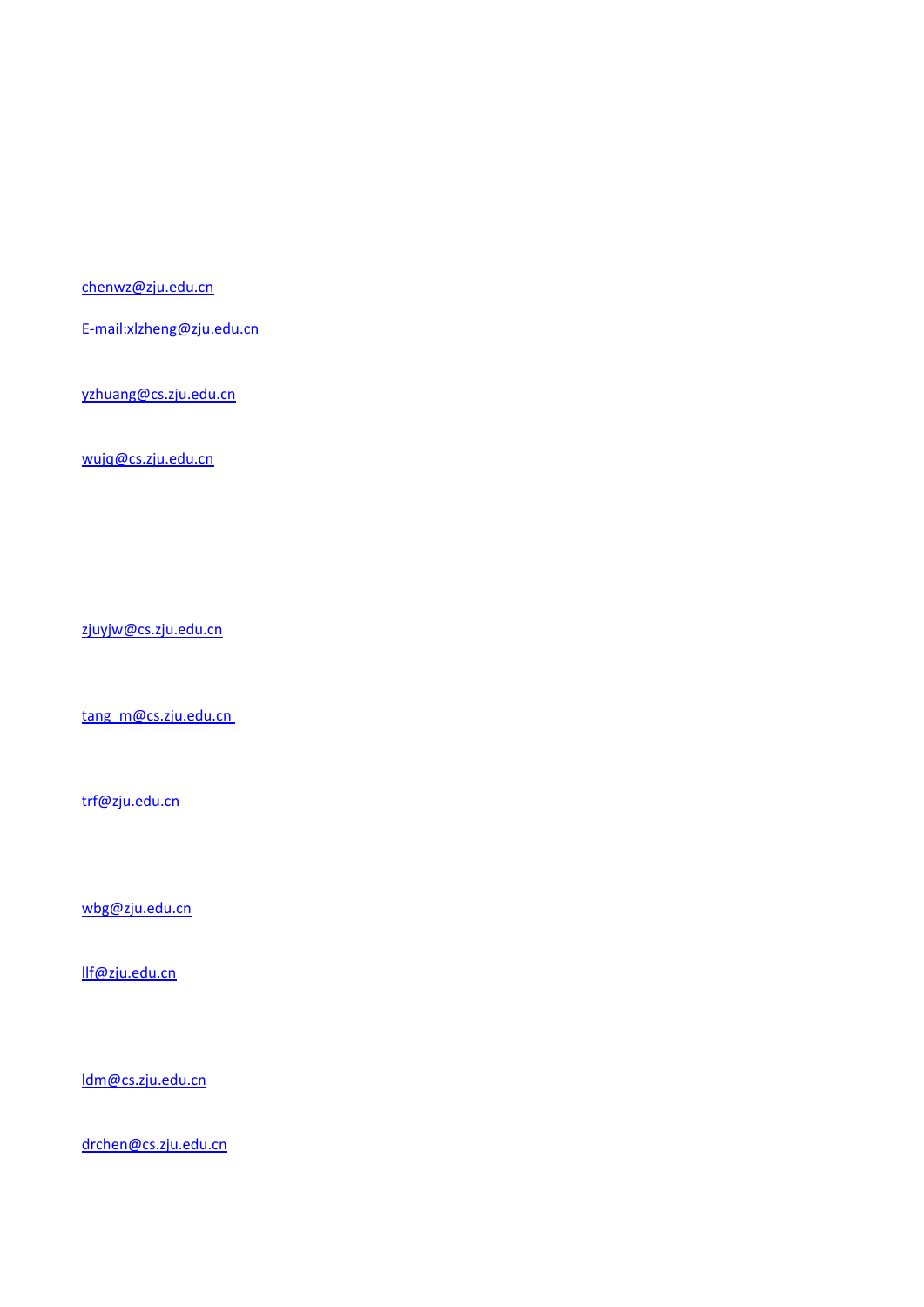[chenwz@zju.edu.cn](mailto:chenwz@zju.edu.cn)

E-mail:xlzheng@zju.edu.cn

[yzhuang@cs.zju.edu.cn](mailto:yzhuang@cs.zju.edu.cn)

[wujq@cs.zju.edu.cn](mailto:wujq@cs.zju.edu.cn)

[zjuyjw@cs.zju.edu.cn](mailto:zjuyjw@cs.zju.edu.cn)

tang\_m@cs.zju.edu.cn

[trf@zju.edu.cn](mailto:trf@zju.edu.cn)

[wbg@zju.edu.cn](mailto:wbg@zju.edu.cn)

[llf@zju.edu.cn](mailto:llf@zju.edu.cn)

[ldm@cs.zju.edu.cn](mailto:ldm@cs.zju.edu.cn)

[drchen@cs.zju.edu.cn](mailto:drchen@cs.zju.edu.cn)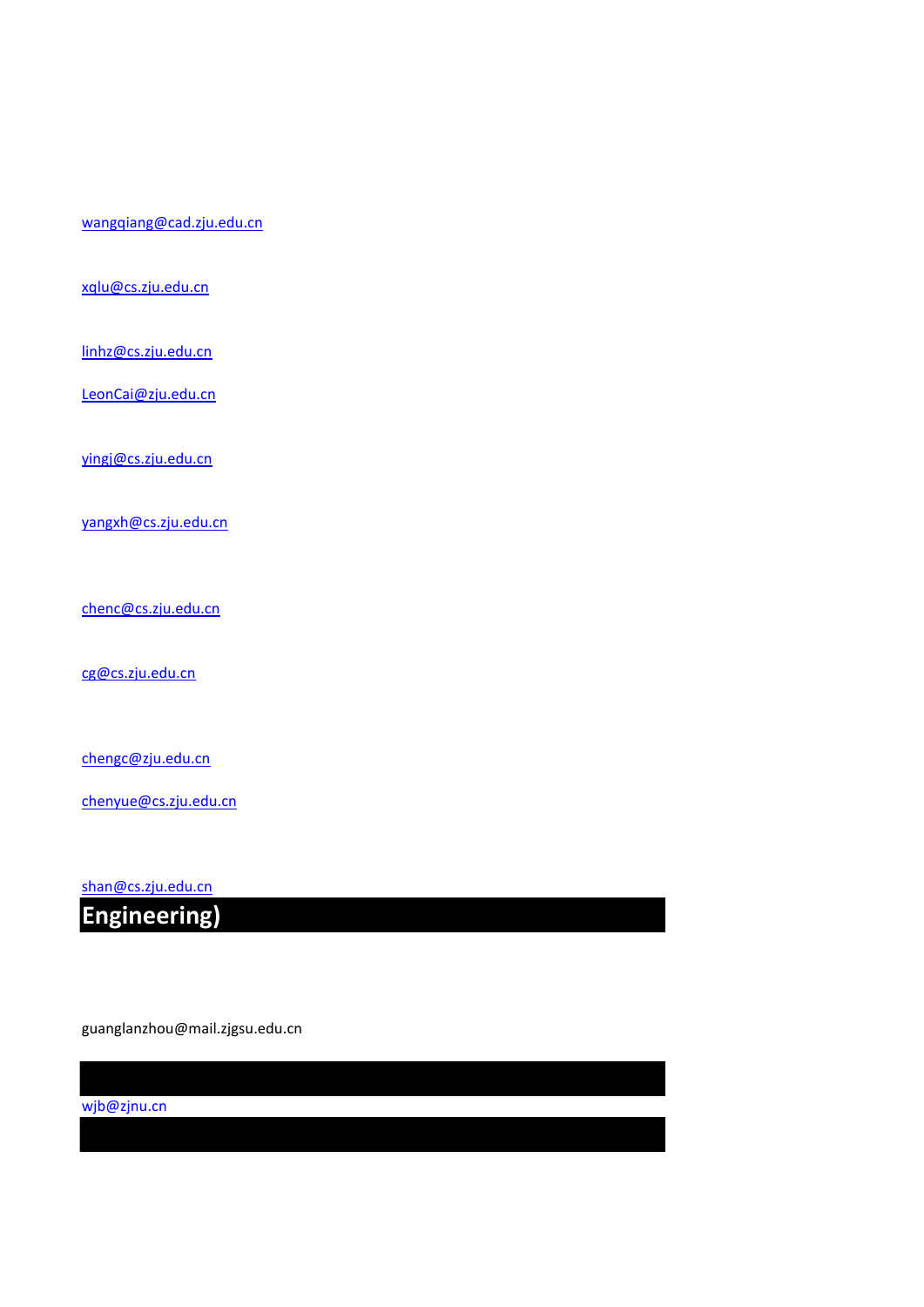[wjb@zjnu.cn](mailto:wjb@zjnu.cn)

guanglanzhou@mail.zjgsu.edu.cn

**Engineering)** 

[shan@cs.zju.edu.cn](mailto:shan@cs.zju.edu.cn)

[chenyue@cs.zju.edu.cn](mailto:chenyue@cs.zju.edu.cn)

[chengc@zju.edu.cn](mailto:chengc@zju.edu.cn)

[cg@cs.zju.edu.cn](mailto:cg@cs.zju.edu.cn)

[chenc@cs.zju.edu.cn](mailto:chenc@cs.zju.edu.cn)

[yingj@cs.zju.edu.cn](mailto:yingj@cs.zju.edu.cn)

[yangxh@cs.zju.edu.cn](mailto:yangxh@cs.zju.edu.cn)

[linhz@cs.zju.edu.cn](mailto:linhz@cs.zju.edu.cn) [LeonCai@zju.edu.cn](mailto:LeonCai@zju.edu.cn)

[xqlu@cs.zju.edu.cn](mailto:xqlu@cs.zju.edu.cn)

[wangqiang@cad.zju.edu.cn](mailto:wangqiang@cad.zju.edu.cn)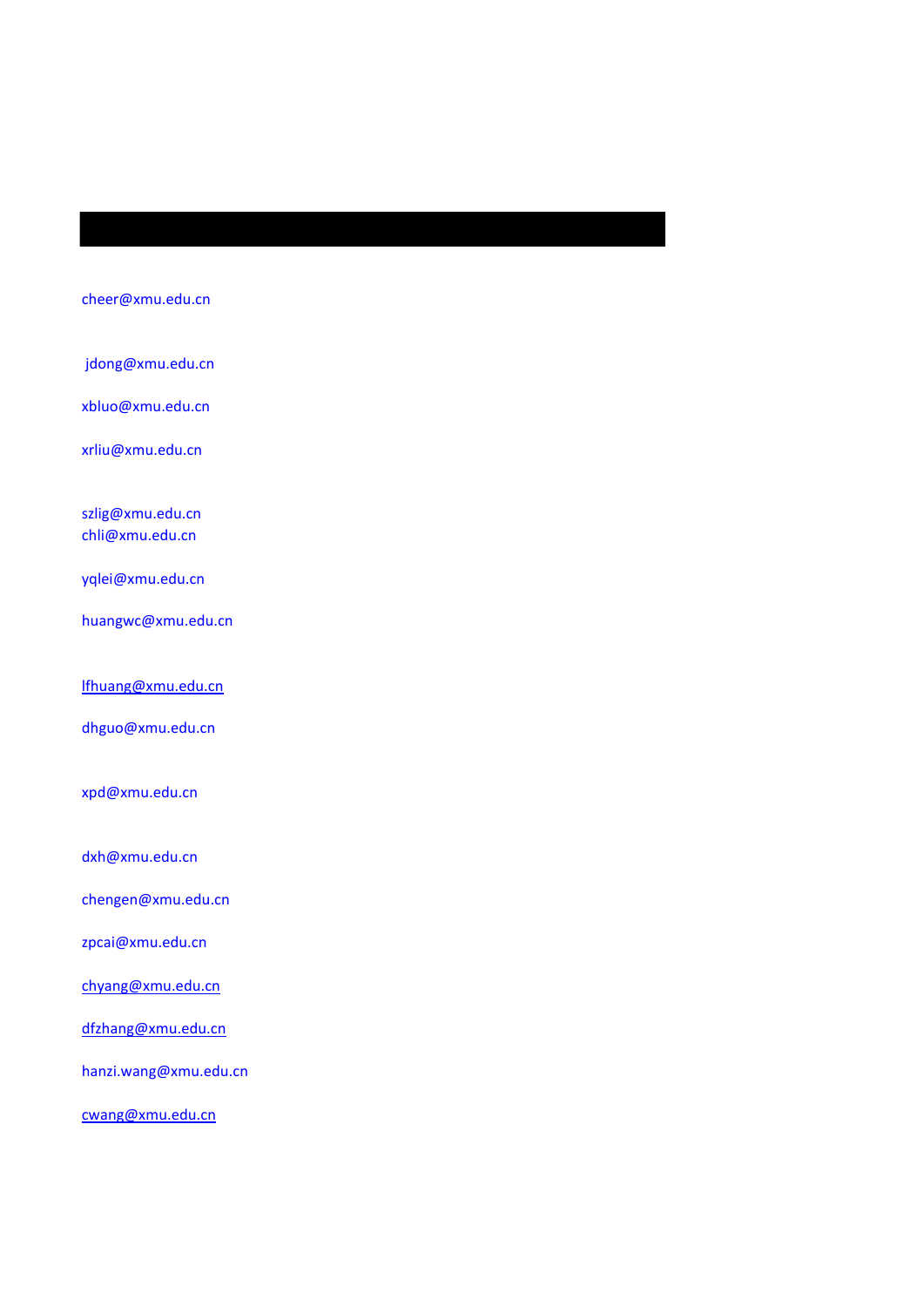### [cheer@xmu.edu.cn](mailto:cheer@xmu.edu.cn)

jdong@xmu.edu.cn

[xbluo@xmu.edu.cn](mailto:xbluo@xmu.edu.cn)

[xrliu@xmu.edu.cn](mailto:xrliu@xmu.edu.cn)

[szlig@xmu.edu.cn](mailto:szlig@xmu.edu.cn) [chli@xmu.edu.cn](mailto:chli@xmu.edu.cn)

[yqlei@xmu.edu.cn](mailto:yqlei@xmu.edu.cn)

[huangwc@xmu.edu.cn](mailto:huangwc@xmu.edu.cn)

[lfhuang@xmu.edu.cn](mailto:lfhuang@xmu.edu.cn)

[dhguo@xmu.edu.cn](mailto:dhguo@xmu.edu.cn)

[xpd@xmu.edu.cn](mailto:xpd@xmu.edu.cn)

[dxh@xmu.edu.cn](mailto:dxh@xmu.edu.cn)

[chengen@xmu.edu.cn](mailto:chengen@xmu.edu.cn)

[zpcai@xmu.edu.cn](mailto:zpcai@xmu.edu.cn)

[chyang@xmu.edu.cn](mailto:chyang@xmu.edu.cn)

[dfzhang@xmu.edu.cn](mailto:dfzhang@xmu.edu.cn)

hanzi.wang@xmu.edu.cn

[cwang@xmu.edu.cn](mailto:cwang@xmu.edu.cn)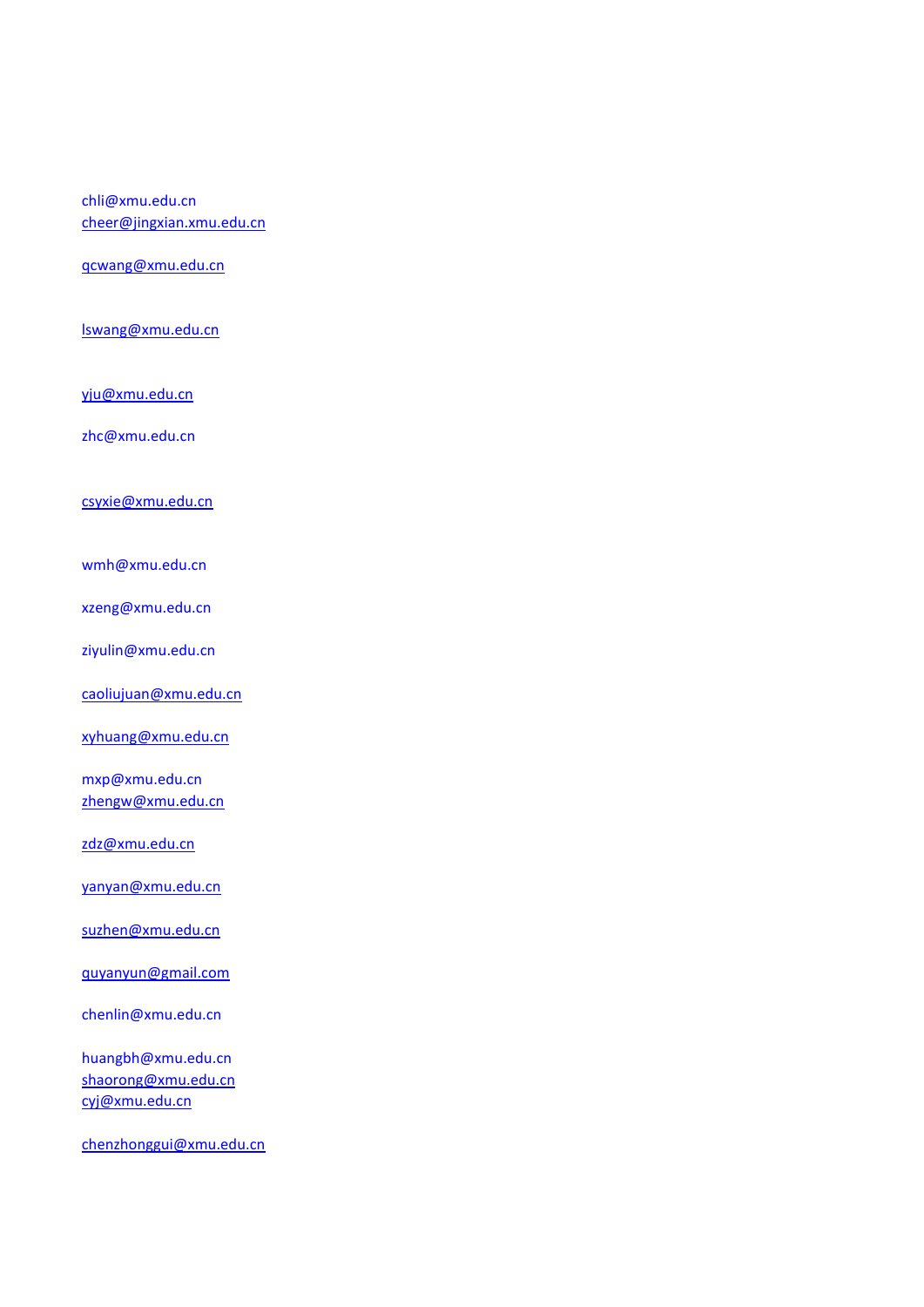### chli@xmu.edu.cn [cheer@jingxian.xmu.edu.cn](mailto:cheer@jingxian.xmu.edu.cn)

[qcwang@xmu.edu.cn](mailto:qcwang@xmu.edu.cn)

[lswang@xmu.edu.cn](mailto:lswang@xmu.edu.cn)

[yju@xmu.edu.cn](mailto:yju@xmu.edu.cn)

zhc@xmu.edu.cn

[csyxie@xmu.edu.cn](mailto:csyxie@xmu.edu.cn)

wmh@xmu.edu.cn

xzeng@xmu.edu.cn

ziyulin@xmu.edu.cn

[caoliujuan@xmu.edu.cn](mailto:caoliujuan@xmu.edu.cn)

[xyhuang@xmu.edu.cn](mailto:xyhuang@xmu.edu.cn)

mxp@xmu.edu.cn [zhengw@xmu.edu.cn](mailto:zhengw@xmu.edu.cn)

[zdz@xmu.edu.cn](mailto:zdz@xmu.edu.cn)

[yanyan@xmu.edu.cn](mailto:yanyan@xmu.edu.cn)

[suzhen@xmu.edu.cn](mailto:suzhen@xmu.edu.cn)

[quyanyun@gmail.com](mailto:quyanyun@gmail.com)

chenlin@xmu.edu.cn

huangbh@xmu.edu.cn [shaorong@xmu.edu.cn](mailto:shaorong@xmu.edu.cn) [cyj@xmu.edu.cn](mailto:cyj@xmu.edu.cn)

[chenzhonggui@xmu.edu.cn](mailto:chenzhonggui@xmu.edu.cn)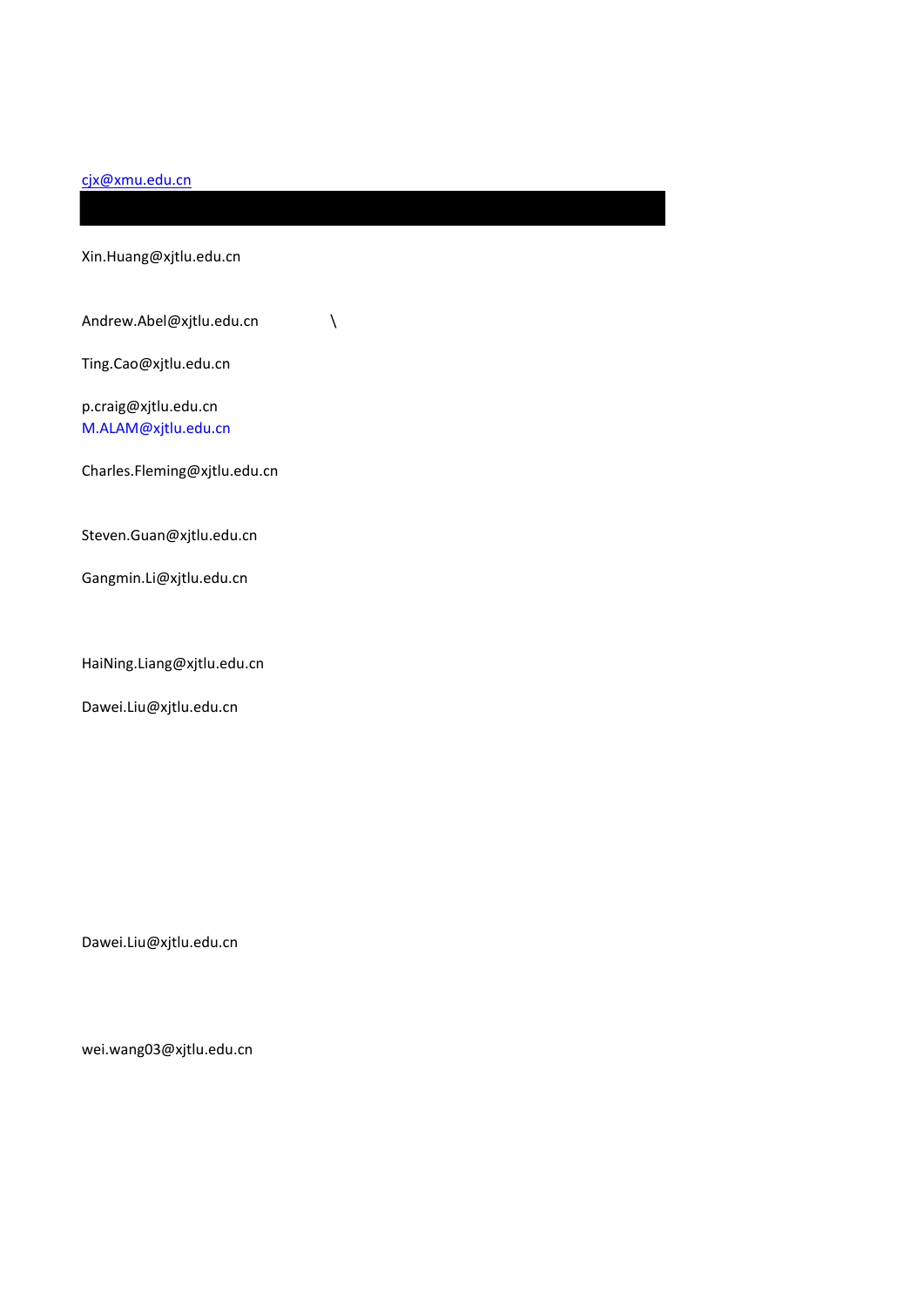#### [cjx@xmu.edu.cn](mailto:cjx@xmu.edu.cn)

Xin.Huang@xjtlu.edu.cn Andrew.Abel@xjtlu.edu.cn \ Ting.Cao@xjtlu.edu.cn p.craig@xjtlu.edu.cn [M.ALAM@xjtlu.edu.cn](mailto:M.ALAM@xjtlu.edu.cn) Charles.Fleming@xjtlu.edu.cn Steven.Guan@xjtlu.edu.cn Gangmin.Li@xjtlu.edu.cn HaiNing.Liang@xjtlu.edu.cn Dawei.Liu@xjtlu.edu.cn

Dawei.Liu@xjtlu.edu.cn

wei.wang03@xjtlu.edu.cn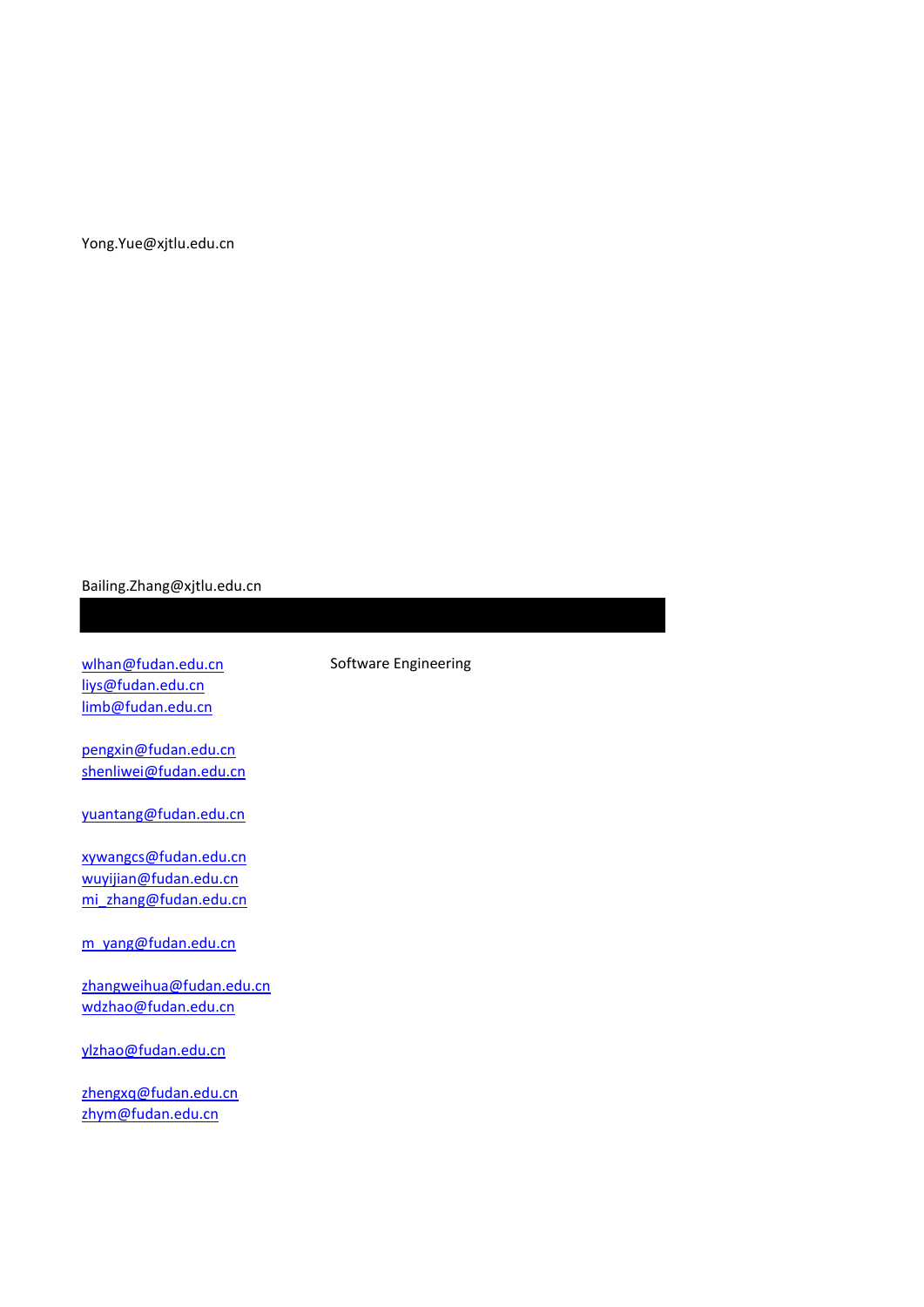#### Yong.Yue@xjtlu.edu.cn

#### Bailing.Zhang@xjtlu.edu.cn

[wlhan@fudan.edu.cn](mailto:wlhan@fudan.edu.cn) Software Engineering [liys@fudan.edu.cn](mailto:liys@fudan.edu.cn) [limb@fudan.edu.cn](mailto:limb@fudan.edu.cn)

[pengxin@fudan.edu.cn](mailto:pengxin@fudan.edu.cn) [shenliwei@fudan.edu.cn](mailto:shenliwei@fudan.edu.cn)

[yuantang@fudan.edu.cn](mailto:yuantang@fudan.edu.cn)

[xywangcs@fudan.edu.cn](mailto:xywangcs@fudan.edu.cn) [wuyijian@fudan.edu.cn](mailto:wuyijian@fudan.edu.cn) [mi\\_zhang@fudan.edu.cn](mailto:mi_zhang@fudan.edu.cn)

[m\\_yang@fudan.edu.cn](mailto:m_yang@fudan.edu.cn)

[zhangweihua@fudan.edu.cn](mailto:zhangweihua@fudan.edu.cn) [wdzhao@fudan.edu.cn](mailto:wdzhao@fudan.edu.cn)

[ylzhao@fudan.edu.cn](mailto:ylzhao@fudan.edu.cn)

[zhengxq@fudan.edu.cn](mailto:zhengxq@fudan.edu.cn) [zhym@fudan.edu.cn](mailto:zhym@fudan.edu.cn)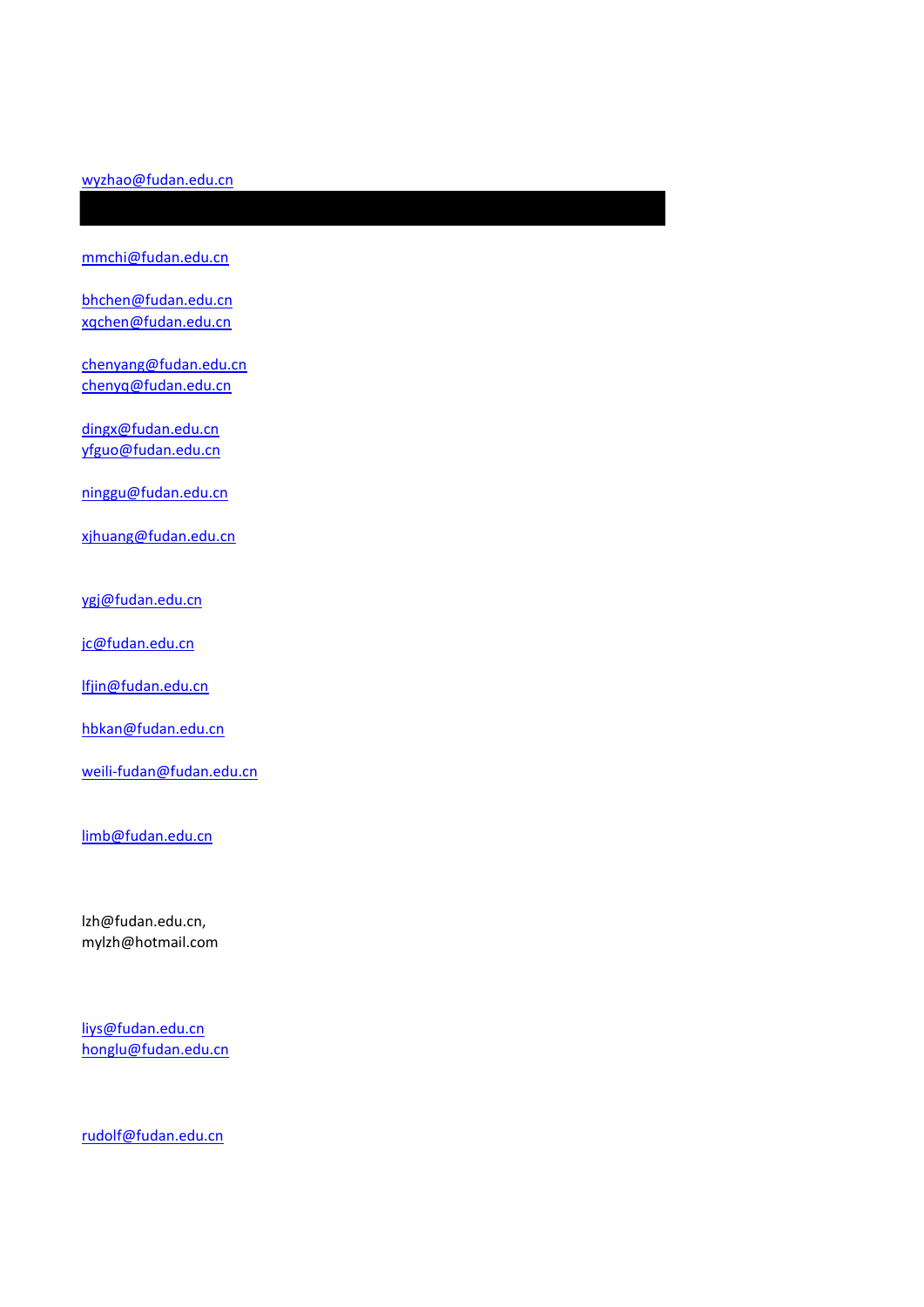#### [wyzhao@fudan.edu.cn](mailto:wyzhao@fudan.edu.cn)

[mmchi@fudan.edu.cn](mailto:mmchi@fudan.edu.cn)

[bhchen@fudan.edu.cn](mailto:bhchen@fudan.edu.cn) [xqchen@fudan.edu.cn](mailto:xqchen@fudan.edu.cn)

[chenyang@fudan.edu.cn](mailto:chenyang@fudan.edu.cn) [chenyq@fudan.edu.cn](mailto:chenyq@fudan.edu.cn)

[dingx@fudan.edu.cn](mailto:dingx@fudan.edu.cn) [yfguo@fudan.edu.cn](mailto:yfguo@fudan.edu.cn)

[ninggu@fudan.edu.cn](mailto:ninggu@fudan.edu.cn)

[xjhuang@fudan.edu.cn](mailto:xjhuang@fudan.edu.cn)

[ygj@fudan.edu.cn](mailto:ygj@fudan.edu.cn)

[jc@fudan.edu.cn](mailto:jc@fudan.edu.cn)

[lfjin@fudan.edu.cn](mailto:lfjin@fudan.edu.cn)

[hbkan@fudan.edu.cn](mailto:hbkan@fudan.edu.cn)

[weili-fudan@fudan.edu.cn](mailto:weili-fudan@fudan.edu.cn)

[limb@fudan.edu.cn](mailto:limb@fudan.edu.cn)

lzh@fudan.edu.cn, mylzh@hotmail.com

[liys@fudan.edu.cn](mailto:liys@fudan.edu.cn) [honglu@fudan.edu.cn](mailto:honglu@fudan.edu.cn)

[rudolf@fudan.edu.cn](mailto:rudolf@fudan.edu.cn)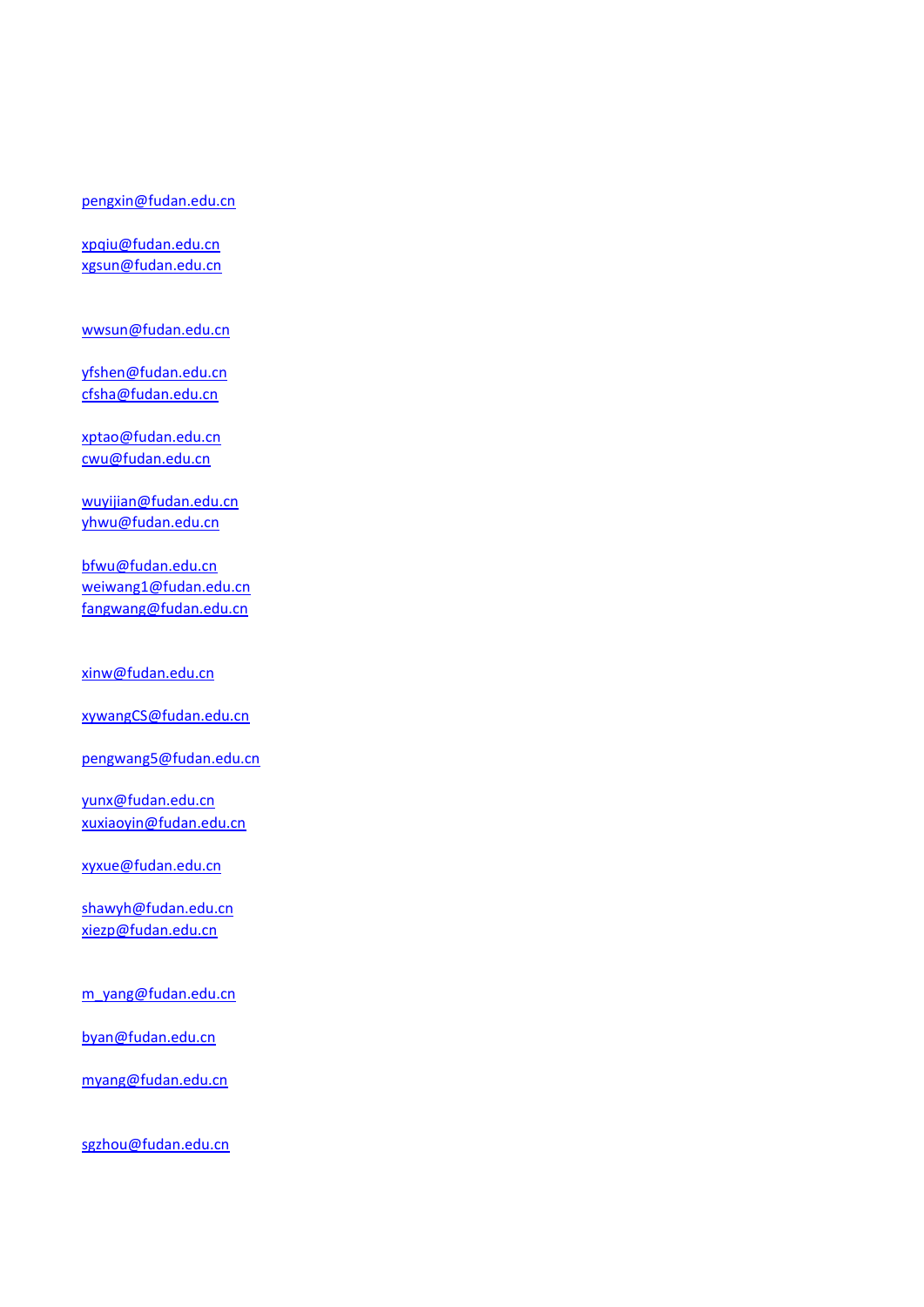#### [pengxin@fudan.edu.cn](mailto:pengxin@fudan.edu.cn)

[xpqiu@fudan.edu.cn](mailto:xpqiu@fudan.edu.cn) [xgsun@fudan.edu.cn](mailto:xgsun@fudan.edu.cn)

[wwsun@fudan.edu.cn](mailto:wwsun@fudan.edu.cn)

[yfshen@fudan.edu.cn](mailto:yfshen@fudan.edu.cn) [cfsha@fudan.edu.cn](mailto:cfsha@fudan.edu.cn)

[xptao@fudan.edu.cn](mailto:xptao@fudan.edu.cn) [cwu@fudan.edu.cn](mailto:cwu@fudan.edu.cn)

[wuyijian@fudan.edu.cn](mailto:wuyijian@fudan.edu.cn) [yhwu@fudan.edu.cn](mailto:yhwu@fudan.edu.cn)

[bfwu@fudan.edu.cn](mailto:bfwu@fudan.edu.cn) [weiwang1@fudan.edu.cn](mailto:weiwang1@fudan.edu.cn) [fangwang@fudan.edu.cn](mailto:fangwang@fudan.edu.cn)

[xinw@fudan.edu.cn](mailto:xinw@fudan.edu.cn)

[xywangCS@fudan.edu.cn](mailto:xywangCS@fudan.edu.cn)

[pengwang5@fudan.edu.cn](mailto:pengwang5@fudan.edu.cn)

[yunx@fudan.edu.cn](mailto:yunx@fudan.edu.cn) [xuxiaoyin@fudan.edu.cn](mailto:xuxiaoyin@fudan.edu.cn)

[xyxue@fudan.edu.cn](mailto:xyxue@fudan.edu.cn)

[shawyh@fudan.edu.cn](mailto:shawyh@fudan.edu.cn) [xiezp@fudan.edu.cn](mailto:xiezp@fudan.edu.cn)

[m\\_yang@fudan.edu.cn](mailto:m_yang@fudan.edu.cn)

[byan@fudan.edu.cn](mailto:byan@fudan.edu.cn)

[myang@fudan.edu.cn](mailto:myang@fudan.edu.cn)

[sgzhou@fudan.edu.cn](mailto:sgzhou@fudan.edu.cn)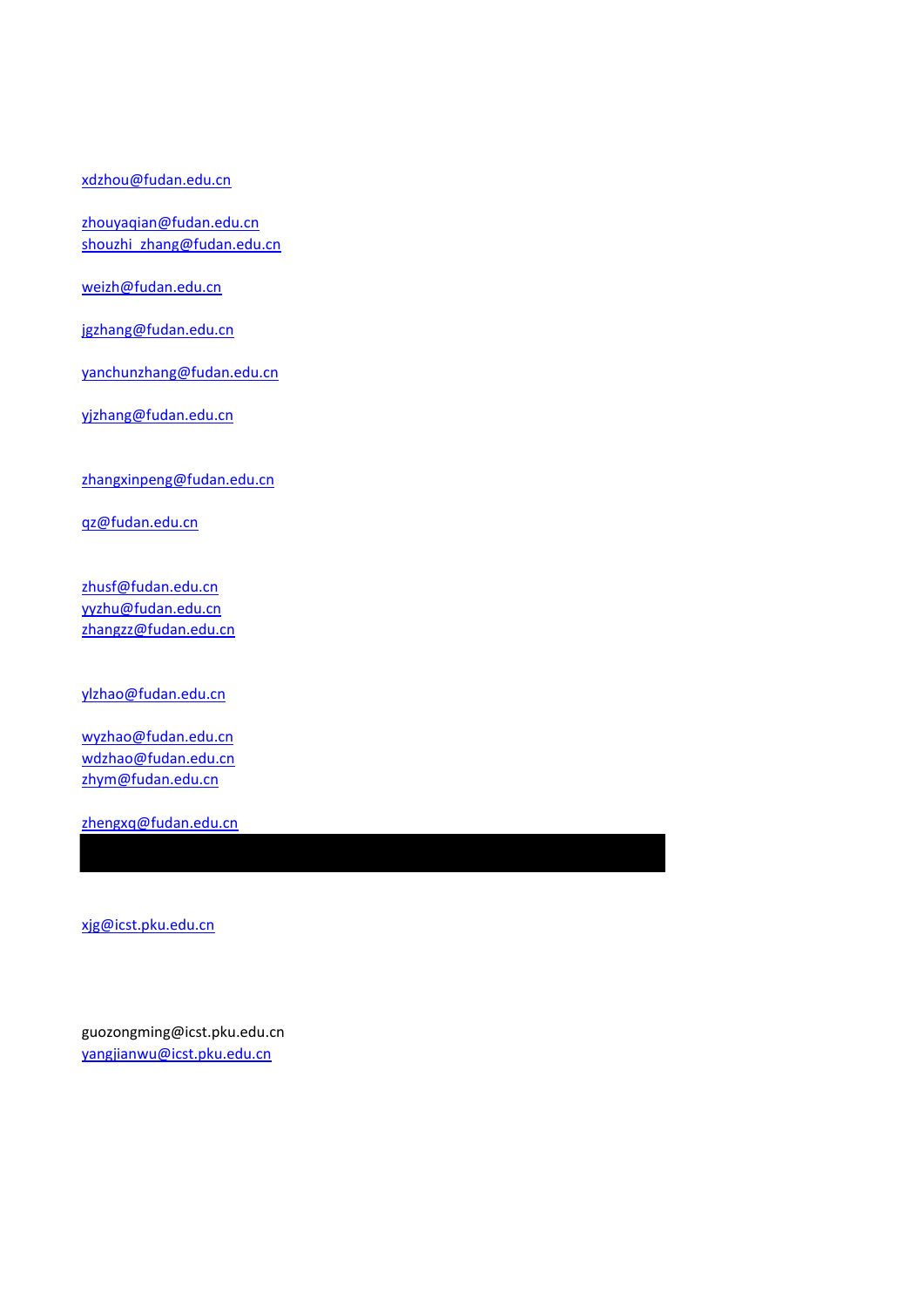#### [xdzhou@fudan.edu.cn](mailto:xdzhou@fudan.edu.cn)

[zhouyaqian@fudan.edu.cn](mailto:zhouyaqian@fudan.edu.cn) shouzhi zhang@fudan.edu.cn

[weizh@fudan.edu.cn](mailto:weizh@fudan.edu.cn)

[jgzhang@fudan.edu.cn](mailto:jgzhang@fudan.edu.cn)

[yanchunzhang@fudan.edu.cn](mailto:yanchunzhang@fudan.edu.cn)

[yjzhang@fudan.edu.cn](mailto:yjzhang@fudan.edu.cn)

[zhangxinpeng@fudan.edu.cn](mailto:zhangxinpeng@fudan.edu.cn)

[qz@fudan.edu.cn](mailto:qz@fudan.edu.cn)

[zhusf@fudan.edu.cn](mailto:zhusf@fudan.edu.cn) [yyzhu@fudan.edu.cn](mailto:yyzhu@fudan.edu.cn) [zhangzz@fudan.edu.cn](mailto:zhangzz@fudan.edu.cn)

[ylzhao@fudan.edu.cn](mailto:ylzhao@fudan.edu.cn)

[wyzhao@fudan.edu.cn](mailto:wyzhao@fudan.edu.cn) [wdzhao@fudan.edu.cn](mailto:wdzhao@fudan.edu.cn) [zhym@fudan.edu.cn](mailto:zhym@fudan.edu.cn)

[zhengxq@fudan.edu.cn](mailto:zhengxq@fudan.edu.cn)

[xjg@icst.pku.edu.cn](mailto:xjg@icst.pku.edu.cn)

guozongming@icst.pku.edu.cn [yangjianwu@icst.pku.edu.cn](mailto:yangjianwu@icst.pku.edu.cn)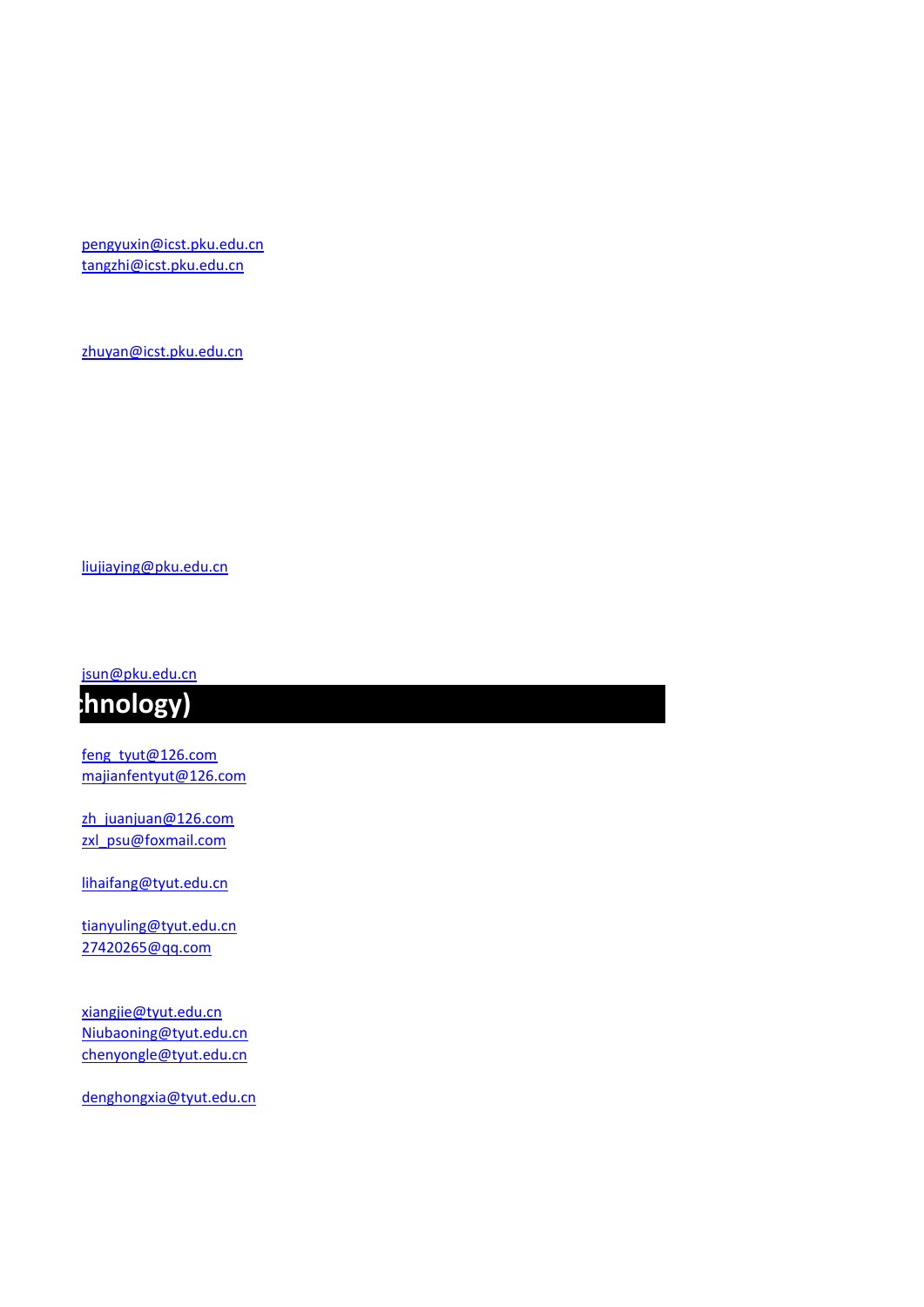[pengyuxin@icst.pku.edu.cn](mailto:pengyuxin@icst.pku.edu.cn) [tangzhi@icst.pku.edu.cn](mailto:tangzhi@icst.pku.edu.cn)

[zhuyan@icst.pku.edu.cn](mailto:zhuyan@icst.pku.edu.cn)

[liujiaying@pku.edu.cn](mailto:liujiaying@pku.edu.cn)

[jsun@pku.edu.cn](mailto:jsun@pku.edu.cn)



[feng\\_tyut@126.com](mailto:feng_tyut@126.com) [majianfentyut@126.com](mailto:majianfentyut@126.com)

[zh\\_juanjuan@126.com](mailto:zh_juanjuan@126.com) [zxl\\_psu@foxmail.com](mailto:zxl_psu@foxmail.com)

[lihaifang@tyut.edu.cn](mailto:lihaifang@tyut.edu.cn)

[tianyuling@tyut.edu.cn](mailto:tianyuling@tyut.edu.cn) [27420265@qq.com](mailto:27420265@qq.com)

[xiangjie@tyut.edu.cn](mailto:xiangjie@tyut.edu.cn) [Niubaoning@tyut.edu.cn](mailto:Niubaoning@tyut.edu.cn) [chenyongle@tyut.edu.cn](mailto:chenyongle@tyut.edu.cn)

[denghongxia@tyut.edu.cn](mailto:denghongxia@tyut.edu.cn)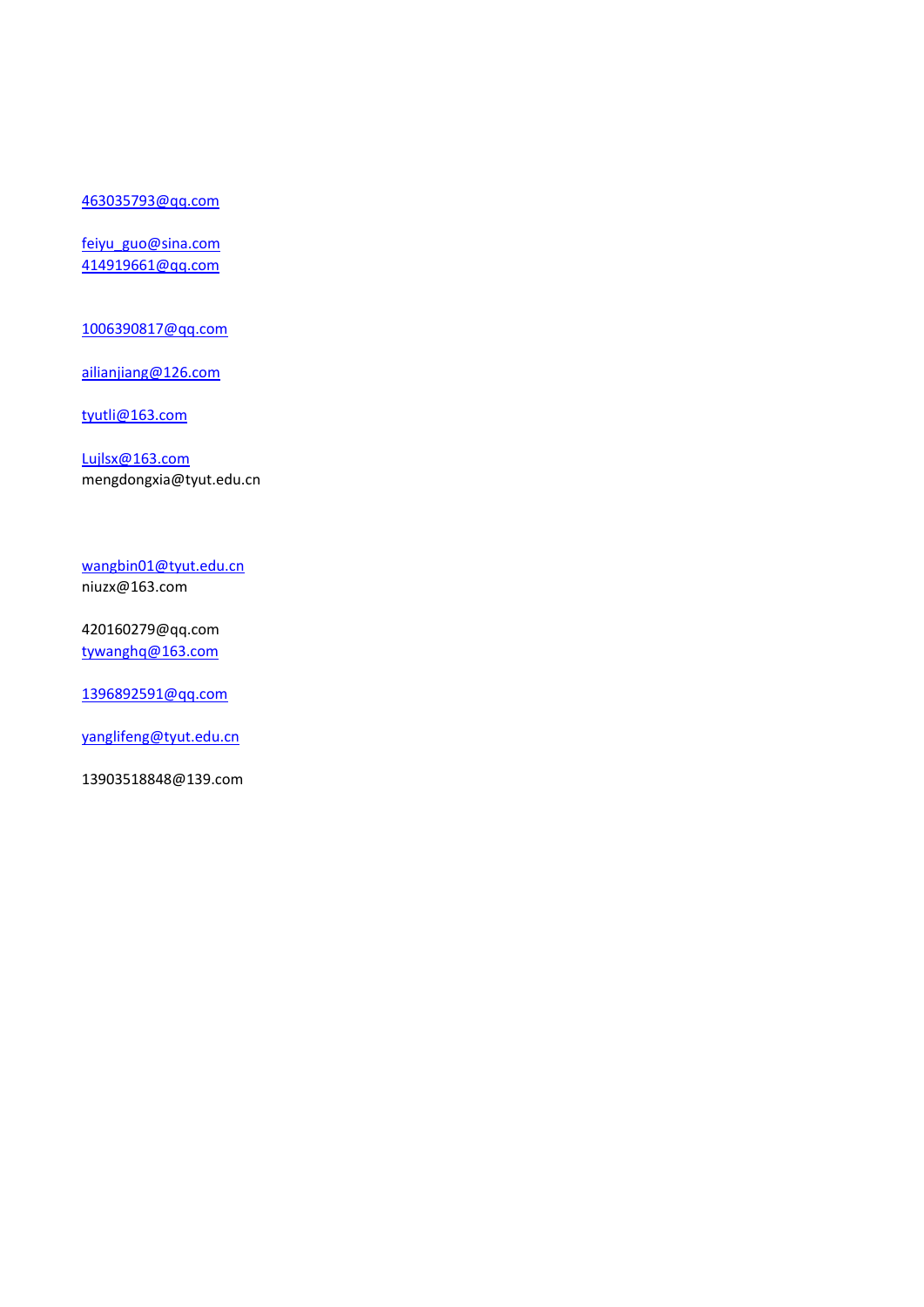### [463035793@qq.com](mailto:463035793@qq.com)

[feiyu\\_guo@sina.com](mailto:feiyu_guo@sina.com) [414919661@qq.com](mailto:414919661@qq.com)

[1006390817@qq.com](mailto:1006390817@qq.com)

[ailianjiang@126.com](mailto:ailianjiang@126.com)

[tyutli@163.com](mailto:tyutli@163.com)

[Lujlsx@163.com](mailto:Lujlsx@163.com) mengdongxia@tyut.edu.cn

[wangbin01@tyut.edu.cn](mailto:wangbin01@tyut.edu.cn) niuzx@163.com

420160279@qq.com [tywanghq@163.com](mailto:tywanghq@163.com)

[1396892591@qq.com](mailto:1396892591@qq.com)

[yanglifeng@tyut.edu.cn](mailto:yanglifeng@tyut.edu.cn)

13903518848@139.com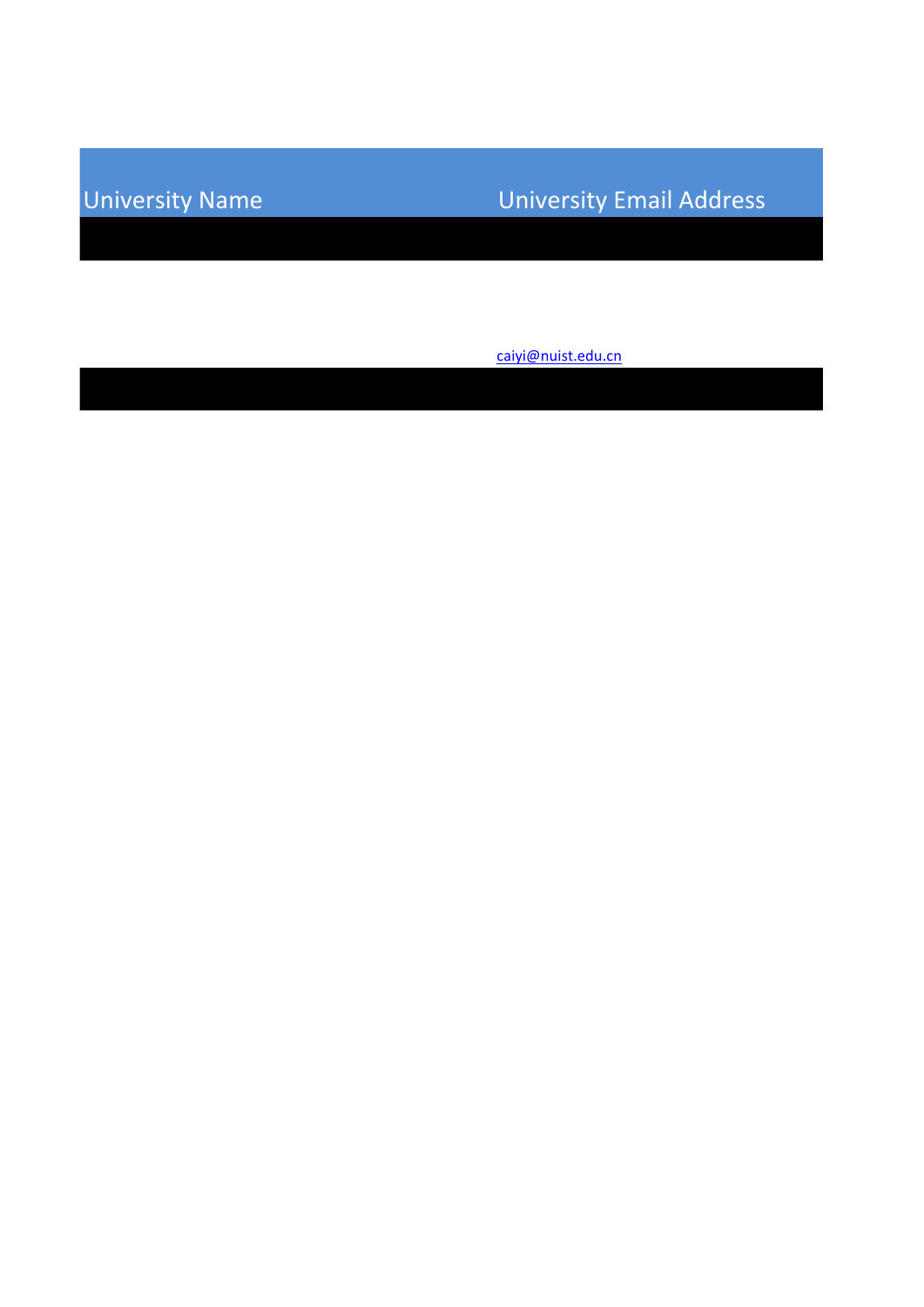## University Name University Email Address

[caiyi@nuist.edu.cn](mailto:caiyi@nuist.edu.cn)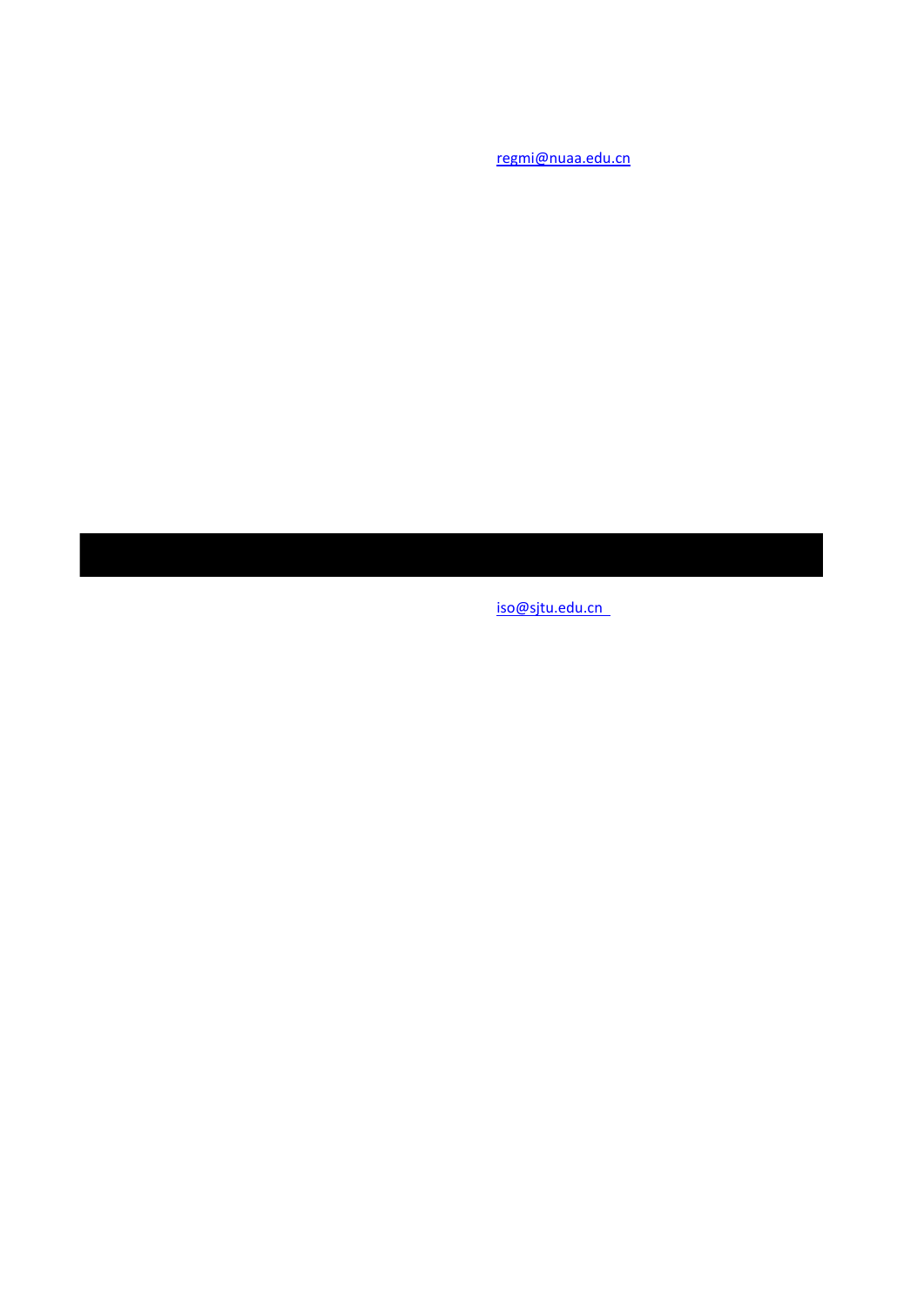[regmi@nuaa.edu.cn](mailto:regmi@nuaa.edu.cn)

[iso@sjtu.edu.cn](mailto:iso@sjtu.edu.cn)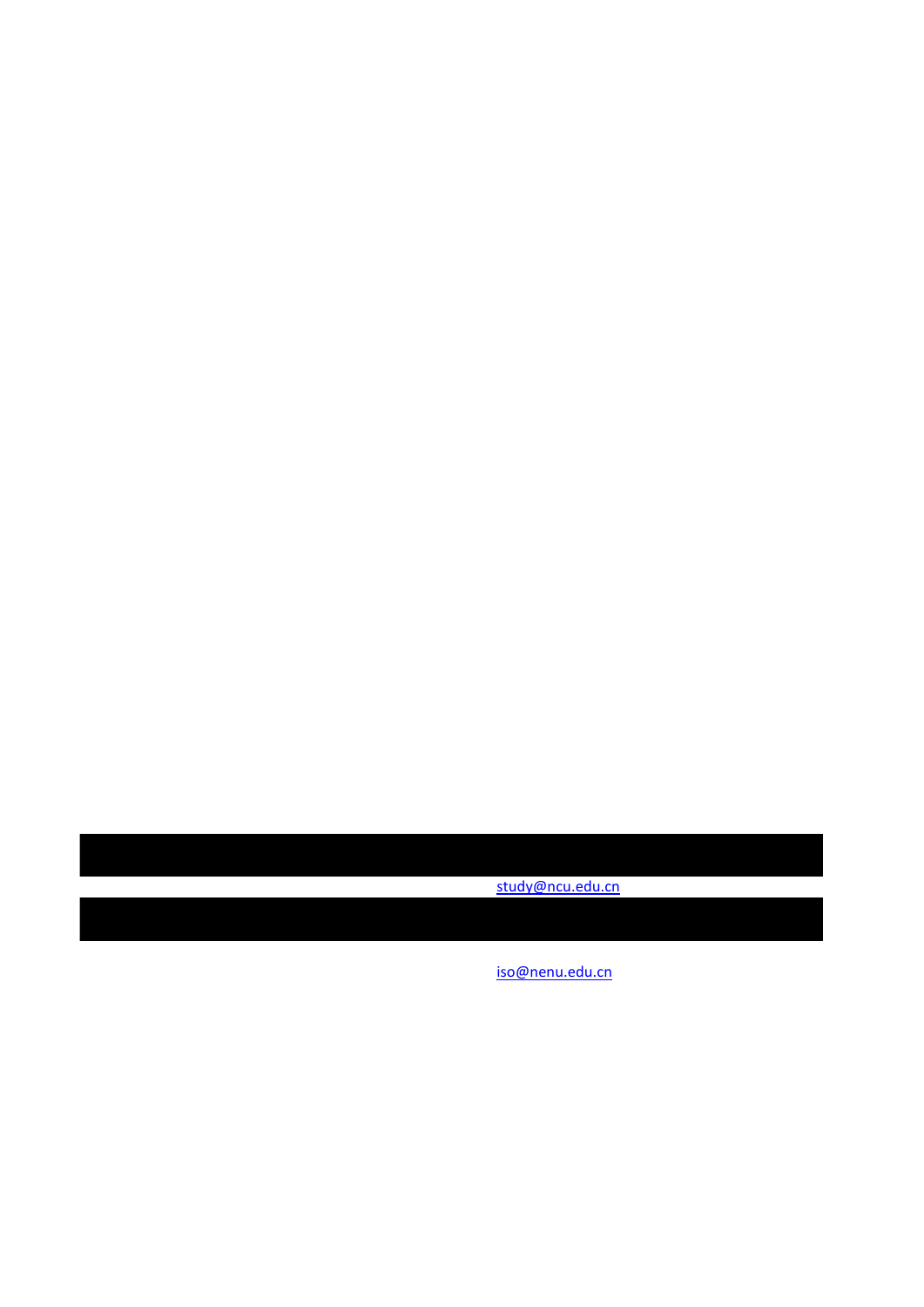[study@ncu.edu.cn](mailto:study@ncu.edu.cn)

[iso@nenu.edu.cn](mailto:iso@nenu.edu.cn)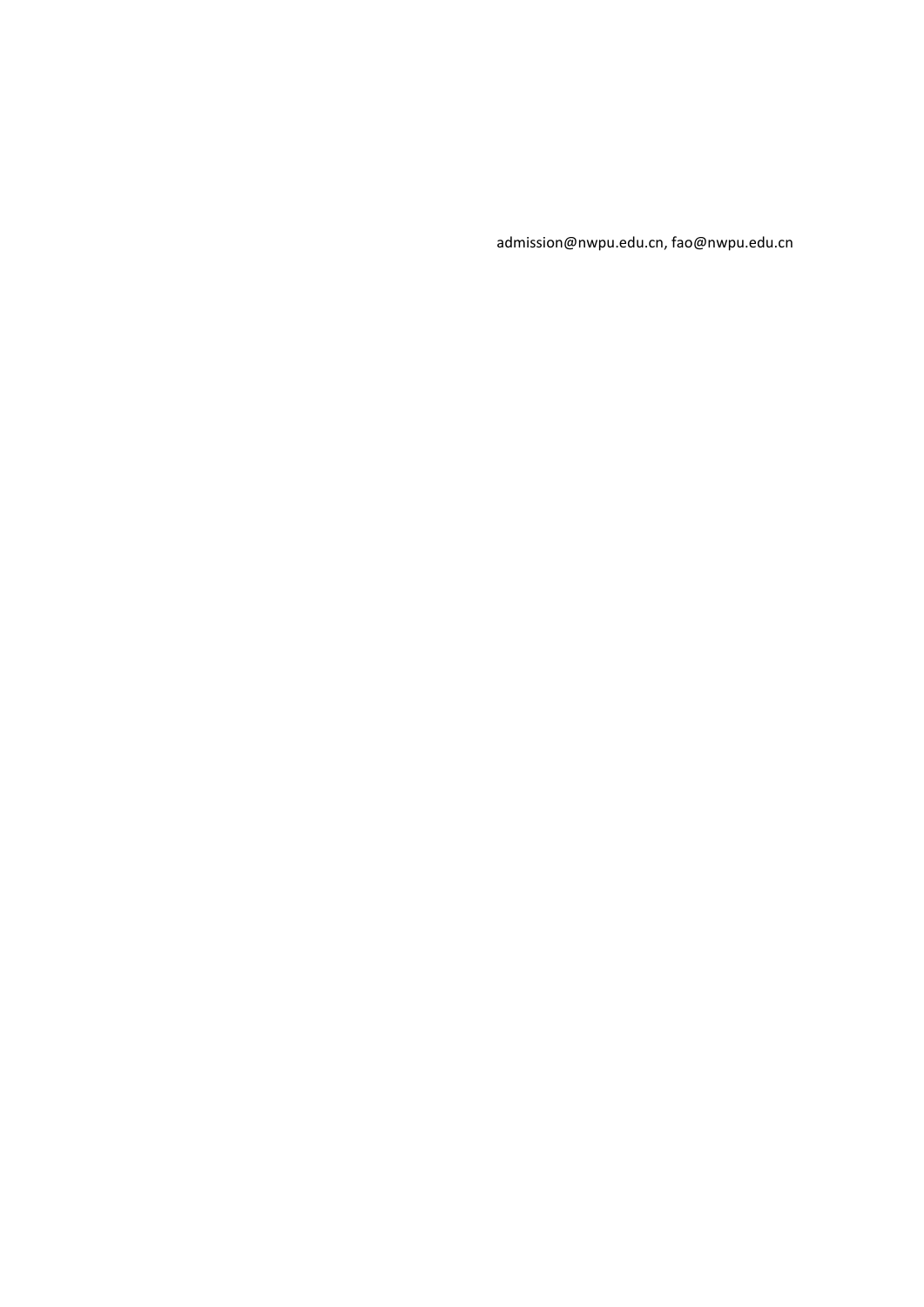admission@nwpu.edu.cn, fao@nwpu.edu.cn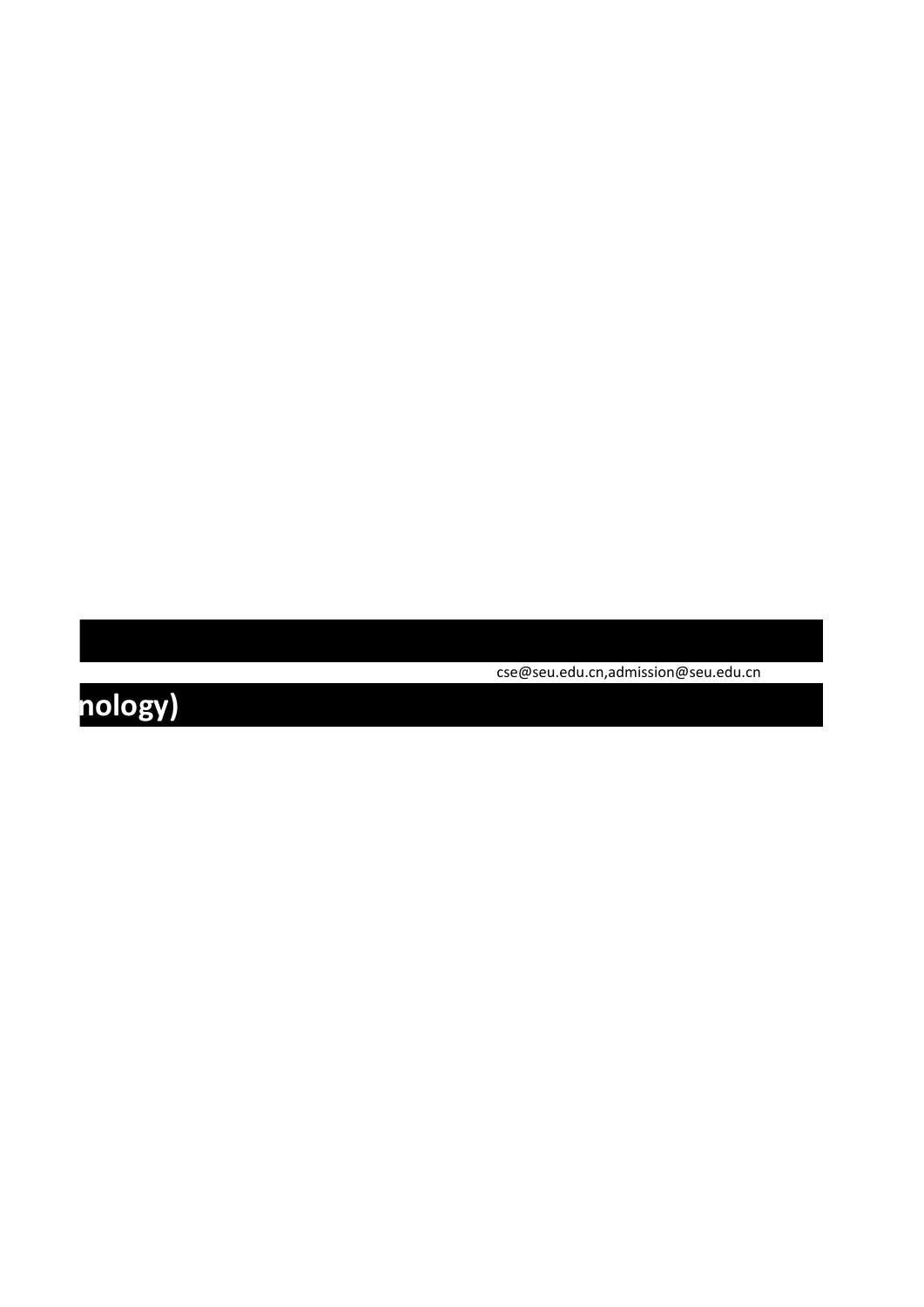cse@seu.edu.cn,admission@seu.edu.cn

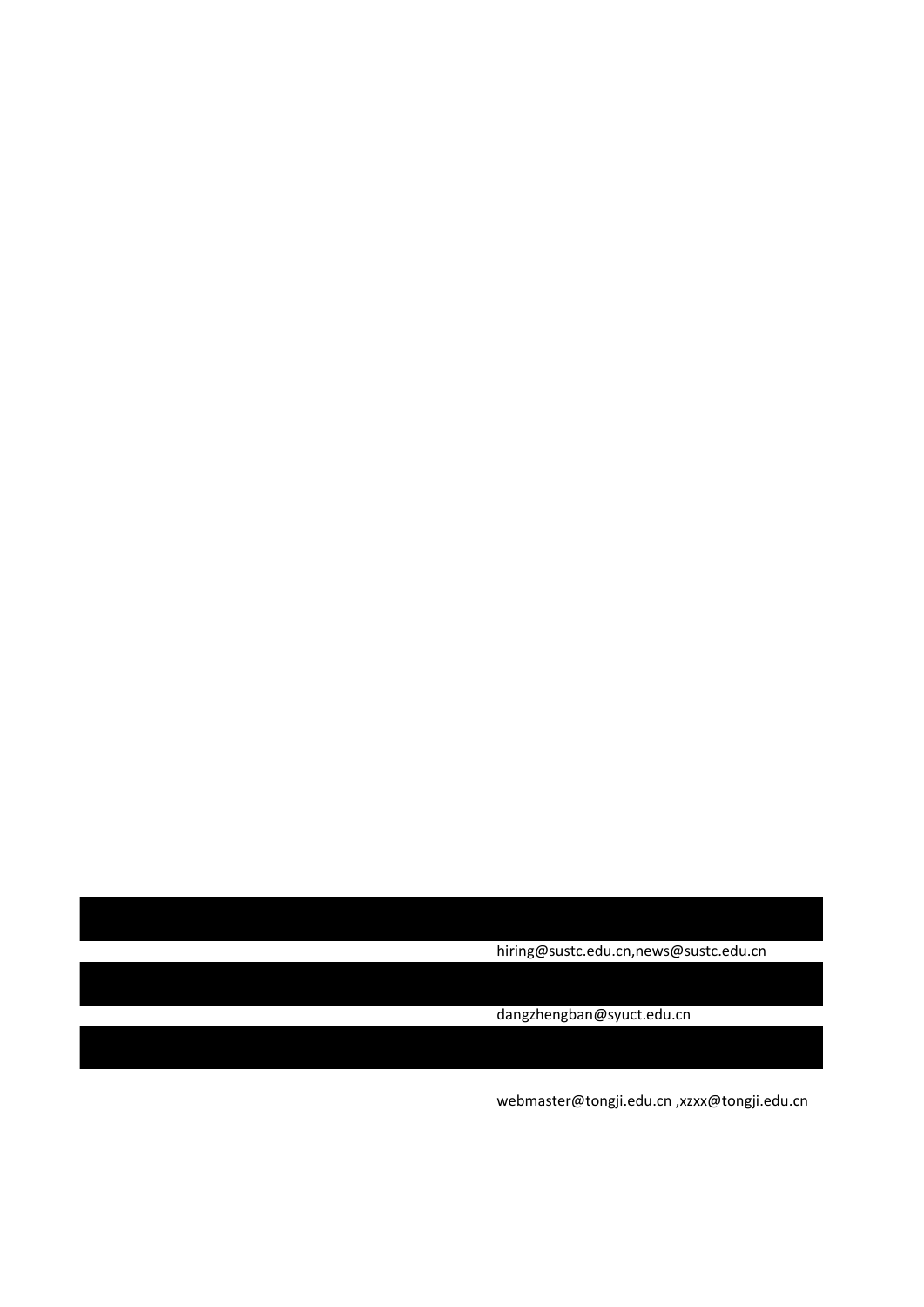hiring@sustc.edu.cn,news@sustc.edu.cn

dangzhengban@syuct.edu.cn

webmaster@tongji.edu.cn ,xzxx@tongji.edu.cn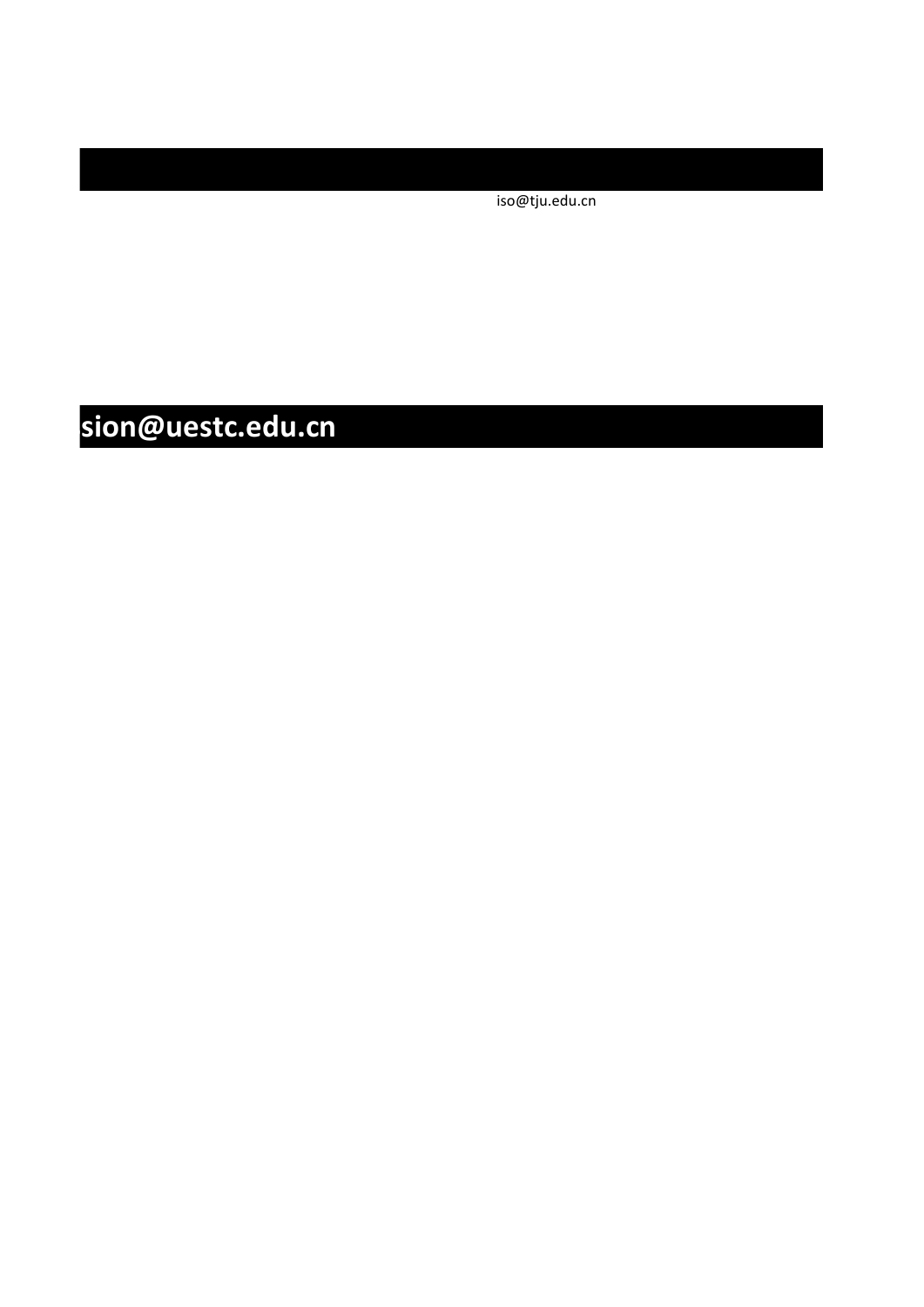iso@tju.edu.cn

# $\n **Sion@uestc.edu.cn**\n$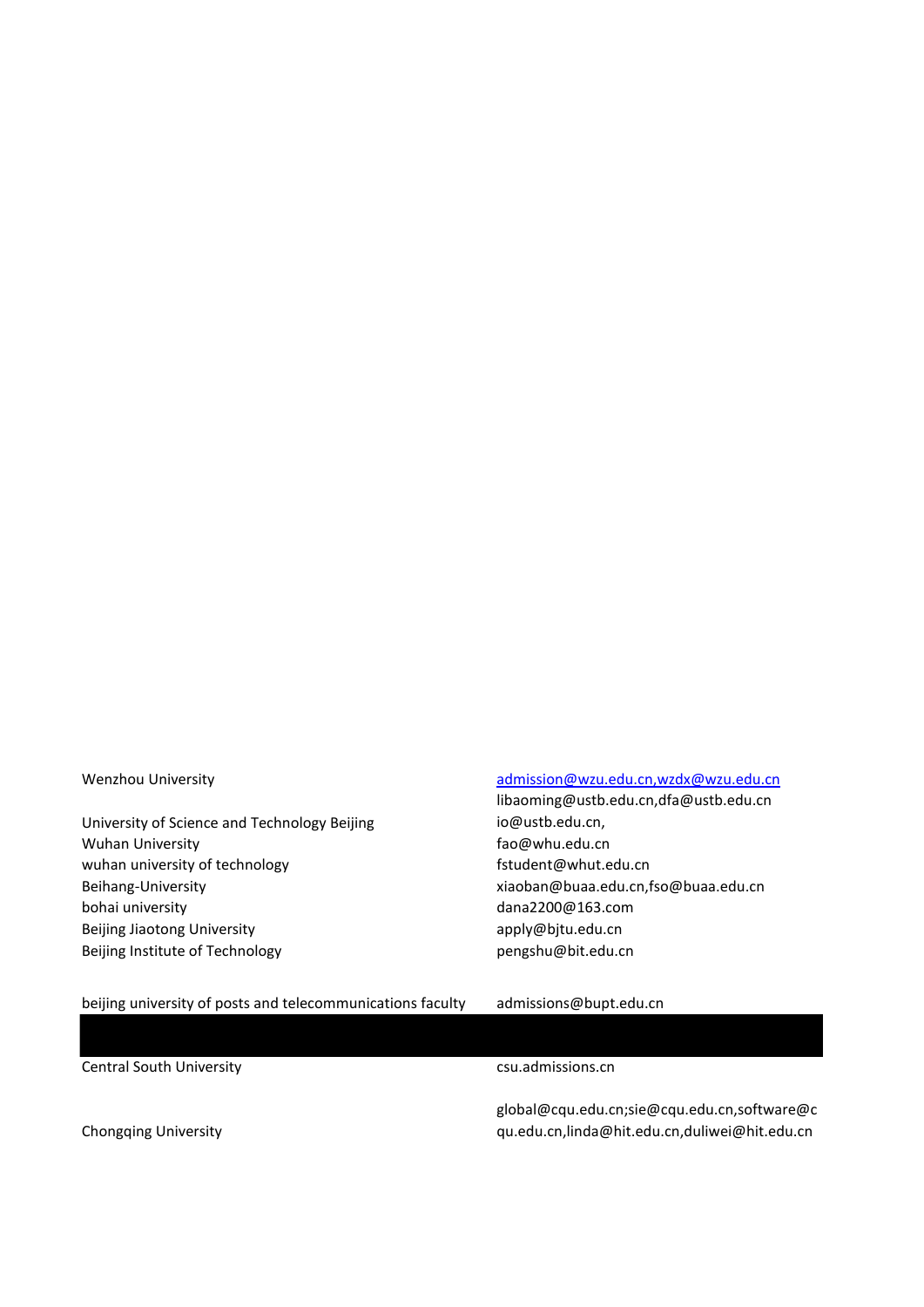University of Science and Technology Beijing Wuhan University **Example 2018** The Contract of the Gaussian State of the Gaussian State of the Gaussian State of the Gaussian State of the Gaussian State of the Gaussian State of the Gaussian State of the Gaussian State o wuhan university of technology example and the student@whut.edu.cn Beihang-University xiaoban@buaa.edu.cn,fso@buaa.edu.cn bohai university and the control of the control of the dana2200@163.com Beijing Jiaotong University and Theorem apply@bjtu.edu.cn Beijing Institute of Technology beiging pengshu@bit.edu.cn

#### Wenzhou University **admission**@wzu.edu.cn,wzdx@wzu.edu.cn

libaoming@ustb.edu.cn,dfa@ustb.edu.cn io@ustb.edu.cn,

beijing university of posts and telecommunications faculty admissions@bupt.edu.cn

Central South University Central South University

global@cqu.edu.cn;sie@cqu.edu.cn,software@c qu.edu.cn,linda@hit.edu.cn,duliwei@hit.edu.cn

Chongqing University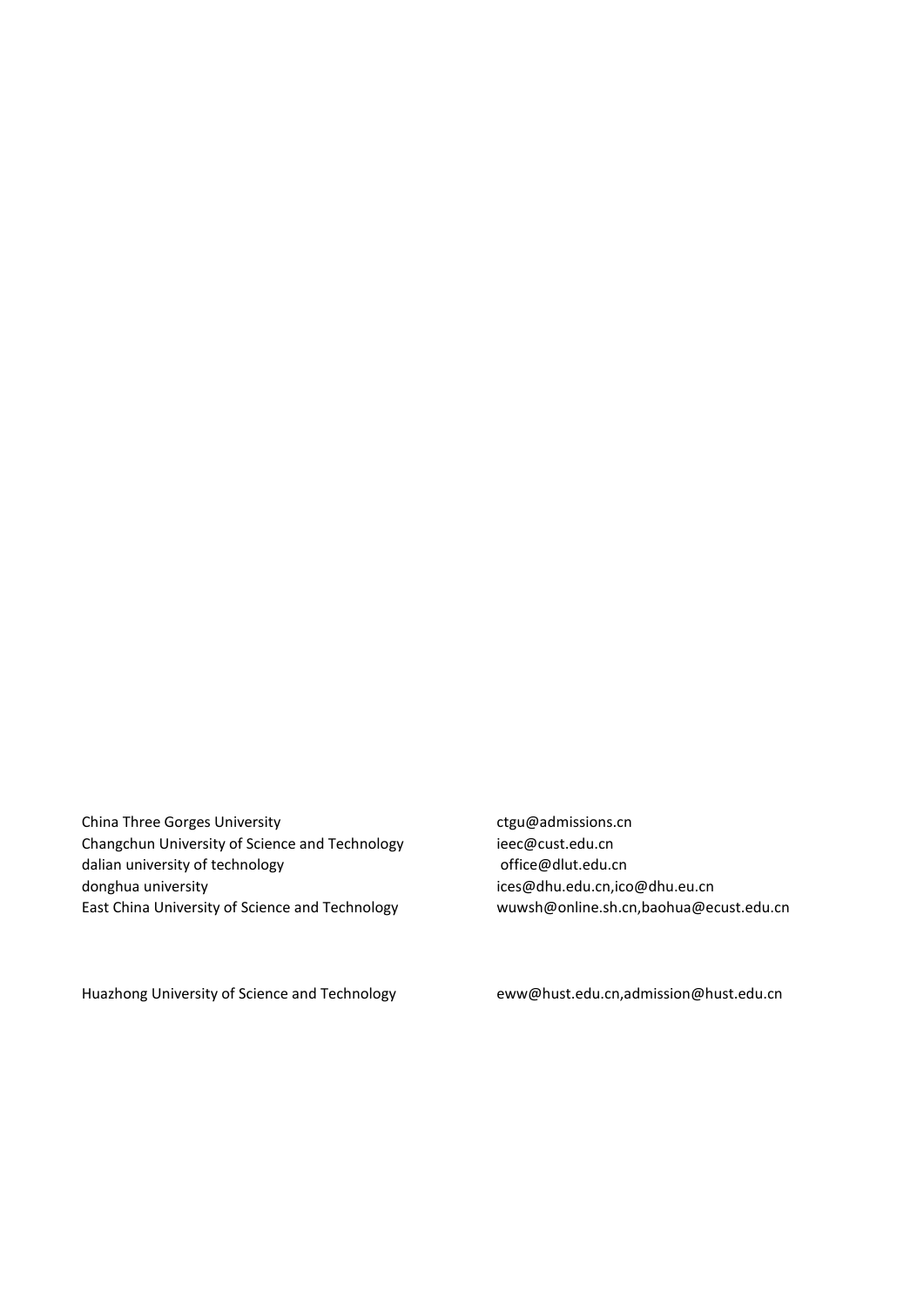China Three Gorges University **changes** ctgu@admissions.cn Changchun University of Science and Technology ieec@cust.edu.cn dalian university of technology and a settlem office@dlut.edu.cn donghua university in the state of the state of the state of the state of the state of the state of the state o East China University of Science and Technology wuwsh@online.sh.cn,baohua@ecust.edu.cn

Huazhong University of Science and Technology eww@hust.edu.cn,admission@hust.edu.cn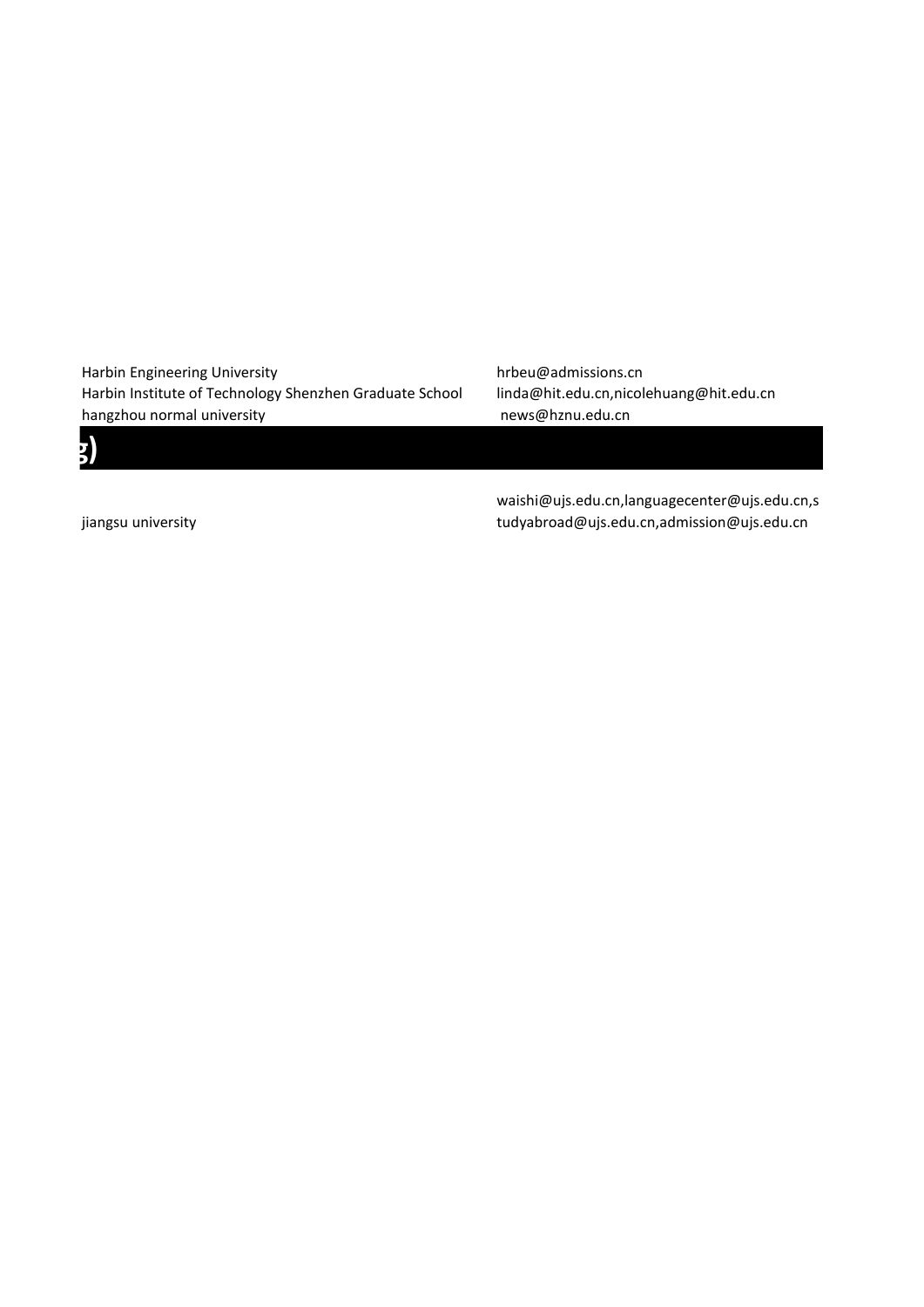Harbin Engineering University harbor hrbeu@admissions.cn Harbin Institute of Technology Shenzhen Graduate School linda@hit.edu.cn,nicolehuang@hit.edu.cn hangzhou normal university news@hznu.edu.cn

jiangsu university

*Blue and Computer Science and Computer* **Science and Computer Science and Computer Science and Communication**  $\mathbf{g}$ 

waishi@ujs.edu.cn,languagecenter@ujs.edu.cn,s tudyabroad@ujs.edu.cn,admission@ujs.edu.cn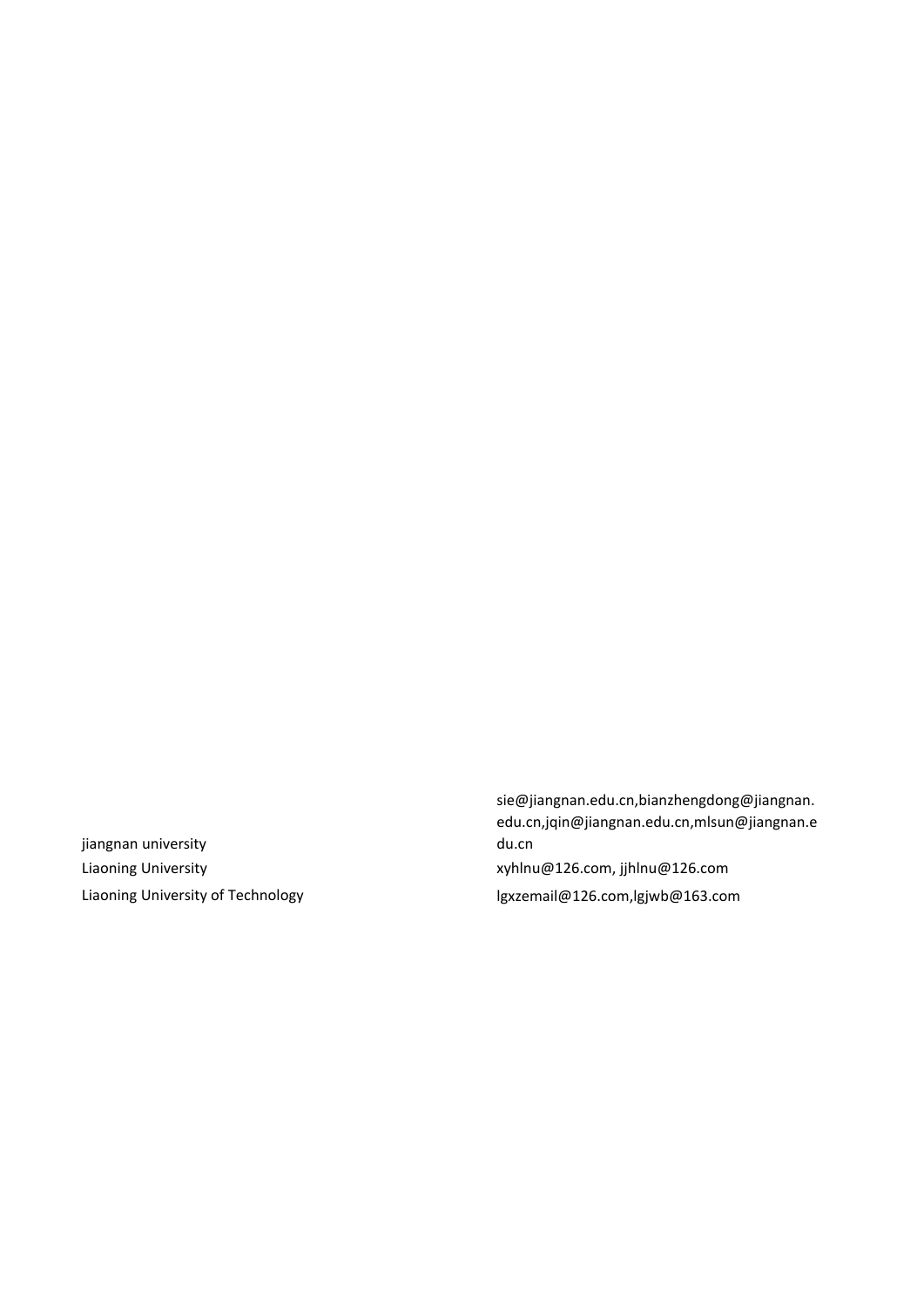jiangnan university Liaoning University of Technology laws and manufacture is a lgxzemail@126.com,lgjwb@163.com

sie@jiangnan.edu.cn,bianzhengdong@jiangnan. edu.cn,jqin@jiangnan.edu.cn,mlsun@jiangnan.e du.cn Liaoning University **XXX** and the symbol symbol symbol symbol symbols and the symbols symbols symbols symbols  $x$ yhlnu@126.com, jjhlnu@126.com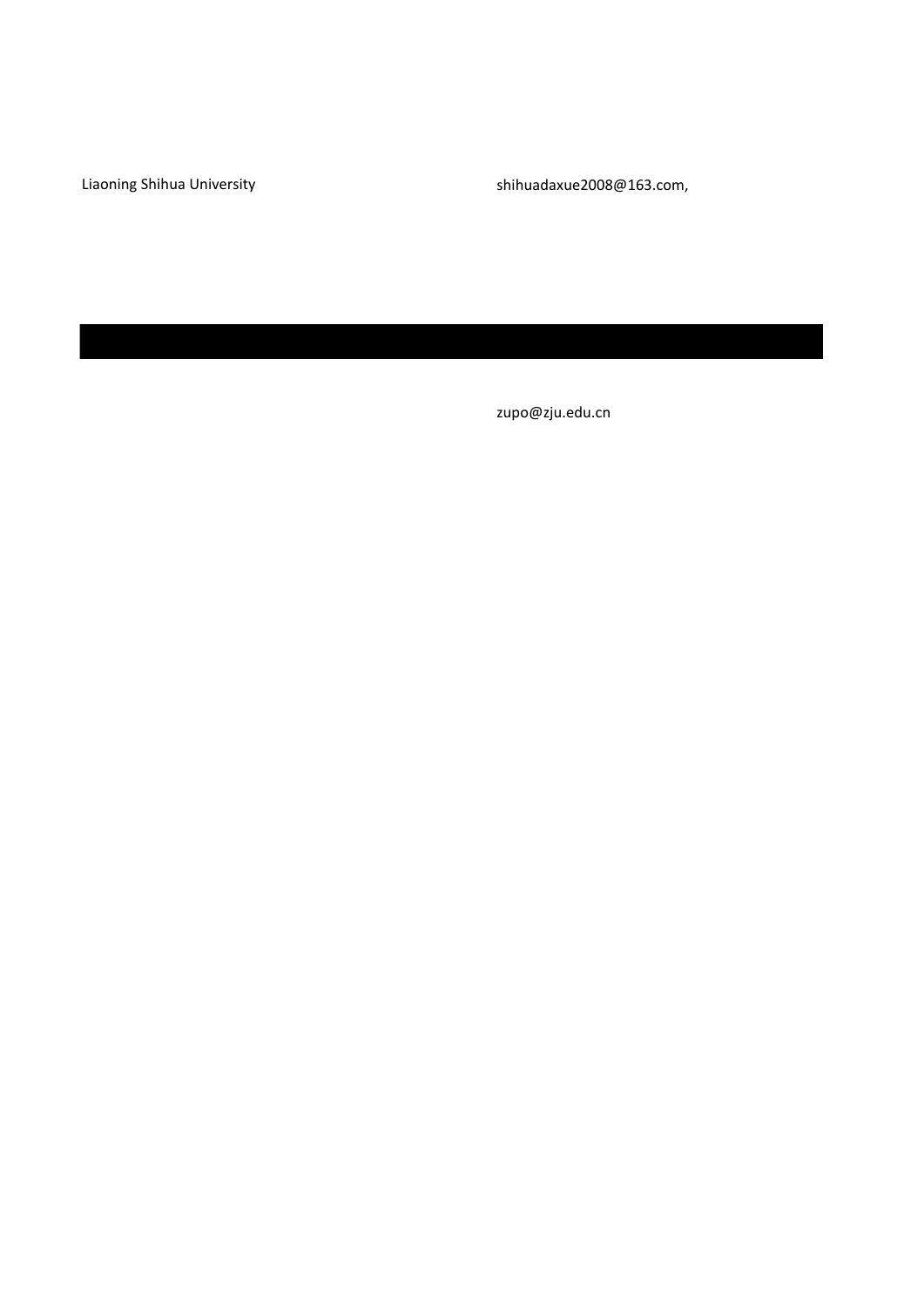Liaoning Shihua University shihuadaxue2008@163.com,

zupo@zju.edu.cn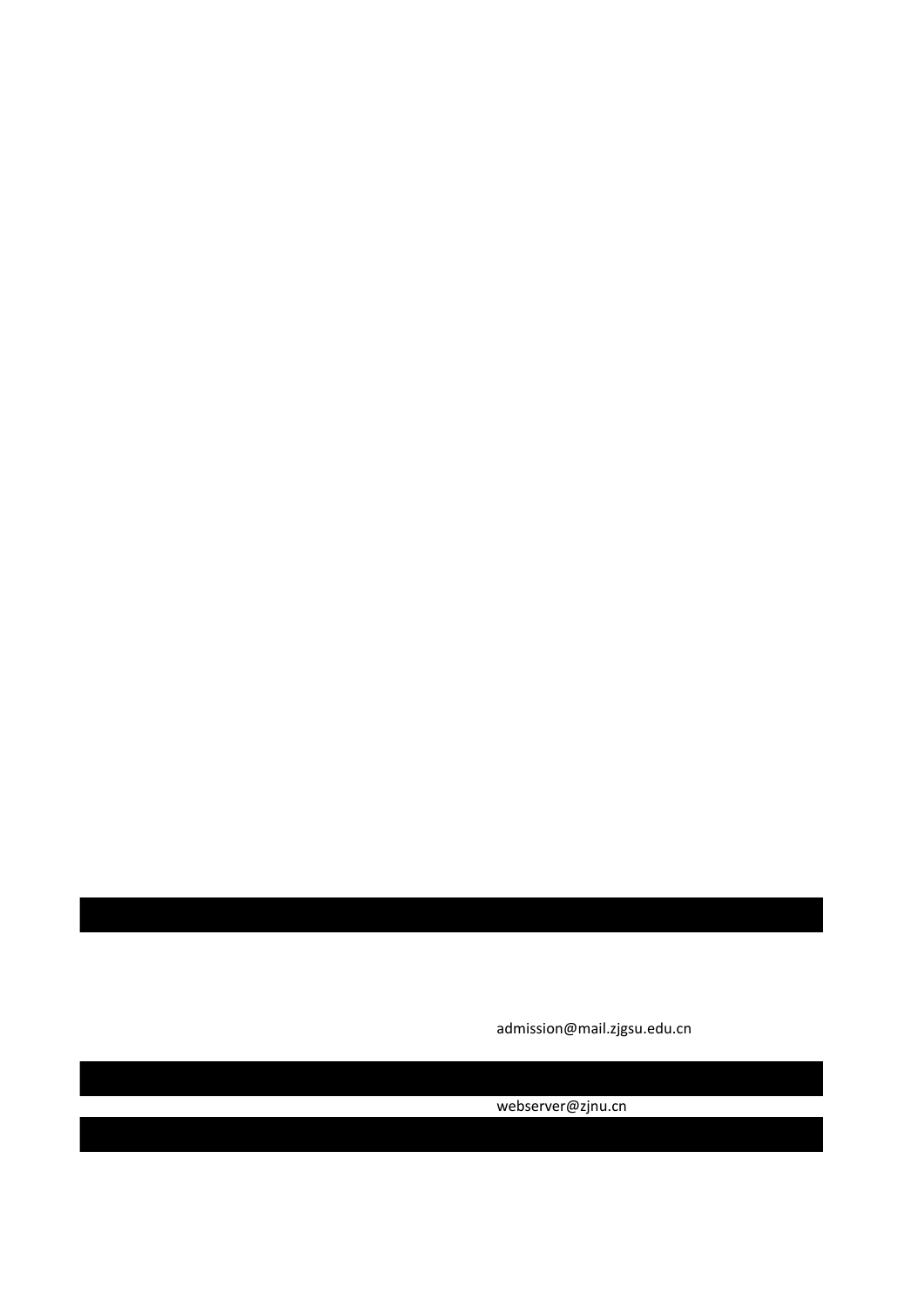admission@mail.zjgsu.edu.cn

webserver@zjnu.cn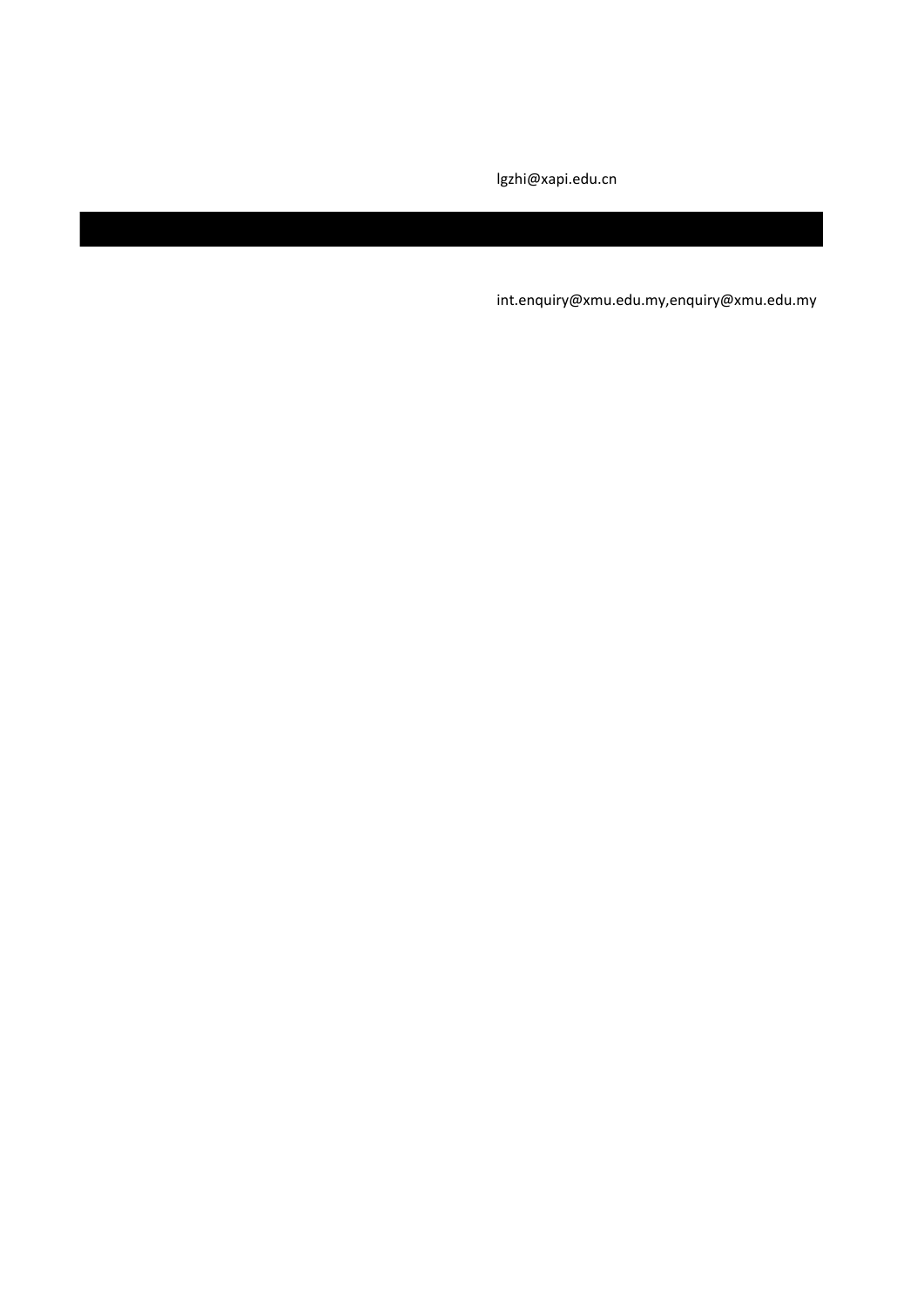lgzhi@xapi.edu.cn

int.enquiry@xmu.edu.my,enquiry@xmu.edu.my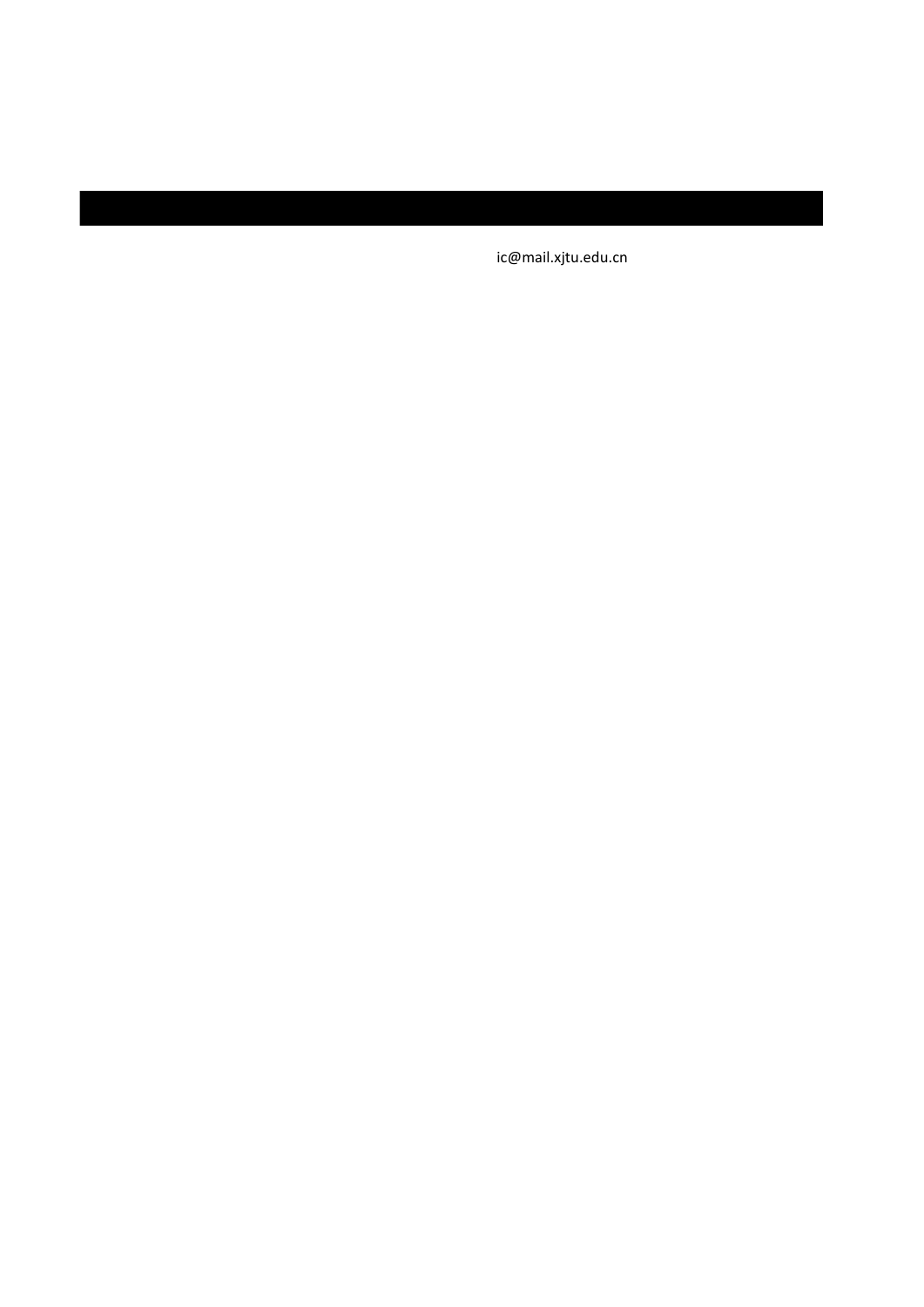ic@mail.xjtu.edu.cn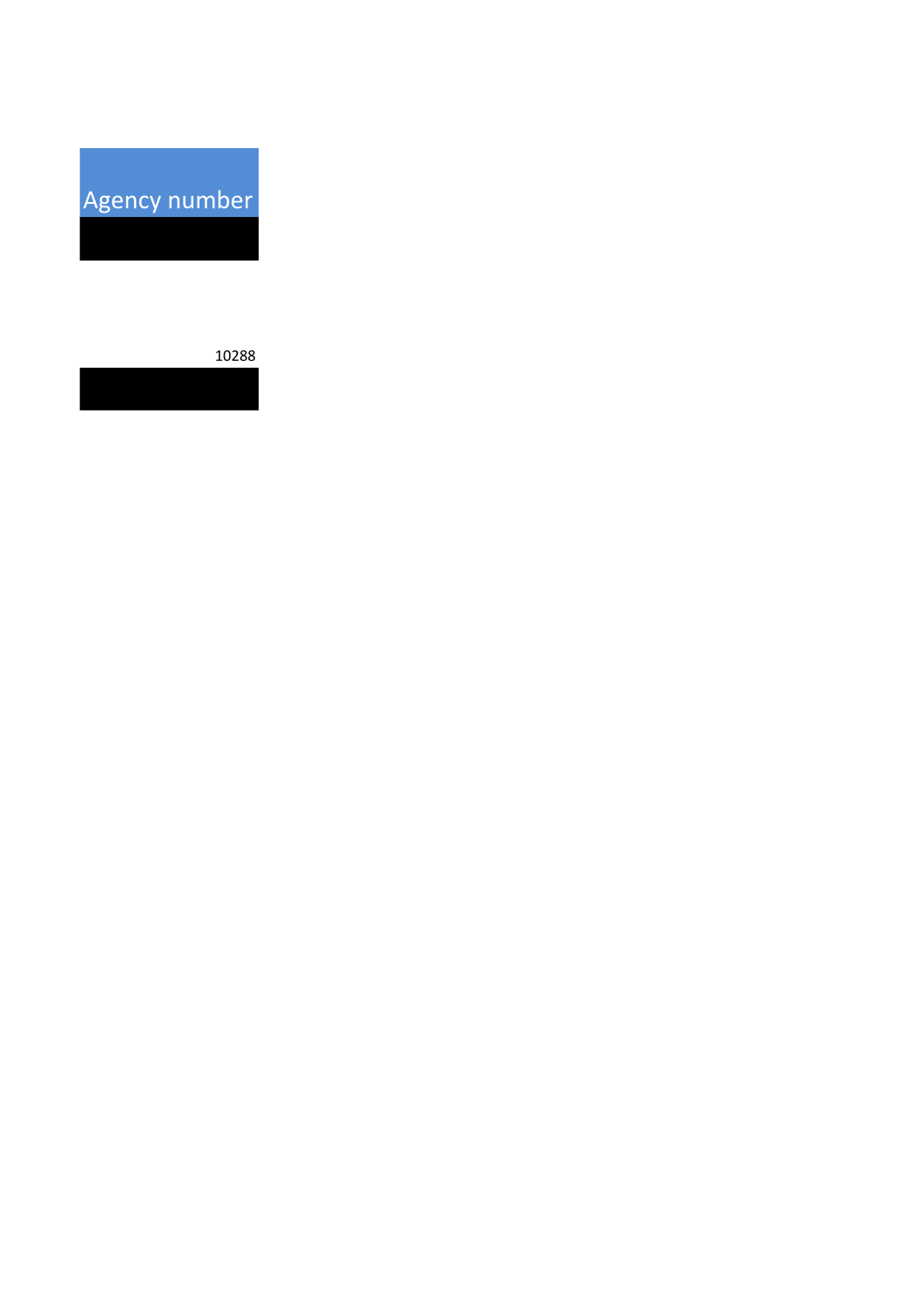Agency number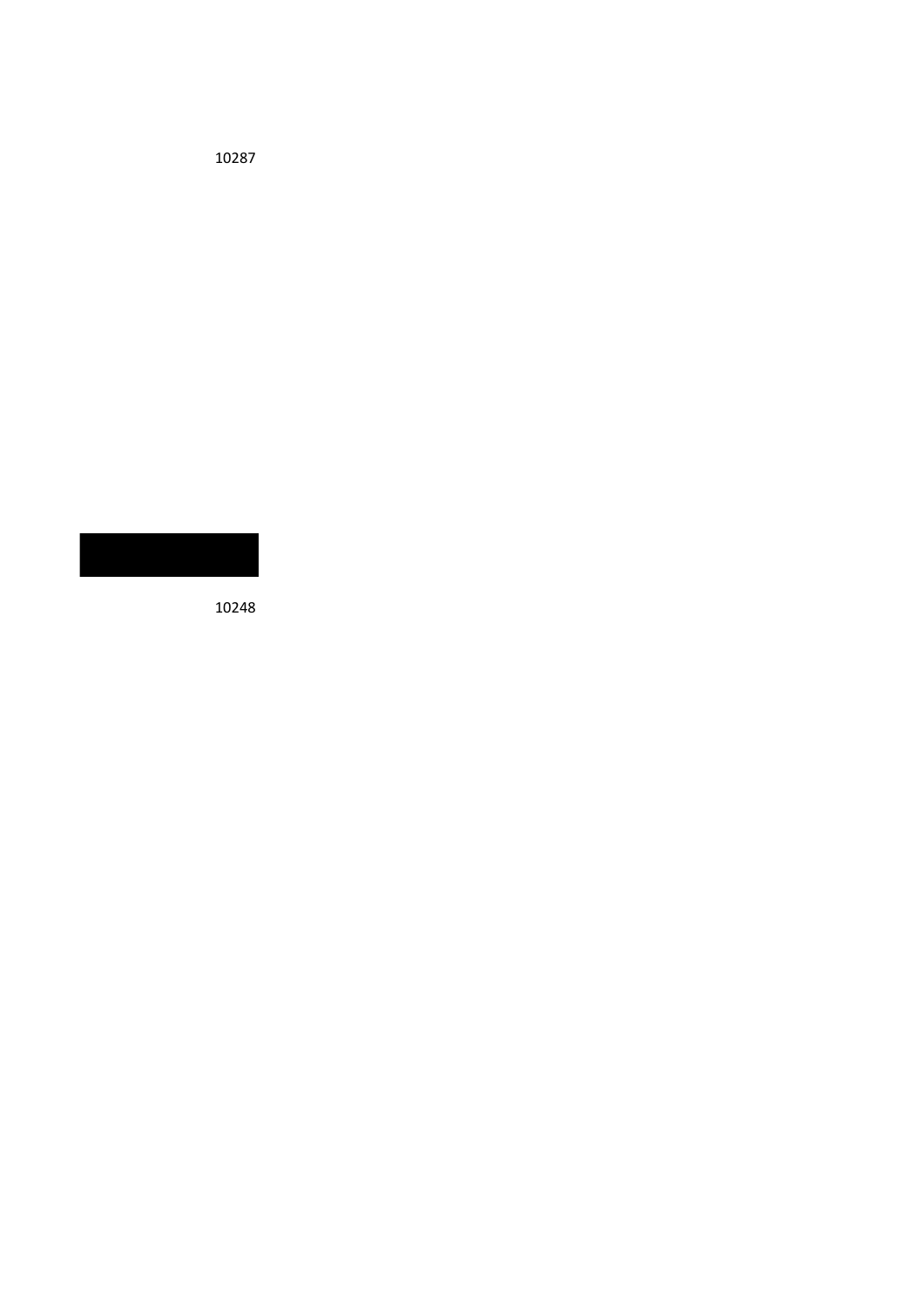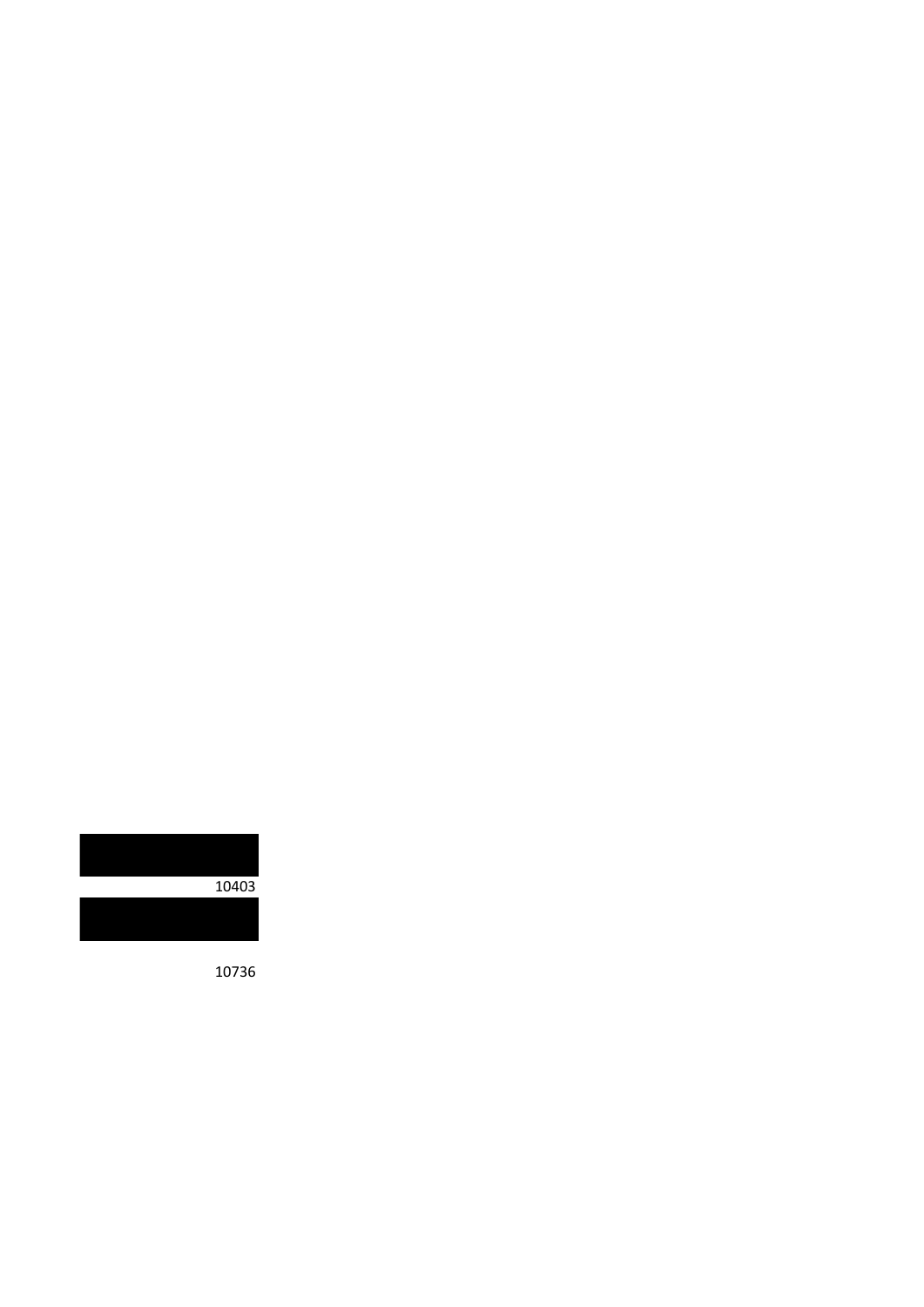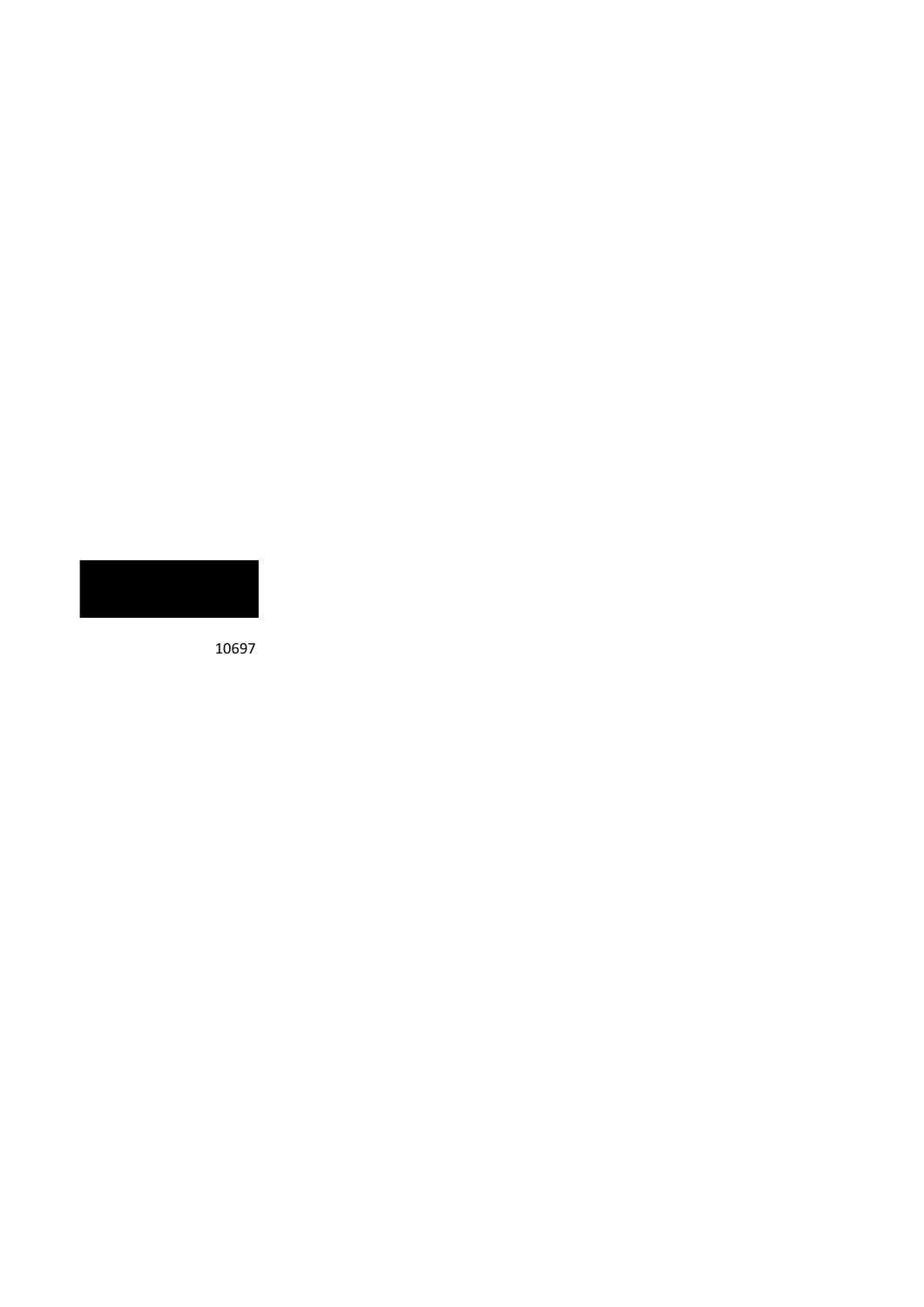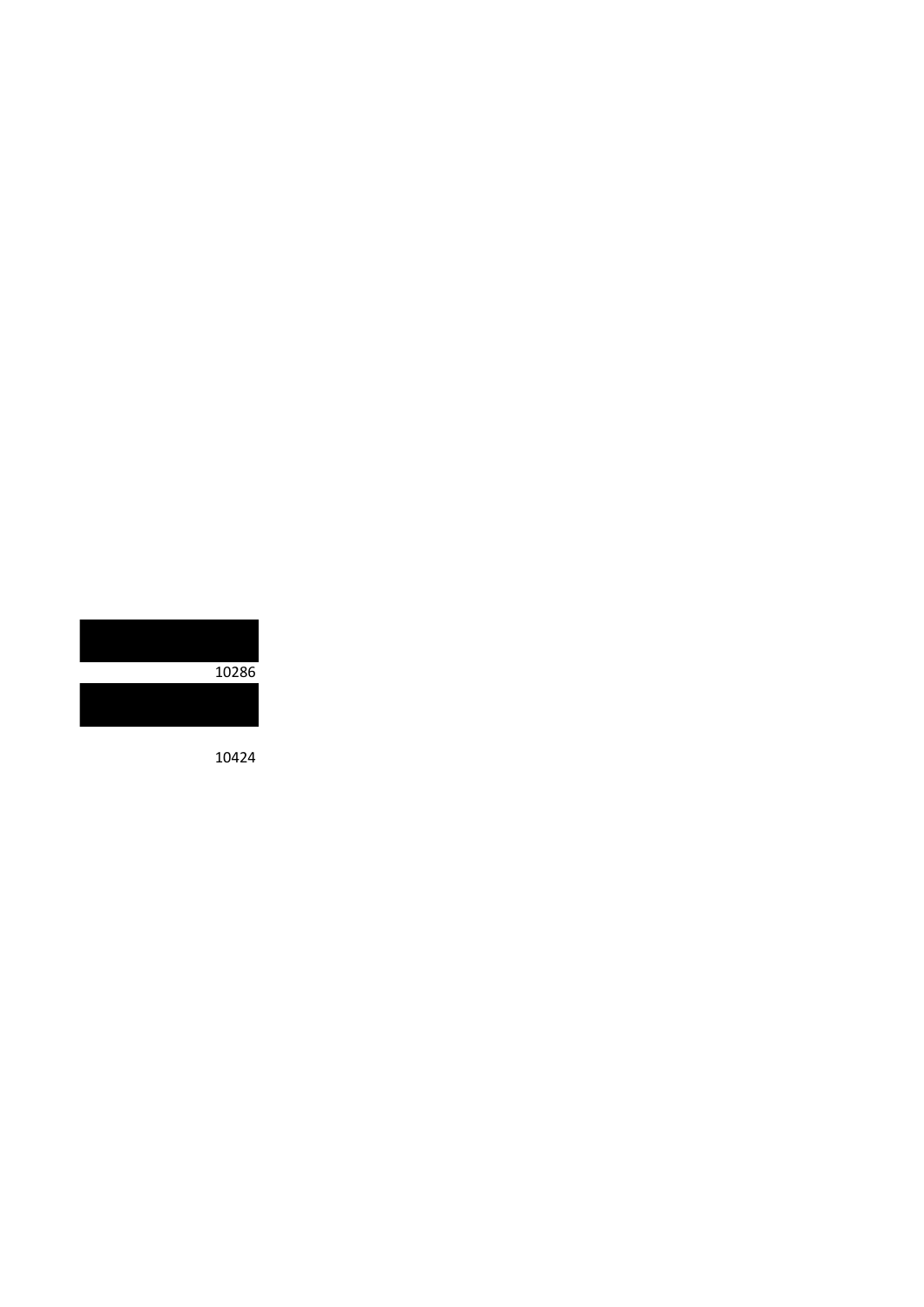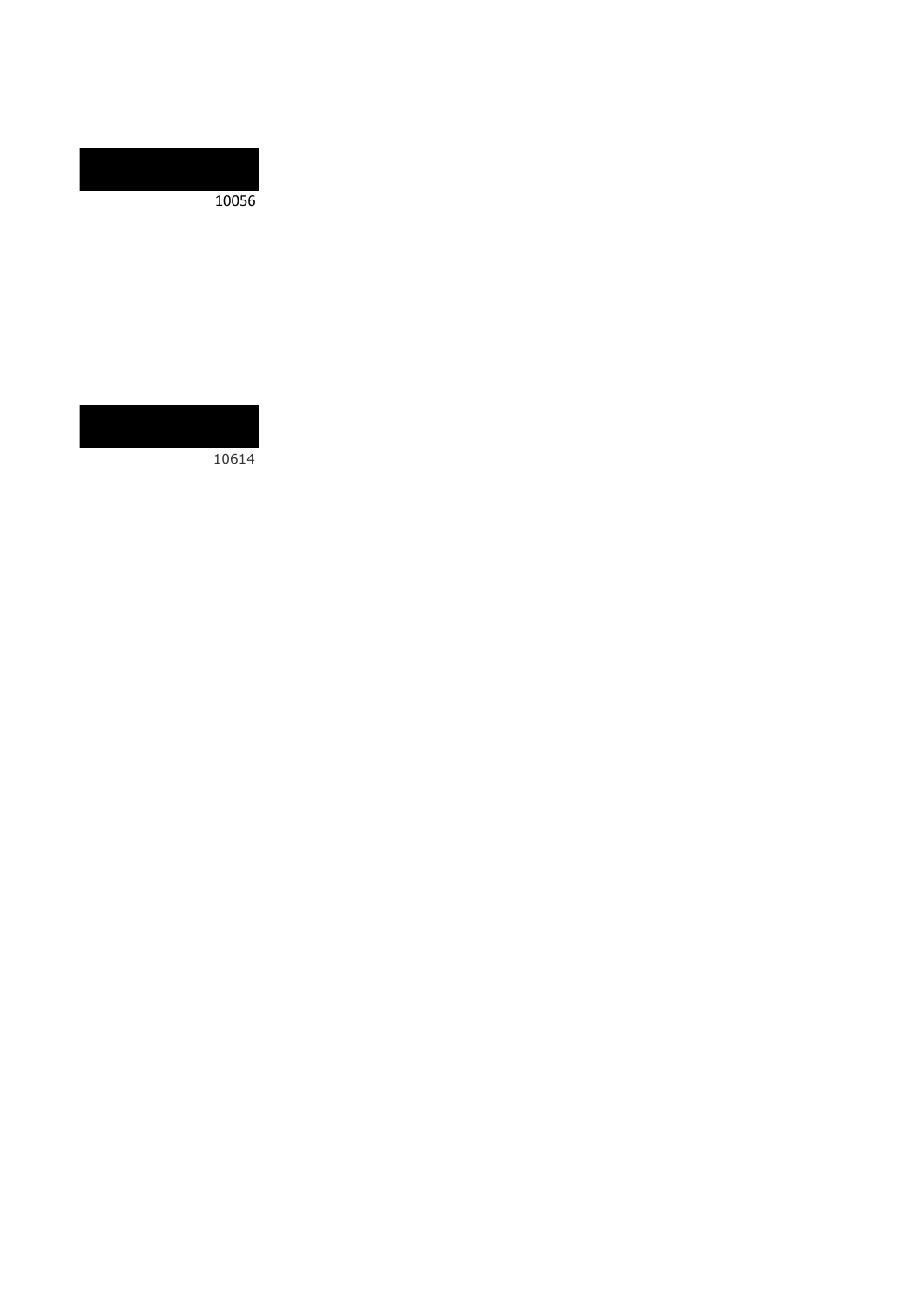

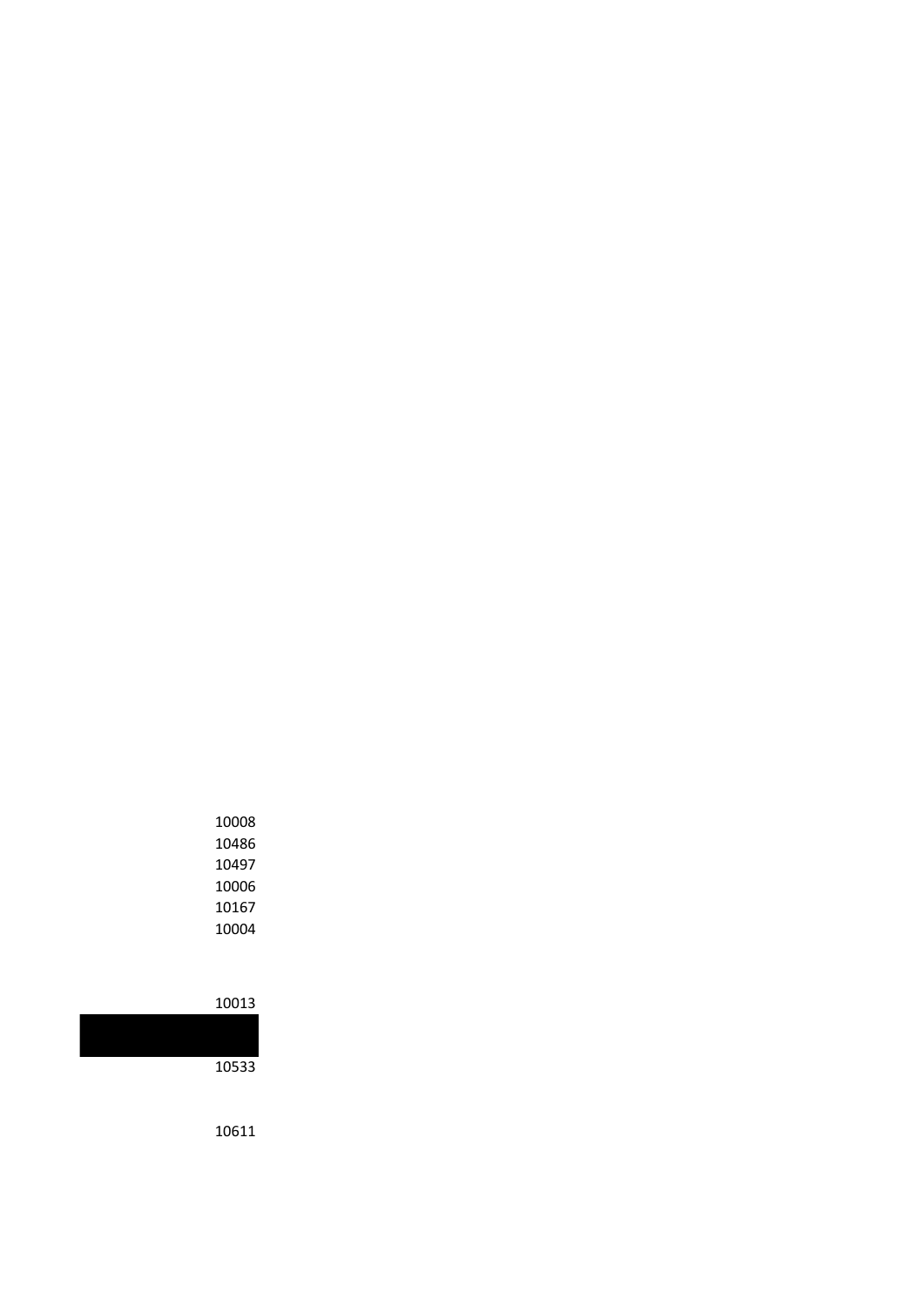| <b>LUUU4</b> |
|--------------|
| 10013        |
| 10533        |
|              |

| 10008 |
|-------|
| 10486 |
| 10497 |
| 10006 |
| 10167 |
| 10004 |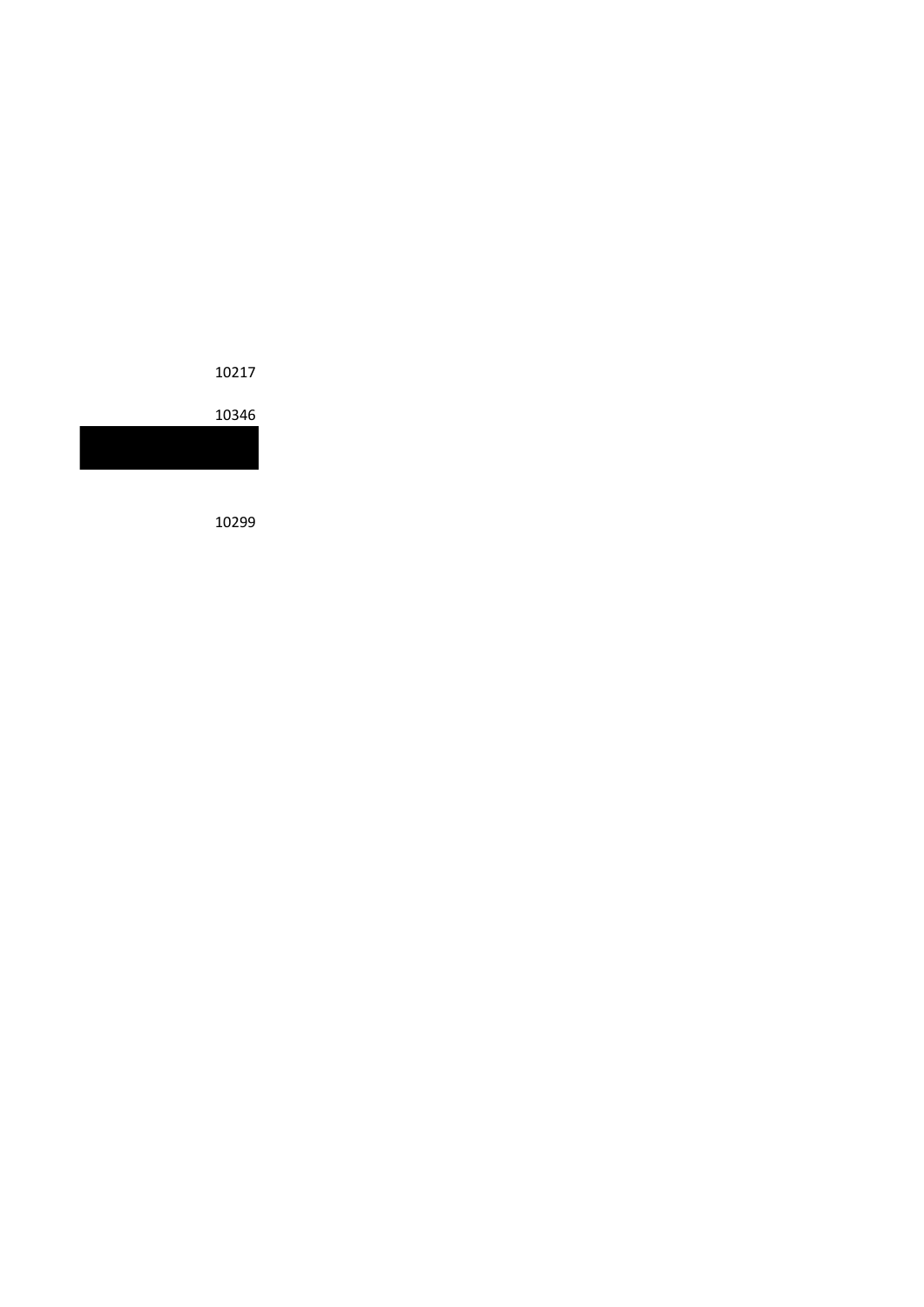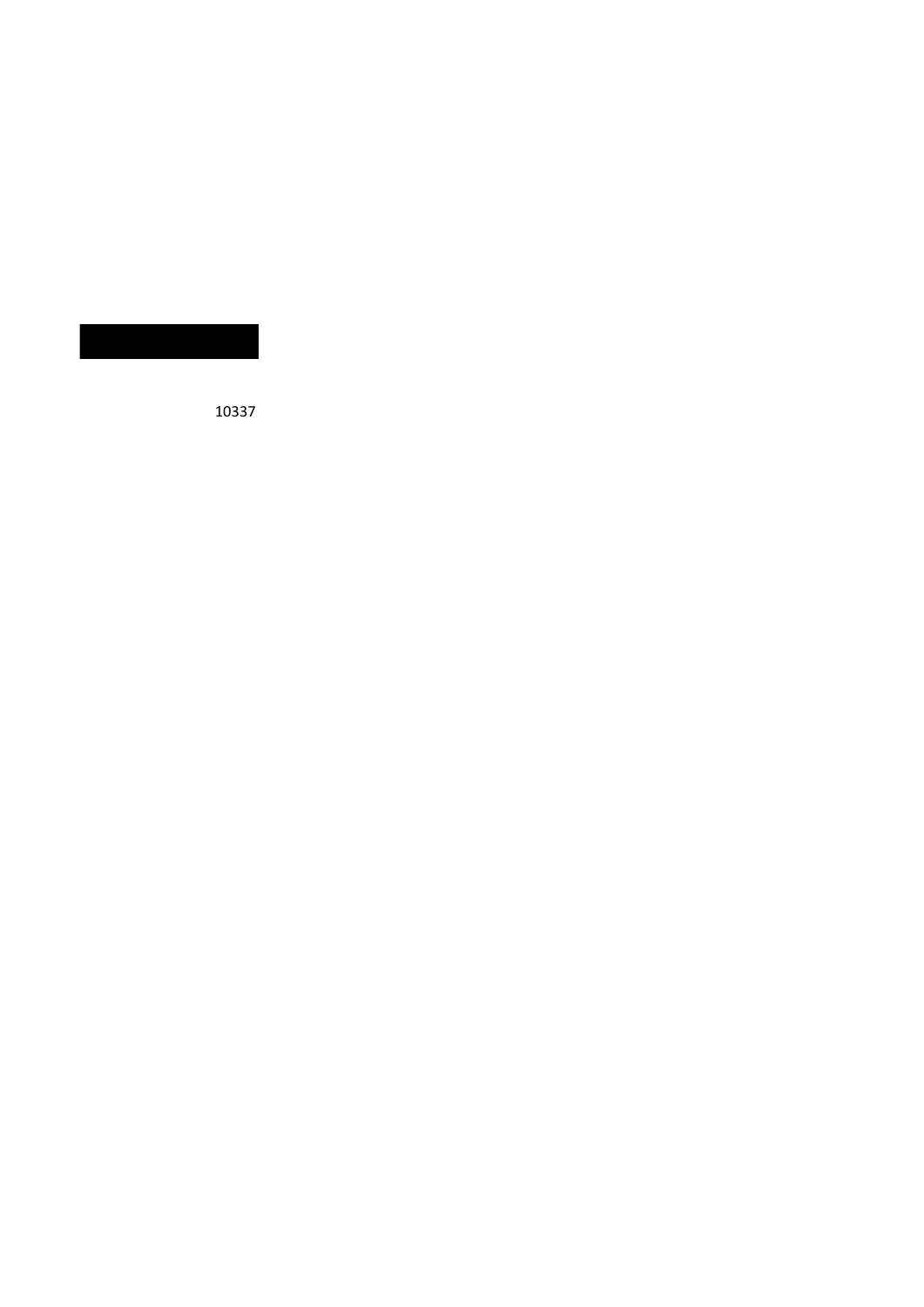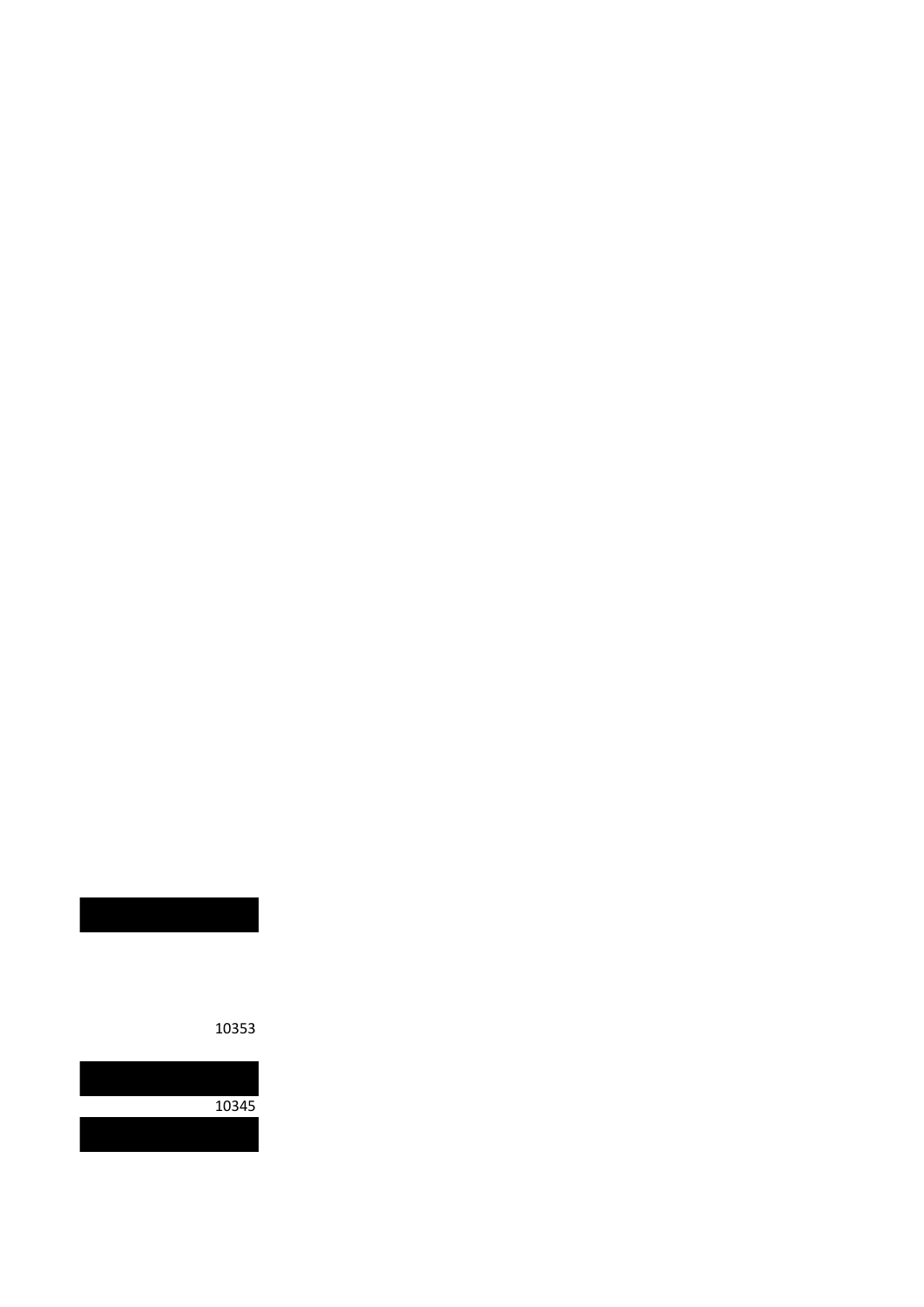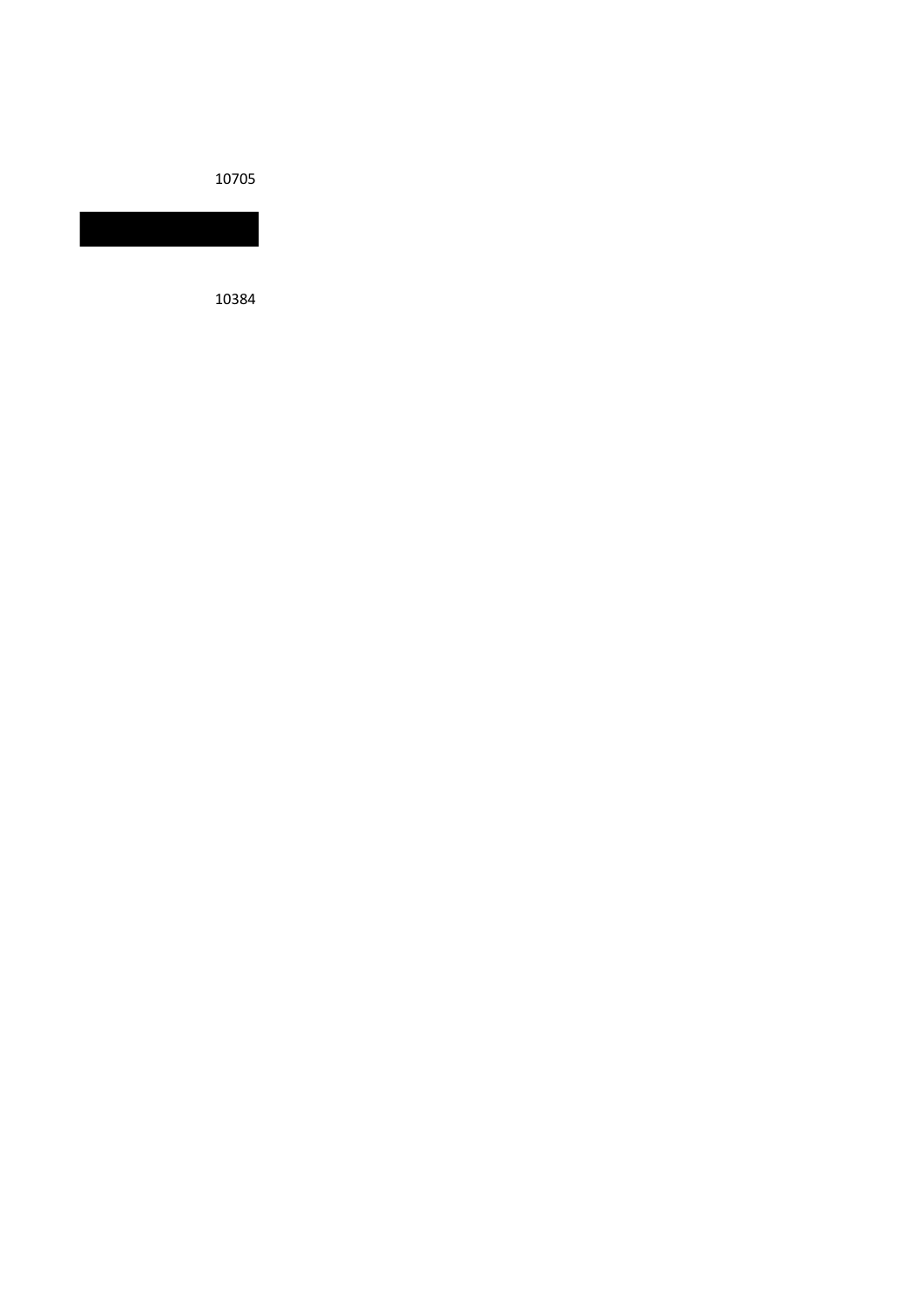